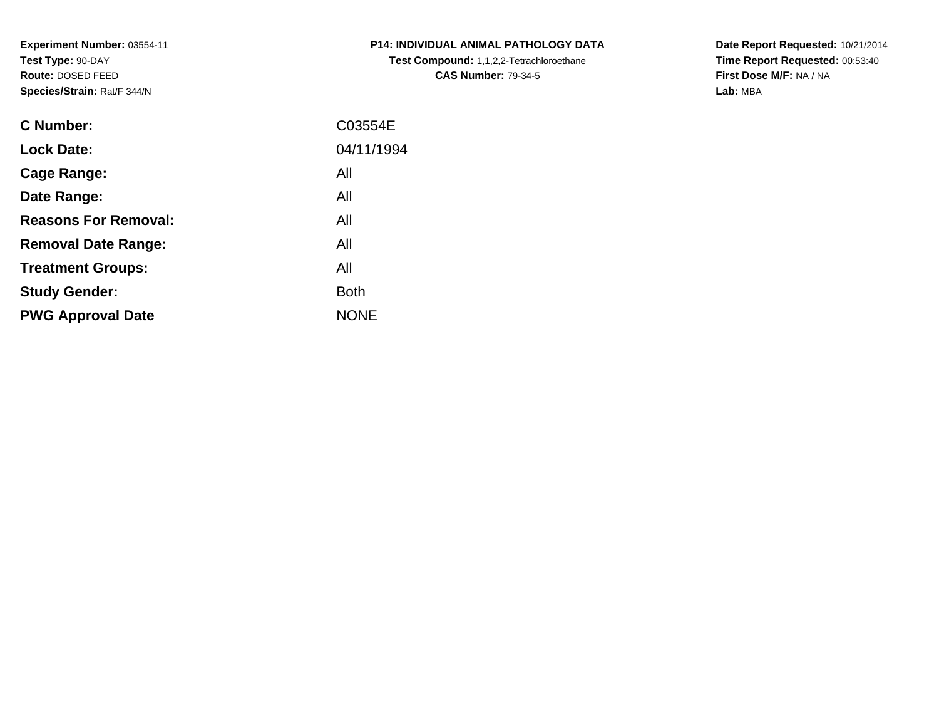**Experiment Number:** 03554-11**Test Type:** 90-DAY **Route:** DOSED FEED**Species/Strain:** Rat/F 344/N

| C Number:                   | C03554E     |
|-----------------------------|-------------|
| <b>Lock Date:</b>           | 04/11/1994  |
| Cage Range:                 | All         |
| Date Range:                 | All         |
| <b>Reasons For Removal:</b> | All         |
| <b>Removal Date Range:</b>  | All         |
| <b>Treatment Groups:</b>    | All         |
| <b>Study Gender:</b>        | <b>Both</b> |
| <b>PWG Approval Date</b>    | <b>NONE</b> |

**P14: INDIVIDUAL ANIMAL PATHOLOGY DATATest Compound:** 1,1,2,2-Tetrachloroethane**CAS Number:** 79-34-5

**Date Report Requested:** 10/21/2014**Time Report Requested:** 00:53:40**First Dose M/F:** NA / NA**Lab:** MBA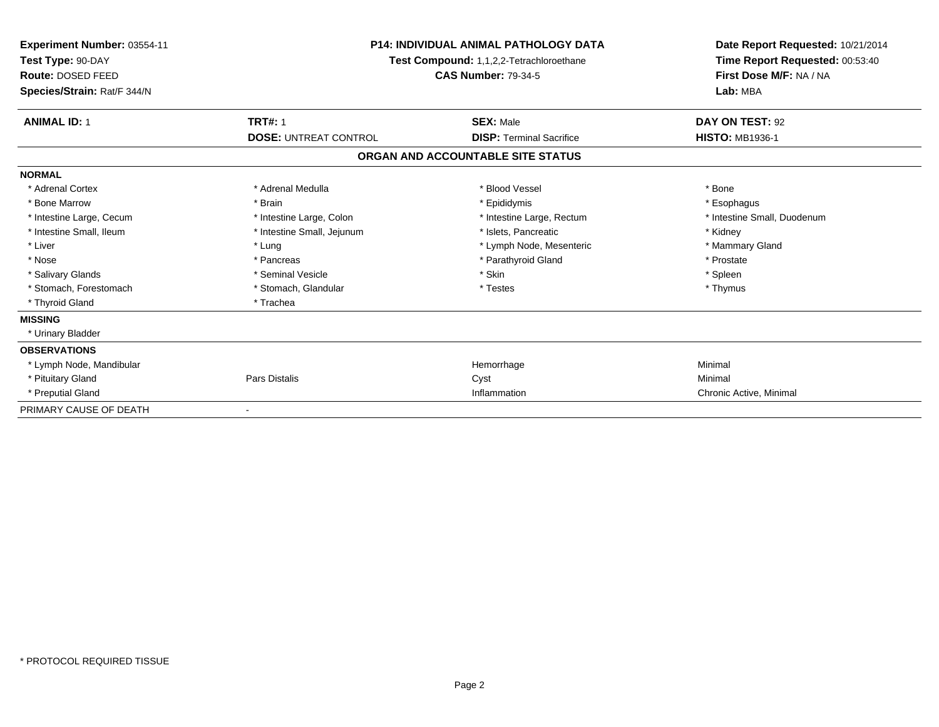| Experiment Number: 03554-11<br>Test Type: 90-DAY<br>Route: DOSED FEED<br>Species/Strain: Rat/F 344/N | <b>P14: INDIVIDUAL ANIMAL PATHOLOGY DATA</b><br>Test Compound: 1,1,2,2-Tetrachloroethane<br><b>CAS Number: 79-34-5</b> |                                   | Date Report Requested: 10/21/2014<br>Time Report Requested: 00:53:40<br>First Dose M/F: NA / NA<br>Lab: MBA |
|------------------------------------------------------------------------------------------------------|------------------------------------------------------------------------------------------------------------------------|-----------------------------------|-------------------------------------------------------------------------------------------------------------|
| <b>ANIMAL ID: 1</b>                                                                                  | <b>TRT#: 1</b>                                                                                                         | <b>SEX: Male</b>                  | DAY ON TEST: 92                                                                                             |
|                                                                                                      | <b>DOSE: UNTREAT CONTROL</b>                                                                                           | <b>DISP: Terminal Sacrifice</b>   | <b>HISTO: MB1936-1</b>                                                                                      |
|                                                                                                      |                                                                                                                        | ORGAN AND ACCOUNTABLE SITE STATUS |                                                                                                             |
| <b>NORMAL</b>                                                                                        |                                                                                                                        |                                   |                                                                                                             |
| * Adrenal Cortex                                                                                     | * Adrenal Medulla                                                                                                      | * Blood Vessel                    | * Bone                                                                                                      |
| * Bone Marrow                                                                                        | * Brain                                                                                                                | * Epididymis                      | * Esophagus                                                                                                 |
| * Intestine Large, Cecum                                                                             | * Intestine Large, Colon                                                                                               | * Intestine Large, Rectum         | * Intestine Small, Duodenum                                                                                 |
| * Intestine Small, Ileum                                                                             | * Intestine Small, Jejunum                                                                                             | * Islets, Pancreatic              | * Kidney                                                                                                    |
| * Liver                                                                                              | * Lung                                                                                                                 | * Lymph Node, Mesenteric          | * Mammary Gland                                                                                             |
| * Nose                                                                                               | * Pancreas                                                                                                             | * Parathyroid Gland               | * Prostate                                                                                                  |
| * Salivary Glands                                                                                    | * Seminal Vesicle                                                                                                      | * Skin                            | * Spleen                                                                                                    |
| * Stomach, Forestomach                                                                               | * Stomach, Glandular                                                                                                   | * Testes                          | * Thymus                                                                                                    |
| * Thyroid Gland                                                                                      | * Trachea                                                                                                              |                                   |                                                                                                             |
| <b>MISSING</b>                                                                                       |                                                                                                                        |                                   |                                                                                                             |
| * Urinary Bladder                                                                                    |                                                                                                                        |                                   |                                                                                                             |
| <b>OBSERVATIONS</b>                                                                                  |                                                                                                                        |                                   |                                                                                                             |
| * Lymph Node, Mandibular                                                                             |                                                                                                                        | Hemorrhage                        | Minimal                                                                                                     |
| * Pituitary Gland                                                                                    | Pars Distalis                                                                                                          | Cyst                              | Minimal                                                                                                     |
| * Preputial Gland                                                                                    |                                                                                                                        | Inflammation                      | Chronic Active, Minimal                                                                                     |
| PRIMARY CAUSE OF DEATH                                                                               |                                                                                                                        |                                   |                                                                                                             |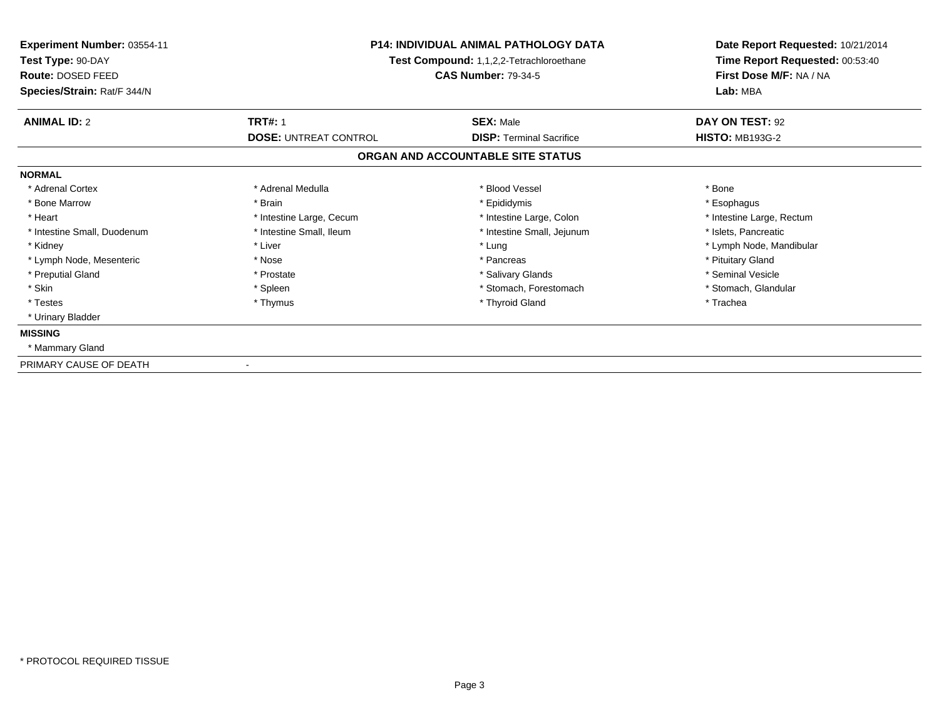| Experiment Number: 03554-11<br>Test Type: 90-DAY<br>Route: DOSED FEED<br>Species/Strain: Rat/F 344/N | <b>P14: INDIVIDUAL ANIMAL PATHOLOGY DATA</b><br>Test Compound: 1,1,2,2-Tetrachloroethane<br><b>CAS Number: 79-34-5</b> |                                                     | Date Report Requested: 10/21/2014<br>Time Report Requested: 00:53:40<br>First Dose M/F: NA / NA<br>Lab: MBA |
|------------------------------------------------------------------------------------------------------|------------------------------------------------------------------------------------------------------------------------|-----------------------------------------------------|-------------------------------------------------------------------------------------------------------------|
| <b>ANIMAL ID: 2</b>                                                                                  | <b>TRT#: 1</b><br><b>DOSE: UNTREAT CONTROL</b>                                                                         | <b>SEX: Male</b><br><b>DISP: Terminal Sacrifice</b> | DAY ON TEST: 92<br><b>HISTO: MB193G-2</b>                                                                   |
|                                                                                                      |                                                                                                                        | ORGAN AND ACCOUNTABLE SITE STATUS                   |                                                                                                             |
| <b>NORMAL</b>                                                                                        |                                                                                                                        |                                                     |                                                                                                             |
| * Adrenal Cortex                                                                                     | * Adrenal Medulla                                                                                                      | * Blood Vessel                                      | * Bone                                                                                                      |
| * Bone Marrow                                                                                        | * Brain                                                                                                                | * Epididymis                                        | * Esophagus                                                                                                 |
| * Heart                                                                                              | * Intestine Large, Cecum                                                                                               | * Intestine Large, Colon                            | * Intestine Large, Rectum                                                                                   |
| * Intestine Small, Duodenum                                                                          | * Intestine Small, Ileum                                                                                               | * Intestine Small, Jejunum                          | * Islets, Pancreatic                                                                                        |
| * Kidney                                                                                             | * Liver                                                                                                                | * Lung                                              | * Lymph Node, Mandibular                                                                                    |
| * Lymph Node, Mesenteric                                                                             | * Nose                                                                                                                 | * Pancreas                                          | * Pituitary Gland                                                                                           |
| * Preputial Gland                                                                                    | * Prostate                                                                                                             | * Salivary Glands                                   | * Seminal Vesicle                                                                                           |
| * Skin                                                                                               | * Spleen                                                                                                               | * Stomach, Forestomach                              | * Stomach, Glandular                                                                                        |
| * Testes                                                                                             | * Thymus                                                                                                               | * Thyroid Gland                                     | * Trachea                                                                                                   |
| * Urinary Bladder                                                                                    |                                                                                                                        |                                                     |                                                                                                             |
| <b>MISSING</b>                                                                                       |                                                                                                                        |                                                     |                                                                                                             |
| * Mammary Gland                                                                                      |                                                                                                                        |                                                     |                                                                                                             |
| PRIMARY CAUSE OF DEATH                                                                               |                                                                                                                        |                                                     |                                                                                                             |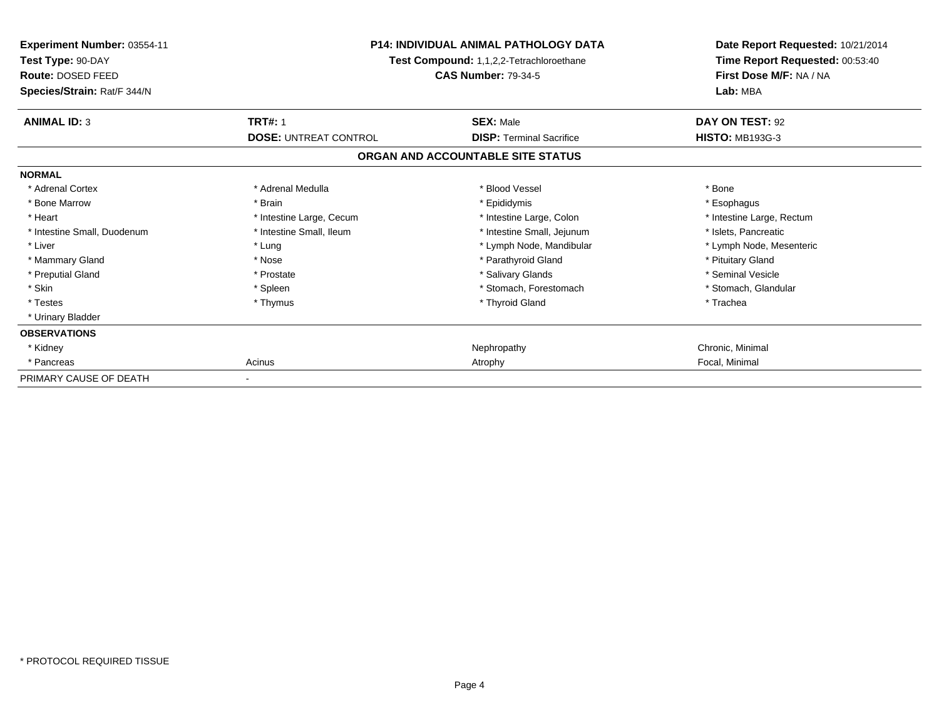| Experiment Number: 03554-11<br>Test Type: 90-DAY<br>Route: DOSED FEED<br>Species/Strain: Rat/F 344/N | <b>P14: INDIVIDUAL ANIMAL PATHOLOGY DATA</b><br>Test Compound: 1,1,2,2-Tetrachloroethane<br><b>CAS Number: 79-34-5</b> |                                   | Date Report Requested: 10/21/2014<br>Time Report Requested: 00:53:40<br>First Dose M/F: NA / NA<br>Lab: MBA |
|------------------------------------------------------------------------------------------------------|------------------------------------------------------------------------------------------------------------------------|-----------------------------------|-------------------------------------------------------------------------------------------------------------|
| <b>ANIMAL ID: 3</b>                                                                                  | <b>TRT#: 1</b>                                                                                                         | <b>SEX: Male</b>                  | DAY ON TEST: 92                                                                                             |
|                                                                                                      | <b>DOSE: UNTREAT CONTROL</b>                                                                                           | <b>DISP: Terminal Sacrifice</b>   | <b>HISTO: MB193G-3</b>                                                                                      |
|                                                                                                      |                                                                                                                        | ORGAN AND ACCOUNTABLE SITE STATUS |                                                                                                             |
| <b>NORMAL</b>                                                                                        |                                                                                                                        |                                   |                                                                                                             |
| * Adrenal Cortex                                                                                     | * Adrenal Medulla                                                                                                      | * Blood Vessel                    | * Bone                                                                                                      |
| * Bone Marrow                                                                                        | * Brain                                                                                                                | * Epididymis                      | * Esophagus                                                                                                 |
| * Heart                                                                                              | * Intestine Large, Cecum                                                                                               | * Intestine Large, Colon          | * Intestine Large, Rectum                                                                                   |
| * Intestine Small, Duodenum                                                                          | * Intestine Small. Ileum                                                                                               | * Intestine Small, Jejunum        | * Islets. Pancreatic                                                                                        |
| * Liver                                                                                              | * Lung                                                                                                                 | * Lymph Node, Mandibular          | * Lymph Node, Mesenteric                                                                                    |
| * Mammary Gland                                                                                      | * Nose                                                                                                                 | * Parathyroid Gland               | * Pituitary Gland                                                                                           |
| * Preputial Gland                                                                                    | * Prostate                                                                                                             | * Salivary Glands                 | * Seminal Vesicle                                                                                           |
| * Skin                                                                                               | * Spleen                                                                                                               | * Stomach, Forestomach            | * Stomach, Glandular                                                                                        |
| * Testes                                                                                             | * Thymus                                                                                                               | * Thyroid Gland                   | * Trachea                                                                                                   |
| * Urinary Bladder                                                                                    |                                                                                                                        |                                   |                                                                                                             |
| <b>OBSERVATIONS</b>                                                                                  |                                                                                                                        |                                   |                                                                                                             |
| * Kidney                                                                                             |                                                                                                                        | Nephropathy                       | Chronic, Minimal                                                                                            |
| * Pancreas                                                                                           | Acinus                                                                                                                 | Atrophy                           | Focal, Minimal                                                                                              |
| PRIMARY CAUSE OF DEATH                                                                               |                                                                                                                        |                                   |                                                                                                             |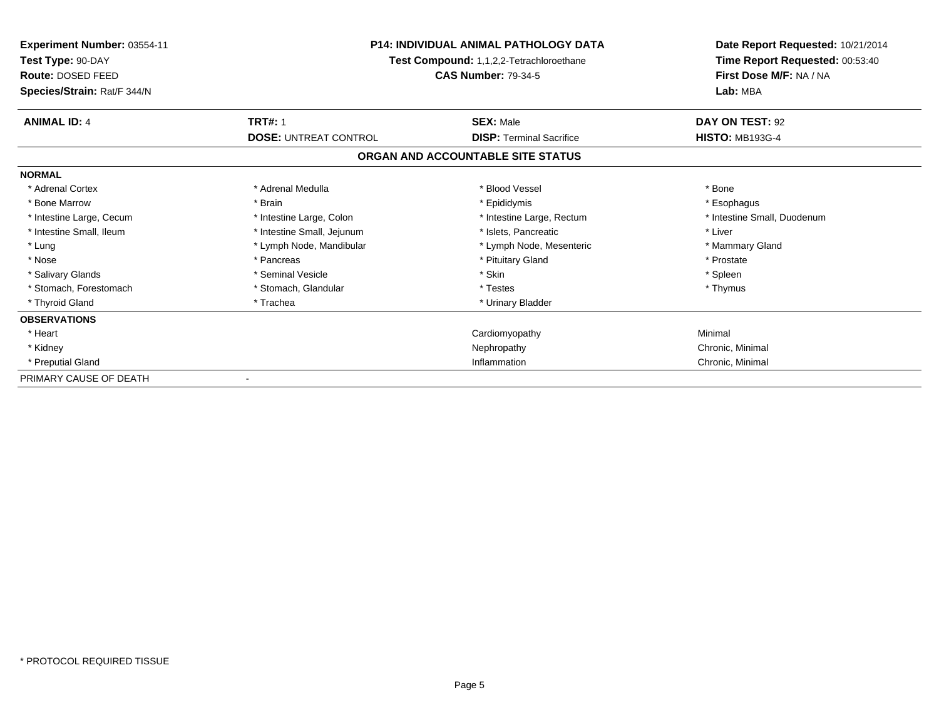| Experiment Number: 03554-11<br>Test Type: 90-DAY<br>Route: DOSED FEED<br>Species/Strain: Rat/F 344/N | <b>P14: INDIVIDUAL ANIMAL PATHOLOGY DATA</b><br>Test Compound: 1,1,2,2-Tetrachloroethane<br><b>CAS Number: 79-34-5</b> |                                   | Date Report Requested: 10/21/2014<br>Time Report Requested: 00:53:40<br>First Dose M/F: NA / NA<br>Lab: MBA |
|------------------------------------------------------------------------------------------------------|------------------------------------------------------------------------------------------------------------------------|-----------------------------------|-------------------------------------------------------------------------------------------------------------|
| <b>ANIMAL ID: 4</b>                                                                                  | <b>TRT#: 1</b>                                                                                                         | <b>SEX: Male</b>                  | DAY ON TEST: 92                                                                                             |
|                                                                                                      | <b>DOSE: UNTREAT CONTROL</b>                                                                                           | <b>DISP:</b> Terminal Sacrifice   | <b>HISTO: MB193G-4</b>                                                                                      |
|                                                                                                      |                                                                                                                        | ORGAN AND ACCOUNTABLE SITE STATUS |                                                                                                             |
| <b>NORMAL</b>                                                                                        |                                                                                                                        |                                   |                                                                                                             |
| * Adrenal Cortex                                                                                     | * Adrenal Medulla                                                                                                      | * Blood Vessel                    | * Bone                                                                                                      |
| * Bone Marrow                                                                                        | * Brain                                                                                                                | * Epididymis                      | * Esophagus                                                                                                 |
| * Intestine Large, Cecum                                                                             | * Intestine Large, Colon                                                                                               | * Intestine Large, Rectum         | * Intestine Small, Duodenum                                                                                 |
| * Intestine Small. Ileum                                                                             | * Intestine Small, Jejunum                                                                                             | * Islets, Pancreatic              | * Liver                                                                                                     |
| * Lung                                                                                               | * Lymph Node, Mandibular                                                                                               | * Lymph Node, Mesenteric          | * Mammary Gland                                                                                             |
| * Nose                                                                                               | * Pancreas                                                                                                             | * Pituitary Gland                 | * Prostate                                                                                                  |
| * Salivary Glands                                                                                    | * Seminal Vesicle                                                                                                      | * Skin                            | * Spleen                                                                                                    |
| * Stomach. Forestomach                                                                               | * Stomach, Glandular                                                                                                   | * Testes                          | * Thymus                                                                                                    |
| * Thyroid Gland                                                                                      | * Trachea                                                                                                              | * Urinary Bladder                 |                                                                                                             |
| <b>OBSERVATIONS</b>                                                                                  |                                                                                                                        |                                   |                                                                                                             |
| * Heart                                                                                              |                                                                                                                        | Cardiomyopathy                    | Minimal                                                                                                     |
| * Kidney                                                                                             |                                                                                                                        | Nephropathy                       | Chronic, Minimal                                                                                            |
| * Preputial Gland                                                                                    |                                                                                                                        | Inflammation                      | Chronic, Minimal                                                                                            |
| PRIMARY CAUSE OF DEATH                                                                               |                                                                                                                        |                                   |                                                                                                             |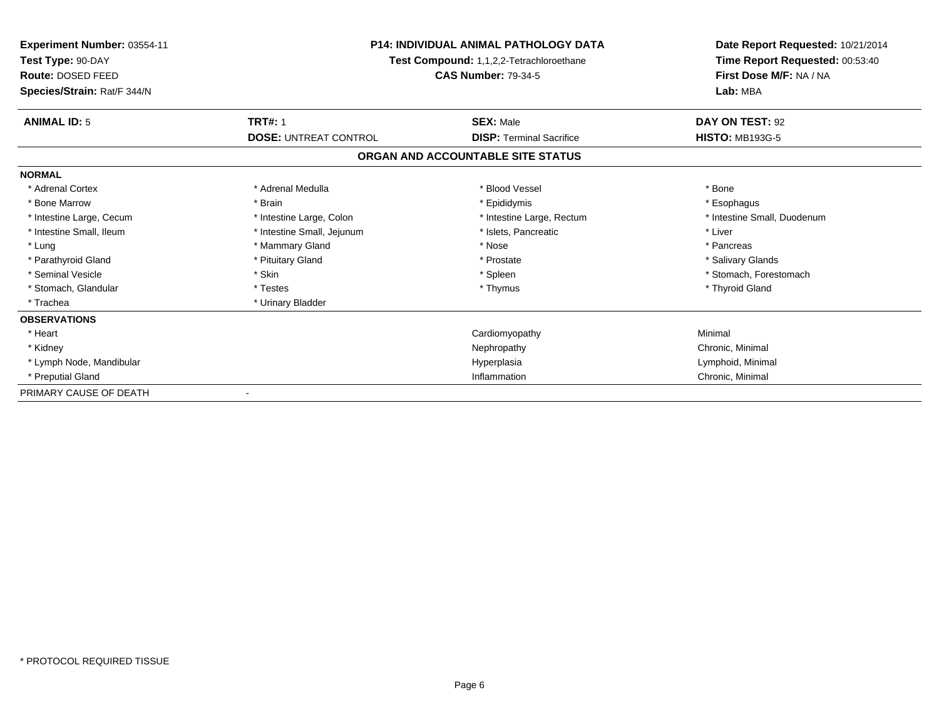| <b>Experiment Number: 03554-11</b><br>Test Type: 90-DAY<br>Route: DOSED FEED | <b>P14: INDIVIDUAL ANIMAL PATHOLOGY DATA</b><br>Test Compound: 1,1,2,2-Tetrachloroethane<br><b>CAS Number: 79-34-5</b> |                                   | Date Report Requested: 10/21/2014<br>Time Report Requested: 00:53:40<br>First Dose M/F: NA / NA |  |
|------------------------------------------------------------------------------|------------------------------------------------------------------------------------------------------------------------|-----------------------------------|-------------------------------------------------------------------------------------------------|--|
| Species/Strain: Rat/F 344/N                                                  |                                                                                                                        |                                   |                                                                                                 |  |
| <b>ANIMAL ID: 5</b>                                                          | <b>TRT#: 1</b>                                                                                                         | <b>SEX: Male</b>                  | DAY ON TEST: 92                                                                                 |  |
|                                                                              | <b>DOSE: UNTREAT CONTROL</b>                                                                                           | <b>DISP: Terminal Sacrifice</b>   | <b>HISTO: MB193G-5</b>                                                                          |  |
|                                                                              |                                                                                                                        | ORGAN AND ACCOUNTABLE SITE STATUS |                                                                                                 |  |
| <b>NORMAL</b>                                                                |                                                                                                                        |                                   |                                                                                                 |  |
| * Adrenal Cortex                                                             | * Adrenal Medulla                                                                                                      | * Blood Vessel                    | * Bone                                                                                          |  |
| * Bone Marrow                                                                | * Brain                                                                                                                | * Epididymis                      | * Esophagus                                                                                     |  |
| * Intestine Large, Cecum                                                     | * Intestine Large, Colon                                                                                               | * Intestine Large, Rectum         | * Intestine Small, Duodenum                                                                     |  |
| * Intestine Small, Ileum                                                     | * Intestine Small, Jejunum                                                                                             | * Islets. Pancreatic              | * Liver                                                                                         |  |
| * Lung                                                                       | * Mammary Gland                                                                                                        | * Nose                            | * Pancreas                                                                                      |  |
| * Parathyroid Gland                                                          | * Pituitary Gland                                                                                                      | * Prostate                        | * Salivary Glands                                                                               |  |
| * Seminal Vesicle                                                            | * Skin                                                                                                                 | * Spleen                          | * Stomach, Forestomach                                                                          |  |
| * Stomach, Glandular                                                         | * Testes                                                                                                               | * Thymus                          | * Thyroid Gland                                                                                 |  |
| * Trachea                                                                    | * Urinary Bladder                                                                                                      |                                   |                                                                                                 |  |
| <b>OBSERVATIONS</b>                                                          |                                                                                                                        |                                   |                                                                                                 |  |
| * Heart                                                                      |                                                                                                                        | Cardiomyopathy                    | Minimal                                                                                         |  |
| * Kidney                                                                     |                                                                                                                        | Nephropathy                       | Chronic, Minimal                                                                                |  |
| * Lymph Node, Mandibular                                                     |                                                                                                                        | Hyperplasia                       | Lymphoid, Minimal                                                                               |  |
| * Preputial Gland                                                            |                                                                                                                        | Inflammation                      | Chronic, Minimal                                                                                |  |
| PRIMARY CAUSE OF DEATH                                                       |                                                                                                                        |                                   |                                                                                                 |  |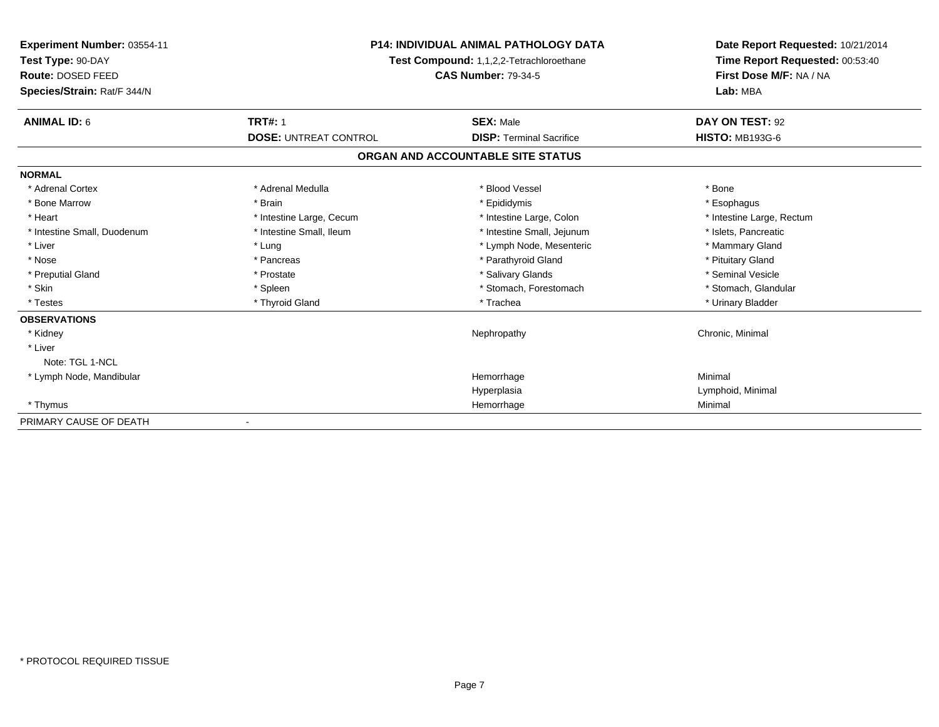| Experiment Number: 03554-11<br>Test Type: 90-DAY<br><b>Route: DOSED FEED</b><br>Species/Strain: Rat/F 344/N | <b>P14: INDIVIDUAL ANIMAL PATHOLOGY DATA</b><br>Test Compound: 1,1,2,2-Tetrachloroethane<br><b>CAS Number: 79-34-5</b> |                                   | Date Report Requested: 10/21/2014<br>Time Report Requested: 00:53:40<br>First Dose M/F: NA / NA<br>Lab: MBA |  |
|-------------------------------------------------------------------------------------------------------------|------------------------------------------------------------------------------------------------------------------------|-----------------------------------|-------------------------------------------------------------------------------------------------------------|--|
| <b>ANIMAL ID: 6</b>                                                                                         | <b>TRT#: 1</b>                                                                                                         | <b>SEX: Male</b>                  | DAY ON TEST: 92                                                                                             |  |
|                                                                                                             | <b>DOSE: UNTREAT CONTROL</b>                                                                                           | <b>DISP: Terminal Sacrifice</b>   | <b>HISTO: MB193G-6</b>                                                                                      |  |
|                                                                                                             |                                                                                                                        | ORGAN AND ACCOUNTABLE SITE STATUS |                                                                                                             |  |
| <b>NORMAL</b>                                                                                               |                                                                                                                        |                                   |                                                                                                             |  |
| * Adrenal Cortex                                                                                            | * Adrenal Medulla                                                                                                      | * Blood Vessel                    | * Bone                                                                                                      |  |
| * Bone Marrow                                                                                               | * Brain                                                                                                                | * Epididymis                      | * Esophagus                                                                                                 |  |
| * Heart                                                                                                     | * Intestine Large, Cecum                                                                                               | * Intestine Large, Colon          | * Intestine Large, Rectum                                                                                   |  |
| * Intestine Small, Duodenum                                                                                 | * Intestine Small, Ileum                                                                                               | * Intestine Small, Jejunum        | * Islets, Pancreatic                                                                                        |  |
| * Liver                                                                                                     | * Lung                                                                                                                 | * Lymph Node, Mesenteric          | * Mammary Gland                                                                                             |  |
| * Nose                                                                                                      | * Pancreas                                                                                                             | * Parathyroid Gland               | * Pituitary Gland                                                                                           |  |
| * Preputial Gland                                                                                           | * Prostate                                                                                                             | * Salivary Glands                 | * Seminal Vesicle                                                                                           |  |
| * Skin                                                                                                      | * Spleen                                                                                                               | * Stomach, Forestomach            | * Stomach, Glandular                                                                                        |  |
| * Testes                                                                                                    | * Thyroid Gland                                                                                                        | * Trachea                         | * Urinary Bladder                                                                                           |  |
| <b>OBSERVATIONS</b>                                                                                         |                                                                                                                        |                                   |                                                                                                             |  |
| * Kidney                                                                                                    |                                                                                                                        | Nephropathy                       | Chronic, Minimal                                                                                            |  |
| * Liver                                                                                                     |                                                                                                                        |                                   |                                                                                                             |  |
| Note: TGL 1-NCL                                                                                             |                                                                                                                        |                                   |                                                                                                             |  |
| * Lymph Node, Mandibular                                                                                    |                                                                                                                        | Hemorrhage                        | Minimal                                                                                                     |  |
|                                                                                                             |                                                                                                                        | Hyperplasia                       | Lymphoid, Minimal                                                                                           |  |
| * Thymus                                                                                                    |                                                                                                                        | Hemorrhage                        | Minimal                                                                                                     |  |
| PRIMARY CAUSE OF DEATH                                                                                      |                                                                                                                        |                                   |                                                                                                             |  |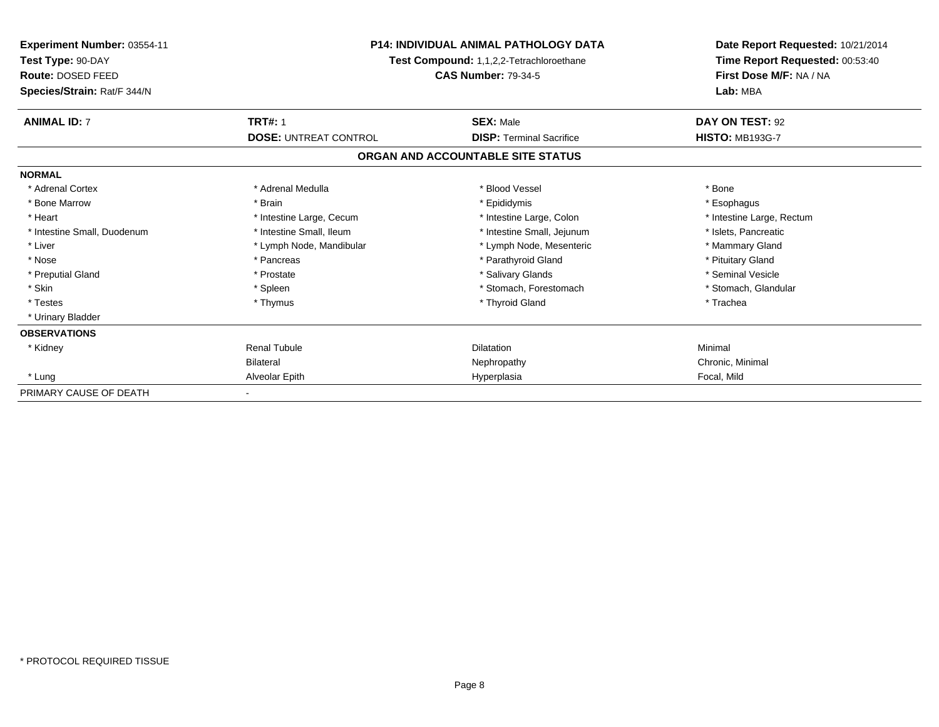| Experiment Number: 03554-11<br>Test Type: 90-DAY<br>Route: DOSED FEED | <b>P14: INDIVIDUAL ANIMAL PATHOLOGY DATA</b><br>Test Compound: 1,1,2,2-Tetrachloroethane<br><b>CAS Number: 79-34-5</b> |                                   | Date Report Requested: 10/21/2014<br>Time Report Requested: 00:53:40<br>First Dose M/F: NA / NA |  |
|-----------------------------------------------------------------------|------------------------------------------------------------------------------------------------------------------------|-----------------------------------|-------------------------------------------------------------------------------------------------|--|
| Species/Strain: Rat/F 344/N                                           |                                                                                                                        |                                   | Lab: MBA                                                                                        |  |
| <b>ANIMAL ID: 7</b>                                                   | <b>TRT#: 1</b>                                                                                                         | <b>SEX: Male</b>                  | DAY ON TEST: 92                                                                                 |  |
|                                                                       | <b>DOSE: UNTREAT CONTROL</b>                                                                                           | <b>DISP: Terminal Sacrifice</b>   | <b>HISTO: MB193G-7</b>                                                                          |  |
|                                                                       |                                                                                                                        | ORGAN AND ACCOUNTABLE SITE STATUS |                                                                                                 |  |
| <b>NORMAL</b>                                                         |                                                                                                                        |                                   |                                                                                                 |  |
| * Adrenal Cortex                                                      | * Adrenal Medulla                                                                                                      | * Blood Vessel                    | * Bone                                                                                          |  |
| * Bone Marrow                                                         | * Brain                                                                                                                | * Epididymis                      | * Esophagus                                                                                     |  |
| * Heart                                                               | * Intestine Large, Cecum                                                                                               | * Intestine Large, Colon          | * Intestine Large, Rectum                                                                       |  |
| * Intestine Small, Duodenum                                           | * Intestine Small, Ileum                                                                                               | * Intestine Small, Jejunum        | * Islets, Pancreatic                                                                            |  |
| * Liver                                                               | * Lymph Node, Mandibular                                                                                               | * Lymph Node, Mesenteric          | * Mammary Gland                                                                                 |  |
| * Nose                                                                | * Pancreas                                                                                                             | * Parathyroid Gland               | * Pituitary Gland                                                                               |  |
| * Preputial Gland                                                     | * Prostate                                                                                                             | * Salivary Glands                 | * Seminal Vesicle                                                                               |  |
| * Skin                                                                | * Spleen                                                                                                               | * Stomach, Forestomach            | * Stomach, Glandular                                                                            |  |
| * Testes                                                              | * Thymus                                                                                                               | * Thyroid Gland                   | * Trachea                                                                                       |  |
| * Urinary Bladder                                                     |                                                                                                                        |                                   |                                                                                                 |  |
| <b>OBSERVATIONS</b>                                                   |                                                                                                                        |                                   |                                                                                                 |  |
| * Kidney                                                              | <b>Renal Tubule</b>                                                                                                    | <b>Dilatation</b>                 | Minimal                                                                                         |  |
|                                                                       | <b>Bilateral</b>                                                                                                       | Nephropathy                       | Chronic, Minimal                                                                                |  |
| * Lung                                                                | Alveolar Epith                                                                                                         | Hyperplasia                       | Focal, Mild                                                                                     |  |
| PRIMARY CAUSE OF DEATH                                                |                                                                                                                        |                                   |                                                                                                 |  |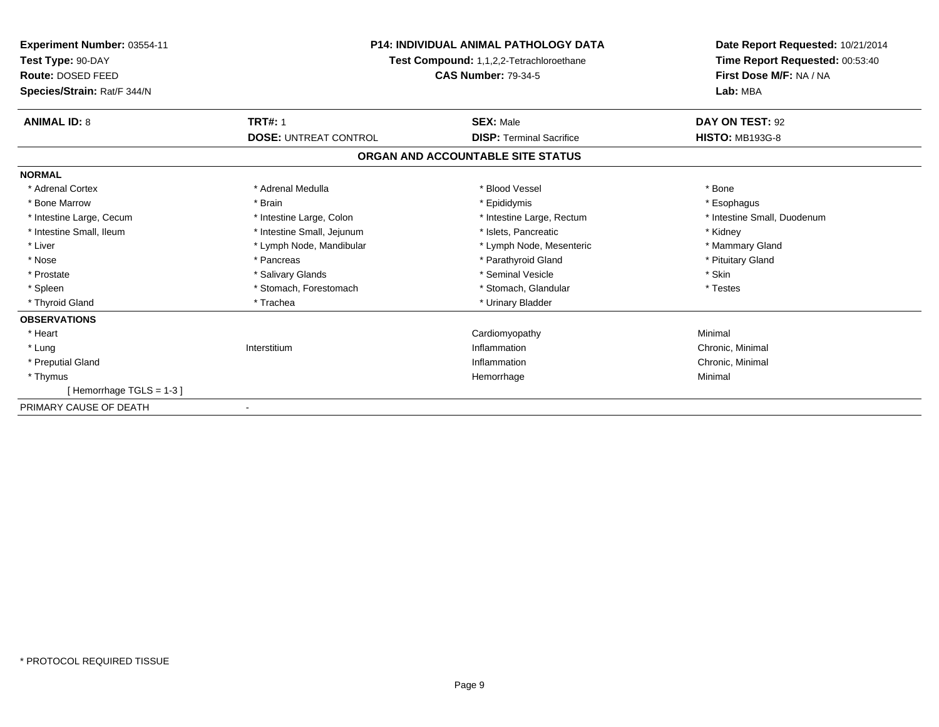| Experiment Number: 03554-11<br>Test Type: 90-DAY<br>Route: DOSED FEED<br>Species/Strain: Rat/F 344/N | <b>P14: INDIVIDUAL ANIMAL PATHOLOGY DATA</b><br><b>Test Compound: 1,1,2,2-Tetrachloroethane</b><br><b>CAS Number: 79-34-5</b> |                                   | Date Report Requested: 10/21/2014<br>Time Report Requested: 00:53:40<br>First Dose M/F: NA / NA<br>Lab: MBA |
|------------------------------------------------------------------------------------------------------|-------------------------------------------------------------------------------------------------------------------------------|-----------------------------------|-------------------------------------------------------------------------------------------------------------|
| <b>ANIMAL ID: 8</b>                                                                                  | <b>TRT#: 1</b>                                                                                                                | <b>SEX: Male</b>                  | DAY ON TEST: 92                                                                                             |
|                                                                                                      | <b>DOSE: UNTREAT CONTROL</b>                                                                                                  | <b>DISP: Terminal Sacrifice</b>   | <b>HISTO: MB193G-8</b>                                                                                      |
|                                                                                                      |                                                                                                                               | ORGAN AND ACCOUNTABLE SITE STATUS |                                                                                                             |
| <b>NORMAL</b>                                                                                        |                                                                                                                               |                                   |                                                                                                             |
| * Adrenal Cortex                                                                                     | * Adrenal Medulla                                                                                                             | * Blood Vessel                    | * Bone                                                                                                      |
| * Bone Marrow                                                                                        | * Brain                                                                                                                       | * Epididymis                      | * Esophagus                                                                                                 |
| * Intestine Large, Cecum                                                                             | * Intestine Large, Colon                                                                                                      | * Intestine Large, Rectum         | * Intestine Small, Duodenum                                                                                 |
| * Intestine Small, Ileum                                                                             | * Intestine Small, Jejunum                                                                                                    | * Islets, Pancreatic              | * Kidney                                                                                                    |
| * Liver                                                                                              | * Lymph Node, Mandibular                                                                                                      | * Lymph Node, Mesenteric          | * Mammary Gland                                                                                             |
| * Nose                                                                                               | * Pancreas                                                                                                                    | * Parathyroid Gland               | * Pituitary Gland                                                                                           |
| * Prostate                                                                                           | * Salivary Glands                                                                                                             | * Seminal Vesicle                 | * Skin                                                                                                      |
| * Spleen                                                                                             | * Stomach, Forestomach                                                                                                        | * Stomach, Glandular              | * Testes                                                                                                    |
| * Thyroid Gland                                                                                      | * Trachea                                                                                                                     | * Urinary Bladder                 |                                                                                                             |
| <b>OBSERVATIONS</b>                                                                                  |                                                                                                                               |                                   |                                                                                                             |
| * Heart                                                                                              |                                                                                                                               | Cardiomyopathy                    | Minimal                                                                                                     |
| * Lung                                                                                               | Interstitium                                                                                                                  | Inflammation                      | Chronic, Minimal                                                                                            |
| * Preputial Gland                                                                                    |                                                                                                                               | Inflammation                      | Chronic, Minimal                                                                                            |
| * Thymus                                                                                             |                                                                                                                               | Hemorrhage                        | Minimal                                                                                                     |
| [Hemorrhage TGLS = 1-3]                                                                              |                                                                                                                               |                                   |                                                                                                             |
| PRIMARY CAUSE OF DEATH                                                                               |                                                                                                                               |                                   |                                                                                                             |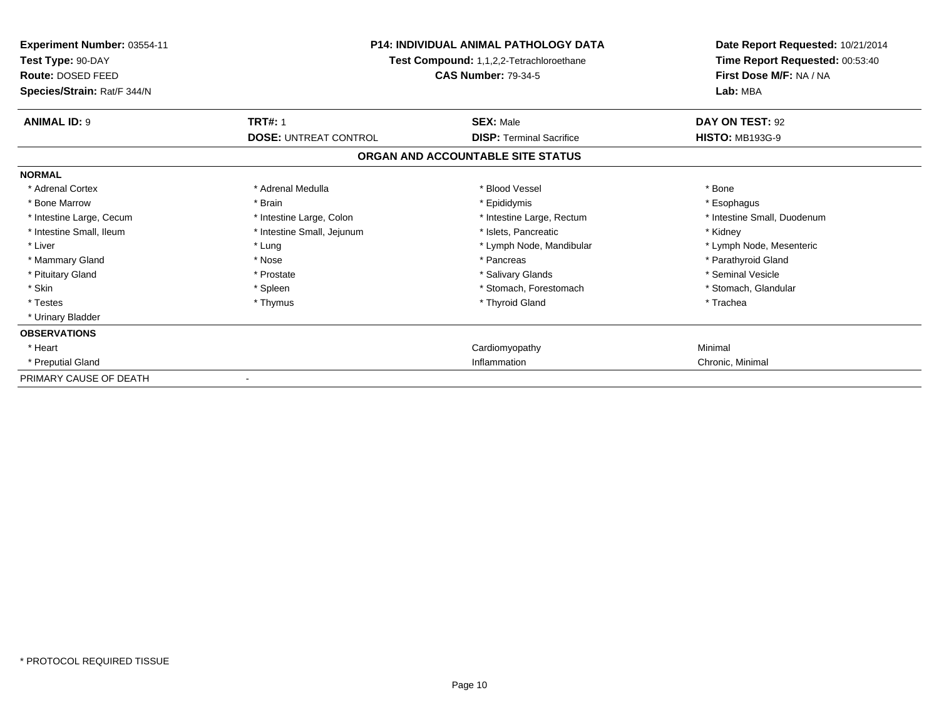| Experiment Number: 03554-11<br>Test Type: 90-DAY<br>Route: DOSED FEED<br>Species/Strain: Rat/F 344/N | <b>P14: INDIVIDUAL ANIMAL PATHOLOGY DATA</b><br>Test Compound: 1,1,2,2-Tetrachloroethane<br><b>CAS Number: 79-34-5</b> |                                   | Date Report Requested: 10/21/2014<br>Time Report Requested: 00:53:40<br>First Dose M/F: NA / NA<br>Lab: MBA |
|------------------------------------------------------------------------------------------------------|------------------------------------------------------------------------------------------------------------------------|-----------------------------------|-------------------------------------------------------------------------------------------------------------|
| <b>ANIMAL ID: 9</b>                                                                                  | <b>TRT#: 1</b>                                                                                                         | <b>SEX: Male</b>                  | DAY ON TEST: 92                                                                                             |
|                                                                                                      | <b>DOSE: UNTREAT CONTROL</b>                                                                                           | <b>DISP: Terminal Sacrifice</b>   | <b>HISTO: MB193G-9</b>                                                                                      |
|                                                                                                      |                                                                                                                        | ORGAN AND ACCOUNTABLE SITE STATUS |                                                                                                             |
| <b>NORMAL</b>                                                                                        |                                                                                                                        |                                   |                                                                                                             |
| * Adrenal Cortex                                                                                     | * Adrenal Medulla                                                                                                      | * Blood Vessel                    | * Bone                                                                                                      |
| * Bone Marrow                                                                                        | * Brain                                                                                                                | * Epididymis                      | * Esophagus                                                                                                 |
| * Intestine Large, Cecum                                                                             | * Intestine Large, Colon                                                                                               | * Intestine Large, Rectum         | * Intestine Small, Duodenum                                                                                 |
| * Intestine Small, Ileum                                                                             | * Intestine Small, Jejunum                                                                                             | * Islets, Pancreatic              | * Kidney                                                                                                    |
| * Liver                                                                                              | * Lung                                                                                                                 | * Lymph Node, Mandibular          | * Lymph Node, Mesenteric                                                                                    |
| * Mammary Gland                                                                                      | * Nose                                                                                                                 | * Pancreas                        | * Parathyroid Gland                                                                                         |
| * Pituitary Gland                                                                                    | * Prostate                                                                                                             | * Salivary Glands                 | * Seminal Vesicle                                                                                           |
| * Skin                                                                                               | * Spleen                                                                                                               | * Stomach. Forestomach            | * Stomach, Glandular                                                                                        |
| * Testes                                                                                             | * Thymus                                                                                                               | * Thyroid Gland                   | * Trachea                                                                                                   |
| * Urinary Bladder                                                                                    |                                                                                                                        |                                   |                                                                                                             |
| <b>OBSERVATIONS</b>                                                                                  |                                                                                                                        |                                   |                                                                                                             |
| * Heart                                                                                              |                                                                                                                        | Cardiomyopathy                    | Minimal                                                                                                     |
| * Preputial Gland                                                                                    |                                                                                                                        | Inflammation                      | Chronic, Minimal                                                                                            |
| PRIMARY CAUSE OF DEATH                                                                               |                                                                                                                        |                                   |                                                                                                             |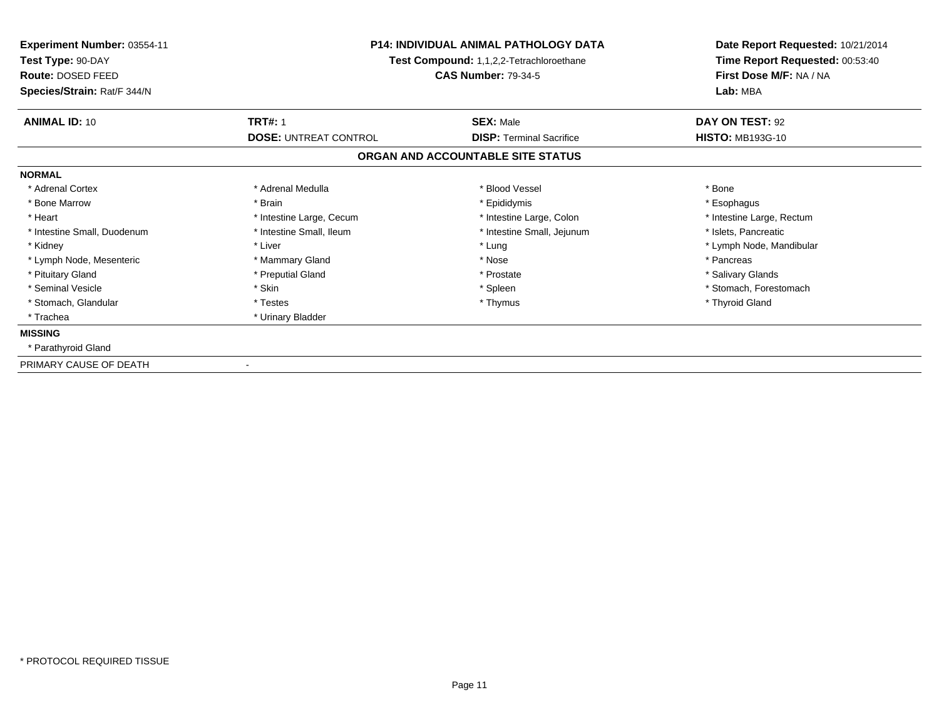| Experiment Number: 03554-11<br>Test Type: 90-DAY<br>Route: DOSED FEED<br>Species/Strain: Rat/F 344/N | <b>P14: INDIVIDUAL ANIMAL PATHOLOGY DATA</b><br>Test Compound: 1,1,2,2-Tetrachloroethane<br><b>CAS Number: 79-34-5</b> |                                                     | Date Report Requested: 10/21/2014<br>Time Report Requested: 00:53:40<br>First Dose M/F: NA / NA<br>Lab: MBA |
|------------------------------------------------------------------------------------------------------|------------------------------------------------------------------------------------------------------------------------|-----------------------------------------------------|-------------------------------------------------------------------------------------------------------------|
| <b>ANIMAL ID: 10</b>                                                                                 | <b>TRT#: 1</b><br><b>DOSE: UNTREAT CONTROL</b>                                                                         | <b>SEX: Male</b><br><b>DISP: Terminal Sacrifice</b> | DAY ON TEST: 92<br><b>HISTO: MB193G-10</b>                                                                  |
|                                                                                                      |                                                                                                                        | ORGAN AND ACCOUNTABLE SITE STATUS                   |                                                                                                             |
| <b>NORMAL</b>                                                                                        |                                                                                                                        |                                                     |                                                                                                             |
| * Adrenal Cortex                                                                                     | * Adrenal Medulla                                                                                                      | * Blood Vessel                                      | * Bone                                                                                                      |
| * Bone Marrow                                                                                        | * Brain                                                                                                                | * Epididymis                                        | * Esophagus                                                                                                 |
| * Heart                                                                                              | * Intestine Large, Cecum                                                                                               | * Intestine Large, Colon                            | * Intestine Large, Rectum                                                                                   |
| * Intestine Small, Duodenum                                                                          | * Intestine Small, Ileum                                                                                               | * Intestine Small, Jejunum                          | * Islets, Pancreatic                                                                                        |
| * Kidney                                                                                             | * Liver                                                                                                                | * Lung                                              | * Lymph Node, Mandibular                                                                                    |
| * Lymph Node, Mesenteric                                                                             | * Mammary Gland                                                                                                        | * Nose                                              | * Pancreas                                                                                                  |
| * Pituitary Gland                                                                                    | * Preputial Gland                                                                                                      | * Prostate                                          | * Salivary Glands                                                                                           |
| * Seminal Vesicle                                                                                    | * Skin                                                                                                                 | * Spleen                                            | * Stomach, Forestomach                                                                                      |
| * Stomach, Glandular                                                                                 | * Testes                                                                                                               | * Thymus                                            | * Thyroid Gland                                                                                             |
| * Trachea                                                                                            | * Urinary Bladder                                                                                                      |                                                     |                                                                                                             |
| <b>MISSING</b>                                                                                       |                                                                                                                        |                                                     |                                                                                                             |
| * Parathyroid Gland                                                                                  |                                                                                                                        |                                                     |                                                                                                             |
| PRIMARY CAUSE OF DEATH                                                                               |                                                                                                                        |                                                     |                                                                                                             |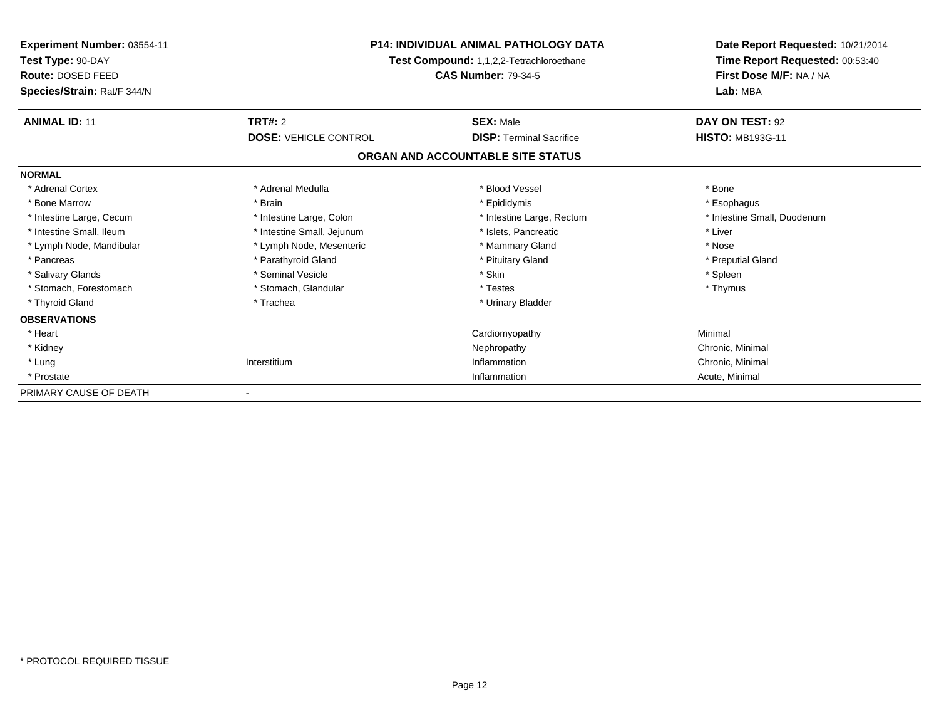| <b>Experiment Number: 03554-11</b><br>Test Type: 90-DAY | <b>P14: INDIVIDUAL ANIMAL PATHOLOGY DATA</b><br>Test Compound: 1,1,2,2-Tetrachloroethane<br><b>CAS Number: 79-34-5</b> |                                   | Date Report Requested: 10/21/2014<br>Time Report Requested: 00:53:40<br>First Dose M/F: NA / NA<br>Lab: MBA |
|---------------------------------------------------------|------------------------------------------------------------------------------------------------------------------------|-----------------------------------|-------------------------------------------------------------------------------------------------------------|
| Route: DOSED FEED<br>Species/Strain: Rat/F 344/N        |                                                                                                                        |                                   |                                                                                                             |
| <b>ANIMAL ID: 11</b>                                    | <b>TRT#: 2</b>                                                                                                         | <b>SEX: Male</b>                  | DAY ON TEST: 92                                                                                             |
|                                                         | <b>DOSE: VEHICLE CONTROL</b>                                                                                           | <b>DISP: Terminal Sacrifice</b>   | <b>HISTO: MB193G-11</b>                                                                                     |
|                                                         |                                                                                                                        | ORGAN AND ACCOUNTABLE SITE STATUS |                                                                                                             |
| <b>NORMAL</b>                                           |                                                                                                                        |                                   |                                                                                                             |
| * Adrenal Cortex                                        | * Adrenal Medulla                                                                                                      | * Blood Vessel                    | * Bone                                                                                                      |
| * Bone Marrow                                           | * Brain                                                                                                                | * Epididymis                      | * Esophagus                                                                                                 |
| * Intestine Large, Cecum                                | * Intestine Large, Colon                                                                                               | * Intestine Large, Rectum         | * Intestine Small, Duodenum                                                                                 |
| * Intestine Small, Ileum                                | * Intestine Small, Jejunum                                                                                             | * Islets, Pancreatic              | * Liver                                                                                                     |
| * Lymph Node, Mandibular                                | * Lymph Node, Mesenteric                                                                                               | * Mammary Gland                   | * Nose                                                                                                      |
| * Pancreas                                              | * Parathyroid Gland                                                                                                    | * Pituitary Gland                 | * Preputial Gland                                                                                           |
| * Salivary Glands                                       | * Seminal Vesicle                                                                                                      | * Skin                            | * Spleen                                                                                                    |
| * Stomach, Forestomach                                  | * Stomach, Glandular                                                                                                   | * Testes                          | * Thymus                                                                                                    |
| * Thyroid Gland                                         | * Trachea                                                                                                              | * Urinary Bladder                 |                                                                                                             |
| <b>OBSERVATIONS</b>                                     |                                                                                                                        |                                   |                                                                                                             |
| * Heart                                                 |                                                                                                                        | Cardiomyopathy                    | Minimal                                                                                                     |
| * Kidney                                                |                                                                                                                        | Nephropathy                       | Chronic, Minimal                                                                                            |
| * Lung                                                  | Interstitium                                                                                                           | Inflammation                      | Chronic, Minimal                                                                                            |
| * Prostate                                              |                                                                                                                        | Inflammation                      | Acute, Minimal                                                                                              |
| PRIMARY CAUSE OF DEATH                                  |                                                                                                                        |                                   |                                                                                                             |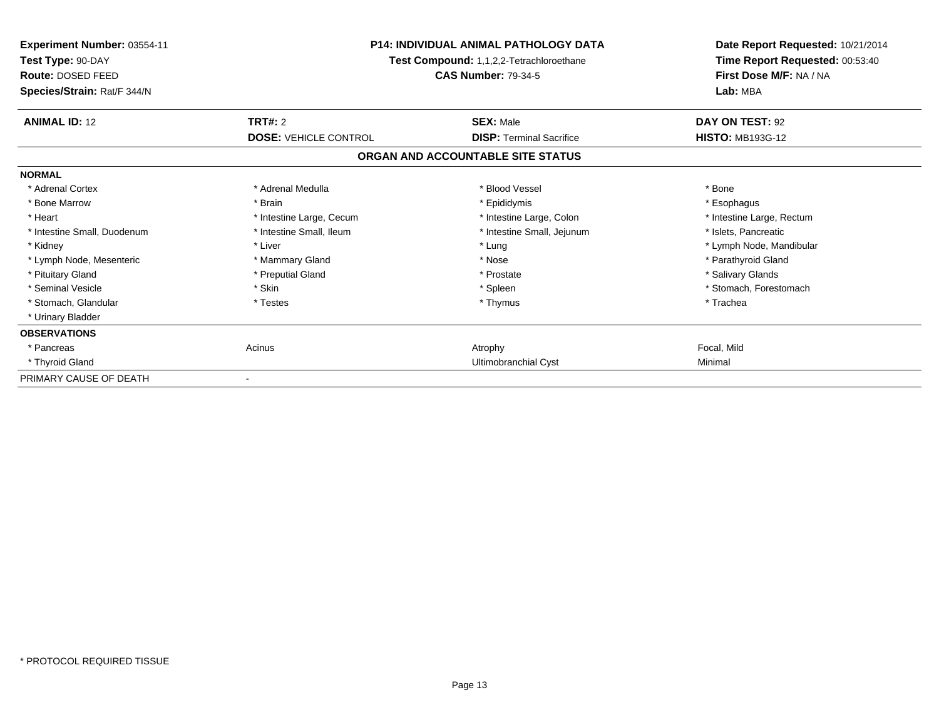| Experiment Number: 03554-11<br>Test Type: 90-DAY<br>Route: DOSED FEED<br>Species/Strain: Rat/F 344/N | <b>P14: INDIVIDUAL ANIMAL PATHOLOGY DATA</b><br>Test Compound: 1,1,2,2-Tetrachloroethane<br><b>CAS Number: 79-34-5</b> |                                   | Date Report Requested: 10/21/2014<br>Time Report Requested: 00:53:40<br>First Dose M/F: NA / NA<br>Lab: MBA |
|------------------------------------------------------------------------------------------------------|------------------------------------------------------------------------------------------------------------------------|-----------------------------------|-------------------------------------------------------------------------------------------------------------|
| <b>ANIMAL ID: 12</b>                                                                                 | <b>TRT#: 2</b>                                                                                                         | <b>SEX: Male</b>                  | DAY ON TEST: 92                                                                                             |
|                                                                                                      | <b>DOSE: VEHICLE CONTROL</b>                                                                                           | <b>DISP: Terminal Sacrifice</b>   | <b>HISTO: MB193G-12</b>                                                                                     |
|                                                                                                      |                                                                                                                        | ORGAN AND ACCOUNTABLE SITE STATUS |                                                                                                             |
| <b>NORMAL</b>                                                                                        |                                                                                                                        |                                   |                                                                                                             |
| * Adrenal Cortex                                                                                     | * Adrenal Medulla                                                                                                      | * Blood Vessel                    | * Bone                                                                                                      |
| * Bone Marrow                                                                                        | * Brain                                                                                                                | * Epididymis                      | * Esophagus                                                                                                 |
| * Heart                                                                                              | * Intestine Large, Cecum                                                                                               | * Intestine Large, Colon          | * Intestine Large, Rectum                                                                                   |
| * Intestine Small, Duodenum                                                                          | * Intestine Small, Ileum                                                                                               | * Intestine Small, Jejunum        | * Islets, Pancreatic                                                                                        |
| * Kidney                                                                                             | * Liver                                                                                                                | * Lung                            | * Lymph Node, Mandibular                                                                                    |
| * Lymph Node, Mesenteric                                                                             | * Mammary Gland                                                                                                        | * Nose                            | * Parathyroid Gland                                                                                         |
| * Pituitary Gland                                                                                    | * Preputial Gland                                                                                                      | * Prostate                        | * Salivary Glands                                                                                           |
| * Seminal Vesicle                                                                                    | * Skin                                                                                                                 | * Spleen                          | * Stomach. Forestomach                                                                                      |
| * Stomach, Glandular                                                                                 | * Testes                                                                                                               | * Thymus                          | * Trachea                                                                                                   |
| * Urinary Bladder                                                                                    |                                                                                                                        |                                   |                                                                                                             |
| <b>OBSERVATIONS</b>                                                                                  |                                                                                                                        |                                   |                                                                                                             |
| * Pancreas                                                                                           | Acinus                                                                                                                 | Atrophy                           | Focal, Mild                                                                                                 |
| * Thyroid Gland                                                                                      |                                                                                                                        | Ultimobranchial Cyst              | Minimal                                                                                                     |
| PRIMARY CAUSE OF DEATH                                                                               |                                                                                                                        |                                   |                                                                                                             |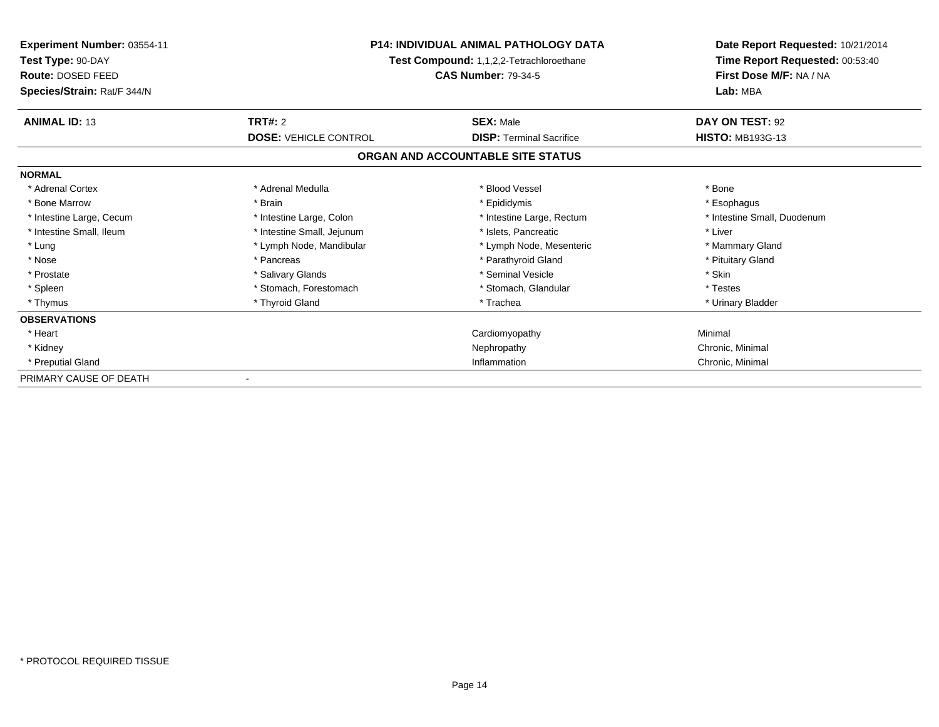| <b>Experiment Number: 03554-11</b><br>Test Type: 90-DAY<br>Route: DOSED FEED<br>Species/Strain: Rat/F 344/N | <b>P14: INDIVIDUAL ANIMAL PATHOLOGY DATA</b><br>Test Compound: 1,1,2,2-Tetrachloroethane<br><b>CAS Number: 79-34-5</b> |                                   | Date Report Requested: 10/21/2014<br>Time Report Requested: 00:53:40<br>First Dose M/F: NA / NA<br>Lab: MBA |
|-------------------------------------------------------------------------------------------------------------|------------------------------------------------------------------------------------------------------------------------|-----------------------------------|-------------------------------------------------------------------------------------------------------------|
| <b>ANIMAL ID: 13</b>                                                                                        | <b>TRT#: 2</b>                                                                                                         | <b>SEX: Male</b>                  | DAY ON TEST: 92                                                                                             |
|                                                                                                             | <b>DOSE: VEHICLE CONTROL</b>                                                                                           | <b>DISP:</b> Terminal Sacrifice   | <b>HISTO: MB193G-13</b>                                                                                     |
|                                                                                                             |                                                                                                                        | ORGAN AND ACCOUNTABLE SITE STATUS |                                                                                                             |
| <b>NORMAL</b>                                                                                               |                                                                                                                        |                                   |                                                                                                             |
| * Adrenal Cortex                                                                                            | * Adrenal Medulla                                                                                                      | * Blood Vessel                    | * Bone                                                                                                      |
| * Bone Marrow                                                                                               | * Brain                                                                                                                | * Epididymis                      | * Esophagus                                                                                                 |
| * Intestine Large, Cecum                                                                                    | * Intestine Large, Colon                                                                                               | * Intestine Large, Rectum         | * Intestine Small, Duodenum                                                                                 |
| * Intestine Small, Ileum                                                                                    | * Intestine Small, Jejunum                                                                                             | * Islets, Pancreatic              | * Liver                                                                                                     |
| * Lung                                                                                                      | * Lymph Node, Mandibular                                                                                               | * Lymph Node, Mesenteric          | * Mammary Gland                                                                                             |
| * Nose                                                                                                      | * Pancreas                                                                                                             | * Parathyroid Gland               | * Pituitary Gland                                                                                           |
| * Prostate                                                                                                  | * Salivary Glands                                                                                                      | * Seminal Vesicle                 | * Skin                                                                                                      |
| * Spleen                                                                                                    | * Stomach. Forestomach                                                                                                 | * Stomach, Glandular              | * Testes                                                                                                    |
| * Thymus                                                                                                    | * Thyroid Gland                                                                                                        | * Trachea                         | * Urinary Bladder                                                                                           |
| <b>OBSERVATIONS</b>                                                                                         |                                                                                                                        |                                   |                                                                                                             |
| * Heart                                                                                                     |                                                                                                                        | Cardiomyopathy                    | Minimal                                                                                                     |
| * Kidney                                                                                                    |                                                                                                                        | Nephropathy                       | Chronic, Minimal                                                                                            |
| * Preputial Gland                                                                                           |                                                                                                                        | Inflammation                      | Chronic, Minimal                                                                                            |
| PRIMARY CAUSE OF DEATH                                                                                      |                                                                                                                        |                                   |                                                                                                             |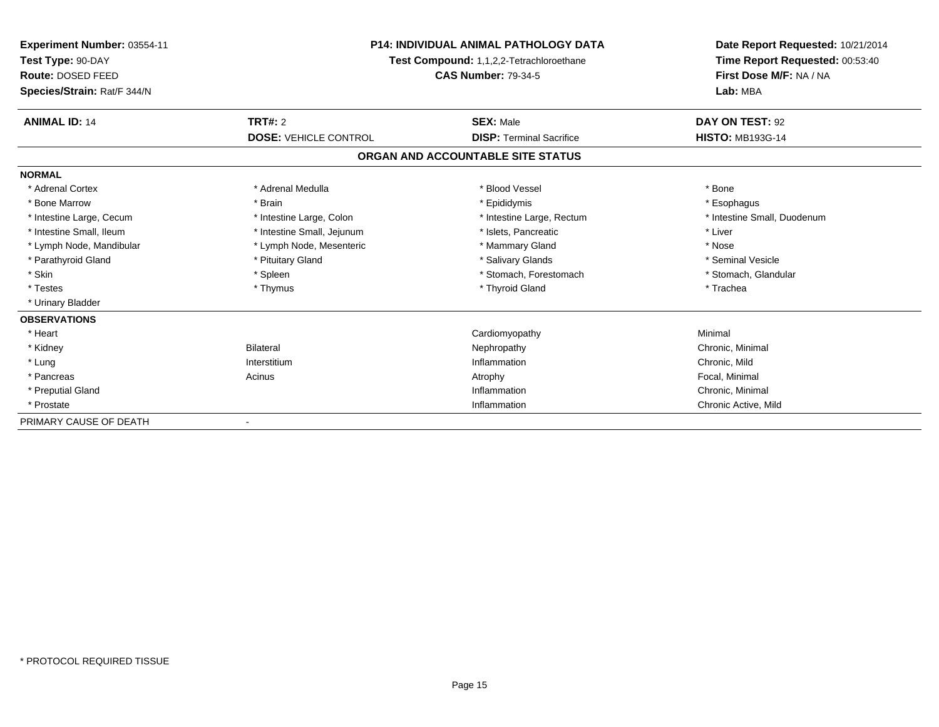| <b>Experiment Number: 03554-11</b><br>Test Type: 90-DAY<br>Route: DOSED FEED<br>Species/Strain: Rat/F 344/N | <b>P14: INDIVIDUAL ANIMAL PATHOLOGY DATA</b><br><b>Test Compound: 1,1,2,2-Tetrachloroethane</b><br><b>CAS Number: 79-34-5</b> |                                   | Date Report Requested: 10/21/2014<br>Time Report Requested: 00:53:40<br>First Dose M/F: NA / NA<br>Lab: MBA |
|-------------------------------------------------------------------------------------------------------------|-------------------------------------------------------------------------------------------------------------------------------|-----------------------------------|-------------------------------------------------------------------------------------------------------------|
| <b>ANIMAL ID: 14</b>                                                                                        | TRT#: 2                                                                                                                       | <b>SEX: Male</b>                  | DAY ON TEST: 92                                                                                             |
|                                                                                                             | <b>DOSE: VEHICLE CONTROL</b>                                                                                                  | <b>DISP: Terminal Sacrifice</b>   | <b>HISTO: MB193G-14</b>                                                                                     |
|                                                                                                             |                                                                                                                               | ORGAN AND ACCOUNTABLE SITE STATUS |                                                                                                             |
| <b>NORMAL</b>                                                                                               |                                                                                                                               |                                   |                                                                                                             |
| * Adrenal Cortex                                                                                            | * Adrenal Medulla                                                                                                             | * Blood Vessel                    | * Bone                                                                                                      |
| * Bone Marrow                                                                                               | * Brain                                                                                                                       | * Epididymis                      | * Esophagus                                                                                                 |
| * Intestine Large, Cecum                                                                                    | * Intestine Large, Colon                                                                                                      | * Intestine Large, Rectum         | * Intestine Small, Duodenum                                                                                 |
| * Intestine Small, Ileum                                                                                    | * Intestine Small, Jejunum                                                                                                    | * Islets, Pancreatic              | * Liver                                                                                                     |
| * Lymph Node, Mandibular                                                                                    | * Lymph Node, Mesenteric                                                                                                      | * Mammary Gland                   | * Nose                                                                                                      |
| * Parathyroid Gland                                                                                         | * Pituitary Gland                                                                                                             | * Salivary Glands                 | * Seminal Vesicle                                                                                           |
| * Skin                                                                                                      | * Spleen                                                                                                                      | * Stomach, Forestomach            | * Stomach, Glandular                                                                                        |
| * Testes                                                                                                    | * Thymus                                                                                                                      | * Thyroid Gland                   | * Trachea                                                                                                   |
| * Urinary Bladder                                                                                           |                                                                                                                               |                                   |                                                                                                             |
| <b>OBSERVATIONS</b>                                                                                         |                                                                                                                               |                                   |                                                                                                             |
| * Heart                                                                                                     |                                                                                                                               | Cardiomyopathy                    | Minimal                                                                                                     |
| * Kidney                                                                                                    | <b>Bilateral</b>                                                                                                              | Nephropathy                       | Chronic, Minimal                                                                                            |
| * Lung                                                                                                      | Interstitium                                                                                                                  | Inflammation                      | Chronic, Mild                                                                                               |
| * Pancreas                                                                                                  | Acinus                                                                                                                        | Atrophy                           | Focal, Minimal                                                                                              |
| * Preputial Gland                                                                                           |                                                                                                                               | Inflammation                      | Chronic, Minimal                                                                                            |
| * Prostate                                                                                                  |                                                                                                                               | Inflammation                      | Chronic Active, Mild                                                                                        |
| PRIMARY CAUSE OF DEATH                                                                                      |                                                                                                                               |                                   |                                                                                                             |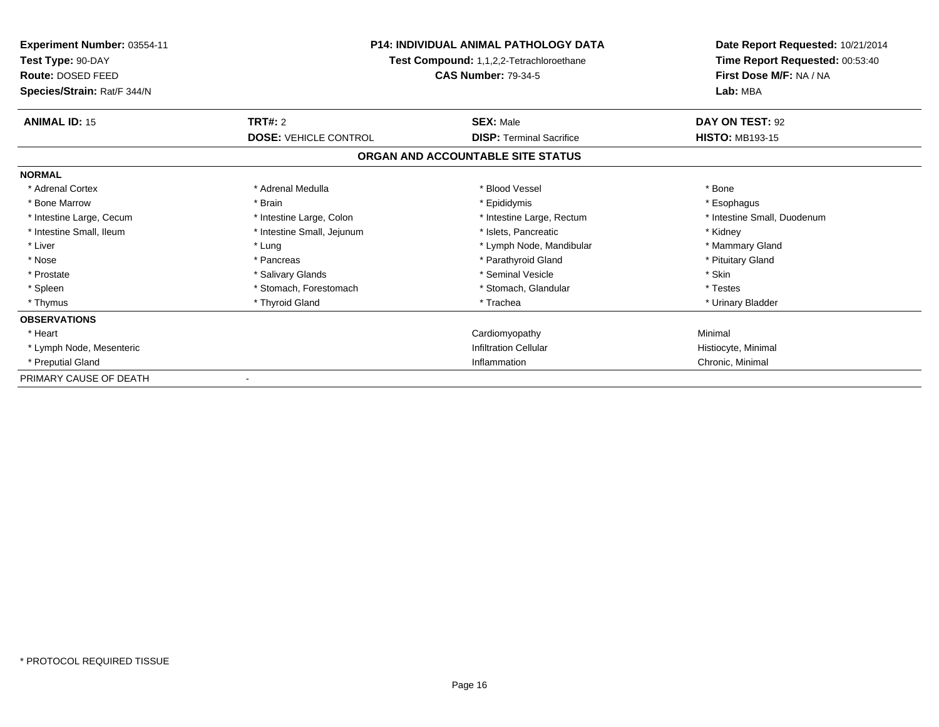| <b>Experiment Number: 03554-11</b><br>Test Type: 90-DAY<br>Route: DOSED FEED<br>Species/Strain: Rat/F 344/N | <b>P14: INDIVIDUAL ANIMAL PATHOLOGY DATA</b><br>Test Compound: 1,1,2,2-Tetrachloroethane<br><b>CAS Number: 79-34-5</b> |                                   | Date Report Requested: 10/21/2014<br>Time Report Requested: 00:53:40<br>First Dose M/F: NA / NA<br>Lab: MBA |
|-------------------------------------------------------------------------------------------------------------|------------------------------------------------------------------------------------------------------------------------|-----------------------------------|-------------------------------------------------------------------------------------------------------------|
| <b>ANIMAL ID: 15</b>                                                                                        | TRT#: 2                                                                                                                | <b>SEX: Male</b>                  | DAY ON TEST: 92                                                                                             |
|                                                                                                             | <b>DOSE: VEHICLE CONTROL</b>                                                                                           | <b>DISP: Terminal Sacrifice</b>   | <b>HISTO: MB193-15</b>                                                                                      |
|                                                                                                             |                                                                                                                        | ORGAN AND ACCOUNTABLE SITE STATUS |                                                                                                             |
| <b>NORMAL</b>                                                                                               |                                                                                                                        |                                   |                                                                                                             |
| * Adrenal Cortex                                                                                            | * Adrenal Medulla                                                                                                      | * Blood Vessel                    | * Bone                                                                                                      |
| * Bone Marrow                                                                                               | * Brain                                                                                                                | * Epididymis                      | * Esophagus                                                                                                 |
| * Intestine Large, Cecum                                                                                    | * Intestine Large, Colon                                                                                               | * Intestine Large, Rectum         | * Intestine Small, Duodenum                                                                                 |
| * Intestine Small, Ileum                                                                                    | * Intestine Small, Jejunum                                                                                             | * Islets, Pancreatic              | * Kidney                                                                                                    |
| * Liver                                                                                                     | * Lung                                                                                                                 | * Lymph Node, Mandibular          | * Mammary Gland                                                                                             |
| * Nose                                                                                                      | * Pancreas                                                                                                             | * Parathyroid Gland               | * Pituitary Gland                                                                                           |
| * Prostate                                                                                                  | * Salivary Glands                                                                                                      | * Seminal Vesicle                 | * Skin                                                                                                      |
| * Spleen                                                                                                    | * Stomach. Forestomach                                                                                                 | * Stomach, Glandular              | * Testes                                                                                                    |
| * Thymus                                                                                                    | * Thyroid Gland                                                                                                        | * Trachea                         | * Urinary Bladder                                                                                           |
| <b>OBSERVATIONS</b>                                                                                         |                                                                                                                        |                                   |                                                                                                             |
| * Heart                                                                                                     |                                                                                                                        | Cardiomyopathy                    | Minimal                                                                                                     |
| * Lymph Node, Mesenteric                                                                                    |                                                                                                                        | <b>Infiltration Cellular</b>      | Histiocyte, Minimal                                                                                         |
| * Preputial Gland                                                                                           |                                                                                                                        | Inflammation                      | Chronic, Minimal                                                                                            |
| PRIMARY CAUSE OF DEATH                                                                                      |                                                                                                                        |                                   |                                                                                                             |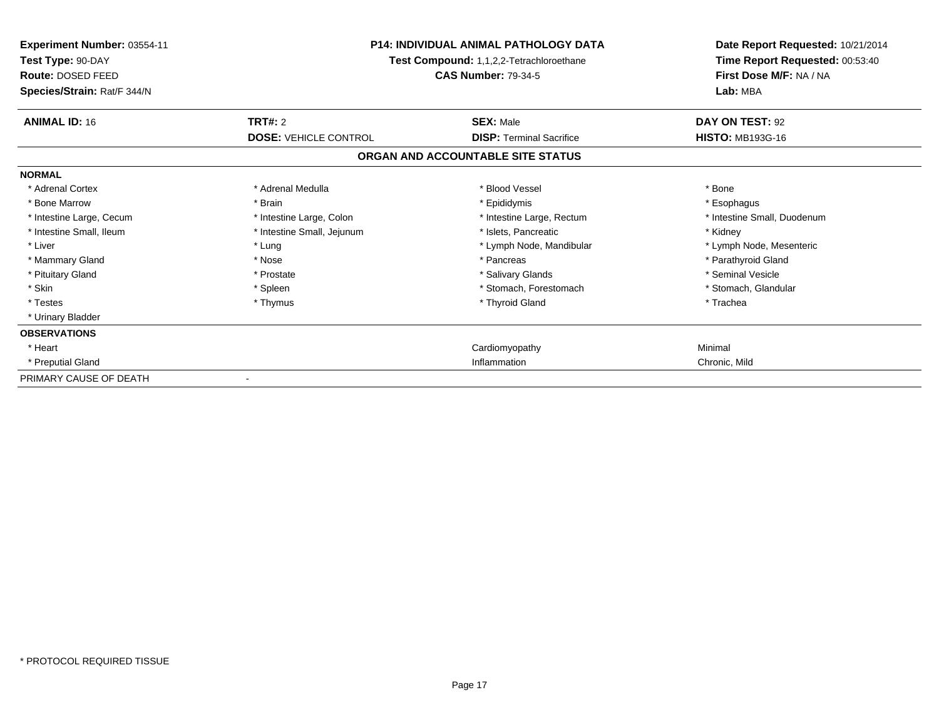| Experiment Number: 03554-11<br>Test Type: 90-DAY<br>Route: DOSED FEED<br>Species/Strain: Rat/F 344/N | <b>P14: INDIVIDUAL ANIMAL PATHOLOGY DATA</b><br>Test Compound: 1,1,2,2-Tetrachloroethane<br><b>CAS Number: 79-34-5</b> |                                   | Date Report Requested: 10/21/2014<br>Time Report Requested: 00:53:40<br>First Dose M/F: NA / NA<br>Lab: MBA |
|------------------------------------------------------------------------------------------------------|------------------------------------------------------------------------------------------------------------------------|-----------------------------------|-------------------------------------------------------------------------------------------------------------|
| <b>ANIMAL ID: 16</b>                                                                                 | TRT#: 2                                                                                                                | <b>SEX: Male</b>                  | DAY ON TEST: 92                                                                                             |
|                                                                                                      | <b>DOSE: VEHICLE CONTROL</b>                                                                                           | <b>DISP: Terminal Sacrifice</b>   | <b>HISTO: MB193G-16</b>                                                                                     |
|                                                                                                      |                                                                                                                        | ORGAN AND ACCOUNTABLE SITE STATUS |                                                                                                             |
| <b>NORMAL</b>                                                                                        |                                                                                                                        |                                   |                                                                                                             |
| * Adrenal Cortex                                                                                     | * Adrenal Medulla                                                                                                      | * Blood Vessel                    | * Bone                                                                                                      |
| * Bone Marrow                                                                                        | * Brain                                                                                                                | * Epididymis                      | * Esophagus                                                                                                 |
| * Intestine Large, Cecum                                                                             | * Intestine Large, Colon                                                                                               | * Intestine Large, Rectum         | * Intestine Small, Duodenum                                                                                 |
| * Intestine Small, Ileum                                                                             | * Intestine Small, Jejunum                                                                                             | * Islets, Pancreatic              | * Kidney                                                                                                    |
| * Liver                                                                                              | * Lung                                                                                                                 | * Lymph Node, Mandibular          | * Lymph Node, Mesenteric                                                                                    |
| * Mammary Gland                                                                                      | * Nose                                                                                                                 | * Pancreas                        | * Parathyroid Gland                                                                                         |
| * Pituitary Gland                                                                                    | * Prostate                                                                                                             | * Salivary Glands                 | * Seminal Vesicle                                                                                           |
| * Skin                                                                                               | * Spleen                                                                                                               | * Stomach. Forestomach            | * Stomach, Glandular                                                                                        |
| * Testes                                                                                             | * Thymus                                                                                                               | * Thyroid Gland                   | * Trachea                                                                                                   |
| * Urinary Bladder                                                                                    |                                                                                                                        |                                   |                                                                                                             |
| <b>OBSERVATIONS</b>                                                                                  |                                                                                                                        |                                   |                                                                                                             |
| * Heart                                                                                              |                                                                                                                        | Cardiomyopathy                    | Minimal                                                                                                     |
| * Preputial Gland                                                                                    |                                                                                                                        | Inflammation                      | Chronic, Mild                                                                                               |
| PRIMARY CAUSE OF DEATH                                                                               |                                                                                                                        |                                   |                                                                                                             |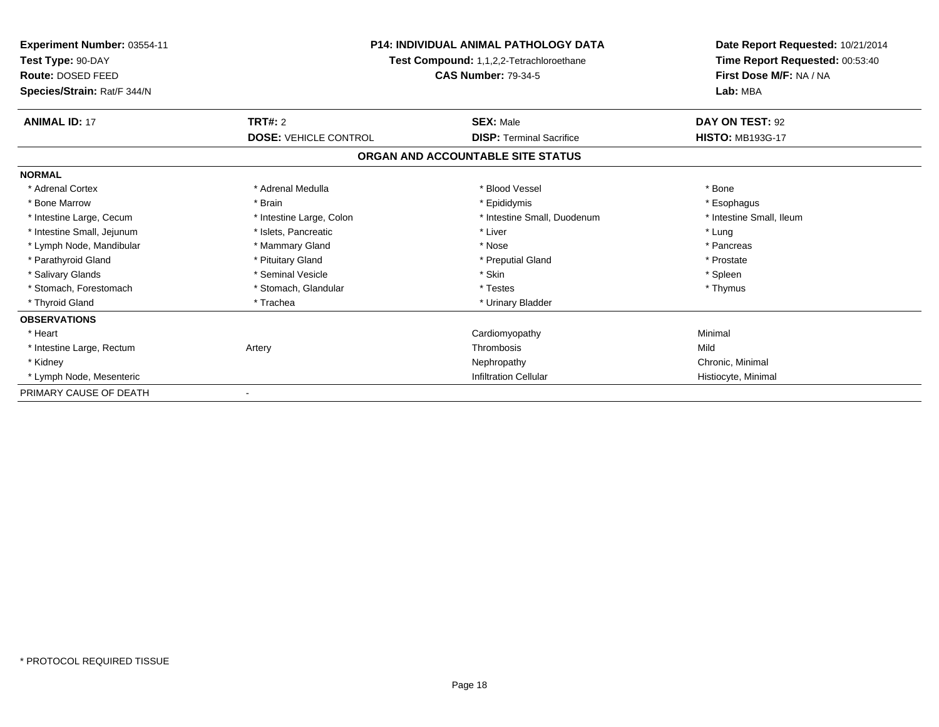| <b>Experiment Number: 03554-11</b><br>Test Type: 90-DAY |                              | <b>P14: INDIVIDUAL ANIMAL PATHOLOGY DATA</b><br>Test Compound: 1,1,2,2-Tetrachloroethane |                          |
|---------------------------------------------------------|------------------------------|------------------------------------------------------------------------------------------|--------------------------|
| Route: DOSED FEED<br>Species/Strain: Rat/F 344/N        |                              | First Dose M/F: NA / NA<br>Lab: MBA                                                      |                          |
| <b>ANIMAL ID: 17</b>                                    | <b>TRT#: 2</b>               | <b>SEX: Male</b>                                                                         | DAY ON TEST: 92          |
|                                                         | <b>DOSE: VEHICLE CONTROL</b> | <b>DISP: Terminal Sacrifice</b>                                                          | <b>HISTO: MB193G-17</b>  |
|                                                         |                              | ORGAN AND ACCOUNTABLE SITE STATUS                                                        |                          |
| <b>NORMAL</b>                                           |                              |                                                                                          |                          |
| * Adrenal Cortex                                        | * Adrenal Medulla            | * Blood Vessel                                                                           | * Bone                   |
| * Bone Marrow                                           | * Brain                      | * Epididymis                                                                             | * Esophagus              |
| * Intestine Large, Cecum                                | * Intestine Large, Colon     | * Intestine Small, Duodenum                                                              | * Intestine Small, Ileum |
| * Intestine Small, Jejunum                              | * Islets, Pancreatic         | * Liver                                                                                  | * Lung                   |
| * Lymph Node, Mandibular                                | * Mammary Gland              | * Nose                                                                                   | * Pancreas               |
| * Parathyroid Gland                                     | * Pituitary Gland            | * Preputial Gland                                                                        | * Prostate               |
| * Salivary Glands                                       | * Seminal Vesicle            | * Skin                                                                                   | * Spleen                 |
| * Stomach, Forestomach                                  | * Stomach, Glandular         | * Testes                                                                                 | * Thymus                 |
| * Thyroid Gland                                         | * Trachea                    | * Urinary Bladder                                                                        |                          |
| <b>OBSERVATIONS</b>                                     |                              |                                                                                          |                          |
| * Heart                                                 |                              | Cardiomyopathy                                                                           | Minimal                  |
| * Intestine Large, Rectum                               | Artery                       | Thrombosis                                                                               | Mild                     |
| * Kidney                                                |                              | Nephropathy                                                                              | Chronic, Minimal         |
| * Lymph Node, Mesenteric                                |                              | <b>Infiltration Cellular</b>                                                             | Histiocyte, Minimal      |
| PRIMARY CAUSE OF DEATH                                  |                              |                                                                                          |                          |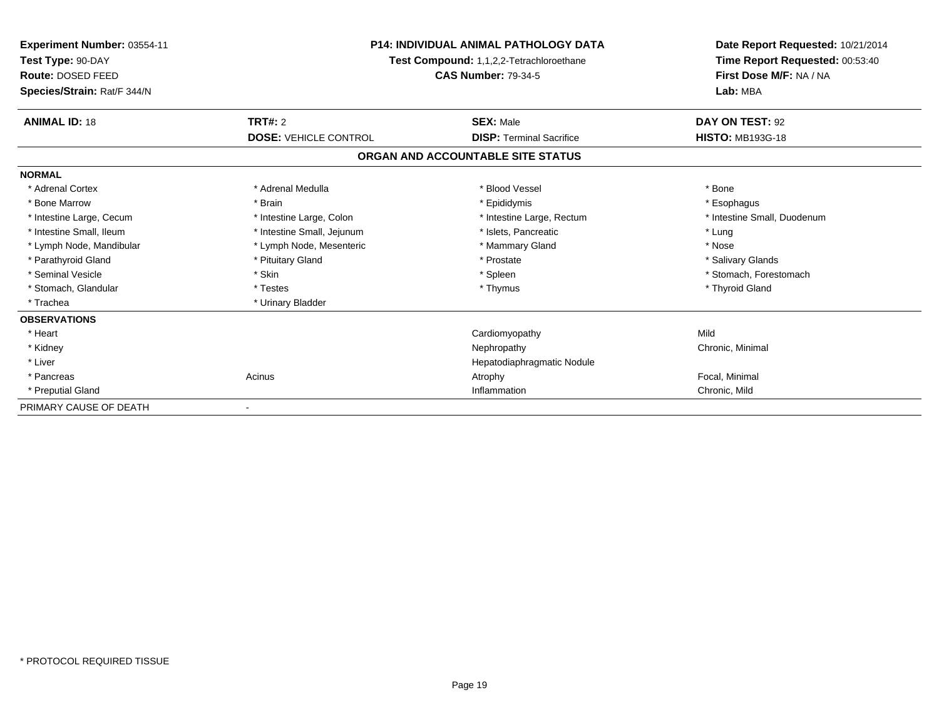| <b>Experiment Number: 03554-11</b><br>Test Type: 90-DAY<br>Route: DOSED FEED<br>Species/Strain: Rat/F 344/N | <b>P14: INDIVIDUAL ANIMAL PATHOLOGY DATA</b><br>Test Compound: 1,1,2,2-Tetrachloroethane<br><b>CAS Number: 79-34-5</b> |                                   | Date Report Requested: 10/21/2014<br>Time Report Requested: 00:53:40<br>First Dose M/F: NA / NA<br>Lab: MBA |
|-------------------------------------------------------------------------------------------------------------|------------------------------------------------------------------------------------------------------------------------|-----------------------------------|-------------------------------------------------------------------------------------------------------------|
| <b>ANIMAL ID: 18</b>                                                                                        | TRT#: 2                                                                                                                | <b>SEX: Male</b>                  | DAY ON TEST: 92                                                                                             |
|                                                                                                             | <b>DOSE: VEHICLE CONTROL</b>                                                                                           | <b>DISP: Terminal Sacrifice</b>   | <b>HISTO: MB193G-18</b>                                                                                     |
|                                                                                                             |                                                                                                                        | ORGAN AND ACCOUNTABLE SITE STATUS |                                                                                                             |
| <b>NORMAL</b>                                                                                               |                                                                                                                        |                                   |                                                                                                             |
| * Adrenal Cortex                                                                                            | * Adrenal Medulla                                                                                                      | * Blood Vessel                    | * Bone                                                                                                      |
| * Bone Marrow                                                                                               | * Brain                                                                                                                | * Epididymis                      | * Esophagus                                                                                                 |
| * Intestine Large, Cecum                                                                                    | * Intestine Large, Colon                                                                                               | * Intestine Large, Rectum         | * Intestine Small, Duodenum                                                                                 |
| * Intestine Small, Ileum                                                                                    | * Intestine Small, Jejunum                                                                                             | * Islets, Pancreatic              | * Lung                                                                                                      |
| * Lymph Node, Mandibular                                                                                    | * Lymph Node, Mesenteric                                                                                               | * Mammary Gland                   | * Nose                                                                                                      |
| * Parathyroid Gland                                                                                         | * Pituitary Gland                                                                                                      | * Prostate                        | * Salivary Glands                                                                                           |
| * Seminal Vesicle                                                                                           | * Skin                                                                                                                 | * Spleen                          | * Stomach, Forestomach                                                                                      |
| * Stomach, Glandular                                                                                        | * Testes                                                                                                               | * Thymus                          | * Thyroid Gland                                                                                             |
| * Trachea                                                                                                   | * Urinary Bladder                                                                                                      |                                   |                                                                                                             |
| <b>OBSERVATIONS</b>                                                                                         |                                                                                                                        |                                   |                                                                                                             |
| * Heart                                                                                                     |                                                                                                                        | Cardiomyopathy                    | Mild                                                                                                        |
| * Kidney                                                                                                    |                                                                                                                        | Nephropathy                       | Chronic, Minimal                                                                                            |
| * Liver                                                                                                     |                                                                                                                        | Hepatodiaphragmatic Nodule        |                                                                                                             |
| * Pancreas                                                                                                  | Acinus                                                                                                                 | Atrophy                           | Focal, Minimal                                                                                              |
| * Preputial Gland                                                                                           |                                                                                                                        | Inflammation                      | Chronic, Mild                                                                                               |
| PRIMARY CAUSE OF DEATH                                                                                      |                                                                                                                        |                                   |                                                                                                             |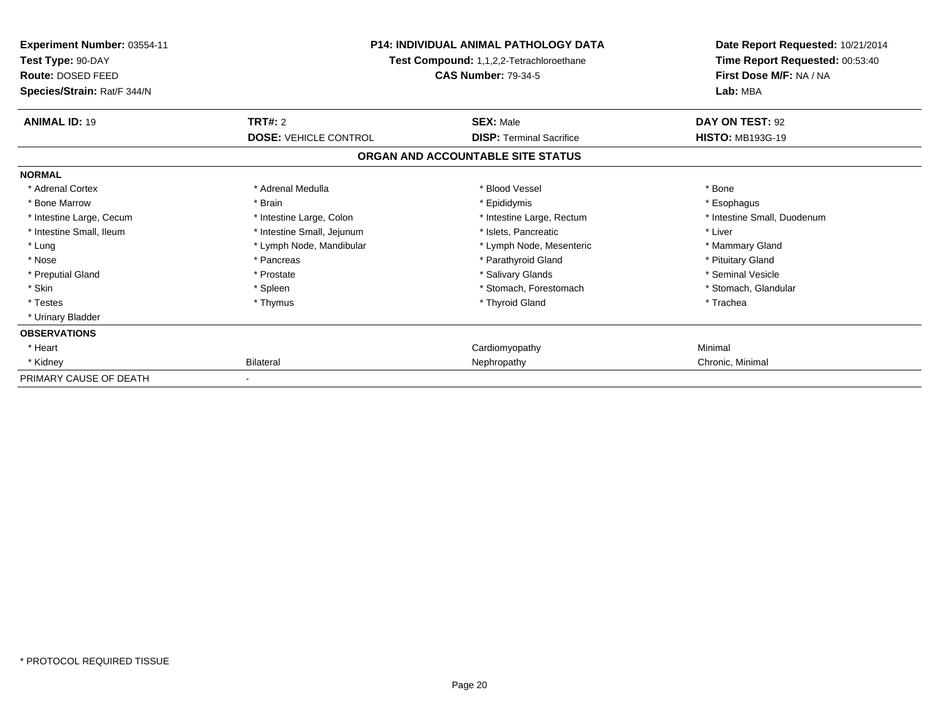| Experiment Number: 03554-11<br>Test Type: 90-DAY<br>Route: DOSED FEED<br>Species/Strain: Rat/F 344/N | <b>P14: INDIVIDUAL ANIMAL PATHOLOGY DATA</b><br>Test Compound: 1,1,2,2-Tetrachloroethane<br><b>CAS Number: 79-34-5</b> |                                   | Date Report Requested: 10/21/2014<br>Time Report Requested: 00:53:40<br>First Dose M/F: NA / NA<br>Lab: MBA |
|------------------------------------------------------------------------------------------------------|------------------------------------------------------------------------------------------------------------------------|-----------------------------------|-------------------------------------------------------------------------------------------------------------|
| <b>ANIMAL ID: 19</b>                                                                                 | TRT#: 2                                                                                                                | <b>SEX: Male</b>                  | DAY ON TEST: 92                                                                                             |
|                                                                                                      | <b>DOSE: VEHICLE CONTROL</b>                                                                                           | <b>DISP: Terminal Sacrifice</b>   | <b>HISTO: MB193G-19</b>                                                                                     |
|                                                                                                      |                                                                                                                        | ORGAN AND ACCOUNTABLE SITE STATUS |                                                                                                             |
| <b>NORMAL</b>                                                                                        |                                                                                                                        |                                   |                                                                                                             |
| * Adrenal Cortex                                                                                     | * Adrenal Medulla                                                                                                      | * Blood Vessel                    | * Bone                                                                                                      |
| * Bone Marrow                                                                                        | * Brain                                                                                                                | * Epididymis                      | * Esophagus                                                                                                 |
| * Intestine Large, Cecum                                                                             | * Intestine Large, Colon                                                                                               | * Intestine Large, Rectum         | * Intestine Small, Duodenum                                                                                 |
| * Intestine Small, Ileum                                                                             | * Intestine Small, Jejunum                                                                                             | * Islets, Pancreatic              | * Liver                                                                                                     |
| * Lung                                                                                               | * Lymph Node, Mandibular                                                                                               | * Lymph Node, Mesenteric          | * Mammary Gland                                                                                             |
| * Nose                                                                                               | * Pancreas                                                                                                             | * Parathyroid Gland               | * Pituitary Gland                                                                                           |
| * Preputial Gland                                                                                    | * Prostate                                                                                                             | * Salivary Glands                 | * Seminal Vesicle                                                                                           |
| * Skin                                                                                               | * Spleen                                                                                                               | * Stomach, Forestomach            | * Stomach, Glandular                                                                                        |
| * Testes                                                                                             | * Thymus                                                                                                               | * Thyroid Gland                   | * Trachea                                                                                                   |
| * Urinary Bladder                                                                                    |                                                                                                                        |                                   |                                                                                                             |
| <b>OBSERVATIONS</b>                                                                                  |                                                                                                                        |                                   |                                                                                                             |
| * Heart                                                                                              |                                                                                                                        | Cardiomyopathy                    | Minimal                                                                                                     |
| * Kidney                                                                                             | Bilateral                                                                                                              | Nephropathy                       | Chronic, Minimal                                                                                            |
| PRIMARY CAUSE OF DEATH                                                                               |                                                                                                                        |                                   |                                                                                                             |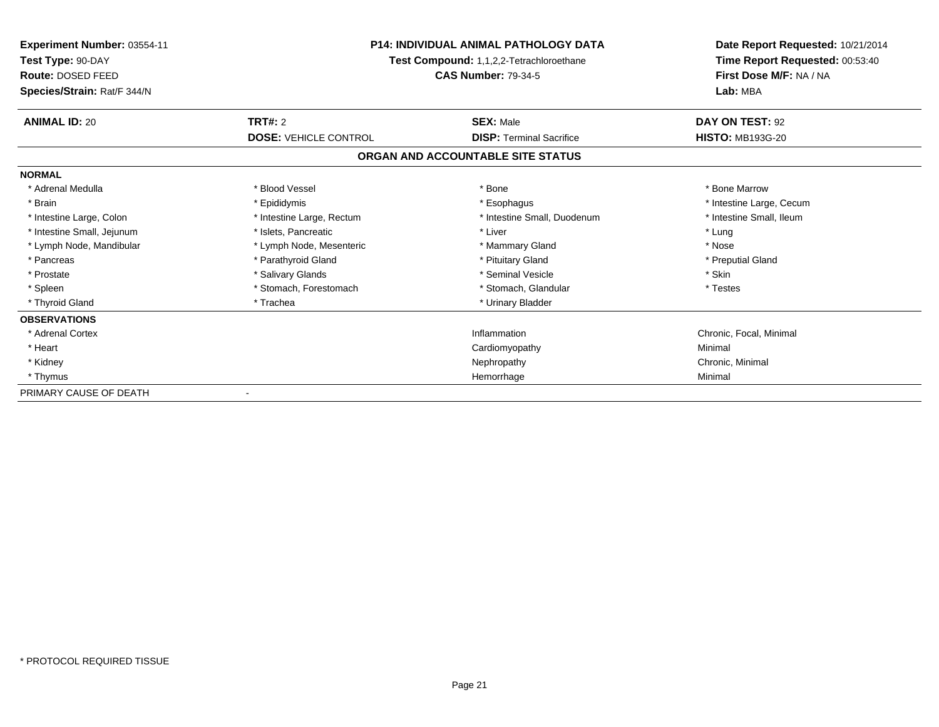| <b>Experiment Number: 03554-11</b><br>Test Type: 90-DAY<br>Route: DOSED FEED | <b>P14: INDIVIDUAL ANIMAL PATHOLOGY DATA</b><br>Test Compound: 1,1,2,2-Tetrachloroethane<br><b>CAS Number: 79-34-5</b> |                                   | Date Report Requested: 10/21/2014<br>Time Report Requested: 00:53:40<br>First Dose M/F: NA / NA |  |
|------------------------------------------------------------------------------|------------------------------------------------------------------------------------------------------------------------|-----------------------------------|-------------------------------------------------------------------------------------------------|--|
| Species/Strain: Rat/F 344/N                                                  |                                                                                                                        |                                   | Lab: MBA                                                                                        |  |
| <b>ANIMAL ID: 20</b>                                                         | <b>TRT#: 2</b>                                                                                                         | <b>SEX: Male</b>                  | DAY ON TEST: 92                                                                                 |  |
|                                                                              | <b>DOSE: VEHICLE CONTROL</b>                                                                                           | <b>DISP: Terminal Sacrifice</b>   | <b>HISTO: MB193G-20</b>                                                                         |  |
|                                                                              |                                                                                                                        | ORGAN AND ACCOUNTABLE SITE STATUS |                                                                                                 |  |
| <b>NORMAL</b>                                                                |                                                                                                                        |                                   |                                                                                                 |  |
| * Adrenal Medulla                                                            | * Blood Vessel                                                                                                         | * Bone                            | * Bone Marrow                                                                                   |  |
| * Brain                                                                      | * Epididymis                                                                                                           | * Esophagus                       | * Intestine Large, Cecum                                                                        |  |
| * Intestine Large, Colon                                                     | * Intestine Large, Rectum                                                                                              | * Intestine Small, Duodenum       | * Intestine Small, Ileum                                                                        |  |
| * Intestine Small, Jejunum                                                   | * Islets, Pancreatic                                                                                                   | * Liver                           | * Lung                                                                                          |  |
| * Lymph Node, Mandibular                                                     | * Lymph Node, Mesenteric                                                                                               | * Mammary Gland                   | * Nose                                                                                          |  |
| * Pancreas                                                                   | * Parathyroid Gland                                                                                                    | * Pituitary Gland                 | * Preputial Gland                                                                               |  |
| * Prostate                                                                   | * Salivary Glands                                                                                                      | * Seminal Vesicle                 | * Skin                                                                                          |  |
| * Spleen                                                                     | * Stomach, Forestomach                                                                                                 | * Stomach, Glandular              | * Testes                                                                                        |  |
| * Thyroid Gland                                                              | * Trachea                                                                                                              | * Urinary Bladder                 |                                                                                                 |  |
| <b>OBSERVATIONS</b>                                                          |                                                                                                                        |                                   |                                                                                                 |  |
| * Adrenal Cortex                                                             |                                                                                                                        | Inflammation                      | Chronic, Focal, Minimal                                                                         |  |
| * Heart                                                                      |                                                                                                                        | Cardiomyopathy                    | Minimal                                                                                         |  |
| * Kidney                                                                     |                                                                                                                        | Nephropathy                       | Chronic, Minimal                                                                                |  |
| * Thymus                                                                     |                                                                                                                        | Hemorrhage                        | Minimal                                                                                         |  |
| PRIMARY CAUSE OF DEATH                                                       |                                                                                                                        |                                   |                                                                                                 |  |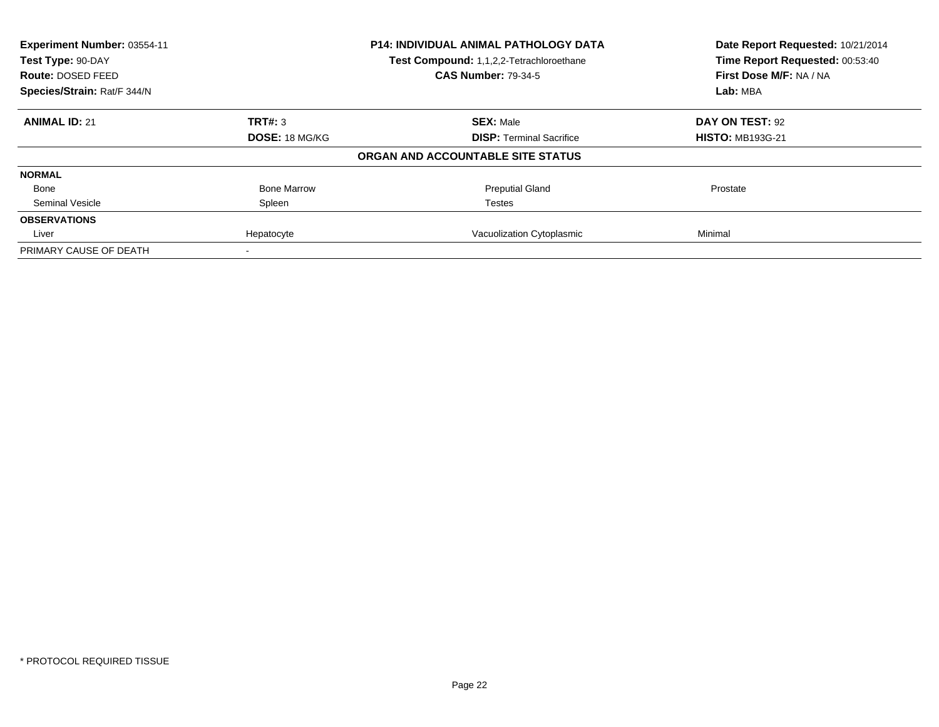| Experiment Number: 03554-11<br>Test Type: 90-DAY |                       | P14: INDIVIDUAL ANIMAL PATHOLOGY DATA    | Date Report Requested: 10/21/2014<br>Time Report Requested: 00:53:40 |
|--------------------------------------------------|-----------------------|------------------------------------------|----------------------------------------------------------------------|
|                                                  |                       | Test Compound: 1,1,2,2-Tetrachloroethane |                                                                      |
| Route: DOSED FEED                                |                       | <b>CAS Number: 79-34-5</b>               | First Dose M/F: NA / NA                                              |
| Species/Strain: Rat/F 344/N                      |                       |                                          | Lab: MBA                                                             |
| <b>ANIMAL ID: 21</b>                             | TRT#: 3               | <b>SEX: Male</b>                         | DAY ON TEST: 92                                                      |
|                                                  | <b>DOSE: 18 MG/KG</b> | <b>DISP:</b> Terminal Sacrifice          | <b>HISTO: MB193G-21</b>                                              |
|                                                  |                       | ORGAN AND ACCOUNTABLE SITE STATUS        |                                                                      |
| <b>NORMAL</b>                                    |                       |                                          |                                                                      |
| Bone                                             | <b>Bone Marrow</b>    | <b>Preputial Gland</b>                   | Prostate                                                             |
| Seminal Vesicle                                  | Spleen                | Testes                                   |                                                                      |
| <b>OBSERVATIONS</b>                              |                       |                                          |                                                                      |
| Liver                                            | Hepatocyte            | Vacuolization Cytoplasmic                | Minimal                                                              |
| PRIMARY CAUSE OF DEATH                           |                       |                                          |                                                                      |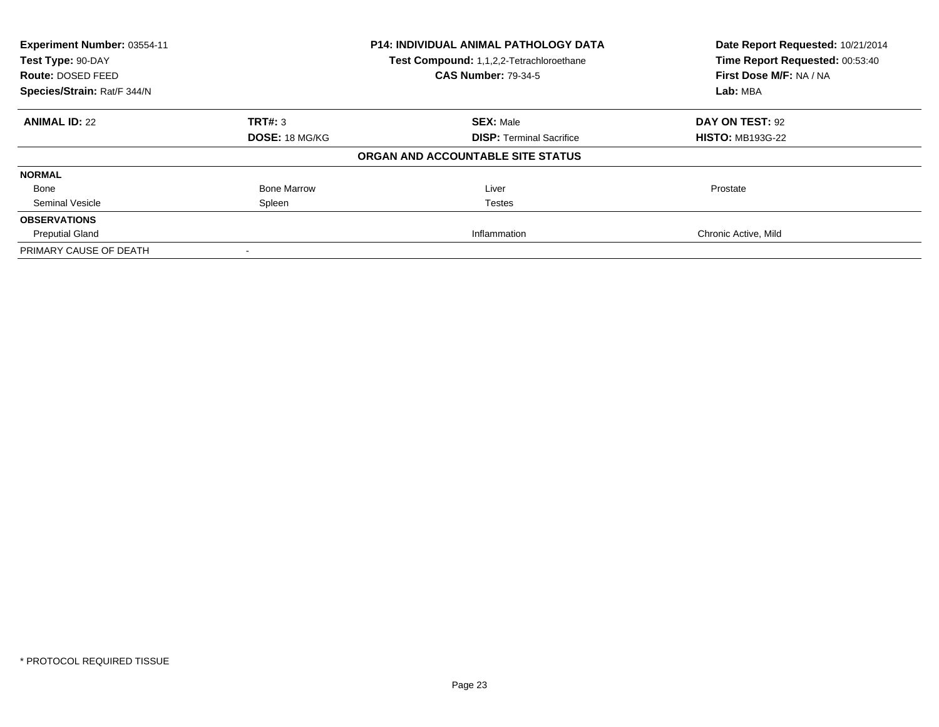| Experiment Number: 03554-11<br>Test Type: 90-DAY |                       | <b>P14: INDIVIDUAL ANIMAL PATHOLOGY DATA</b> | Date Report Requested: 10/21/2014 |
|--------------------------------------------------|-----------------------|----------------------------------------------|-----------------------------------|
|                                                  |                       | Test Compound: 1,1,2,2-Tetrachloroethane     | Time Report Requested: 00:53:40   |
| Route: DOSED FEED                                |                       | <b>CAS Number: 79-34-5</b>                   | First Dose M/F: NA / NA           |
| Species/Strain: Rat/F 344/N                      |                       |                                              | Lab: MBA                          |
| <b>ANIMAL ID: 22</b>                             | TRT#: 3               | <b>SEX: Male</b>                             | DAY ON TEST: 92                   |
|                                                  | <b>DOSE: 18 MG/KG</b> | <b>DISP:</b> Terminal Sacrifice              | <b>HISTO: MB193G-22</b>           |
|                                                  |                       | ORGAN AND ACCOUNTABLE SITE STATUS            |                                   |
| <b>NORMAL</b>                                    |                       |                                              |                                   |
| Bone                                             | <b>Bone Marrow</b>    | Liver                                        | Prostate                          |
| Seminal Vesicle                                  | Spleen                | <b>Testes</b>                                |                                   |
| <b>OBSERVATIONS</b>                              |                       |                                              |                                   |
| <b>Preputial Gland</b>                           |                       | Inflammation                                 | Chronic Active, Mild              |
| PRIMARY CAUSE OF DEATH                           |                       |                                              |                                   |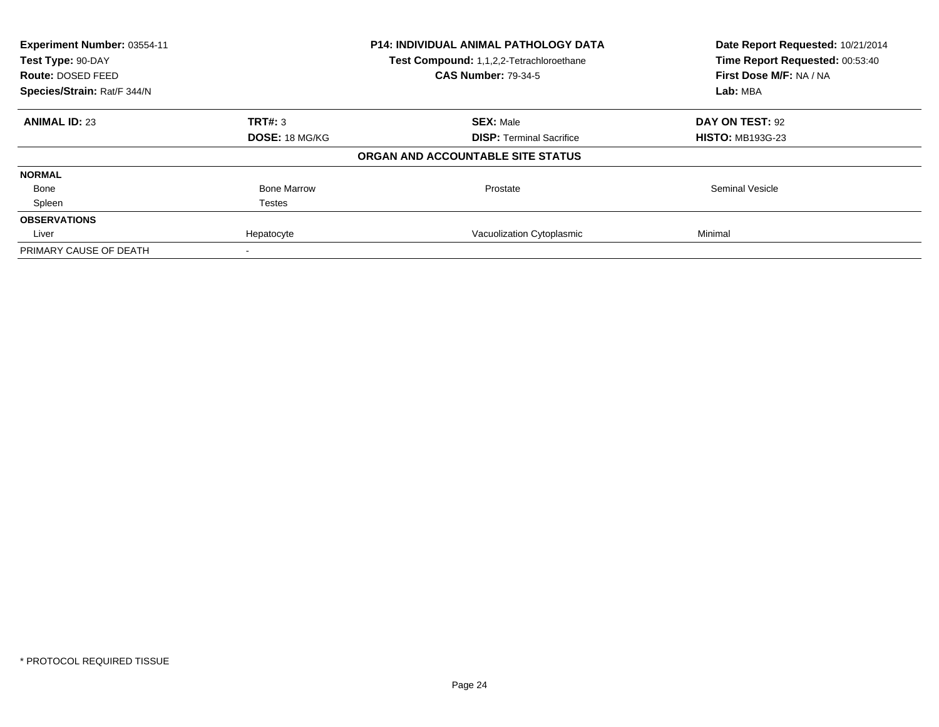| Experiment Number: 03554-11<br>Test Type: 90-DAY<br>Route: DOSED FEED | <b>P14: INDIVIDUAL ANIMAL PATHOLOGY DATA</b><br>Test Compound: 1,1,2,2-Tetrachloroethane<br><b>CAS Number: 79-34-5</b> |                                   | Date Report Requested: 10/21/2014<br>Time Report Requested: 00:53:40 |  |
|-----------------------------------------------------------------------|------------------------------------------------------------------------------------------------------------------------|-----------------------------------|----------------------------------------------------------------------|--|
| Species/Strain: Rat/F 344/N                                           |                                                                                                                        |                                   | First Dose M/F: NA / NA<br>Lab: MBA                                  |  |
| <b>ANIMAL ID: 23</b>                                                  | TRT#: 3                                                                                                                | <b>SEX: Male</b>                  | DAY ON TEST: 92                                                      |  |
|                                                                       | <b>DOSE: 18 MG/KG</b>                                                                                                  | <b>DISP:</b> Terminal Sacrifice   | <b>HISTO: MB193G-23</b>                                              |  |
|                                                                       |                                                                                                                        | ORGAN AND ACCOUNTABLE SITE STATUS |                                                                      |  |
| <b>NORMAL</b>                                                         |                                                                                                                        |                                   |                                                                      |  |
| Bone                                                                  | <b>Bone Marrow</b>                                                                                                     | Prostate                          | <b>Seminal Vesicle</b>                                               |  |
| Spleen                                                                | Testes                                                                                                                 |                                   |                                                                      |  |
| <b>OBSERVATIONS</b>                                                   |                                                                                                                        |                                   |                                                                      |  |
| Liver                                                                 | Hepatocyte                                                                                                             | Vacuolization Cytoplasmic         | Minimal                                                              |  |
| PRIMARY CAUSE OF DEATH                                                |                                                                                                                        |                                   |                                                                      |  |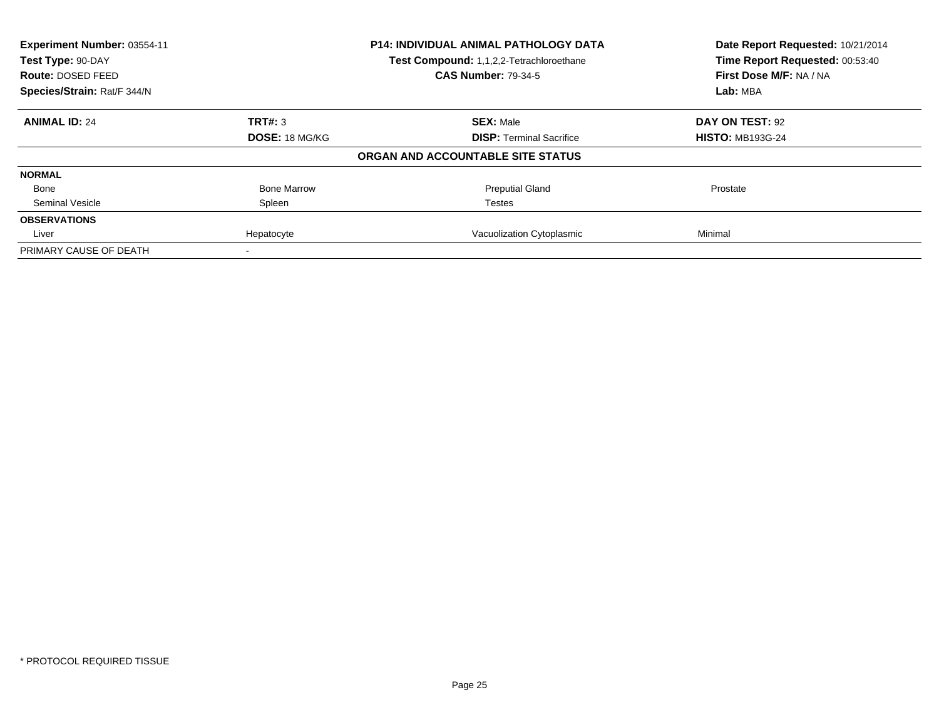| Experiment Number: 03554-11 |                       | P14: INDIVIDUAL ANIMAL PATHOLOGY DATA    | Date Report Requested: 10/21/2014 |
|-----------------------------|-----------------------|------------------------------------------|-----------------------------------|
| Test Type: 90-DAY           |                       | Test Compound: 1,1,2,2-Tetrachloroethane | Time Report Requested: 00:53:40   |
| Route: DOSED FEED           |                       | <b>CAS Number: 79-34-5</b>               | First Dose M/F: NA / NA           |
| Species/Strain: Rat/F 344/N |                       |                                          | Lab: MBA                          |
| <b>ANIMAL ID: 24</b>        | TRT#: 3               | <b>SEX: Male</b>                         | DAY ON TEST: 92                   |
|                             | <b>DOSE: 18 MG/KG</b> | <b>DISP:</b> Terminal Sacrifice          | <b>HISTO: MB193G-24</b>           |
|                             |                       | ORGAN AND ACCOUNTABLE SITE STATUS        |                                   |
| <b>NORMAL</b>               |                       |                                          |                                   |
| Bone                        | <b>Bone Marrow</b>    | <b>Preputial Gland</b>                   | Prostate                          |
| Seminal Vesicle             | Spleen                | Testes                                   |                                   |
| <b>OBSERVATIONS</b>         |                       |                                          |                                   |
| Liver                       | Hepatocyte            | Vacuolization Cytoplasmic                | Minimal                           |
| PRIMARY CAUSE OF DEATH      |                       |                                          |                                   |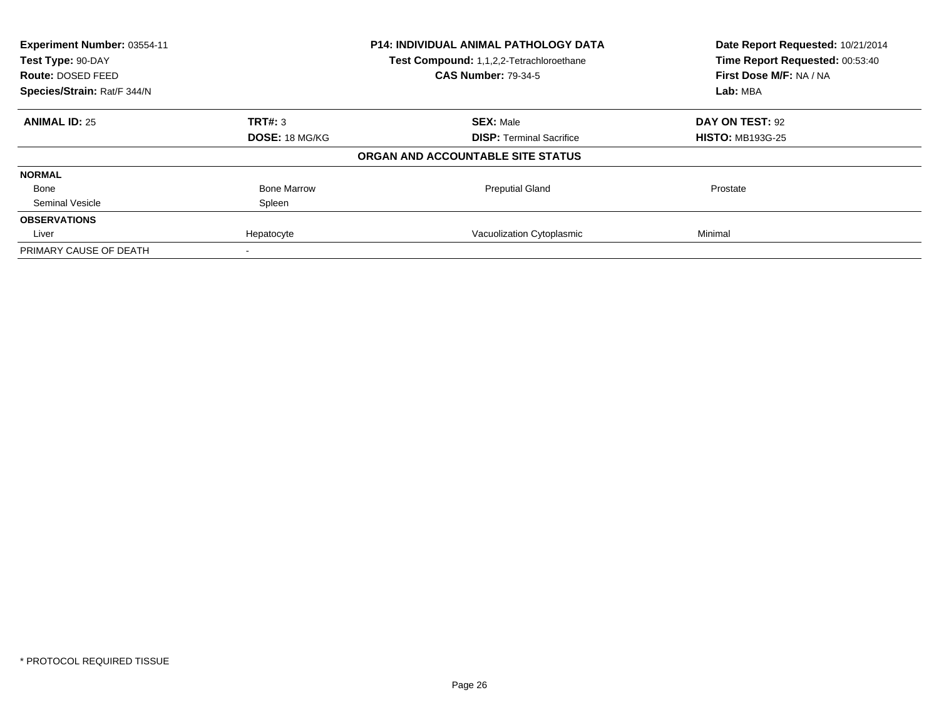| Experiment Number: 03554-11<br>Test Type: 90-DAY |                       | P14: INDIVIDUAL ANIMAL PATHOLOGY DATA<br>Test Compound: 1,1,2,2-Tetrachloroethane | Date Report Requested: 10/21/2014<br>Time Report Requested: 00:53:40 |
|--------------------------------------------------|-----------------------|-----------------------------------------------------------------------------------|----------------------------------------------------------------------|
| Route: DOSED FEED                                |                       | <b>CAS Number: 79-34-5</b>                                                        | First Dose M/F: NA / NA                                              |
| Species/Strain: Rat/F 344/N                      |                       |                                                                                   | Lab: MBA                                                             |
| <b>ANIMAL ID: 25</b>                             | TRT#: 3               | <b>SEX: Male</b>                                                                  | DAY ON TEST: 92                                                      |
|                                                  | <b>DOSE: 18 MG/KG</b> | <b>DISP:</b> Terminal Sacrifice                                                   | <b>HISTO: MB193G-25</b>                                              |
|                                                  |                       | ORGAN AND ACCOUNTABLE SITE STATUS                                                 |                                                                      |
| <b>NORMAL</b>                                    |                       |                                                                                   |                                                                      |
| Bone                                             | <b>Bone Marrow</b>    | <b>Preputial Gland</b>                                                            | Prostate                                                             |
| Seminal Vesicle                                  | Spleen                |                                                                                   |                                                                      |
| <b>OBSERVATIONS</b>                              |                       |                                                                                   |                                                                      |
| Liver                                            | Hepatocyte            | Vacuolization Cytoplasmic                                                         | Minimal                                                              |
| PRIMARY CAUSE OF DEATH                           |                       |                                                                                   |                                                                      |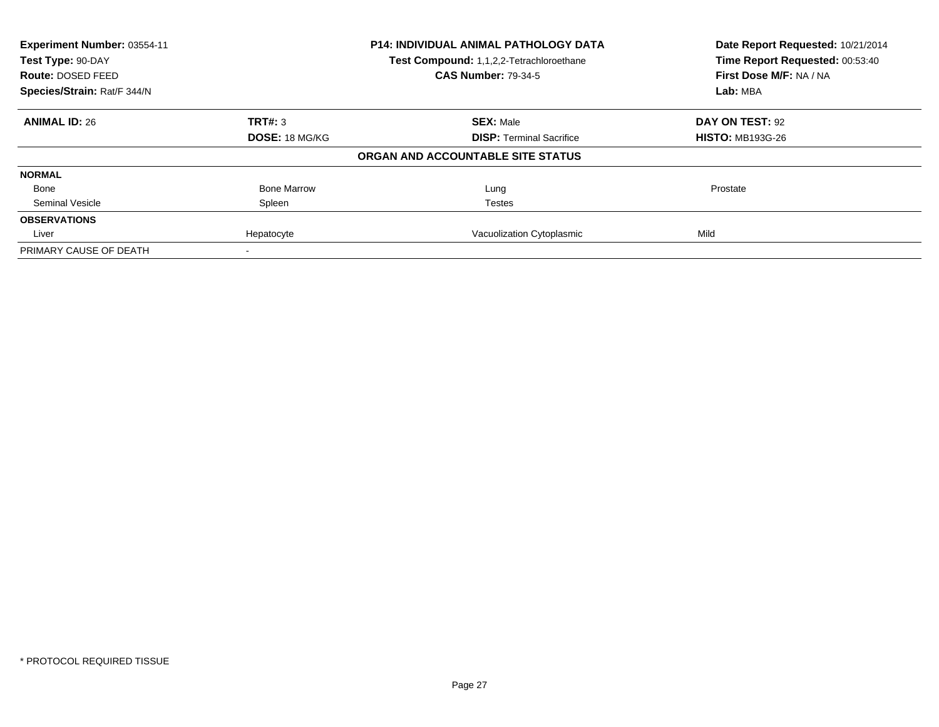| Experiment Number: 03554-11 | P14: INDIVIDUAL ANIMAL PATHOLOGY DATA |                                          | Date Report Requested: 10/21/2014                          |
|-----------------------------|---------------------------------------|------------------------------------------|------------------------------------------------------------|
| Test Type: 90-DAY           |                                       | Test Compound: 1,1,2,2-Tetrachloroethane | Time Report Requested: 00:53:40<br>First Dose M/F: NA / NA |
| Route: DOSED FEED           |                                       | <b>CAS Number: 79-34-5</b>               |                                                            |
| Species/Strain: Rat/F 344/N |                                       |                                          | Lab: MBA                                                   |
| <b>ANIMAL ID: 26</b>        | TRT#: 3                               | <b>SEX: Male</b>                         | DAY ON TEST: 92                                            |
|                             | <b>DOSE: 18 MG/KG</b>                 | <b>DISP:</b> Terminal Sacrifice          | <b>HISTO: MB193G-26</b>                                    |
|                             |                                       | ORGAN AND ACCOUNTABLE SITE STATUS        |                                                            |
| <b>NORMAL</b>               |                                       |                                          |                                                            |
| Bone                        | <b>Bone Marrow</b>                    | Lung                                     | Prostate                                                   |
| Seminal Vesicle             | Spleen                                | Testes                                   |                                                            |
| <b>OBSERVATIONS</b>         |                                       |                                          |                                                            |
| Liver                       | Hepatocyte                            | Vacuolization Cytoplasmic                | Mild                                                       |
| PRIMARY CAUSE OF DEATH      |                                       |                                          |                                                            |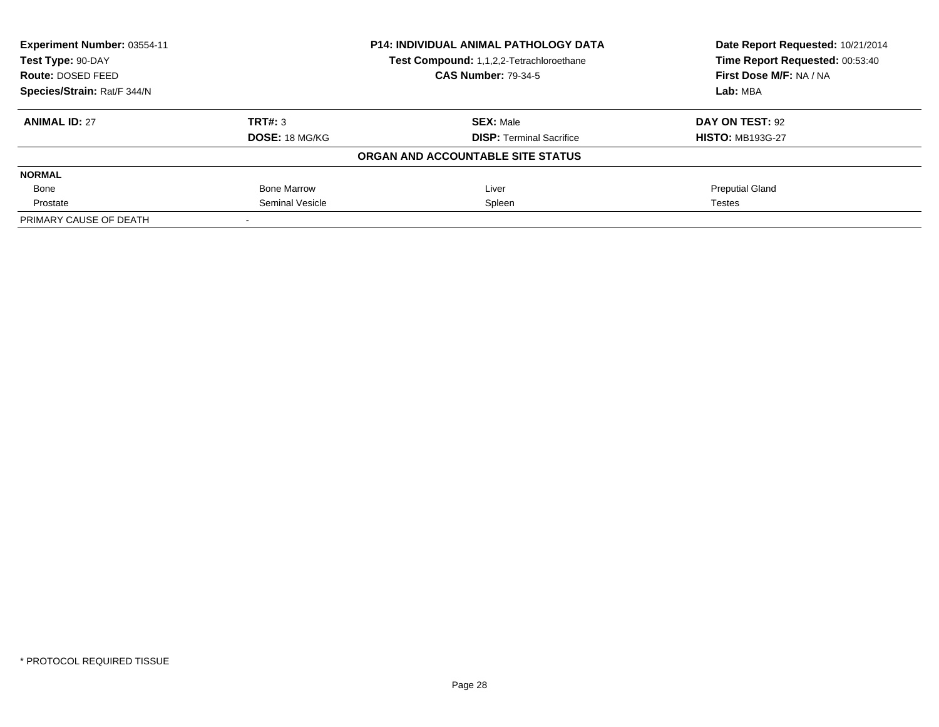| Experiment Number: 03554-11 | <b>P14: INDIVIDUAL ANIMAL PATHOLOGY DATA</b><br>Test Compound: 1,1,2,2-Tetrachloroethane |                                   | Date Report Requested: 10/21/2014 |
|-----------------------------|------------------------------------------------------------------------------------------|-----------------------------------|-----------------------------------|
| Test Type: 90-DAY           |                                                                                          |                                   | Time Report Requested: 00:53:40   |
| Route: DOSED FEED           |                                                                                          | <b>CAS Number: 79-34-5</b>        | First Dose M/F: NA / NA           |
| Species/Strain: Rat/F 344/N |                                                                                          |                                   | Lab: MBA                          |
| <b>ANIMAL ID: 27</b>        | TRT#: 3                                                                                  | <b>SEX: Male</b>                  | DAY ON TEST: 92                   |
|                             | <b>DOSE: 18 MG/KG</b>                                                                    | <b>DISP:</b> Terminal Sacrifice   | <b>HISTO: MB193G-27</b>           |
|                             |                                                                                          | ORGAN AND ACCOUNTABLE SITE STATUS |                                   |
| <b>NORMAL</b>               |                                                                                          |                                   |                                   |
| Bone                        | Bone Marrow                                                                              | Liver                             | <b>Preputial Gland</b>            |
| Prostate                    | <b>Seminal Vesicle</b>                                                                   | Spleen                            | Testes                            |
| PRIMARY CAUSE OF DEATH      |                                                                                          |                                   |                                   |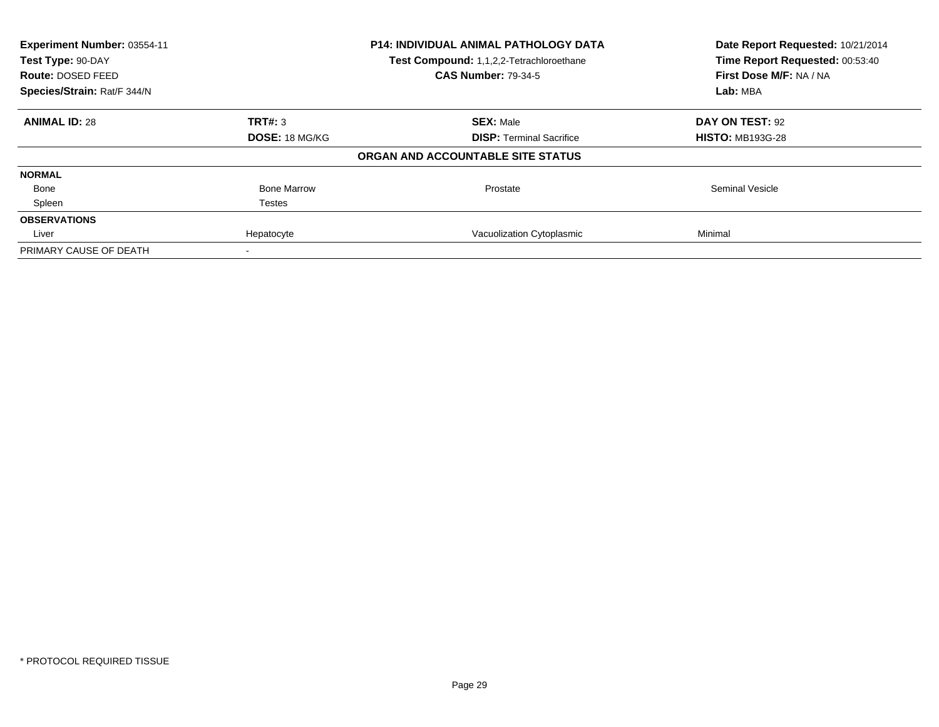| Experiment Number: 03554-11<br>Test Type: 90-DAY |                       | <b>P14: INDIVIDUAL ANIMAL PATHOLOGY DATA</b><br>Test Compound: 1,1,2,2-Tetrachloroethane | Date Report Requested: 10/21/2014<br>Time Report Requested: 00:53:40 |
|--------------------------------------------------|-----------------------|------------------------------------------------------------------------------------------|----------------------------------------------------------------------|
| Route: DOSED FEED                                |                       | <b>CAS Number: 79-34-5</b>                                                               | First Dose M/F: NA / NA                                              |
| Species/Strain: Rat/F 344/N                      |                       |                                                                                          | Lab: MBA                                                             |
| <b>ANIMAL ID: 28</b>                             | TRT#: 3               | <b>SEX: Male</b>                                                                         | DAY ON TEST: 92                                                      |
|                                                  | <b>DOSE: 18 MG/KG</b> | <b>DISP:</b> Terminal Sacrifice                                                          | <b>HISTO: MB193G-28</b>                                              |
|                                                  |                       | ORGAN AND ACCOUNTABLE SITE STATUS                                                        |                                                                      |
| <b>NORMAL</b>                                    |                       |                                                                                          |                                                                      |
| Bone                                             | <b>Bone Marrow</b>    | Prostate                                                                                 | <b>Seminal Vesicle</b>                                               |
| Spleen                                           | Testes                |                                                                                          |                                                                      |
| <b>OBSERVATIONS</b>                              |                       |                                                                                          |                                                                      |
| Liver                                            | Hepatocyte            | Vacuolization Cytoplasmic                                                                | Minimal                                                              |
| PRIMARY CAUSE OF DEATH                           |                       |                                                                                          |                                                                      |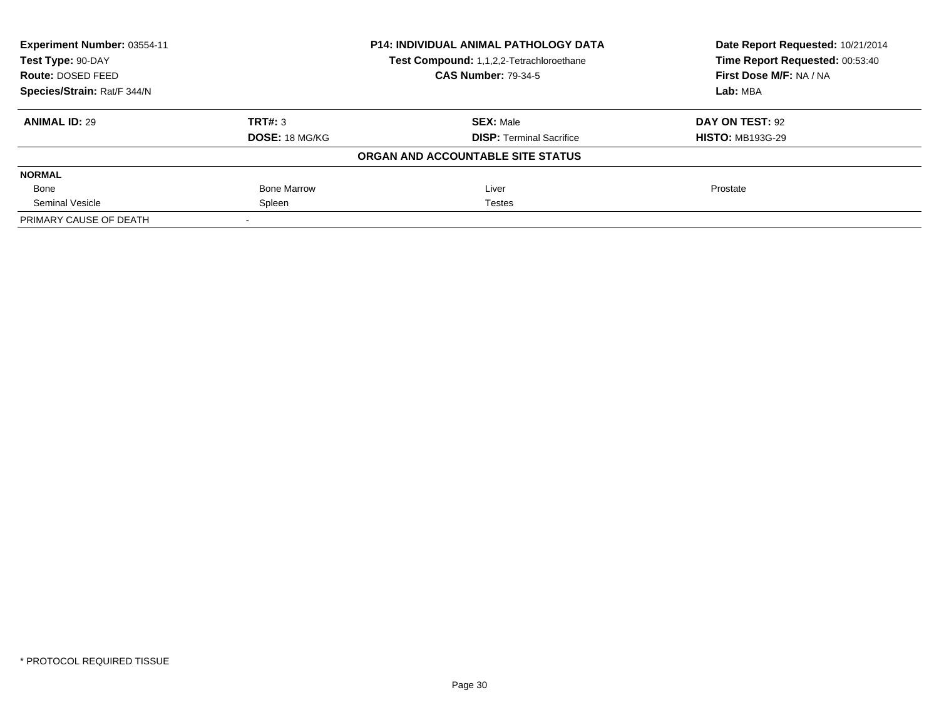| Experiment Number: 03554-11 | <b>P14: INDIVIDUAL ANIMAL PATHOLOGY DATA</b><br>Test Compound: 1,1,2,2-Tetrachloroethane |                                   | Date Report Requested: 10/21/2014<br>Time Report Requested: 00:53:40 |
|-----------------------------|------------------------------------------------------------------------------------------|-----------------------------------|----------------------------------------------------------------------|
| Test Type: 90-DAY           |                                                                                          |                                   |                                                                      |
| Route: DOSED FEED           |                                                                                          | <b>CAS Number: 79-34-5</b>        | First Dose M/F: NA / NA                                              |
| Species/Strain: Rat/F 344/N |                                                                                          |                                   | Lab: MBA                                                             |
| <b>ANIMAL ID: 29</b>        | TRT#: 3                                                                                  | <b>SEX: Male</b>                  | DAY ON TEST: 92                                                      |
|                             | <b>DOSE: 18 MG/KG</b>                                                                    | <b>DISP:</b> Terminal Sacrifice   | <b>HISTO: MB193G-29</b>                                              |
|                             |                                                                                          | ORGAN AND ACCOUNTABLE SITE STATUS |                                                                      |
| <b>NORMAL</b>               |                                                                                          |                                   |                                                                      |
| Bone                        | <b>Bone Marrow</b>                                                                       | Liver                             | Prostate                                                             |
| Seminal Vesicle             | Spleen                                                                                   | <b>Testes</b>                     |                                                                      |
| PRIMARY CAUSE OF DEATH      |                                                                                          |                                   |                                                                      |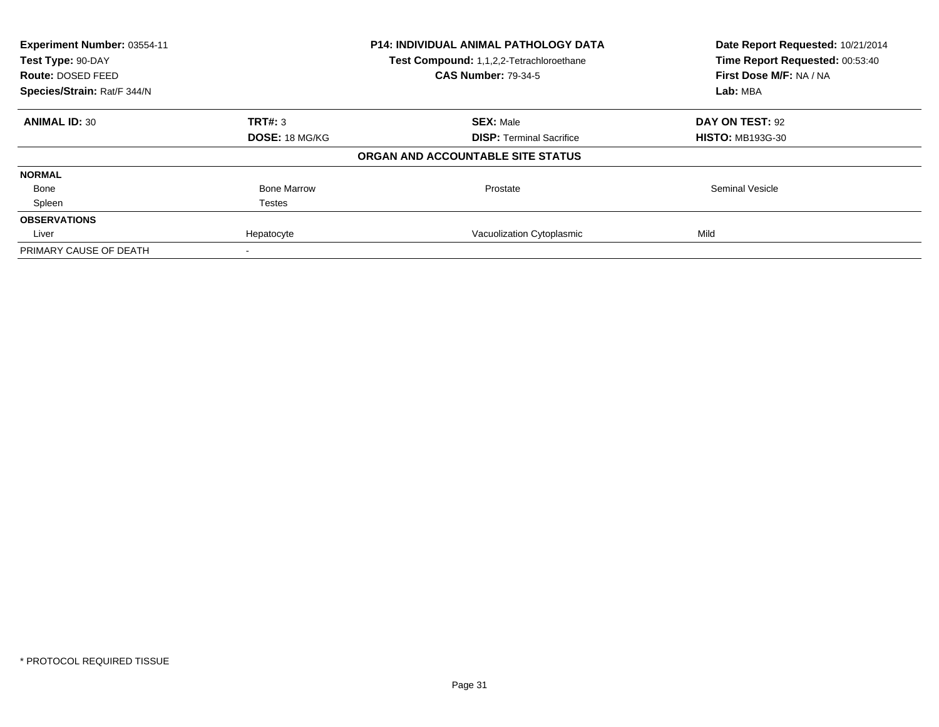| Experiment Number: 03554-11<br>Test Type: 90-DAY |                       | <b>P14: INDIVIDUAL ANIMAL PATHOLOGY DATA</b><br>Test Compound: 1,1,2,2-Tetrachloroethane | Date Report Requested: 10/21/2014<br>Time Report Requested: 00:53:40 |
|--------------------------------------------------|-----------------------|------------------------------------------------------------------------------------------|----------------------------------------------------------------------|
| Route: DOSED FEED                                |                       | <b>CAS Number: 79-34-5</b>                                                               | First Dose M/F: NA / NA                                              |
| Species/Strain: Rat/F 344/N                      |                       |                                                                                          | Lab: MBA                                                             |
| <b>ANIMAL ID: 30</b>                             | TRT#: 3               | <b>SEX: Male</b>                                                                         | DAY ON TEST: 92                                                      |
|                                                  | <b>DOSE: 18 MG/KG</b> | <b>DISP:</b> Terminal Sacrifice                                                          | <b>HISTO: MB193G-30</b>                                              |
|                                                  |                       | ORGAN AND ACCOUNTABLE SITE STATUS                                                        |                                                                      |
| <b>NORMAL</b>                                    |                       |                                                                                          |                                                                      |
| Bone                                             | <b>Bone Marrow</b>    | Prostate                                                                                 | <b>Seminal Vesicle</b>                                               |
| Spleen                                           | Testes                |                                                                                          |                                                                      |
| <b>OBSERVATIONS</b>                              |                       |                                                                                          |                                                                      |
| Liver                                            | Hepatocyte            | Vacuolization Cytoplasmic                                                                | Mild                                                                 |
| PRIMARY CAUSE OF DEATH                           |                       |                                                                                          |                                                                      |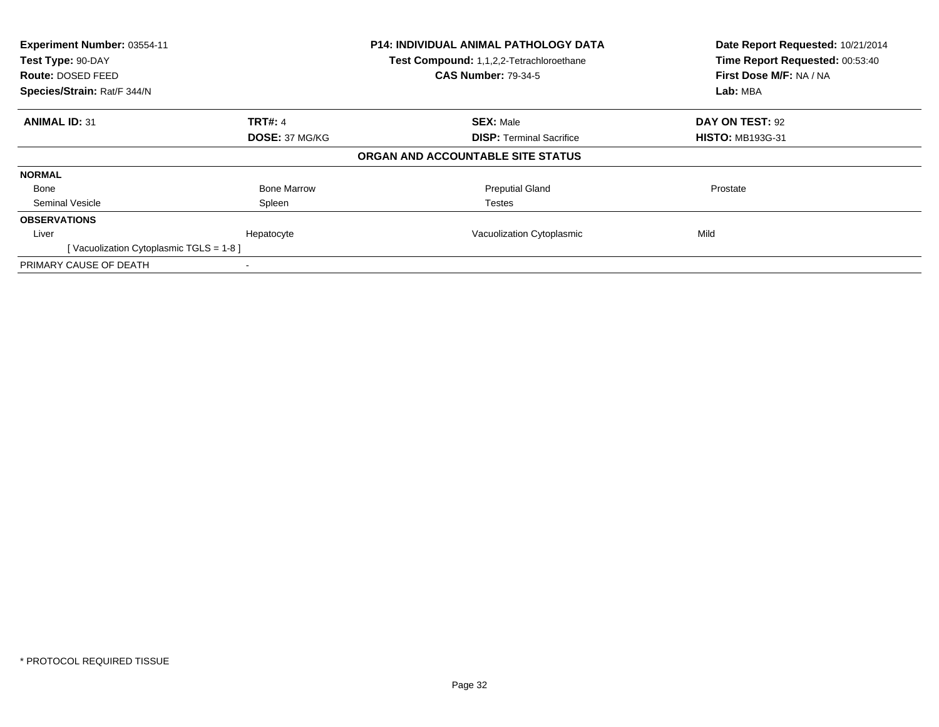| Experiment Number: 03554-11<br>Test Type: 90-DAY<br><b>Route: DOSED FEED</b><br>Species/Strain: Rat/F 344/N |                    | <b>P14: INDIVIDUAL ANIMAL PATHOLOGY DATA</b><br>Test Compound: 1,1,2,2-Tetrachloroethane<br><b>CAS Number: 79-34-5</b> | Date Report Requested: 10/21/2014<br>Time Report Requested: 00:53:40<br>First Dose M/F: NA / NA<br>Lab: MBA |
|-------------------------------------------------------------------------------------------------------------|--------------------|------------------------------------------------------------------------------------------------------------------------|-------------------------------------------------------------------------------------------------------------|
| <b>ANIMAL ID: 31</b>                                                                                        | <b>TRT#: 4</b>     | <b>SEX: Male</b>                                                                                                       | DAY ON TEST: 92                                                                                             |
|                                                                                                             | DOSE: 37 MG/KG     | <b>DISP:</b> Terminal Sacrifice                                                                                        | <b>HISTO: MB193G-31</b>                                                                                     |
|                                                                                                             |                    | ORGAN AND ACCOUNTABLE SITE STATUS                                                                                      |                                                                                                             |
| <b>NORMAL</b>                                                                                               |                    |                                                                                                                        |                                                                                                             |
| Bone                                                                                                        | <b>Bone Marrow</b> | <b>Preputial Gland</b>                                                                                                 | Prostate                                                                                                    |
| Seminal Vesicle                                                                                             | Spleen             | <b>Testes</b>                                                                                                          |                                                                                                             |
| <b>OBSERVATIONS</b>                                                                                         |                    |                                                                                                                        |                                                                                                             |
| Liver                                                                                                       | Hepatocyte         | Vacuolization Cytoplasmic                                                                                              | Mild                                                                                                        |
| [Vacuolization Cytoplasmic TGLS = 1-8]                                                                      |                    |                                                                                                                        |                                                                                                             |
| PRIMARY CAUSE OF DEATH                                                                                      |                    |                                                                                                                        |                                                                                                             |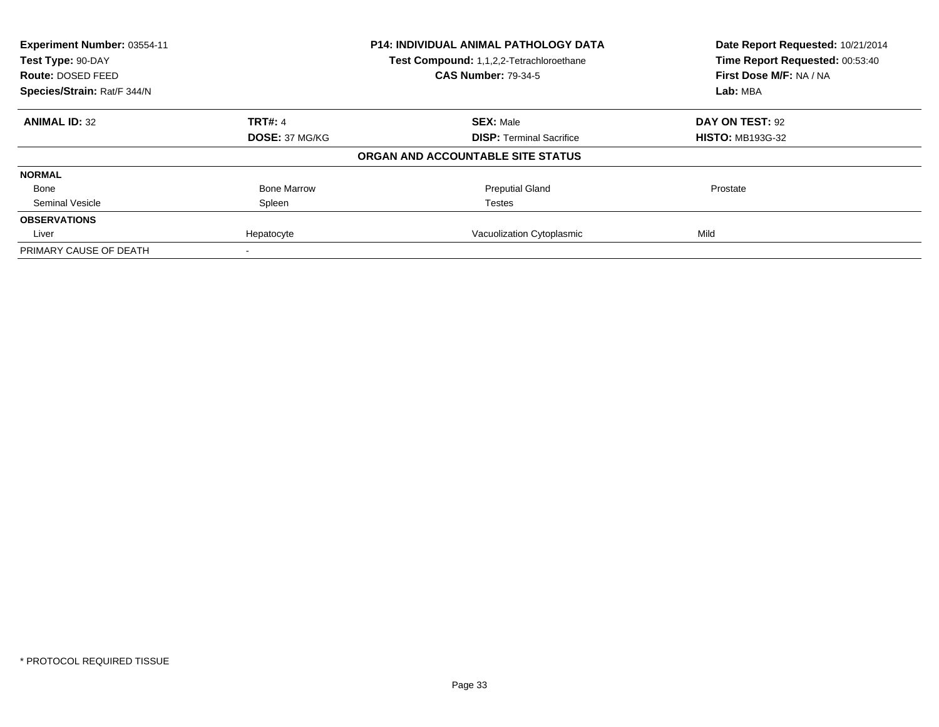| Experiment Number: 03554-11 | <b>P14: INDIVIDUAL ANIMAL PATHOLOGY DATA</b> |                                          | Date Report Requested: 10/21/2014<br>Time Report Requested: 00:53:40 |
|-----------------------------|----------------------------------------------|------------------------------------------|----------------------------------------------------------------------|
| Test Type: 90-DAY           |                                              | Test Compound: 1,1,2,2-Tetrachloroethane |                                                                      |
| Route: DOSED FEED           |                                              | <b>CAS Number: 79-34-5</b>               | First Dose M/F: NA / NA                                              |
| Species/Strain: Rat/F 344/N |                                              |                                          | Lab: MBA                                                             |
| <b>ANIMAL ID: 32</b>        | <b>TRT#: 4</b>                               | <b>SEX: Male</b>                         | DAY ON TEST: 92                                                      |
|                             | DOSE: 37 MG/KG                               | <b>DISP:</b> Terminal Sacrifice          | <b>HISTO: MB193G-32</b>                                              |
|                             |                                              | ORGAN AND ACCOUNTABLE SITE STATUS        |                                                                      |
| <b>NORMAL</b>               |                                              |                                          |                                                                      |
| Bone                        | <b>Bone Marrow</b>                           | <b>Preputial Gland</b>                   | Prostate                                                             |
| Seminal Vesicle             | Spleen                                       | Testes                                   |                                                                      |
| <b>OBSERVATIONS</b>         |                                              |                                          |                                                                      |
| Liver                       | Hepatocyte                                   | Vacuolization Cytoplasmic                | Mild                                                                 |
| PRIMARY CAUSE OF DEATH      |                                              |                                          |                                                                      |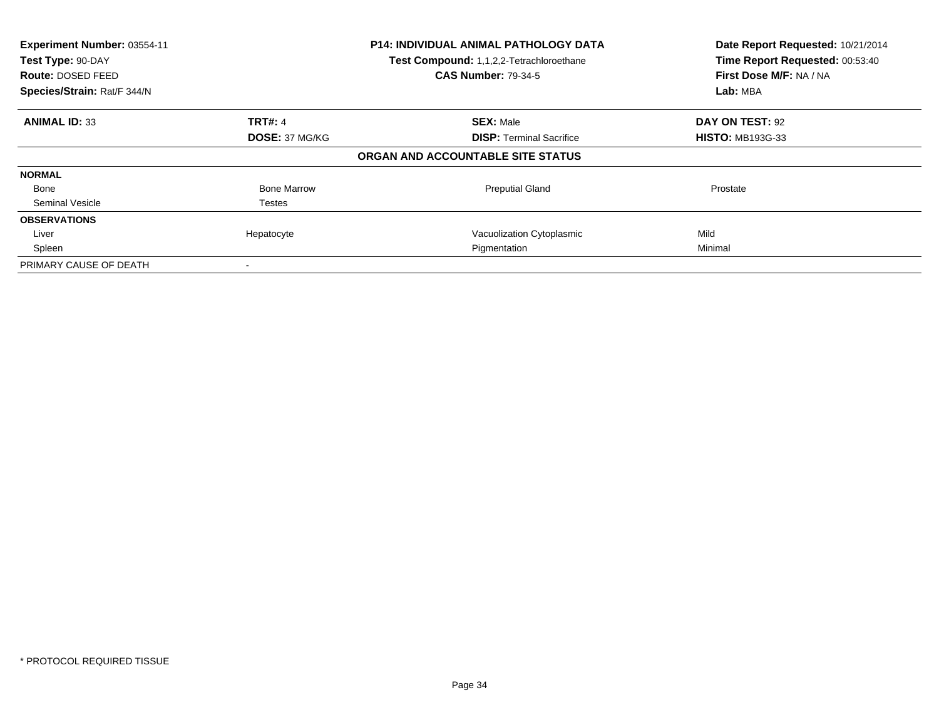| Experiment Number: 03554-11<br>Test Type: 90-DAY<br><b>Route: DOSED FEED</b><br>Species/Strain: Rat/F 344/N |                    | <b>P14: INDIVIDUAL ANIMAL PATHOLOGY DATA</b><br>Test Compound: 1,1,2,2-Tetrachloroethane<br><b>CAS Number: 79-34-5</b> | Date Report Requested: 10/21/2014<br>Time Report Requested: 00:53:40<br>First Dose M/F: NA / NA<br>Lab: MBA |
|-------------------------------------------------------------------------------------------------------------|--------------------|------------------------------------------------------------------------------------------------------------------------|-------------------------------------------------------------------------------------------------------------|
| <b>ANIMAL ID: 33</b>                                                                                        | <b>TRT#: 4</b>     | <b>SEX: Male</b>                                                                                                       | DAY ON TEST: 92                                                                                             |
|                                                                                                             | DOSE: 37 MG/KG     | <b>DISP:</b> Terminal Sacrifice                                                                                        | <b>HISTO: MB193G-33</b>                                                                                     |
|                                                                                                             |                    | ORGAN AND ACCOUNTABLE SITE STATUS                                                                                      |                                                                                                             |
| <b>NORMAL</b>                                                                                               |                    |                                                                                                                        |                                                                                                             |
| Bone                                                                                                        | <b>Bone Marrow</b> | <b>Preputial Gland</b>                                                                                                 | Prostate                                                                                                    |
| Seminal Vesicle                                                                                             | Testes             |                                                                                                                        |                                                                                                             |
| <b>OBSERVATIONS</b>                                                                                         |                    |                                                                                                                        |                                                                                                             |
| Liver                                                                                                       | Hepatocyte         | Vacuolization Cytoplasmic                                                                                              | Mild                                                                                                        |
| Spleen                                                                                                      |                    | Pigmentation                                                                                                           | Minimal                                                                                                     |
| PRIMARY CAUSE OF DEATH                                                                                      |                    |                                                                                                                        |                                                                                                             |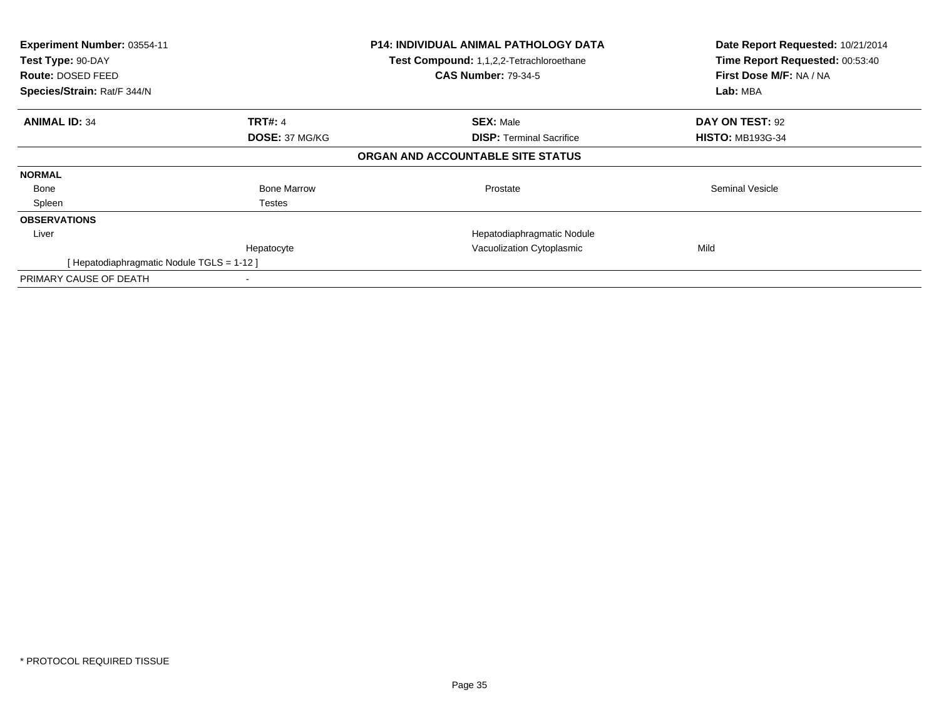| Experiment Number: 03554-11<br>Test Type: 90-DAY<br>Route: DOSED FEED<br>Species/Strain: Rat/F 344/N |                    | <b>P14: INDIVIDUAL ANIMAL PATHOLOGY DATA</b><br>Test Compound: 1,1,2,2-Tetrachloroethane<br><b>CAS Number: 79-34-5</b> | Date Report Requested: 10/21/2014<br>Time Report Requested: 00:53:40<br>First Dose M/F: NA / NA<br>Lab: MBA |
|------------------------------------------------------------------------------------------------------|--------------------|------------------------------------------------------------------------------------------------------------------------|-------------------------------------------------------------------------------------------------------------|
|                                                                                                      |                    |                                                                                                                        |                                                                                                             |
| <b>ANIMAL ID: 34</b>                                                                                 | <b>TRT#: 4</b>     | <b>SEX: Male</b>                                                                                                       | DAY ON TEST: 92                                                                                             |
|                                                                                                      | DOSE: 37 MG/KG     | <b>DISP:</b> Terminal Sacrifice                                                                                        | <b>HISTO: MB193G-34</b>                                                                                     |
|                                                                                                      |                    | ORGAN AND ACCOUNTABLE SITE STATUS                                                                                      |                                                                                                             |
| <b>NORMAL</b>                                                                                        |                    |                                                                                                                        |                                                                                                             |
| Bone                                                                                                 | <b>Bone Marrow</b> | Prostate                                                                                                               | Seminal Vesicle                                                                                             |
| Spleen                                                                                               | Testes             |                                                                                                                        |                                                                                                             |
| <b>OBSERVATIONS</b>                                                                                  |                    |                                                                                                                        |                                                                                                             |
| Liver                                                                                                |                    | Hepatodiaphragmatic Nodule                                                                                             |                                                                                                             |
|                                                                                                      | Hepatocyte         | Vacuolization Cytoplasmic                                                                                              | Mild                                                                                                        |
| [Hepatodiaphragmatic Nodule TGLS = 1-12 ]                                                            |                    |                                                                                                                        |                                                                                                             |
| PRIMARY CAUSE OF DEATH                                                                               |                    |                                                                                                                        |                                                                                                             |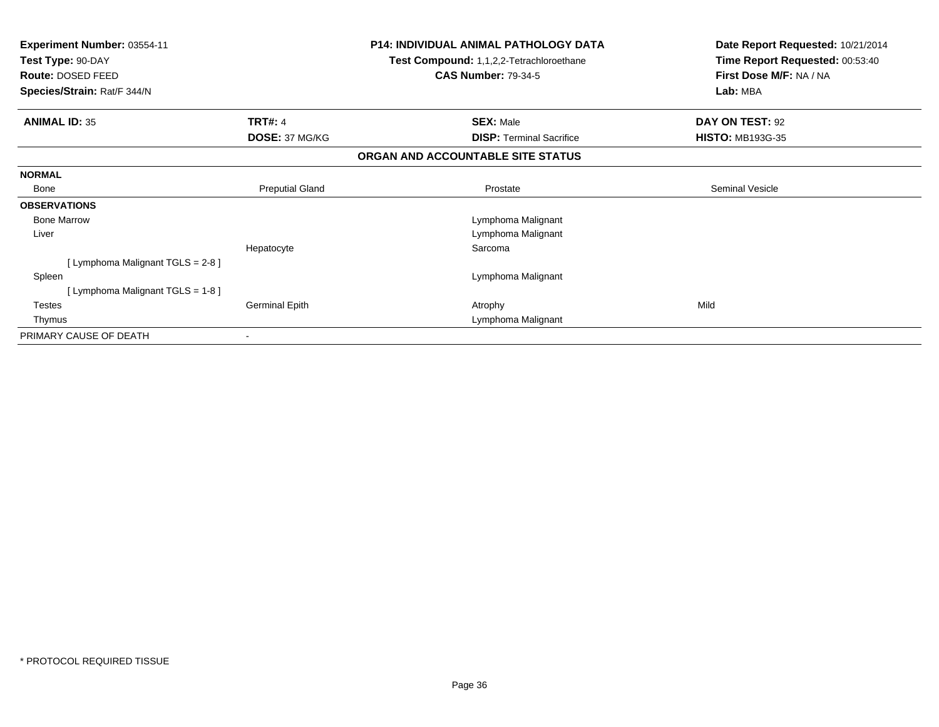| Experiment Number: 03554-11<br>Test Type: 90-DAY |                        | <b>P14: INDIVIDUAL ANIMAL PATHOLOGY DATA</b><br>Test Compound: 1,1,2,2-Tetrachloroethane<br><b>CAS Number: 79-34-5</b> | Date Report Requested: 10/21/2014<br>Time Report Requested: 00:53:40<br>First Dose M/F: NA / NA |
|--------------------------------------------------|------------------------|------------------------------------------------------------------------------------------------------------------------|-------------------------------------------------------------------------------------------------|
| Route: DOSED FEED<br>Species/Strain: Rat/F 344/N |                        |                                                                                                                        | Lab: MBA                                                                                        |
| <b>ANIMAL ID: 35</b>                             | <b>TRT#: 4</b>         | <b>SEX: Male</b>                                                                                                       | DAY ON TEST: 92                                                                                 |
|                                                  | DOSE: 37 MG/KG         | <b>DISP:</b> Terminal Sacrifice                                                                                        | <b>HISTO: MB193G-35</b>                                                                         |
|                                                  |                        | ORGAN AND ACCOUNTABLE SITE STATUS                                                                                      |                                                                                                 |
| <b>NORMAL</b>                                    |                        |                                                                                                                        |                                                                                                 |
| <b>Bone</b>                                      | <b>Preputial Gland</b> | Prostate                                                                                                               | Seminal Vesicle                                                                                 |
| <b>OBSERVATIONS</b>                              |                        |                                                                                                                        |                                                                                                 |
| <b>Bone Marrow</b>                               |                        | Lymphoma Malignant                                                                                                     |                                                                                                 |
| Liver                                            |                        | Lymphoma Malignant                                                                                                     |                                                                                                 |
|                                                  | Hepatocyte             | Sarcoma                                                                                                                |                                                                                                 |
| [Lymphoma Malignant TGLS = 2-8]                  |                        |                                                                                                                        |                                                                                                 |
| Spleen                                           |                        | Lymphoma Malignant                                                                                                     |                                                                                                 |
| [Lymphoma Malignant TGLS = 1-8]                  |                        |                                                                                                                        |                                                                                                 |
| <b>Testes</b>                                    | <b>Germinal Epith</b>  | Atrophy                                                                                                                | Mild                                                                                            |
| Thymus                                           |                        | Lymphoma Malignant                                                                                                     |                                                                                                 |
| PRIMARY CAUSE OF DEATH                           |                        |                                                                                                                        |                                                                                                 |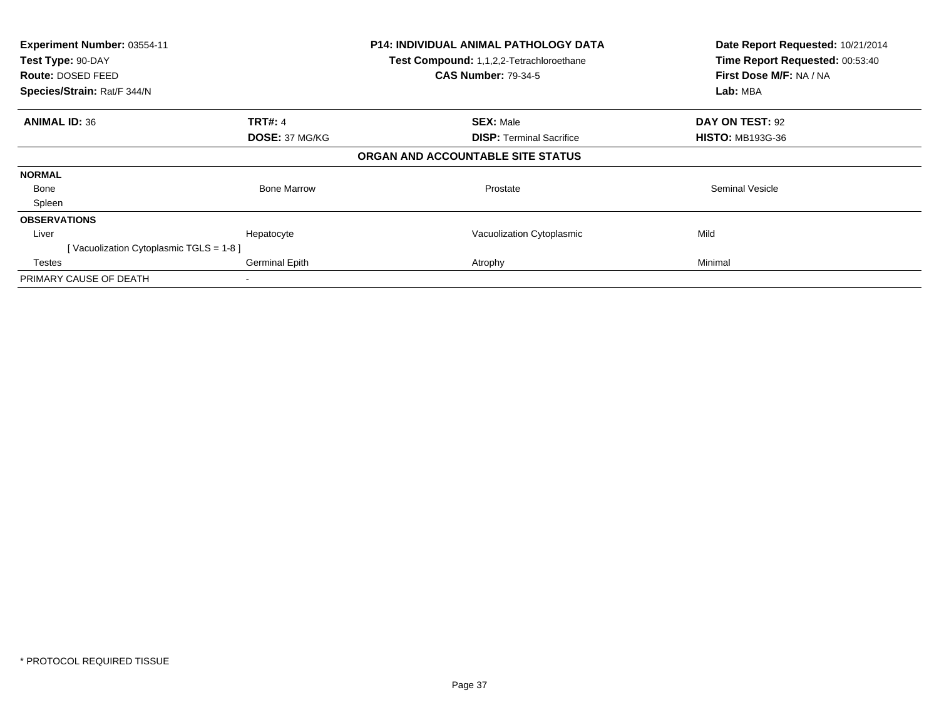| Experiment Number: 03554-11<br>Test Type: 90-DAY<br>Route: DOSED FEED<br>Species/Strain: Rat/F 344/N |                    | <b>P14: INDIVIDUAL ANIMAL PATHOLOGY DATA</b><br>Test Compound: 1,1,2,2-Tetrachloroethane<br><b>CAS Number: 79-34-5</b> | Date Report Requested: 10/21/2014<br>Time Report Requested: 00:53:40<br>First Dose M/F: NA / NA<br>Lab: MBA |
|------------------------------------------------------------------------------------------------------|--------------------|------------------------------------------------------------------------------------------------------------------------|-------------------------------------------------------------------------------------------------------------|
| <b>ANIMAL ID: 36</b>                                                                                 | <b>TRT#: 4</b>     | <b>SEX: Male</b>                                                                                                       | DAY ON TEST: 92                                                                                             |
|                                                                                                      | DOSE: 37 MG/KG     | <b>DISP:</b> Terminal Sacrifice                                                                                        | <b>HISTO: MB193G-36</b>                                                                                     |
|                                                                                                      |                    | ORGAN AND ACCOUNTABLE SITE STATUS                                                                                      |                                                                                                             |
| <b>NORMAL</b>                                                                                        |                    |                                                                                                                        |                                                                                                             |
| Bone                                                                                                 | <b>Bone Marrow</b> | Prostate                                                                                                               | Seminal Vesicle                                                                                             |
| Spleen                                                                                               |                    |                                                                                                                        |                                                                                                             |
| <b>OBSERVATIONS</b>                                                                                  |                    |                                                                                                                        |                                                                                                             |
| Liver                                                                                                | Hepatocyte         | Vacuolization Cytoplasmic                                                                                              | Mild                                                                                                        |
| [Vacuolization Cytoplasmic TGLS = 1-8]                                                               |                    |                                                                                                                        |                                                                                                             |
| Testes                                                                                               | Germinal Epith     | Atrophy                                                                                                                | Minimal                                                                                                     |
| PRIMARY CAUSE OF DEATH                                                                               |                    |                                                                                                                        |                                                                                                             |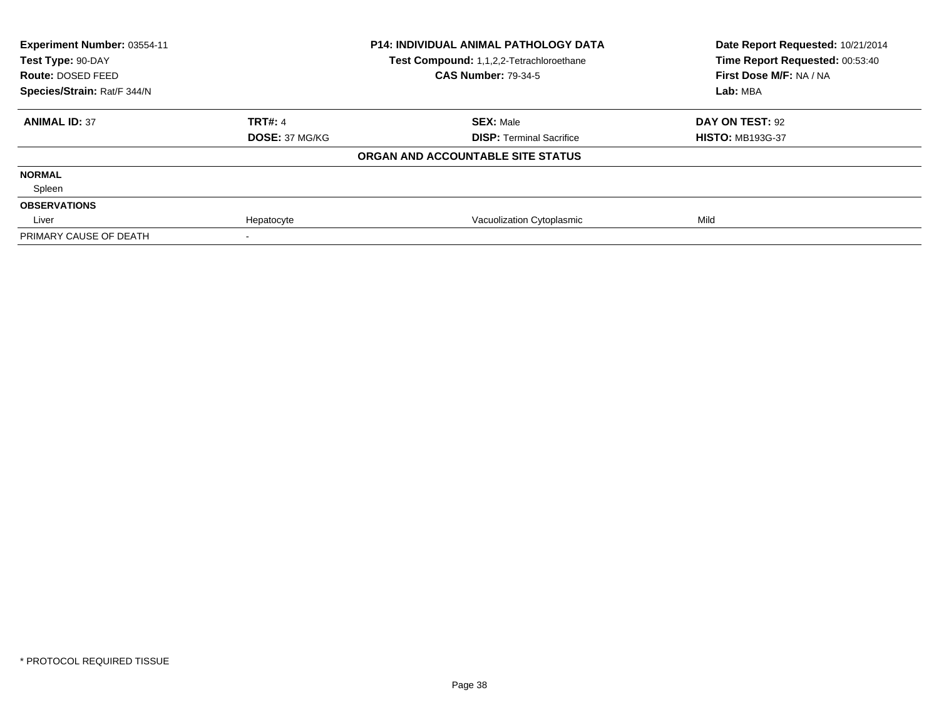| Experiment Number: 03554-11<br>Test Type: 90-DAY |                | <b>P14: INDIVIDUAL ANIMAL PATHOLOGY DATA</b><br>Test Compound: 1,1,2,2-Tetrachloroethane | Date Report Requested: 10/21/2014<br>Time Report Requested: 00:53:40 |
|--------------------------------------------------|----------------|------------------------------------------------------------------------------------------|----------------------------------------------------------------------|
| <b>Route: DOSED FEED</b>                         |                | <b>CAS Number: 79-34-5</b>                                                               | First Dose M/F: NA / NA                                              |
| Species/Strain: Rat/F 344/N                      |                |                                                                                          | Lab: MBA                                                             |
| <b>ANIMAL ID: 37</b>                             | <b>TRT#: 4</b> | <b>SEX: Male</b>                                                                         | DAY ON TEST: 92                                                      |
|                                                  | DOSE: 37 MG/KG | <b>DISP: Terminal Sacrifice</b>                                                          | <b>HISTO: MB193G-37</b>                                              |
|                                                  |                | ORGAN AND ACCOUNTABLE SITE STATUS                                                        |                                                                      |
| <b>NORMAL</b>                                    |                |                                                                                          |                                                                      |
| Spleen                                           |                |                                                                                          |                                                                      |
| <b>OBSERVATIONS</b>                              |                |                                                                                          |                                                                      |
| Liver                                            | Hepatocyte     | Vacuolization Cytoplasmic                                                                | Mild                                                                 |
| PRIMARY CAUSE OF DEATH                           |                |                                                                                          |                                                                      |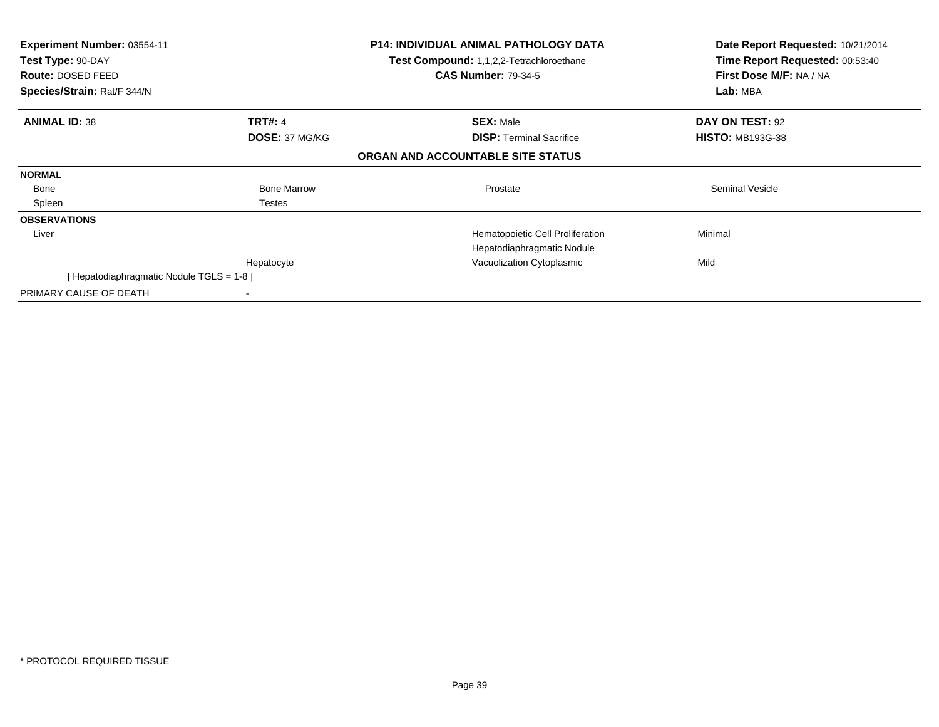| <b>Experiment Number: 03554-11</b><br>Test Type: 90-DAY<br><b>Route: DOSED FEED</b><br>Species/Strain: Rat/F 344/N |                    | <b>P14: INDIVIDUAL ANIMAL PATHOLOGY DATA</b><br><b>Test Compound: 1,1,2,2-Tetrachloroethane</b><br><b>CAS Number: 79-34-5</b> | Date Report Requested: 10/21/2014<br>Time Report Requested: 00:53:40<br>First Dose M/F: NA / NA<br>Lab: MBA |
|--------------------------------------------------------------------------------------------------------------------|--------------------|-------------------------------------------------------------------------------------------------------------------------------|-------------------------------------------------------------------------------------------------------------|
| <b>ANIMAL ID: 38</b>                                                                                               | <b>TRT#: 4</b>     | <b>SEX: Male</b>                                                                                                              | DAY ON TEST: 92                                                                                             |
|                                                                                                                    | DOSE: 37 MG/KG     | <b>DISP:</b> Terminal Sacrifice                                                                                               | <b>HISTO: MB193G-38</b>                                                                                     |
|                                                                                                                    |                    | ORGAN AND ACCOUNTABLE SITE STATUS                                                                                             |                                                                                                             |
| <b>NORMAL</b>                                                                                                      |                    |                                                                                                                               |                                                                                                             |
| Bone                                                                                                               | <b>Bone Marrow</b> | Prostate                                                                                                                      | Seminal Vesicle                                                                                             |
| Spleen                                                                                                             | Testes             |                                                                                                                               |                                                                                                             |
| <b>OBSERVATIONS</b>                                                                                                |                    |                                                                                                                               |                                                                                                             |
| Liver                                                                                                              |                    | Hematopoietic Cell Proliferation                                                                                              | Minimal                                                                                                     |
|                                                                                                                    |                    | Hepatodiaphragmatic Nodule                                                                                                    |                                                                                                             |
|                                                                                                                    | Hepatocyte         | Vacuolization Cytoplasmic                                                                                                     | Mild                                                                                                        |
| [ Hepatodiaphragmatic Nodule TGLS = 1-8 ]                                                                          |                    |                                                                                                                               |                                                                                                             |
| PRIMARY CAUSE OF DEATH                                                                                             |                    |                                                                                                                               |                                                                                                             |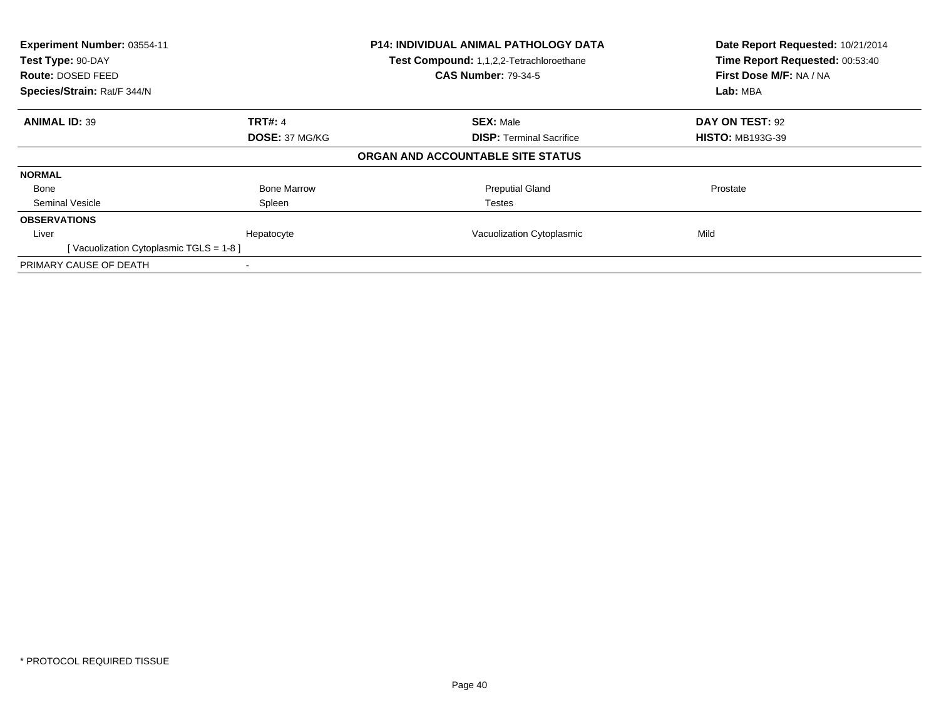| Experiment Number: 03554-11<br>Test Type: 90-DAY<br><b>Route: DOSED FEED</b><br>Species/Strain: Rat/F 344/N |                    | <b>P14: INDIVIDUAL ANIMAL PATHOLOGY DATA</b><br>Test Compound: 1,1,2,2-Tetrachloroethane<br><b>CAS Number: 79-34-5</b> | Date Report Requested: 10/21/2014<br>Time Report Requested: 00:53:40<br>First Dose M/F: NA / NA<br>Lab: MBA |
|-------------------------------------------------------------------------------------------------------------|--------------------|------------------------------------------------------------------------------------------------------------------------|-------------------------------------------------------------------------------------------------------------|
| <b>ANIMAL ID: 39</b>                                                                                        | <b>TRT#: 4</b>     | <b>SEX: Male</b>                                                                                                       | DAY ON TEST: 92                                                                                             |
|                                                                                                             | DOSE: 37 MG/KG     | <b>DISP:</b> Terminal Sacrifice                                                                                        | <b>HISTO: MB193G-39</b>                                                                                     |
|                                                                                                             |                    | ORGAN AND ACCOUNTABLE SITE STATUS                                                                                      |                                                                                                             |
| <b>NORMAL</b>                                                                                               |                    |                                                                                                                        |                                                                                                             |
| Bone                                                                                                        | <b>Bone Marrow</b> | <b>Preputial Gland</b>                                                                                                 | Prostate                                                                                                    |
| Seminal Vesicle                                                                                             | Spleen             | <b>Testes</b>                                                                                                          |                                                                                                             |
| <b>OBSERVATIONS</b>                                                                                         |                    |                                                                                                                        |                                                                                                             |
| Liver                                                                                                       | Hepatocyte         | Vacuolization Cytoplasmic                                                                                              | Mild                                                                                                        |
| [Vacuolization Cytoplasmic TGLS = 1-8]                                                                      |                    |                                                                                                                        |                                                                                                             |
| PRIMARY CAUSE OF DEATH                                                                                      |                    |                                                                                                                        |                                                                                                             |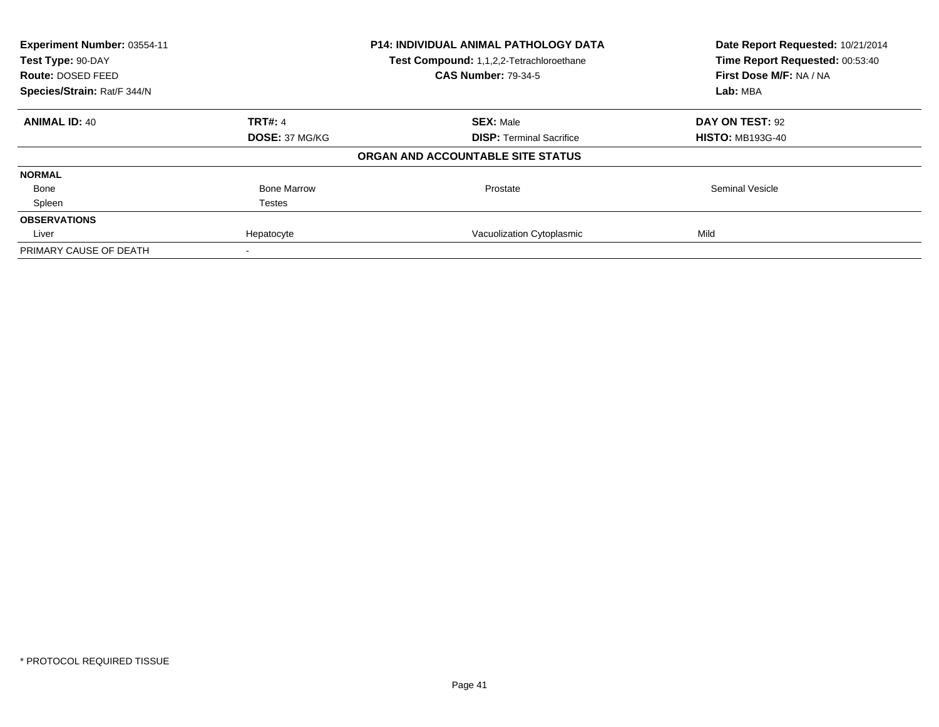| Experiment Number: 03554-11<br>Test Type: 90-DAY<br>Route: DOSED FEED |                       | <b>P14: INDIVIDUAL ANIMAL PATHOLOGY DATA</b><br>Test Compound: 1,1,2,2-Tetrachloroethane<br><b>CAS Number: 79-34-5</b> | Date Report Requested: 10/21/2014<br>Time Report Requested: 00:53:40<br>First Dose M/F: NA / NA |
|-----------------------------------------------------------------------|-----------------------|------------------------------------------------------------------------------------------------------------------------|-------------------------------------------------------------------------------------------------|
| Species/Strain: Rat/F 344/N                                           |                       |                                                                                                                        | Lab: MBA                                                                                        |
| <b>ANIMAL ID: 40</b>                                                  | <b>TRT#: 4</b>        | <b>SEX: Male</b>                                                                                                       | DAY ON TEST: 92                                                                                 |
|                                                                       | <b>DOSE: 37 MG/KG</b> | <b>DISP:</b> Terminal Sacrifice                                                                                        | <b>HISTO: MB193G-40</b>                                                                         |
|                                                                       |                       | ORGAN AND ACCOUNTABLE SITE STATUS                                                                                      |                                                                                                 |
| <b>NORMAL</b>                                                         |                       |                                                                                                                        |                                                                                                 |
| Bone                                                                  | <b>Bone Marrow</b>    | Prostate                                                                                                               | <b>Seminal Vesicle</b>                                                                          |
| Spleen                                                                | Testes                |                                                                                                                        |                                                                                                 |
| <b>OBSERVATIONS</b>                                                   |                       |                                                                                                                        |                                                                                                 |
| Liver                                                                 | Hepatocyte            | Vacuolization Cytoplasmic                                                                                              | Mild                                                                                            |
| PRIMARY CAUSE OF DEATH                                                |                       |                                                                                                                        |                                                                                                 |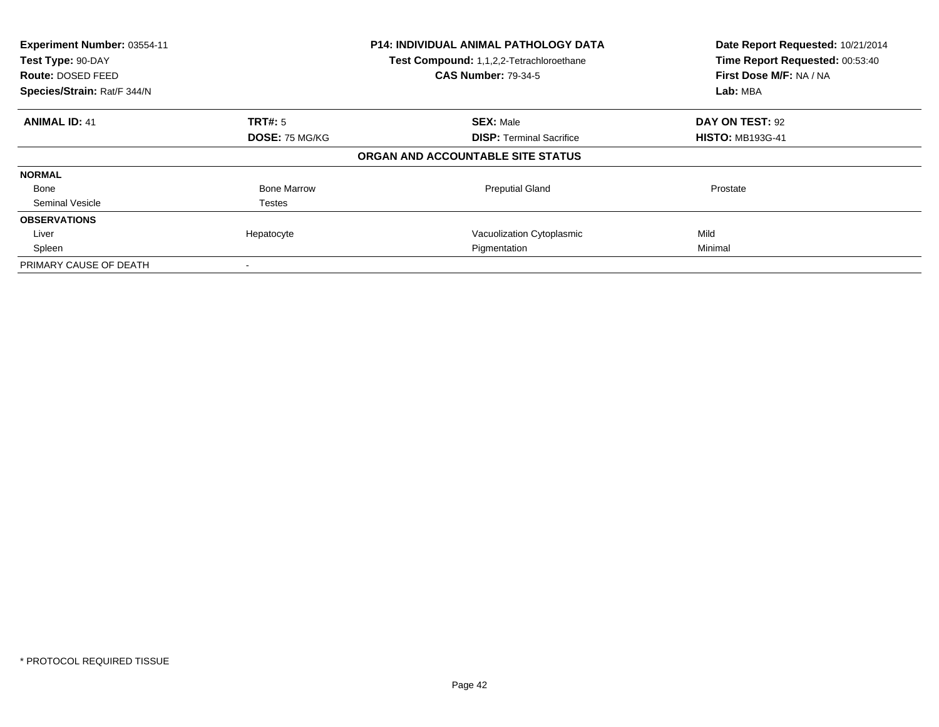| Experiment Number: 03554-11<br>Test Type: 90-DAY<br><b>Route: DOSED FEED</b><br>Species/Strain: Rat/F 344/N |                    | <b>P14: INDIVIDUAL ANIMAL PATHOLOGY DATA</b><br>Test Compound: 1,1,2,2-Tetrachloroethane<br><b>CAS Number: 79-34-5</b> | Date Report Requested: 10/21/2014<br>Time Report Requested: 00:53:40<br>First Dose M/F: NA / NA<br>Lab: MBA |
|-------------------------------------------------------------------------------------------------------------|--------------------|------------------------------------------------------------------------------------------------------------------------|-------------------------------------------------------------------------------------------------------------|
| <b>ANIMAL ID: 41</b>                                                                                        | TRT#: 5            | <b>SEX: Male</b>                                                                                                       | DAY ON TEST: 92                                                                                             |
|                                                                                                             | DOSE: 75 MG/KG     | <b>DISP:</b> Terminal Sacrifice                                                                                        | <b>HISTO: MB193G-41</b>                                                                                     |
|                                                                                                             |                    | ORGAN AND ACCOUNTABLE SITE STATUS                                                                                      |                                                                                                             |
| <b>NORMAL</b>                                                                                               |                    |                                                                                                                        |                                                                                                             |
| Bone                                                                                                        | <b>Bone Marrow</b> | <b>Preputial Gland</b>                                                                                                 | Prostate                                                                                                    |
| Seminal Vesicle                                                                                             | Testes             |                                                                                                                        |                                                                                                             |
| <b>OBSERVATIONS</b>                                                                                         |                    |                                                                                                                        |                                                                                                             |
| Liver                                                                                                       | Hepatocyte         | Vacuolization Cytoplasmic                                                                                              | Mild                                                                                                        |
| Spleen                                                                                                      |                    | Pigmentation                                                                                                           | Minimal                                                                                                     |
| PRIMARY CAUSE OF DEATH                                                                                      |                    |                                                                                                                        |                                                                                                             |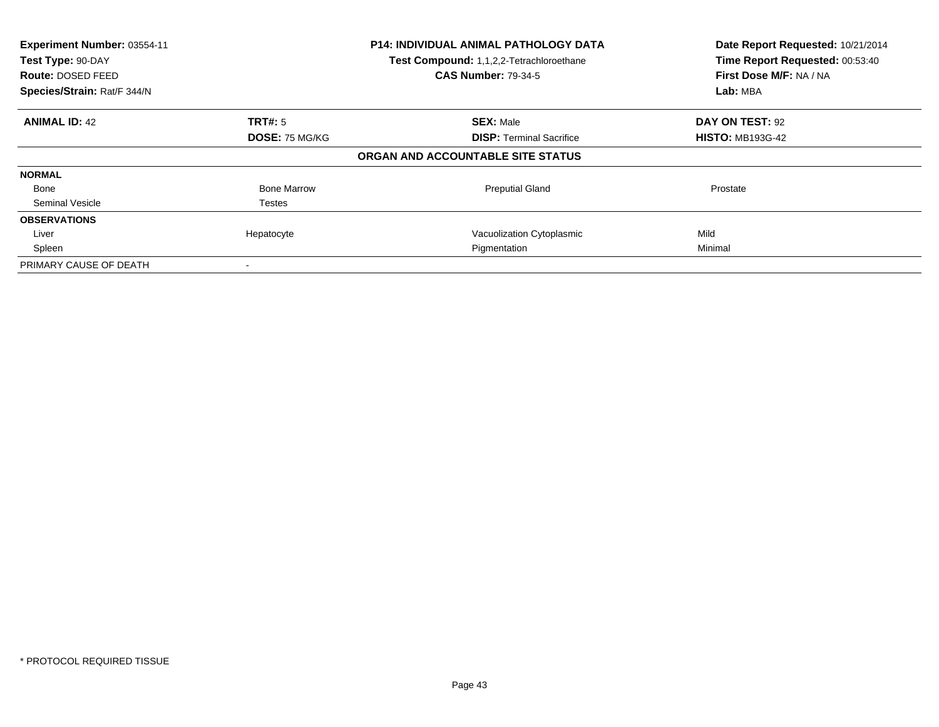| Experiment Number: 03554-11<br>Test Type: 90-DAY<br><b>Route: DOSED FEED</b><br>Species/Strain: Rat/F 344/N |                    | <b>P14: INDIVIDUAL ANIMAL PATHOLOGY DATA</b><br>Test Compound: 1,1,2,2-Tetrachloroethane<br><b>CAS Number: 79-34-5</b> | Date Report Requested: 10/21/2014<br>Time Report Requested: 00:53:40<br>First Dose M/F: NA / NA<br>Lab: MBA |
|-------------------------------------------------------------------------------------------------------------|--------------------|------------------------------------------------------------------------------------------------------------------------|-------------------------------------------------------------------------------------------------------------|
| <b>ANIMAL ID: 42</b>                                                                                        | TRT#: 5            | <b>SEX: Male</b>                                                                                                       | DAY ON TEST: 92                                                                                             |
|                                                                                                             | DOSE: 75 MG/KG     | <b>DISP:</b> Terminal Sacrifice                                                                                        | <b>HISTO: MB193G-42</b>                                                                                     |
|                                                                                                             |                    | ORGAN AND ACCOUNTABLE SITE STATUS                                                                                      |                                                                                                             |
| <b>NORMAL</b>                                                                                               |                    |                                                                                                                        |                                                                                                             |
| Bone                                                                                                        | <b>Bone Marrow</b> | <b>Preputial Gland</b>                                                                                                 | Prostate                                                                                                    |
| Seminal Vesicle                                                                                             | Testes             |                                                                                                                        |                                                                                                             |
| <b>OBSERVATIONS</b>                                                                                         |                    |                                                                                                                        |                                                                                                             |
| Liver                                                                                                       | Hepatocyte         | Vacuolization Cytoplasmic                                                                                              | Mild                                                                                                        |
| Spleen                                                                                                      |                    | Pigmentation                                                                                                           | Minimal                                                                                                     |
| PRIMARY CAUSE OF DEATH                                                                                      |                    |                                                                                                                        |                                                                                                             |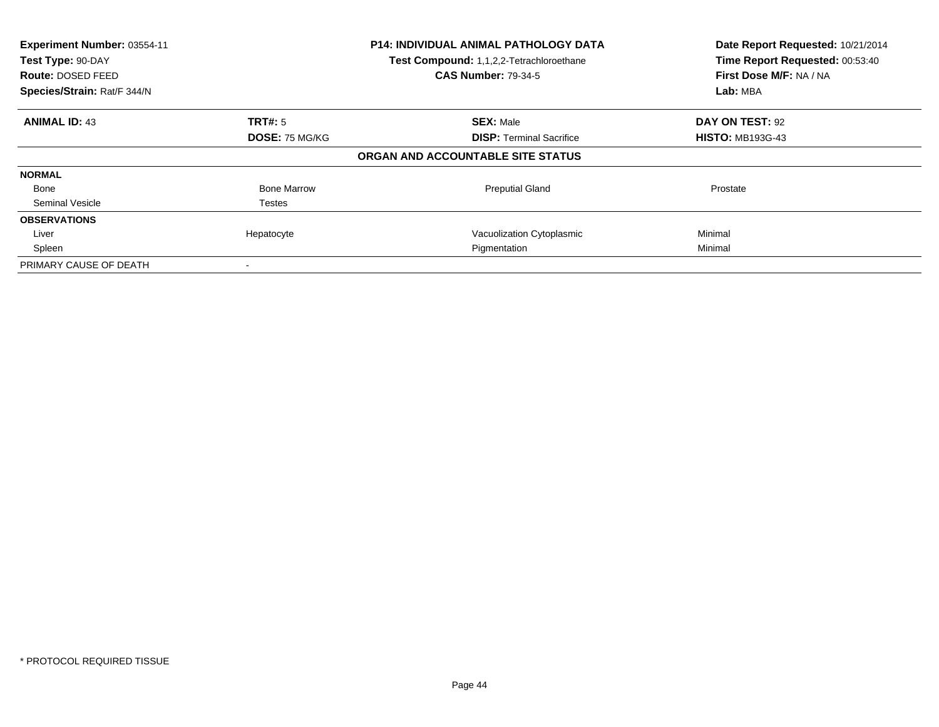| Experiment Number: 03554-11<br>Test Type: 90-DAY<br><b>Route: DOSED FEED</b><br>Species/Strain: Rat/F 344/N |                       | <b>P14: INDIVIDUAL ANIMAL PATHOLOGY DATA</b><br>Test Compound: 1,1,2,2-Tetrachloroethane<br><b>CAS Number: 79-34-5</b> | Date Report Requested: 10/21/2014<br>Time Report Requested: 00:53:40<br>First Dose M/F: NA / NA<br>Lab: MBA |
|-------------------------------------------------------------------------------------------------------------|-----------------------|------------------------------------------------------------------------------------------------------------------------|-------------------------------------------------------------------------------------------------------------|
| <b>ANIMAL ID: 43</b>                                                                                        | TRT#: 5               | <b>SEX: Male</b>                                                                                                       | DAY ON TEST: 92                                                                                             |
|                                                                                                             | <b>DOSE: 75 MG/KG</b> | <b>DISP:</b> Terminal Sacrifice                                                                                        | <b>HISTO: MB193G-43</b>                                                                                     |
|                                                                                                             |                       | ORGAN AND ACCOUNTABLE SITE STATUS                                                                                      |                                                                                                             |
| <b>NORMAL</b>                                                                                               |                       |                                                                                                                        |                                                                                                             |
| Bone                                                                                                        | <b>Bone Marrow</b>    | <b>Preputial Gland</b>                                                                                                 | Prostate                                                                                                    |
| Seminal Vesicle                                                                                             | Testes                |                                                                                                                        |                                                                                                             |
| <b>OBSERVATIONS</b>                                                                                         |                       |                                                                                                                        |                                                                                                             |
| Liver                                                                                                       | Hepatocyte            | Vacuolization Cytoplasmic                                                                                              | Minimal                                                                                                     |
| Spleen                                                                                                      |                       | Pigmentation                                                                                                           | Minimal                                                                                                     |
| PRIMARY CAUSE OF DEATH                                                                                      |                       |                                                                                                                        |                                                                                                             |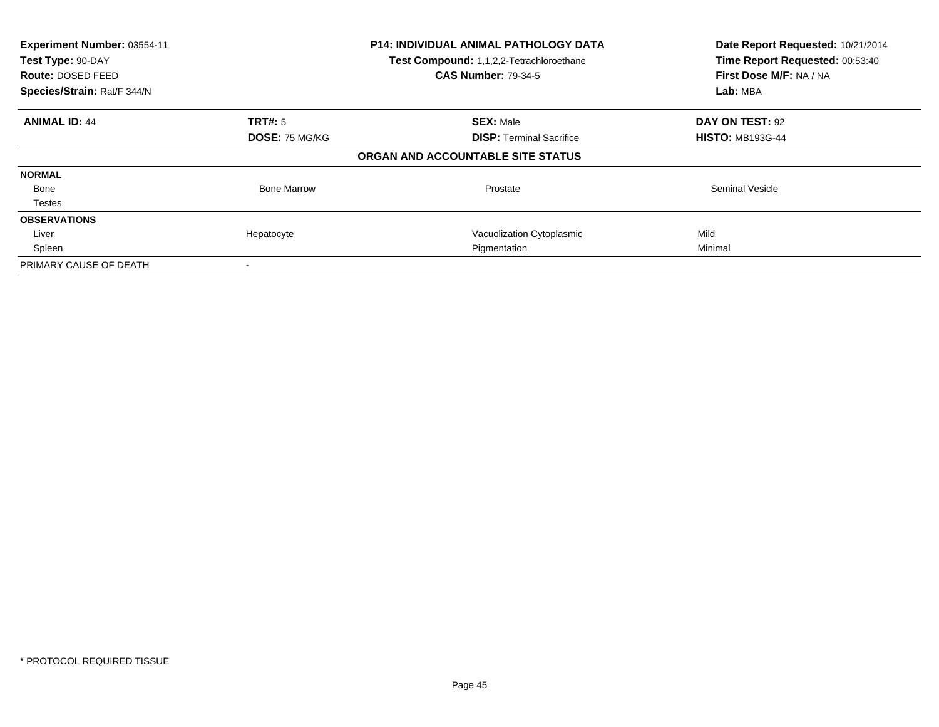| Experiment Number: 03554-11<br>Test Type: 90-DAY<br><b>Route: DOSED FEED</b><br>Species/Strain: Rat/F 344/N |                    | <b>P14: INDIVIDUAL ANIMAL PATHOLOGY DATA</b><br>Test Compound: 1,1,2,2-Tetrachloroethane<br><b>CAS Number: 79-34-5</b> | Date Report Requested: 10/21/2014<br>Time Report Requested: 00:53:40<br>First Dose M/F: NA / NA<br>Lab: MBA |
|-------------------------------------------------------------------------------------------------------------|--------------------|------------------------------------------------------------------------------------------------------------------------|-------------------------------------------------------------------------------------------------------------|
| <b>ANIMAL ID: 44</b>                                                                                        | TRT#: 5            | <b>SEX: Male</b>                                                                                                       | DAY ON TEST: 92                                                                                             |
|                                                                                                             | DOSE: 75 MG/KG     | <b>DISP:</b> Terminal Sacrifice                                                                                        | <b>HISTO: MB193G-44</b>                                                                                     |
|                                                                                                             |                    | ORGAN AND ACCOUNTABLE SITE STATUS                                                                                      |                                                                                                             |
| <b>NORMAL</b>                                                                                               |                    |                                                                                                                        |                                                                                                             |
| Bone                                                                                                        | <b>Bone Marrow</b> | Prostate                                                                                                               | <b>Seminal Vesicle</b>                                                                                      |
| <b>Testes</b>                                                                                               |                    |                                                                                                                        |                                                                                                             |
| <b>OBSERVATIONS</b>                                                                                         |                    |                                                                                                                        |                                                                                                             |
| Liver                                                                                                       | Hepatocyte         | Vacuolization Cytoplasmic                                                                                              | Mild                                                                                                        |
| Spleen                                                                                                      |                    | Pigmentation                                                                                                           | Minimal                                                                                                     |
| PRIMARY CAUSE OF DEATH                                                                                      |                    |                                                                                                                        |                                                                                                             |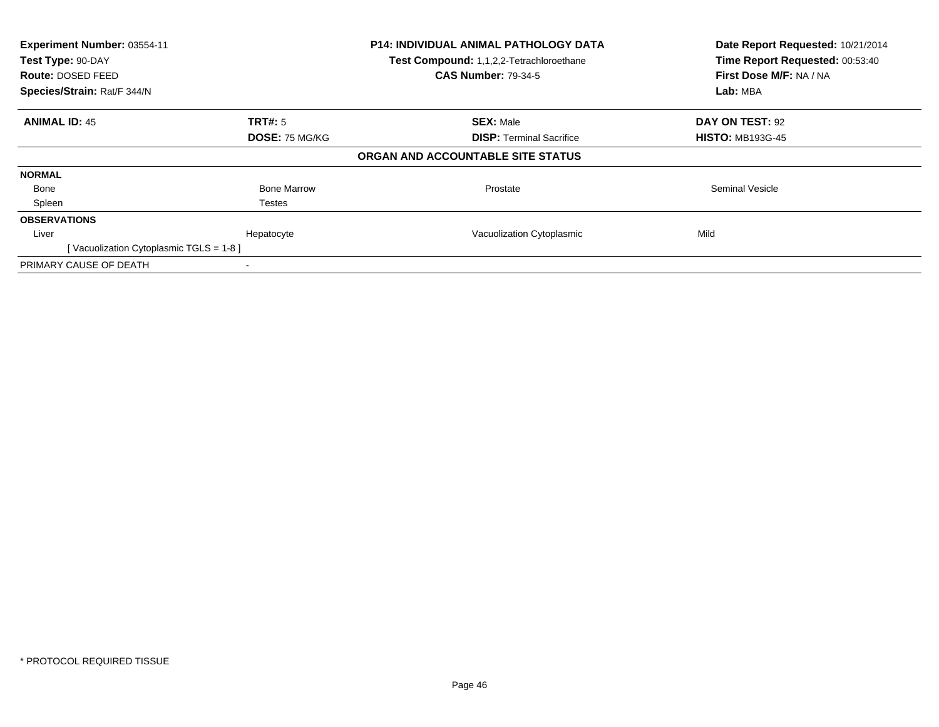| Experiment Number: 03554-11<br>Test Type: 90-DAY<br><b>Route: DOSED FEED</b><br>Species/Strain: Rat/F 344/N |                       | <b>P14: INDIVIDUAL ANIMAL PATHOLOGY DATA</b><br>Test Compound: 1,1,2,2-Tetrachloroethane<br><b>CAS Number: 79-34-5</b> | Date Report Requested: 10/21/2014<br>Time Report Requested: 00:53:40<br>First Dose M/F: NA / NA<br>Lab: MBA |
|-------------------------------------------------------------------------------------------------------------|-----------------------|------------------------------------------------------------------------------------------------------------------------|-------------------------------------------------------------------------------------------------------------|
| <b>ANIMAL ID: 45</b>                                                                                        | TRT#: 5               | <b>SEX: Male</b>                                                                                                       | DAY ON TEST: 92                                                                                             |
|                                                                                                             | <b>DOSE: 75 MG/KG</b> | <b>DISP:</b> Terminal Sacrifice                                                                                        | <b>HISTO: MB193G-45</b>                                                                                     |
|                                                                                                             |                       | ORGAN AND ACCOUNTABLE SITE STATUS                                                                                      |                                                                                                             |
| <b>NORMAL</b>                                                                                               |                       |                                                                                                                        |                                                                                                             |
| Bone                                                                                                        | <b>Bone Marrow</b>    | Prostate                                                                                                               | <b>Seminal Vesicle</b>                                                                                      |
| Spleen                                                                                                      | Testes                |                                                                                                                        |                                                                                                             |
| <b>OBSERVATIONS</b>                                                                                         |                       |                                                                                                                        |                                                                                                             |
| Liver                                                                                                       | Hepatocyte            | Vacuolization Cytoplasmic                                                                                              | Mild                                                                                                        |
| [Vacuolization Cytoplasmic TGLS = 1-8]                                                                      |                       |                                                                                                                        |                                                                                                             |
| PRIMARY CAUSE OF DEATH                                                                                      |                       |                                                                                                                        |                                                                                                             |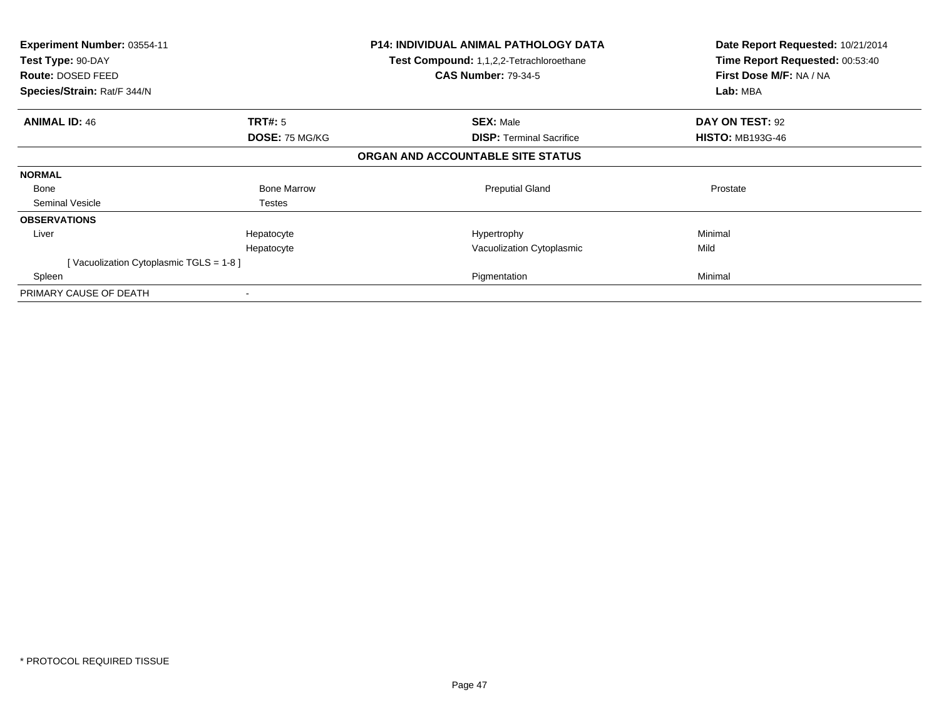| <b>Experiment Number: 03554-11</b><br>Test Type: 90-DAY<br><b>Route: DOSED FEED</b><br>Species/Strain: Rat/F 344/N |                       | <b>P14: INDIVIDUAL ANIMAL PATHOLOGY DATA</b><br>Test Compound: 1,1,2,2-Tetrachloroethane<br><b>CAS Number: 79-34-5</b> | Date Report Requested: 10/21/2014<br>Time Report Requested: 00:53:40<br>First Dose M/F: NA / NA<br>Lab: MBA |
|--------------------------------------------------------------------------------------------------------------------|-----------------------|------------------------------------------------------------------------------------------------------------------------|-------------------------------------------------------------------------------------------------------------|
| <b>ANIMAL ID: 46</b>                                                                                               | <b>TRT#: 5</b>        | <b>SEX: Male</b>                                                                                                       | DAY ON TEST: 92                                                                                             |
|                                                                                                                    | <b>DOSE: 75 MG/KG</b> | <b>DISP: Terminal Sacrifice</b>                                                                                        | <b>HISTO: MB193G-46</b>                                                                                     |
|                                                                                                                    |                       | ORGAN AND ACCOUNTABLE SITE STATUS                                                                                      |                                                                                                             |
| <b>NORMAL</b>                                                                                                      |                       |                                                                                                                        |                                                                                                             |
| Bone                                                                                                               | <b>Bone Marrow</b>    | <b>Preputial Gland</b>                                                                                                 | Prostate                                                                                                    |
| Seminal Vesicle                                                                                                    | Testes                |                                                                                                                        |                                                                                                             |
| <b>OBSERVATIONS</b>                                                                                                |                       |                                                                                                                        |                                                                                                             |
| Liver                                                                                                              | Hepatocyte            | Hypertrophy                                                                                                            | Minimal                                                                                                     |
|                                                                                                                    | Hepatocyte            | Vacuolization Cytoplasmic                                                                                              | Mild                                                                                                        |
| [Vacuolization Cytoplasmic TGLS = $1-8$ ]                                                                          |                       |                                                                                                                        |                                                                                                             |
| Spleen                                                                                                             |                       | Pigmentation                                                                                                           | Minimal                                                                                                     |
| PRIMARY CAUSE OF DEATH                                                                                             |                       |                                                                                                                        |                                                                                                             |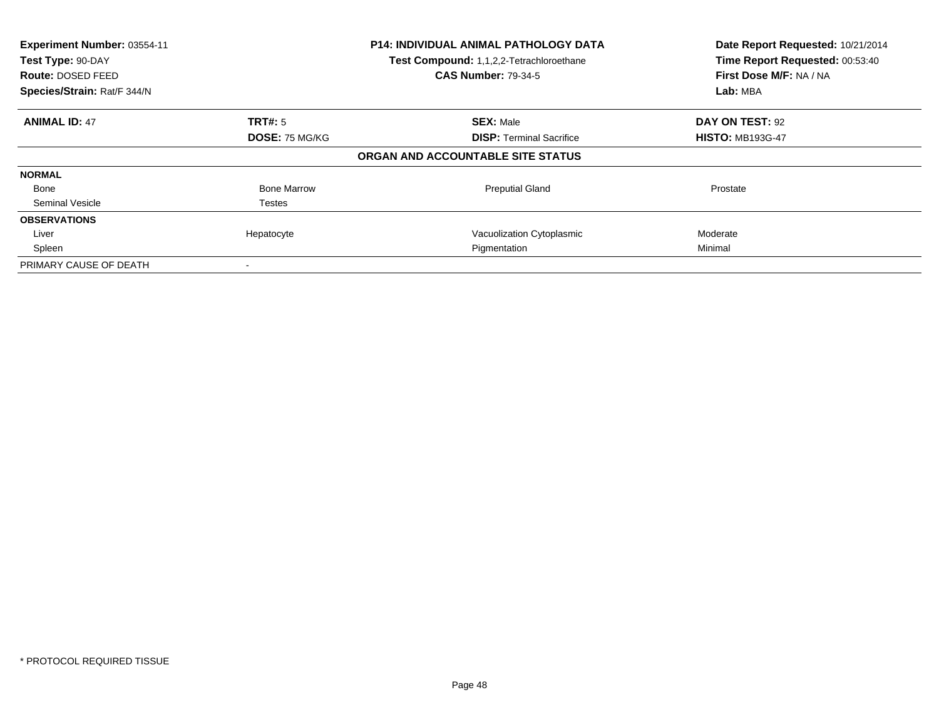| Experiment Number: 03554-11<br>Test Type: 90-DAY<br><b>Route: DOSED FEED</b><br>Species/Strain: Rat/F 344/N |                       | <b>P14: INDIVIDUAL ANIMAL PATHOLOGY DATA</b><br>Test Compound: 1,1,2,2-Tetrachloroethane<br><b>CAS Number: 79-34-5</b> | Date Report Requested: 10/21/2014<br>Time Report Requested: 00:53:40<br>First Dose M/F: NA / NA<br>Lab: MBA |
|-------------------------------------------------------------------------------------------------------------|-----------------------|------------------------------------------------------------------------------------------------------------------------|-------------------------------------------------------------------------------------------------------------|
| <b>ANIMAL ID: 47</b>                                                                                        | <b>TRT#:</b> 5        | <b>SEX: Male</b>                                                                                                       | DAY ON TEST: 92                                                                                             |
|                                                                                                             | <b>DOSE: 75 MG/KG</b> | <b>DISP: Terminal Sacrifice</b>                                                                                        | <b>HISTO: MB193G-47</b>                                                                                     |
|                                                                                                             |                       | ORGAN AND ACCOUNTABLE SITE STATUS                                                                                      |                                                                                                             |
| <b>NORMAL</b>                                                                                               |                       |                                                                                                                        |                                                                                                             |
| Bone                                                                                                        | <b>Bone Marrow</b>    | <b>Preputial Gland</b>                                                                                                 | Prostate                                                                                                    |
| Seminal Vesicle                                                                                             | Testes                |                                                                                                                        |                                                                                                             |
| <b>OBSERVATIONS</b>                                                                                         |                       |                                                                                                                        |                                                                                                             |
| Liver                                                                                                       | Hepatocyte            | Vacuolization Cytoplasmic                                                                                              | Moderate                                                                                                    |
| Spleen                                                                                                      |                       | Pigmentation                                                                                                           | Minimal                                                                                                     |
| PRIMARY CAUSE OF DEATH                                                                                      |                       |                                                                                                                        |                                                                                                             |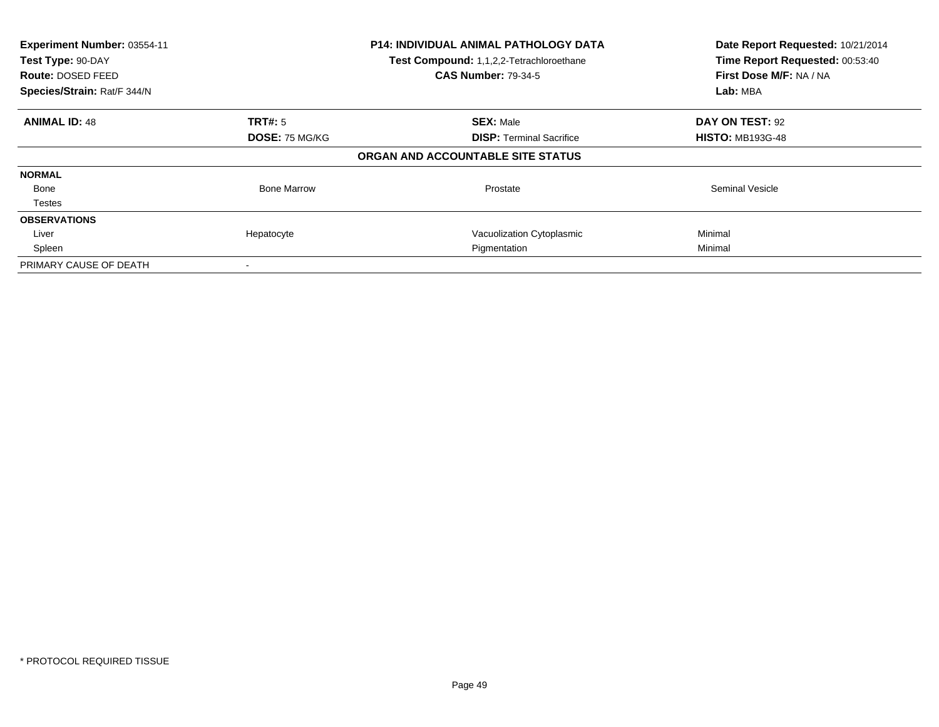| Experiment Number: 03554-11<br>Test Type: 90-DAY<br><b>Route: DOSED FEED</b><br>Species/Strain: Rat/F 344/N |                    | <b>P14: INDIVIDUAL ANIMAL PATHOLOGY DATA</b><br>Test Compound: 1,1,2,2-Tetrachloroethane<br><b>CAS Number: 79-34-5</b> | Date Report Requested: 10/21/2014<br>Time Report Requested: 00:53:40<br>First Dose M/F: NA / NA<br>Lab: MBA |
|-------------------------------------------------------------------------------------------------------------|--------------------|------------------------------------------------------------------------------------------------------------------------|-------------------------------------------------------------------------------------------------------------|
| <b>ANIMAL ID: 48</b>                                                                                        | TRT#: 5            | <b>SEX: Male</b>                                                                                                       | DAY ON TEST: 92                                                                                             |
|                                                                                                             | DOSE: 75 MG/KG     | <b>DISP:</b> Terminal Sacrifice                                                                                        | <b>HISTO: MB193G-48</b>                                                                                     |
|                                                                                                             |                    | ORGAN AND ACCOUNTABLE SITE STATUS                                                                                      |                                                                                                             |
| <b>NORMAL</b>                                                                                               |                    |                                                                                                                        |                                                                                                             |
| Bone                                                                                                        | <b>Bone Marrow</b> | Prostate                                                                                                               | <b>Seminal Vesicle</b>                                                                                      |
| <b>Testes</b>                                                                                               |                    |                                                                                                                        |                                                                                                             |
| <b>OBSERVATIONS</b>                                                                                         |                    |                                                                                                                        |                                                                                                             |
| Liver                                                                                                       | Hepatocyte         | Vacuolization Cytoplasmic                                                                                              | Minimal                                                                                                     |
| Spleen                                                                                                      |                    | Pigmentation                                                                                                           | Minimal                                                                                                     |
| PRIMARY CAUSE OF DEATH                                                                                      |                    |                                                                                                                        |                                                                                                             |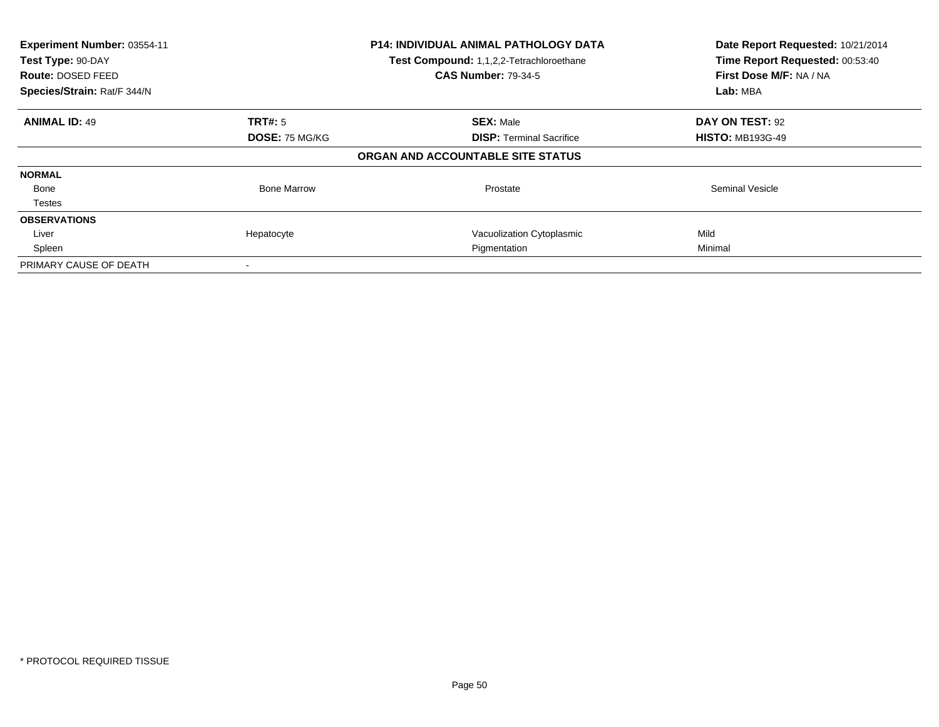| Experiment Number: 03554-11<br>Test Type: 90-DAY<br><b>Route: DOSED FEED</b><br>Species/Strain: Rat/F 344/N |                    | <b>P14: INDIVIDUAL ANIMAL PATHOLOGY DATA</b><br>Test Compound: 1,1,2,2-Tetrachloroethane<br><b>CAS Number: 79-34-5</b> | Date Report Requested: 10/21/2014<br>Time Report Requested: 00:53:40<br>First Dose M/F: NA / NA<br>Lab: MBA |
|-------------------------------------------------------------------------------------------------------------|--------------------|------------------------------------------------------------------------------------------------------------------------|-------------------------------------------------------------------------------------------------------------|
| <b>ANIMAL ID: 49</b>                                                                                        | TRT#: 5            | <b>SEX: Male</b>                                                                                                       | DAY ON TEST: 92                                                                                             |
|                                                                                                             | DOSE: 75 MG/KG     | <b>DISP:</b> Terminal Sacrifice                                                                                        | <b>HISTO: MB193G-49</b>                                                                                     |
|                                                                                                             |                    | ORGAN AND ACCOUNTABLE SITE STATUS                                                                                      |                                                                                                             |
| <b>NORMAL</b>                                                                                               |                    |                                                                                                                        |                                                                                                             |
| Bone                                                                                                        | <b>Bone Marrow</b> | Prostate                                                                                                               | <b>Seminal Vesicle</b>                                                                                      |
| <b>Testes</b>                                                                                               |                    |                                                                                                                        |                                                                                                             |
| <b>OBSERVATIONS</b>                                                                                         |                    |                                                                                                                        |                                                                                                             |
| Liver                                                                                                       | Hepatocyte         | Vacuolization Cytoplasmic                                                                                              | Mild                                                                                                        |
| Spleen                                                                                                      |                    | Pigmentation                                                                                                           | Minimal                                                                                                     |
| PRIMARY CAUSE OF DEATH                                                                                      |                    |                                                                                                                        |                                                                                                             |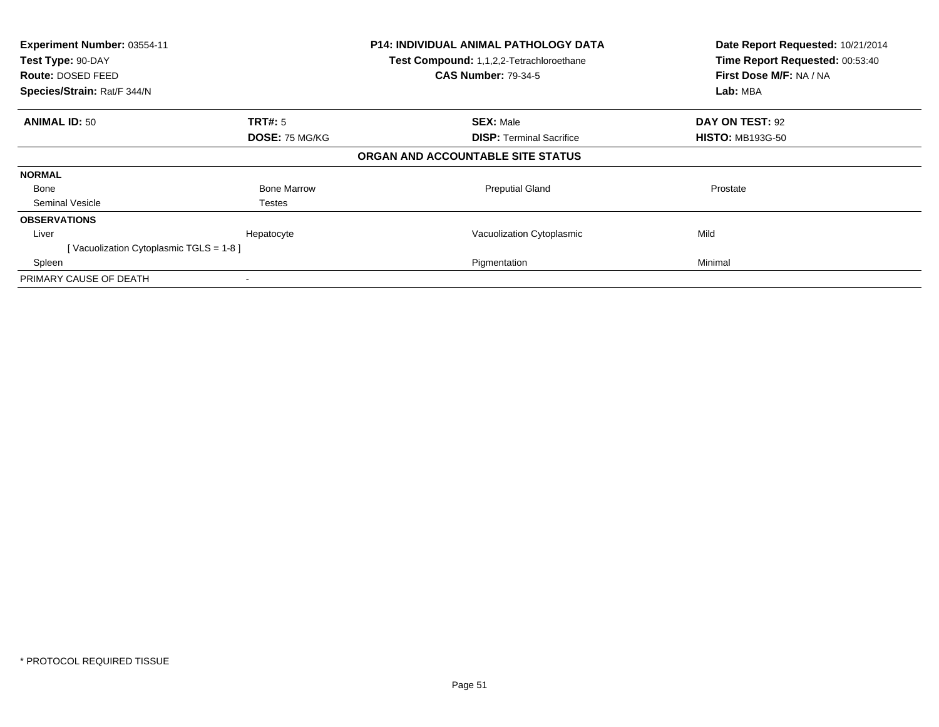| Experiment Number: 03554-11<br>Test Type: 90-DAY<br>Route: DOSED FEED<br>Species/Strain: Rat/F 344/N |                    | <b>P14: INDIVIDUAL ANIMAL PATHOLOGY DATA</b><br>Test Compound: 1,1,2,2-Tetrachloroethane<br><b>CAS Number: 79-34-5</b> | Date Report Requested: 10/21/2014<br>Time Report Requested: 00:53:40<br>First Dose M/F: NA / NA<br>Lab: MBA |
|------------------------------------------------------------------------------------------------------|--------------------|------------------------------------------------------------------------------------------------------------------------|-------------------------------------------------------------------------------------------------------------|
| <b>ANIMAL ID: 50</b>                                                                                 | <b>TRT#: 5</b>     | <b>SEX: Male</b>                                                                                                       | DAY ON TEST: 92                                                                                             |
|                                                                                                      | DOSE: 75 MG/KG     | <b>DISP:</b> Terminal Sacrifice                                                                                        | <b>HISTO: MB193G-50</b>                                                                                     |
|                                                                                                      |                    | ORGAN AND ACCOUNTABLE SITE STATUS                                                                                      |                                                                                                             |
| <b>NORMAL</b>                                                                                        |                    |                                                                                                                        |                                                                                                             |
| Bone                                                                                                 | <b>Bone Marrow</b> | <b>Preputial Gland</b>                                                                                                 | Prostate                                                                                                    |
| Seminal Vesicle                                                                                      | Testes             |                                                                                                                        |                                                                                                             |
| <b>OBSERVATIONS</b>                                                                                  |                    |                                                                                                                        |                                                                                                             |
| Liver                                                                                                | Hepatocyte         | Vacuolization Cytoplasmic                                                                                              | Mild                                                                                                        |
| [Vacuolization Cytoplasmic TGLS = 1-8]                                                               |                    |                                                                                                                        |                                                                                                             |
| Spleen                                                                                               |                    | Pigmentation                                                                                                           | Minimal                                                                                                     |
| PRIMARY CAUSE OF DEATH                                                                               |                    |                                                                                                                        |                                                                                                             |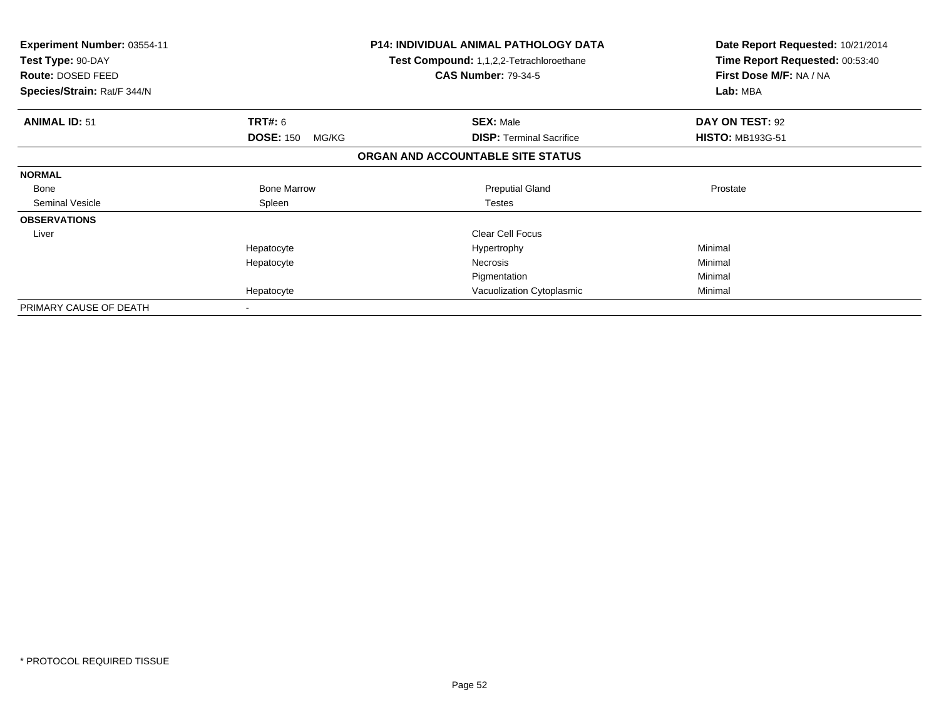| <b>Experiment Number: 03554-11</b><br>Test Type: 90-DAY<br><b>Route: DOSED FEED</b><br>Species/Strain: Rat/F 344/N |                           | <b>P14: INDIVIDUAL ANIMAL PATHOLOGY DATA</b><br>Test Compound: 1,1,2,2-Tetrachloroethane<br><b>CAS Number: 79-34-5</b> | Date Report Requested: 10/21/2014<br>Time Report Requested: 00:53:40<br>First Dose M/F: NA / NA<br>Lab: MBA |
|--------------------------------------------------------------------------------------------------------------------|---------------------------|------------------------------------------------------------------------------------------------------------------------|-------------------------------------------------------------------------------------------------------------|
| <b>ANIMAL ID: 51</b>                                                                                               | TRT#: 6                   | <b>SEX: Male</b>                                                                                                       | DAY ON TEST: 92                                                                                             |
|                                                                                                                    | <b>DOSE: 150</b><br>MG/KG | <b>DISP:</b> Terminal Sacrifice                                                                                        | <b>HISTO: MB193G-51</b>                                                                                     |
|                                                                                                                    |                           | ORGAN AND ACCOUNTABLE SITE STATUS                                                                                      |                                                                                                             |
| <b>NORMAL</b>                                                                                                      |                           |                                                                                                                        |                                                                                                             |
| Bone                                                                                                               | <b>Bone Marrow</b>        | <b>Preputial Gland</b>                                                                                                 | Prostate                                                                                                    |
| Seminal Vesicle                                                                                                    | Spleen                    | <b>Testes</b>                                                                                                          |                                                                                                             |
| <b>OBSERVATIONS</b>                                                                                                |                           |                                                                                                                        |                                                                                                             |
| Liver                                                                                                              |                           | <b>Clear Cell Focus</b>                                                                                                |                                                                                                             |
|                                                                                                                    | Hepatocyte                | Hypertrophy                                                                                                            | Minimal                                                                                                     |
|                                                                                                                    | Hepatocyte                | Necrosis                                                                                                               | Minimal                                                                                                     |
|                                                                                                                    |                           | Pigmentation                                                                                                           | Minimal                                                                                                     |
|                                                                                                                    | Hepatocyte                | Vacuolization Cytoplasmic                                                                                              | Minimal                                                                                                     |
| PRIMARY CAUSE OF DEATH                                                                                             | $\overline{\phantom{a}}$  |                                                                                                                        |                                                                                                             |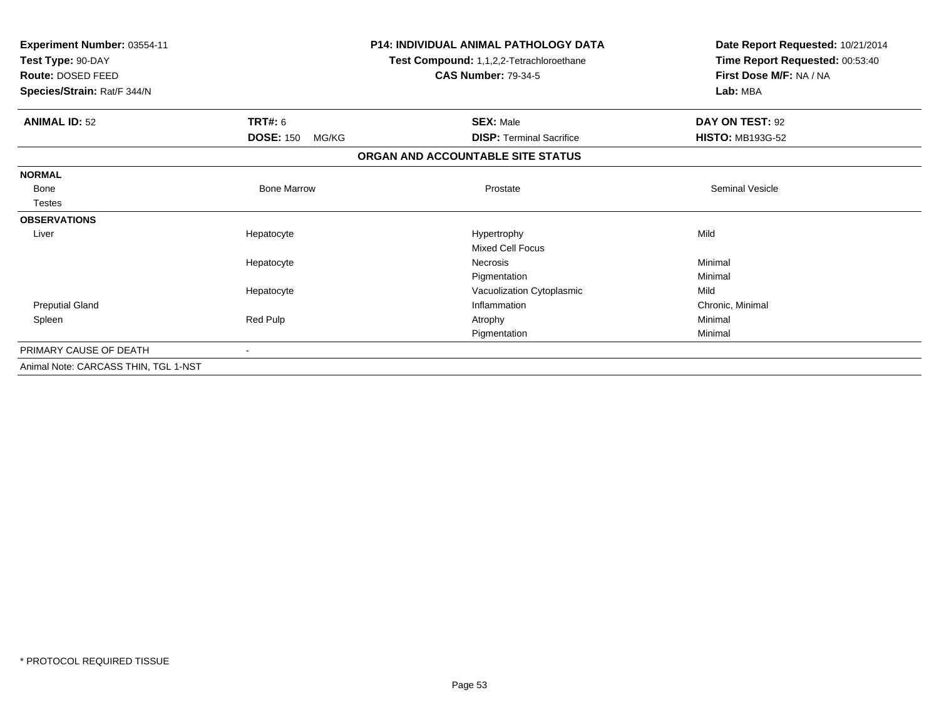| Experiment Number: 03554-11<br>Test Type: 90-DAY<br>Route: DOSED FEED<br>Species/Strain: Rat/F 344/N |                           | <b>P14: INDIVIDUAL ANIMAL PATHOLOGY DATA</b><br>Test Compound: 1,1,2,2-Tetrachloroethane<br><b>CAS Number: 79-34-5</b> | Date Report Requested: 10/21/2014<br>Time Report Requested: 00:53:40<br>First Dose M/F: NA / NA<br>Lab: MBA |
|------------------------------------------------------------------------------------------------------|---------------------------|------------------------------------------------------------------------------------------------------------------------|-------------------------------------------------------------------------------------------------------------|
| <b>ANIMAL ID: 52</b>                                                                                 | <b>TRT#: 6</b>            | <b>SEX: Male</b>                                                                                                       | DAY ON TEST: 92                                                                                             |
|                                                                                                      | <b>DOSE: 150</b><br>MG/KG | <b>DISP:</b> Terminal Sacrifice                                                                                        | <b>HISTO: MB193G-52</b>                                                                                     |
|                                                                                                      |                           | ORGAN AND ACCOUNTABLE SITE STATUS                                                                                      |                                                                                                             |
| <b>NORMAL</b>                                                                                        |                           |                                                                                                                        |                                                                                                             |
| <b>Bone</b>                                                                                          | <b>Bone Marrow</b>        | Prostate                                                                                                               | Seminal Vesicle                                                                                             |
| <b>Testes</b>                                                                                        |                           |                                                                                                                        |                                                                                                             |
| <b>OBSERVATIONS</b>                                                                                  |                           |                                                                                                                        |                                                                                                             |
| Liver                                                                                                | Hepatocyte                | Hypertrophy                                                                                                            | Mild                                                                                                        |
|                                                                                                      |                           | <b>Mixed Cell Focus</b>                                                                                                |                                                                                                             |
|                                                                                                      | Hepatocyte                | <b>Necrosis</b>                                                                                                        | Minimal                                                                                                     |
|                                                                                                      |                           | Pigmentation                                                                                                           | Minimal                                                                                                     |
|                                                                                                      | Hepatocyte                | Vacuolization Cytoplasmic                                                                                              | Mild                                                                                                        |
| <b>Preputial Gland</b>                                                                               |                           | Inflammation                                                                                                           | Chronic, Minimal                                                                                            |
| Spleen                                                                                               | Red Pulp                  | Atrophy                                                                                                                | Minimal                                                                                                     |
|                                                                                                      |                           | Pigmentation                                                                                                           | Minimal                                                                                                     |
| PRIMARY CAUSE OF DEATH                                                                               |                           |                                                                                                                        |                                                                                                             |
| Animal Note: CARCASS THIN, TGL 1-NST                                                                 |                           |                                                                                                                        |                                                                                                             |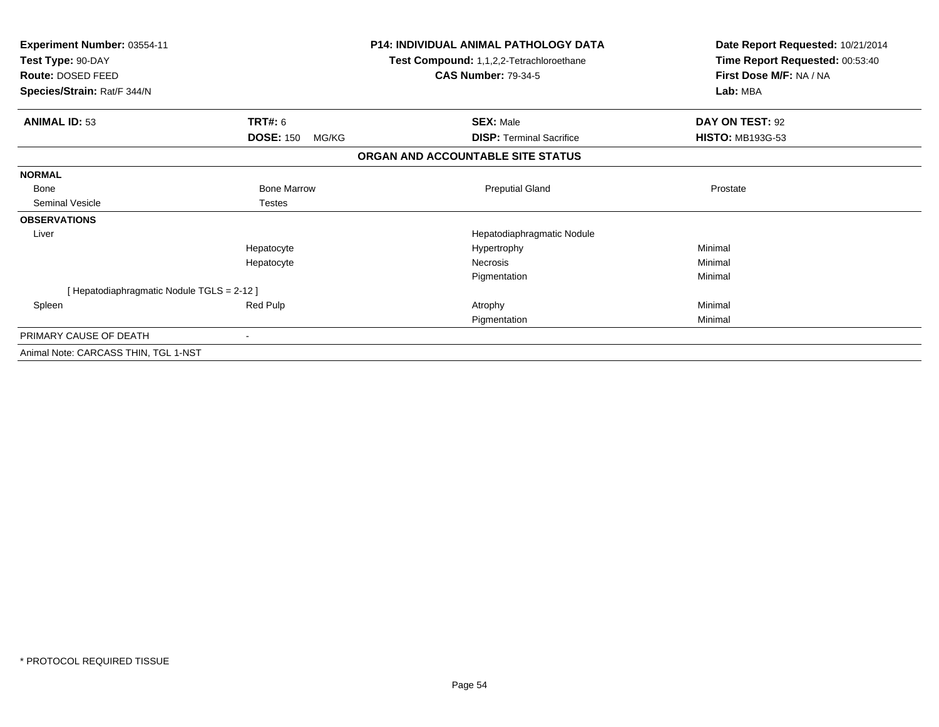| Experiment Number: 03554-11<br>Test Type: 90-DAY<br><b>Route: DOSED FEED</b><br>Species/Strain: Rat/F 344/N |                           | <b>P14: INDIVIDUAL ANIMAL PATHOLOGY DATA</b><br>Test Compound: 1,1,2,2-Tetrachloroethane<br><b>CAS Number: 79-34-5</b> | Date Report Requested: 10/21/2014<br>Time Report Requested: 00:53:40<br>First Dose M/F: NA / NA<br>Lab: MBA |
|-------------------------------------------------------------------------------------------------------------|---------------------------|------------------------------------------------------------------------------------------------------------------------|-------------------------------------------------------------------------------------------------------------|
| <b>ANIMAL ID: 53</b>                                                                                        | TRT#: 6                   | <b>SEX: Male</b>                                                                                                       | DAY ON TEST: 92                                                                                             |
|                                                                                                             | <b>DOSE: 150</b><br>MG/KG | <b>DISP: Terminal Sacrifice</b>                                                                                        | <b>HISTO: MB193G-53</b>                                                                                     |
|                                                                                                             |                           | ORGAN AND ACCOUNTABLE SITE STATUS                                                                                      |                                                                                                             |
| <b>NORMAL</b>                                                                                               |                           |                                                                                                                        |                                                                                                             |
| Bone                                                                                                        | <b>Bone Marrow</b>        | <b>Preputial Gland</b>                                                                                                 | Prostate                                                                                                    |
| <b>Seminal Vesicle</b>                                                                                      | <b>Testes</b>             |                                                                                                                        |                                                                                                             |
| <b>OBSERVATIONS</b>                                                                                         |                           |                                                                                                                        |                                                                                                             |
| Liver                                                                                                       |                           | Hepatodiaphragmatic Nodule                                                                                             |                                                                                                             |
|                                                                                                             | Hepatocyte                | Hypertrophy                                                                                                            | Minimal                                                                                                     |
|                                                                                                             | Hepatocyte                | <b>Necrosis</b>                                                                                                        | Minimal                                                                                                     |
|                                                                                                             |                           | Pigmentation                                                                                                           | Minimal                                                                                                     |
| [Hepatodiaphragmatic Nodule TGLS = 2-12 ]                                                                   |                           |                                                                                                                        |                                                                                                             |
| Spleen                                                                                                      | Red Pulp                  | Atrophy                                                                                                                | Minimal                                                                                                     |
|                                                                                                             |                           | Pigmentation                                                                                                           | Minimal                                                                                                     |
| PRIMARY CAUSE OF DEATH                                                                                      |                           |                                                                                                                        |                                                                                                             |
| Animal Note: CARCASS THIN, TGL 1-NST                                                                        |                           |                                                                                                                        |                                                                                                             |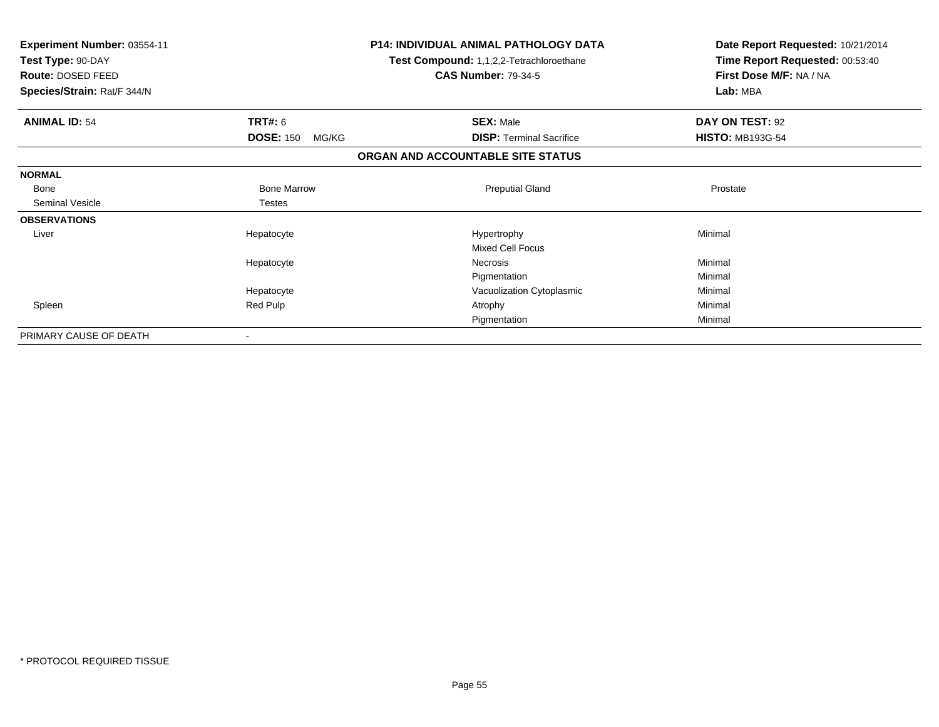| Experiment Number: 03554-11<br>Test Type: 90-DAY<br>Route: DOSED FEED |                           | <b>P14: INDIVIDUAL ANIMAL PATHOLOGY DATA</b><br>Test Compound: 1,1,2,2-Tetrachloroethane<br><b>CAS Number: 79-34-5</b> | Date Report Requested: 10/21/2014<br>Time Report Requested: 00:53:40<br>First Dose M/F: NA / NA |
|-----------------------------------------------------------------------|---------------------------|------------------------------------------------------------------------------------------------------------------------|-------------------------------------------------------------------------------------------------|
| Species/Strain: Rat/F 344/N                                           |                           |                                                                                                                        | Lab: MBA                                                                                        |
| <b>ANIMAL ID: 54</b>                                                  | <b>TRT#: 6</b>            | <b>SEX: Male</b>                                                                                                       | DAY ON TEST: 92                                                                                 |
|                                                                       | <b>DOSE: 150</b><br>MG/KG | <b>DISP:</b> Terminal Sacrifice                                                                                        | <b>HISTO: MB193G-54</b>                                                                         |
|                                                                       |                           | ORGAN AND ACCOUNTABLE SITE STATUS                                                                                      |                                                                                                 |
| <b>NORMAL</b>                                                         |                           |                                                                                                                        |                                                                                                 |
| Bone                                                                  | <b>Bone Marrow</b>        | <b>Preputial Gland</b>                                                                                                 | Prostate                                                                                        |
| Seminal Vesicle                                                       | <b>Testes</b>             |                                                                                                                        |                                                                                                 |
| <b>OBSERVATIONS</b>                                                   |                           |                                                                                                                        |                                                                                                 |
| Liver                                                                 | Hepatocyte                | Hypertrophy                                                                                                            | Minimal                                                                                         |
|                                                                       |                           | Mixed Cell Focus                                                                                                       |                                                                                                 |
|                                                                       | Hepatocyte                | Necrosis                                                                                                               | Minimal                                                                                         |
|                                                                       |                           | Pigmentation                                                                                                           | Minimal                                                                                         |
|                                                                       | Hepatocyte                | Vacuolization Cytoplasmic                                                                                              | Minimal                                                                                         |
| Spleen                                                                | Red Pulp                  | Atrophy                                                                                                                | Minimal                                                                                         |
|                                                                       |                           | Pigmentation                                                                                                           | Minimal                                                                                         |
| PRIMARY CAUSE OF DEATH                                                |                           |                                                                                                                        |                                                                                                 |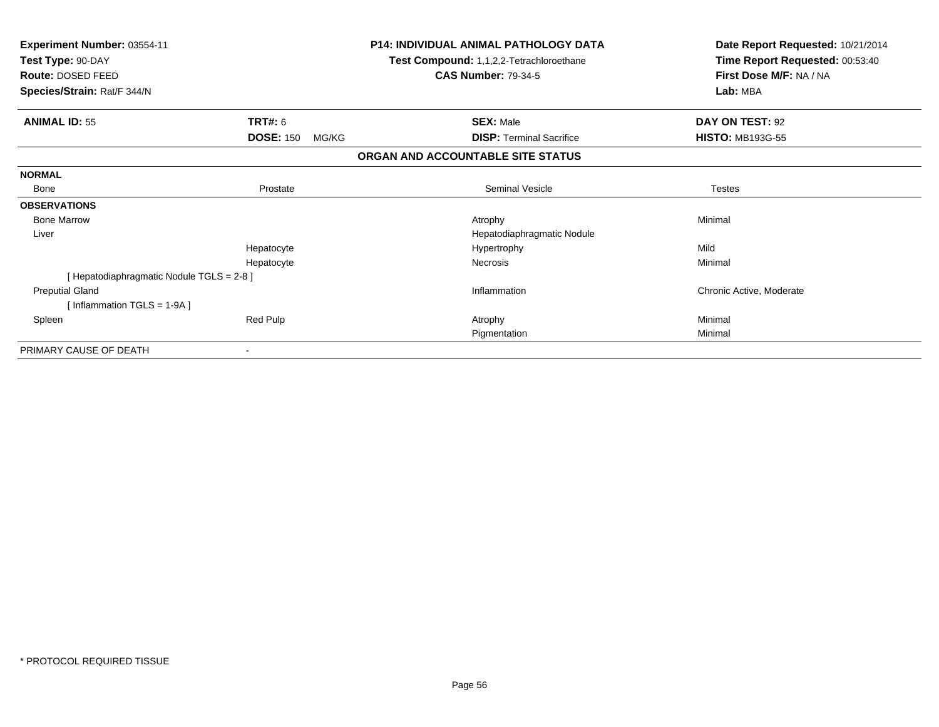| Experiment Number: 03554-11<br>Test Type: 90-DAY<br>Route: DOSED FEED |                           | <b>P14: INDIVIDUAL ANIMAL PATHOLOGY DATA</b><br>Test Compound: 1,1,2,2-Tetrachloroethane<br><b>CAS Number: 79-34-5</b> | Date Report Requested: 10/21/2014<br>Time Report Requested: 00:53:40<br>First Dose M/F: NA / NA |
|-----------------------------------------------------------------------|---------------------------|------------------------------------------------------------------------------------------------------------------------|-------------------------------------------------------------------------------------------------|
| Species/Strain: Rat/F 344/N                                           |                           |                                                                                                                        | Lab: MBA                                                                                        |
| <b>ANIMAL ID: 55</b>                                                  | <b>TRT#: 6</b>            | <b>SEX: Male</b>                                                                                                       | DAY ON TEST: 92                                                                                 |
|                                                                       | <b>DOSE: 150</b><br>MG/KG | <b>DISP:</b> Terminal Sacrifice                                                                                        | <b>HISTO: MB193G-55</b>                                                                         |
|                                                                       |                           | ORGAN AND ACCOUNTABLE SITE STATUS                                                                                      |                                                                                                 |
| <b>NORMAL</b>                                                         |                           |                                                                                                                        |                                                                                                 |
| Bone                                                                  | Prostate                  | Seminal Vesicle                                                                                                        | <b>Testes</b>                                                                                   |
| <b>OBSERVATIONS</b>                                                   |                           |                                                                                                                        |                                                                                                 |
| <b>Bone Marrow</b>                                                    |                           | Atrophy                                                                                                                | Minimal                                                                                         |
| Liver                                                                 |                           | Hepatodiaphragmatic Nodule                                                                                             |                                                                                                 |
|                                                                       | Hepatocyte                | Hypertrophy                                                                                                            | Mild                                                                                            |
|                                                                       | Hepatocyte                | Necrosis                                                                                                               | Minimal                                                                                         |
| [Hepatodiaphragmatic Nodule TGLS = 2-8]                               |                           |                                                                                                                        |                                                                                                 |
| <b>Preputial Gland</b>                                                |                           | Inflammation                                                                                                           | Chronic Active, Moderate                                                                        |
| [Inflammation TGLS = 1-9A]                                            |                           |                                                                                                                        |                                                                                                 |
| Spleen                                                                | Red Pulp                  | Atrophy                                                                                                                | Minimal                                                                                         |
|                                                                       |                           | Pigmentation                                                                                                           | Minimal                                                                                         |
| PRIMARY CAUSE OF DEATH                                                |                           |                                                                                                                        |                                                                                                 |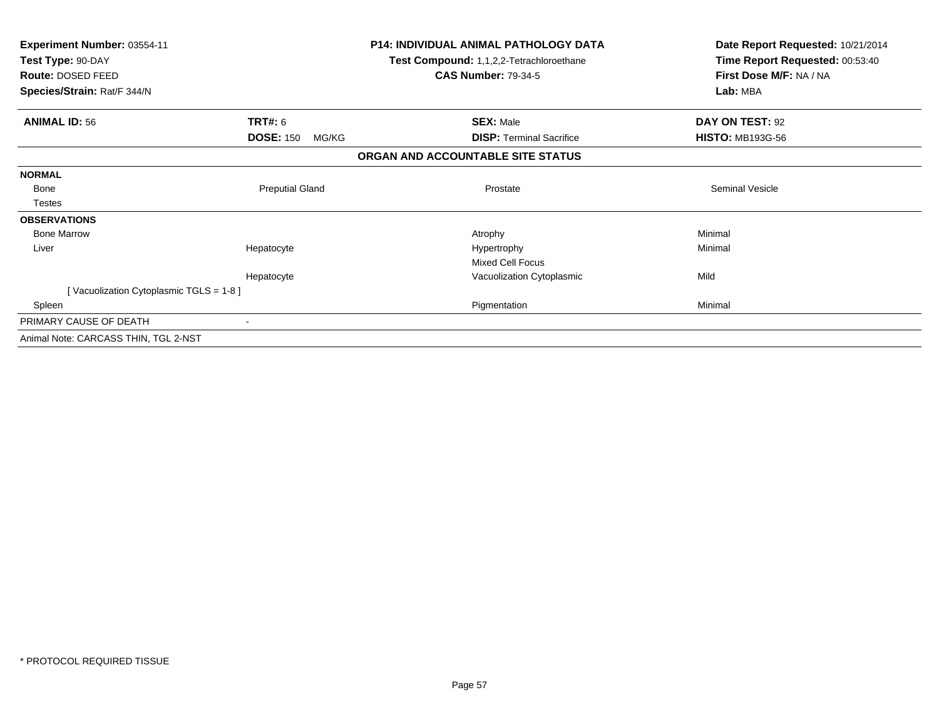| Experiment Number: 03554-11            |                           | <b>P14: INDIVIDUAL ANIMAL PATHOLOGY DATA</b> | Date Report Requested: 10/21/2014 |
|----------------------------------------|---------------------------|----------------------------------------------|-----------------------------------|
| Test Type: 90-DAY                      |                           | Test Compound: 1,1,2,2-Tetrachloroethane     | Time Report Requested: 00:53:40   |
| Route: DOSED FEED                      |                           | <b>CAS Number: 79-34-5</b>                   | First Dose M/F: NA / NA           |
| Species/Strain: Rat/F 344/N            |                           |                                              | Lab: MBA                          |
| <b>ANIMAL ID: 56</b>                   | <b>TRT#: 6</b>            | <b>SEX: Male</b>                             | DAY ON TEST: 92                   |
|                                        | <b>DOSE: 150</b><br>MG/KG | <b>DISP: Terminal Sacrifice</b>              | <b>HISTO: MB193G-56</b>           |
|                                        |                           | ORGAN AND ACCOUNTABLE SITE STATUS            |                                   |
| <b>NORMAL</b>                          |                           |                                              |                                   |
| Bone                                   | <b>Preputial Gland</b>    | Prostate                                     | <b>Seminal Vesicle</b>            |
| Testes                                 |                           |                                              |                                   |
| <b>OBSERVATIONS</b>                    |                           |                                              |                                   |
| <b>Bone Marrow</b>                     |                           | Atrophy                                      | Minimal                           |
| Liver                                  | Hepatocyte                | Hypertrophy                                  | Minimal                           |
|                                        |                           | <b>Mixed Cell Focus</b>                      |                                   |
|                                        | Hepatocyte                | Vacuolization Cytoplasmic                    | Mild                              |
| [Vacuolization Cytoplasmic TGLS = 1-8] |                           |                                              |                                   |
| Spleen                                 |                           | Pigmentation                                 | Minimal                           |
| PRIMARY CAUSE OF DEATH                 | $\blacksquare$            |                                              |                                   |
| Animal Note: CARCASS THIN, TGL 2-NST   |                           |                                              |                                   |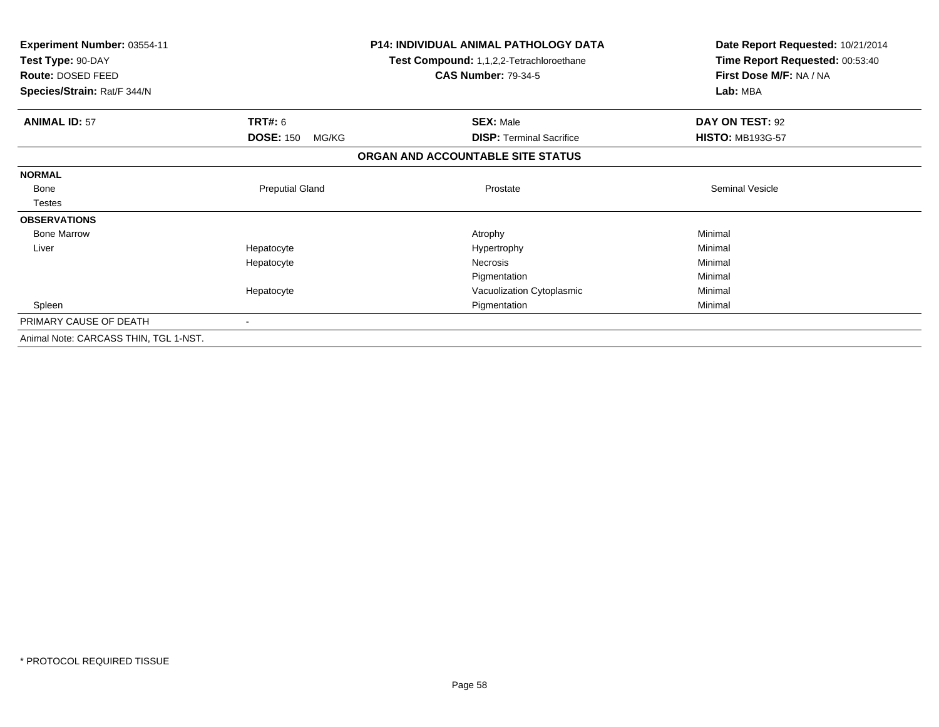| Experiment Number: 03554-11<br>Test Type: 90-DAY<br>Route: DOSED FEED |                           | <b>P14: INDIVIDUAL ANIMAL PATHOLOGY DATA</b><br>Test Compound: 1,1,2,2-Tetrachloroethane<br><b>CAS Number: 79-34-5</b> | Date Report Requested: 10/21/2014<br>Time Report Requested: 00:53:40<br>First Dose M/F: NA / NA |
|-----------------------------------------------------------------------|---------------------------|------------------------------------------------------------------------------------------------------------------------|-------------------------------------------------------------------------------------------------|
| Species/Strain: Rat/F 344/N                                           |                           |                                                                                                                        | Lab: MBA                                                                                        |
| <b>ANIMAL ID: 57</b>                                                  | <b>TRT#: 6</b>            | <b>SEX: Male</b>                                                                                                       | DAY ON TEST: 92                                                                                 |
|                                                                       | <b>DOSE: 150</b><br>MG/KG | <b>DISP:</b> Terminal Sacrifice                                                                                        | <b>HISTO: MB193G-57</b>                                                                         |
|                                                                       |                           | ORGAN AND ACCOUNTABLE SITE STATUS                                                                                      |                                                                                                 |
| <b>NORMAL</b>                                                         |                           |                                                                                                                        |                                                                                                 |
| Bone                                                                  | <b>Preputial Gland</b>    | Prostate                                                                                                               | <b>Seminal Vesicle</b>                                                                          |
| <b>Testes</b>                                                         |                           |                                                                                                                        |                                                                                                 |
| <b>OBSERVATIONS</b>                                                   |                           |                                                                                                                        |                                                                                                 |
| <b>Bone Marrow</b>                                                    |                           | Atrophy                                                                                                                | Minimal                                                                                         |
| Liver                                                                 | Hepatocyte                | Hypertrophy                                                                                                            | Minimal                                                                                         |
|                                                                       | Hepatocyte                | <b>Necrosis</b>                                                                                                        | Minimal                                                                                         |
|                                                                       |                           | Pigmentation                                                                                                           | Minimal                                                                                         |
|                                                                       | Hepatocyte                | Vacuolization Cytoplasmic                                                                                              | Minimal                                                                                         |
| Spleen                                                                |                           | Pigmentation                                                                                                           | Minimal                                                                                         |
| PRIMARY CAUSE OF DEATH                                                |                           |                                                                                                                        |                                                                                                 |
| Animal Note: CARCASS THIN, TGL 1-NST.                                 |                           |                                                                                                                        |                                                                                                 |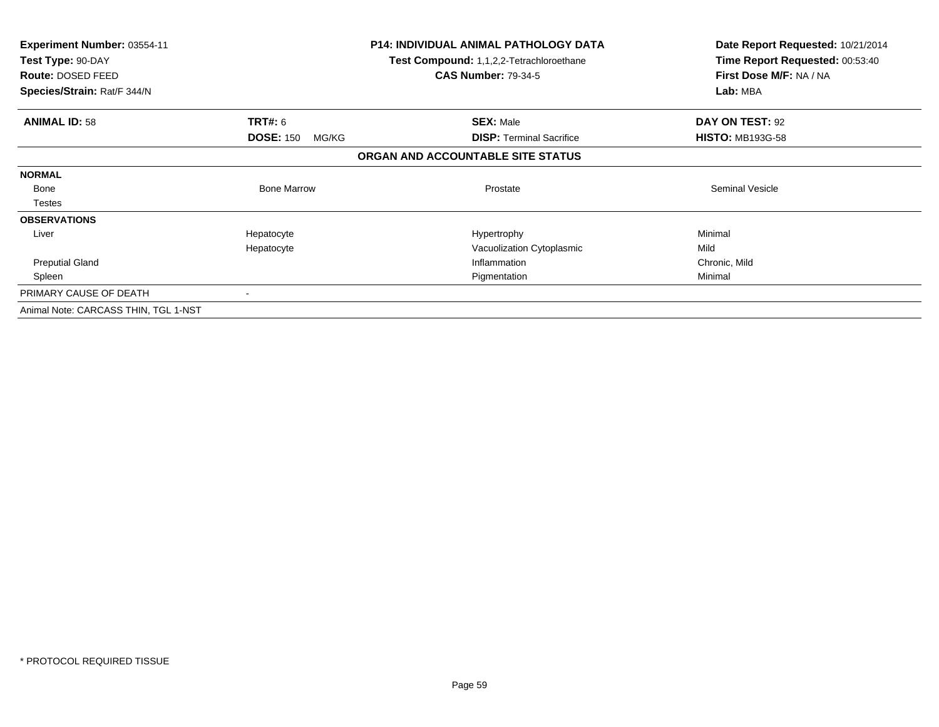| <b>Experiment Number: 03554-11</b><br>Test Type: 90-DAY<br>Route: DOSED FEED<br>Species/Strain: Rat/F 344/N |                           | <b>P14: INDIVIDUAL ANIMAL PATHOLOGY DATA</b><br><b>Test Compound: 1,1,2,2-Tetrachloroethane</b><br><b>CAS Number: 79-34-5</b> | Date Report Requested: 10/21/2014<br>Time Report Requested: 00:53:40<br>First Dose M/F: NA / NA<br>Lab: MBA |
|-------------------------------------------------------------------------------------------------------------|---------------------------|-------------------------------------------------------------------------------------------------------------------------------|-------------------------------------------------------------------------------------------------------------|
| <b>ANIMAL ID: 58</b>                                                                                        | <b>TRT#: 6</b>            | <b>SEX: Male</b>                                                                                                              | DAY ON TEST: 92                                                                                             |
|                                                                                                             | <b>DOSE: 150</b><br>MG/KG | <b>DISP:</b> Terminal Sacrifice                                                                                               | <b>HISTO: MB193G-58</b>                                                                                     |
|                                                                                                             |                           | ORGAN AND ACCOUNTABLE SITE STATUS                                                                                             |                                                                                                             |
| <b>NORMAL</b>                                                                                               |                           |                                                                                                                               |                                                                                                             |
| Bone                                                                                                        | <b>Bone Marrow</b>        | Prostate                                                                                                                      | <b>Seminal Vesicle</b>                                                                                      |
| <b>Testes</b>                                                                                               |                           |                                                                                                                               |                                                                                                             |
| <b>OBSERVATIONS</b>                                                                                         |                           |                                                                                                                               |                                                                                                             |
| Liver                                                                                                       | Hepatocyte                | Hypertrophy                                                                                                                   | Minimal                                                                                                     |
|                                                                                                             | Hepatocyte                | Vacuolization Cytoplasmic                                                                                                     | Mild                                                                                                        |
| <b>Preputial Gland</b>                                                                                      |                           | Inflammation                                                                                                                  | Chronic, Mild                                                                                               |
| Spleen                                                                                                      |                           | Pigmentation                                                                                                                  | Minimal                                                                                                     |
| PRIMARY CAUSE OF DEATH                                                                                      |                           |                                                                                                                               |                                                                                                             |
| Animal Note: CARCASS THIN, TGL 1-NST                                                                        |                           |                                                                                                                               |                                                                                                             |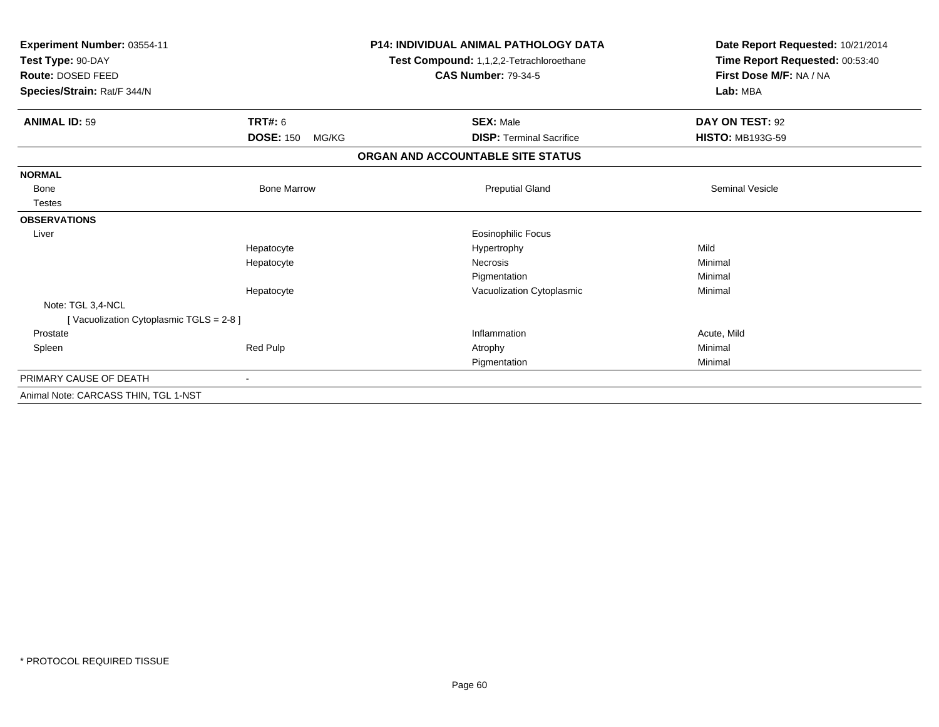| Experiment Number: 03554-11<br>Test Type: 90-DAY<br>Route: DOSED FEED<br>Species/Strain: Rat/F 344/N |                           | <b>P14: INDIVIDUAL ANIMAL PATHOLOGY DATA</b><br>Test Compound: 1,1,2,2-Tetrachloroethane<br><b>CAS Number: 79-34-5</b> | Date Report Requested: 10/21/2014<br>Time Report Requested: 00:53:40<br>First Dose M/F: NA / NA<br>Lab: MBA |
|------------------------------------------------------------------------------------------------------|---------------------------|------------------------------------------------------------------------------------------------------------------------|-------------------------------------------------------------------------------------------------------------|
|                                                                                                      |                           |                                                                                                                        |                                                                                                             |
| <b>ANIMAL ID: 59</b>                                                                                 | TRT#: 6                   | <b>SEX: Male</b>                                                                                                       | DAY ON TEST: 92                                                                                             |
|                                                                                                      | <b>DOSE: 150</b><br>MG/KG | <b>DISP: Terminal Sacrifice</b>                                                                                        | <b>HISTO: MB193G-59</b>                                                                                     |
|                                                                                                      |                           | ORGAN AND ACCOUNTABLE SITE STATUS                                                                                      |                                                                                                             |
| <b>NORMAL</b>                                                                                        |                           |                                                                                                                        |                                                                                                             |
| <b>Bone</b>                                                                                          | <b>Bone Marrow</b>        | <b>Preputial Gland</b>                                                                                                 | <b>Seminal Vesicle</b>                                                                                      |
| <b>Testes</b>                                                                                        |                           |                                                                                                                        |                                                                                                             |
| <b>OBSERVATIONS</b>                                                                                  |                           |                                                                                                                        |                                                                                                             |
| Liver                                                                                                |                           | <b>Eosinophilic Focus</b>                                                                                              |                                                                                                             |
|                                                                                                      | Hepatocyte                | Hypertrophy                                                                                                            | Mild                                                                                                        |
|                                                                                                      | Hepatocyte                | <b>Necrosis</b>                                                                                                        | Minimal                                                                                                     |
|                                                                                                      |                           | Pigmentation                                                                                                           | Minimal                                                                                                     |
|                                                                                                      | Hepatocyte                | Vacuolization Cytoplasmic                                                                                              | Minimal                                                                                                     |
| Note: TGL 3,4-NCL                                                                                    |                           |                                                                                                                        |                                                                                                             |
| [Vacuolization Cytoplasmic TGLS = 2-8]                                                               |                           |                                                                                                                        |                                                                                                             |
| Prostate                                                                                             |                           | Inflammation                                                                                                           | Acute, Mild                                                                                                 |
| Spleen                                                                                               | Red Pulp                  | Atrophy                                                                                                                | Minimal                                                                                                     |
|                                                                                                      |                           | Pigmentation                                                                                                           | Minimal                                                                                                     |
| PRIMARY CAUSE OF DEATH                                                                               | $\blacksquare$            |                                                                                                                        |                                                                                                             |
| Animal Note: CARCASS THIN, TGL 1-NST                                                                 |                           |                                                                                                                        |                                                                                                             |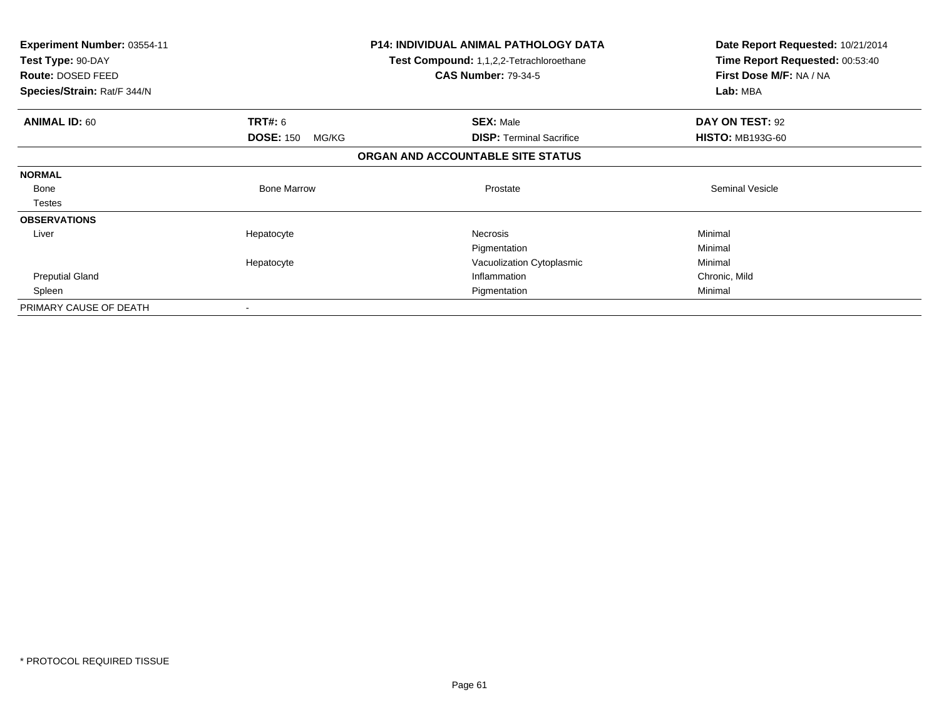| <b>Experiment Number: 03554-11</b><br>Test Type: 90-DAY<br>Route: DOSED FEED<br>Species/Strain: Rat/F 344/N |                           | <b>P14: INDIVIDUAL ANIMAL PATHOLOGY DATA</b><br>Test Compound: 1,1,2,2-Tetrachloroethane<br><b>CAS Number: 79-34-5</b> | Date Report Requested: 10/21/2014<br>Time Report Requested: 00:53:40<br>First Dose M/F: NA / NA<br>Lab: MBA |  |
|-------------------------------------------------------------------------------------------------------------|---------------------------|------------------------------------------------------------------------------------------------------------------------|-------------------------------------------------------------------------------------------------------------|--|
| <b>ANIMAL ID: 60</b>                                                                                        | <b>TRT#: 6</b>            | <b>SEX: Male</b>                                                                                                       | DAY ON TEST: 92                                                                                             |  |
|                                                                                                             | <b>DOSE: 150</b><br>MG/KG | <b>DISP:</b> Terminal Sacrifice                                                                                        | <b>HISTO: MB193G-60</b>                                                                                     |  |
|                                                                                                             |                           | ORGAN AND ACCOUNTABLE SITE STATUS                                                                                      |                                                                                                             |  |
| <b>NORMAL</b>                                                                                               |                           |                                                                                                                        |                                                                                                             |  |
| Bone                                                                                                        | <b>Bone Marrow</b>        | Prostate                                                                                                               | <b>Seminal Vesicle</b>                                                                                      |  |
| Testes                                                                                                      |                           |                                                                                                                        |                                                                                                             |  |
| <b>OBSERVATIONS</b>                                                                                         |                           |                                                                                                                        |                                                                                                             |  |
| Liver                                                                                                       | Hepatocyte                | <b>Necrosis</b>                                                                                                        | Minimal                                                                                                     |  |
|                                                                                                             |                           | Pigmentation                                                                                                           | Minimal                                                                                                     |  |
|                                                                                                             | Hepatocyte                | Vacuolization Cytoplasmic                                                                                              | Minimal                                                                                                     |  |
| <b>Preputial Gland</b>                                                                                      |                           | Inflammation                                                                                                           | Chronic, Mild                                                                                               |  |
| Spleen                                                                                                      |                           | Pigmentation                                                                                                           | Minimal                                                                                                     |  |
| PRIMARY CAUSE OF DEATH                                                                                      |                           |                                                                                                                        |                                                                                                             |  |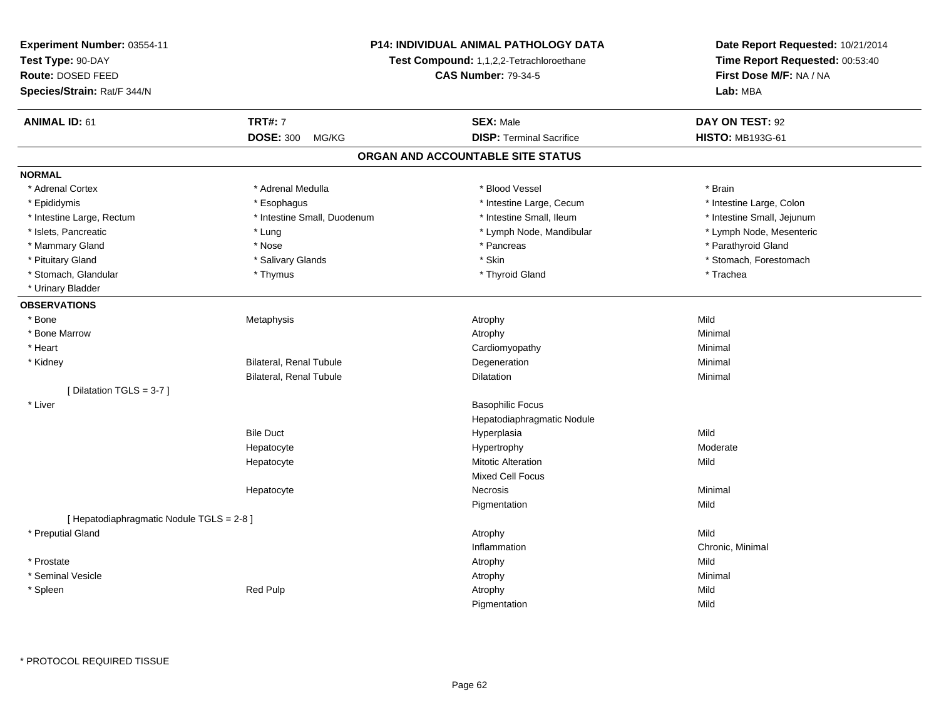| Experiment Number: 03554-11               |                                                                        | <b>P14: INDIVIDUAL ANIMAL PATHOLOGY DATA</b> | Date Report Requested: 10/21/2014                          |
|-------------------------------------------|------------------------------------------------------------------------|----------------------------------------------|------------------------------------------------------------|
| Test Type: 90-DAY                         | Test Compound: 1,1,2,2-Tetrachloroethane<br><b>CAS Number: 79-34-5</b> |                                              | Time Report Requested: 00:53:40<br>First Dose M/F: NA / NA |
| Route: DOSED FEED                         |                                                                        |                                              |                                                            |
| Species/Strain: Rat/F 344/N               |                                                                        |                                              | Lab: MBA                                                   |
| <b>ANIMAL ID: 61</b>                      | <b>TRT#: 7</b>                                                         | <b>SEX: Male</b>                             | DAY ON TEST: 92                                            |
|                                           | <b>DOSE: 300</b><br>MG/KG                                              | <b>DISP: Terminal Sacrifice</b>              | <b>HISTO: MB193G-61</b>                                    |
|                                           |                                                                        | ORGAN AND ACCOUNTABLE SITE STATUS            |                                                            |
| <b>NORMAL</b>                             |                                                                        |                                              |                                                            |
| * Adrenal Cortex                          | * Adrenal Medulla                                                      | * Blood Vessel                               | * Brain                                                    |
| * Epididymis                              | * Esophagus                                                            | * Intestine Large, Cecum                     | * Intestine Large, Colon                                   |
| * Intestine Large, Rectum                 | * Intestine Small, Duodenum                                            | * Intestine Small, Ileum                     | * Intestine Small, Jejunum                                 |
| * Islets, Pancreatic                      | * Lung                                                                 | * Lymph Node, Mandibular                     | * Lymph Node, Mesenteric                                   |
| * Mammary Gland                           | * Nose                                                                 | * Pancreas                                   | * Parathyroid Gland                                        |
| * Pituitary Gland                         | * Salivary Glands                                                      | * Skin                                       | * Stomach, Forestomach                                     |
| * Stomach, Glandular                      | * Thymus                                                               | * Thyroid Gland                              | * Trachea                                                  |
| * Urinary Bladder                         |                                                                        |                                              |                                                            |
| <b>OBSERVATIONS</b>                       |                                                                        |                                              |                                                            |
| * Bone                                    | Metaphysis                                                             | Atrophy                                      | Mild                                                       |
| * Bone Marrow                             |                                                                        | Atrophy                                      | Minimal                                                    |
| * Heart                                   |                                                                        | Cardiomyopathy                               | Minimal                                                    |
| * Kidney                                  | Bilateral, Renal Tubule                                                | Degeneration                                 | Minimal                                                    |
|                                           | Bilateral, Renal Tubule                                                | Dilatation                                   | Minimal                                                    |
| [ Dilatation TGLS = 3-7 ]                 |                                                                        |                                              |                                                            |
| * Liver                                   |                                                                        | <b>Basophilic Focus</b>                      |                                                            |
|                                           |                                                                        | Hepatodiaphragmatic Nodule                   |                                                            |
|                                           | <b>Bile Duct</b>                                                       | Hyperplasia                                  | Mild                                                       |
|                                           | Hepatocyte                                                             | Hypertrophy                                  | Moderate                                                   |
|                                           | Hepatocyte                                                             | <b>Mitotic Alteration</b>                    | Mild                                                       |
|                                           |                                                                        | <b>Mixed Cell Focus</b>                      |                                                            |
|                                           | Hepatocyte                                                             | Necrosis                                     | Minimal                                                    |
|                                           |                                                                        | Pigmentation                                 | Mild                                                       |
| [ Hepatodiaphragmatic Nodule TGLS = 2-8 ] |                                                                        |                                              |                                                            |
| * Preputial Gland                         |                                                                        | Atrophy                                      | Mild                                                       |
|                                           |                                                                        | Inflammation                                 | Chronic, Minimal                                           |
| * Prostate                                |                                                                        | Atrophy                                      | Mild                                                       |
| * Seminal Vesicle                         |                                                                        | Atrophy                                      | Minimal                                                    |
| * Spleen                                  | <b>Red Pulp</b>                                                        | Atrophy                                      | Mild                                                       |
|                                           |                                                                        | Pigmentation                                 | Mild                                                       |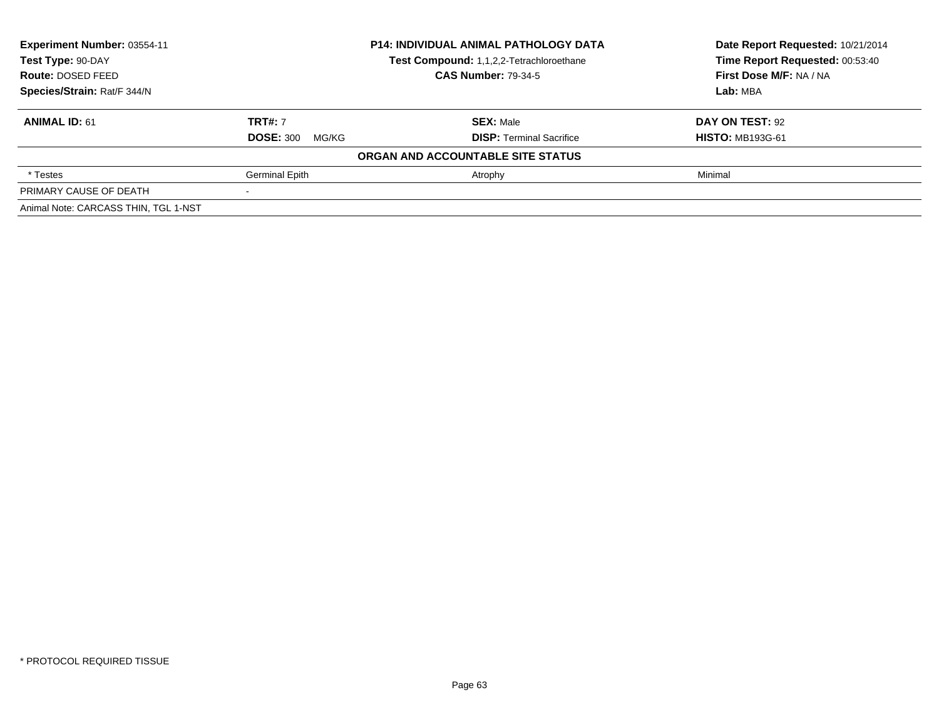| Experiment Number: 03554-11          | <b>P14: INDIVIDUAL ANIMAL PATHOLOGY DATA</b><br>Test Compound: 1,1,2,2-Tetrachloroethane<br><b>CAS Number: 79-34-5</b> |                                   | Date Report Requested: 10/21/2014 |
|--------------------------------------|------------------------------------------------------------------------------------------------------------------------|-----------------------------------|-----------------------------------|
| Test Type: 90-DAY                    |                                                                                                                        |                                   | Time Report Requested: 00:53:40   |
| Route: DOSED FEED                    |                                                                                                                        |                                   | First Dose M/F: NA / NA           |
| Species/Strain: Rat/F 344/N          |                                                                                                                        |                                   | Lab: MBA                          |
| <b>ANIMAL ID: 61</b>                 | <b>TRT#: 7</b>                                                                                                         | <b>SEX: Male</b>                  | DAY ON TEST: 92                   |
|                                      | <b>DOSE: 300</b><br>MG/KG                                                                                              | <b>DISP:</b> Terminal Sacrifice   | <b>HISTO: MB193G-61</b>           |
|                                      |                                                                                                                        | ORGAN AND ACCOUNTABLE SITE STATUS |                                   |
| * Testes                             | <b>Germinal Epith</b>                                                                                                  | Atrophy                           | Minimal                           |
| PRIMARY CAUSE OF DEATH               |                                                                                                                        |                                   |                                   |
| Animal Note: CARCASS THIN, TGL 1-NST |                                                                                                                        |                                   |                                   |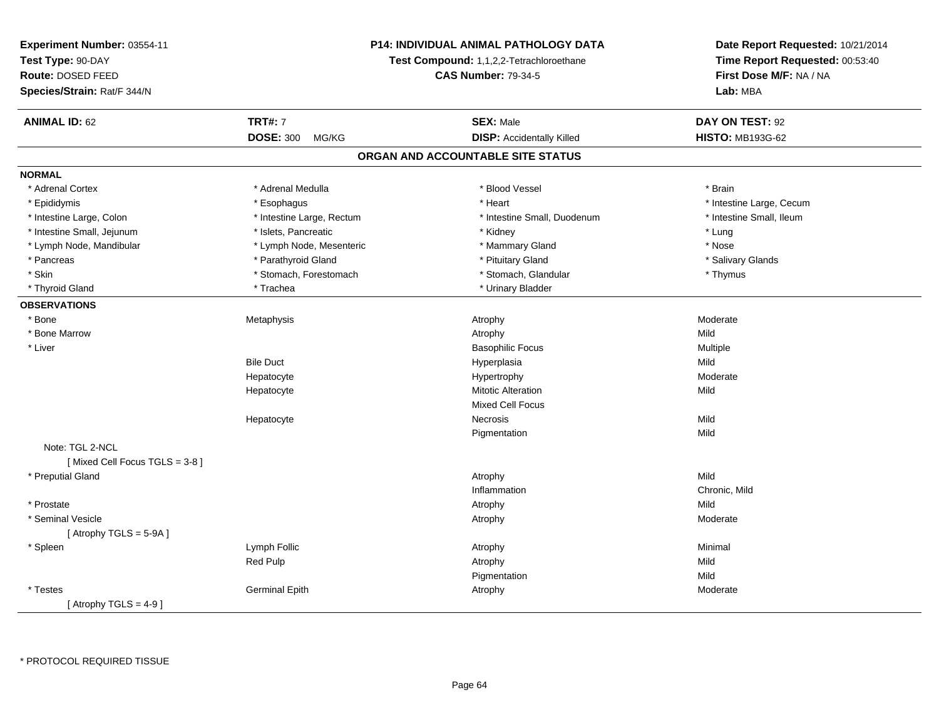| Experiment Number: 03554-11   |                            | P14: INDIVIDUAL ANIMAL PATHOLOGY DATA    | Date Report Requested: 10/21/2014<br>Time Report Requested: 00:53:40 |
|-------------------------------|----------------------------|------------------------------------------|----------------------------------------------------------------------|
| Test Type: 90-DAY             |                            | Test Compound: 1,1,2,2-Tetrachloroethane |                                                                      |
| Route: DOSED FEED             | <b>CAS Number: 79-34-5</b> |                                          | First Dose M/F: NA / NA                                              |
| Species/Strain: Rat/F 344/N   |                            |                                          | Lab: MBA                                                             |
| <b>ANIMAL ID: 62</b>          | <b>TRT#: 7</b>             | <b>SEX: Male</b>                         | DAY ON TEST: 92                                                      |
|                               | <b>DOSE: 300</b><br>MG/KG  | <b>DISP:</b> Accidentally Killed         | <b>HISTO: MB193G-62</b>                                              |
|                               |                            | ORGAN AND ACCOUNTABLE SITE STATUS        |                                                                      |
| <b>NORMAL</b>                 |                            |                                          |                                                                      |
| * Adrenal Cortex              | * Adrenal Medulla          | * Blood Vessel                           | * Brain                                                              |
| * Epididymis                  | * Esophagus                | * Heart                                  | * Intestine Large, Cecum                                             |
| * Intestine Large, Colon      | * Intestine Large, Rectum  | * Intestine Small, Duodenum              | * Intestine Small, Ileum                                             |
| * Intestine Small, Jejunum    | * Islets, Pancreatic       | * Kidney                                 | * Lung                                                               |
| * Lymph Node, Mandibular      | * Lymph Node, Mesenteric   | * Mammary Gland                          | * Nose                                                               |
| * Pancreas                    | * Parathyroid Gland        | * Pituitary Gland                        | * Salivary Glands                                                    |
| * Skin                        | * Stomach, Forestomach     | * Stomach, Glandular                     | * Thymus                                                             |
| * Thyroid Gland               | * Trachea                  | * Urinary Bladder                        |                                                                      |
| <b>OBSERVATIONS</b>           |                            |                                          |                                                                      |
| * Bone                        | Metaphysis                 | Atrophy                                  | Moderate                                                             |
| * Bone Marrow                 |                            | Atrophy                                  | Mild                                                                 |
| * Liver                       |                            | <b>Basophilic Focus</b>                  | Multiple                                                             |
|                               | <b>Bile Duct</b>           | Hyperplasia                              | Mild                                                                 |
|                               | Hepatocyte                 | Hypertrophy                              | Moderate                                                             |
|                               | Hepatocyte                 | <b>Mitotic Alteration</b>                | Mild                                                                 |
|                               |                            | <b>Mixed Cell Focus</b>                  |                                                                      |
|                               | Hepatocyte                 | <b>Necrosis</b>                          | Mild                                                                 |
|                               |                            | Pigmentation                             | Mild                                                                 |
| Note: TGL 2-NCL               |                            |                                          |                                                                      |
| [Mixed Cell Focus TGLS = 3-8] |                            |                                          |                                                                      |
| * Preputial Gland             |                            | Atrophy                                  | Mild                                                                 |
|                               |                            | Inflammation                             | Chronic, Mild                                                        |
| * Prostate                    |                            | Atrophy                                  | Mild                                                                 |
| * Seminal Vesicle             |                            | Atrophy                                  | Moderate                                                             |
| [Atrophy TGLS = $5-9A$ ]      |                            |                                          |                                                                      |
| * Spleen                      | Lymph Follic               | Atrophy                                  | Minimal                                                              |
|                               | Red Pulp                   | Atrophy                                  | Mild                                                                 |
|                               |                            | Pigmentation                             | Mild                                                                 |
| * Testes                      | <b>Germinal Epith</b>      | Atrophy                                  | Moderate                                                             |
| [Atrophy TGLS = $4-9$ ]       |                            |                                          |                                                                      |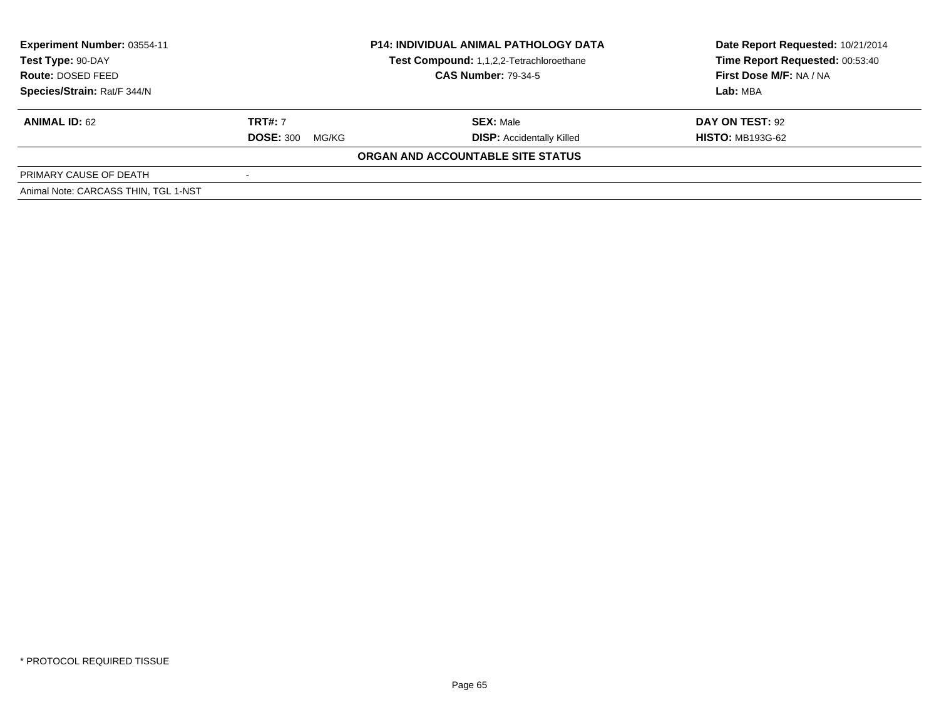| Experiment Number: 03554-11<br>Test Type: 90-DAY<br>Route: DOSED FEED<br>Species/Strain: Rat/F 344/N | <b>P14: INDIVIDUAL ANIMAL PATHOLOGY DATA</b><br>Test Compound: 1,1,2,2-Tetrachloroethane<br><b>CAS Number: 79-34-5</b> |                                                      | Date Report Requested: 10/21/2014<br>Time Report Requested: 00:53:40<br>First Dose M/F: NA / NA<br>Lab: MBA |
|------------------------------------------------------------------------------------------------------|------------------------------------------------------------------------------------------------------------------------|------------------------------------------------------|-------------------------------------------------------------------------------------------------------------|
| <b>ANIMAL ID: 62</b>                                                                                 | <b>TRT#: 7</b><br><b>DOSE: 300</b><br>MG/KG                                                                            | <b>SEX: Male</b><br><b>DISP: Accidentally Killed</b> | DAY ON TEST: 92<br><b>HISTO: MB193G-62</b>                                                                  |
|                                                                                                      |                                                                                                                        | ORGAN AND ACCOUNTABLE SITE STATUS                    |                                                                                                             |
| PRIMARY CAUSE OF DEATH                                                                               |                                                                                                                        |                                                      |                                                                                                             |
| Animal Note: CARCASS THIN, TGL 1-NST                                                                 |                                                                                                                        |                                                      |                                                                                                             |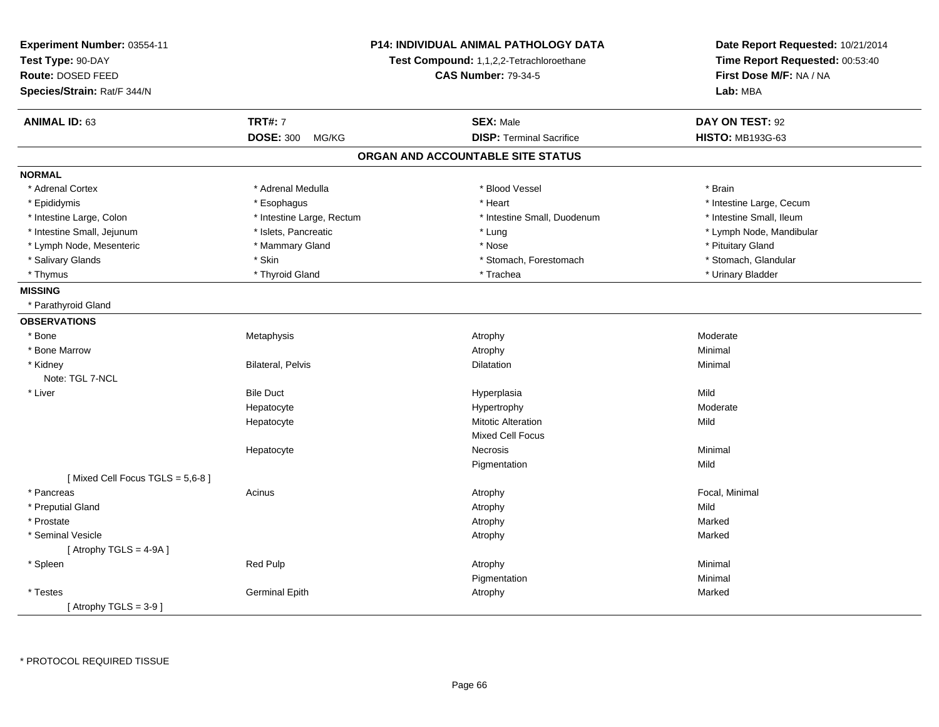| Experiment Number: 03554-11<br>Test Type: 90-DAY<br>Route: DOSED FEED<br>Species/Strain: Rat/F 344/N | P14: INDIVIDUAL ANIMAL PATHOLOGY DATA<br>Test Compound: 1,1,2,2-Tetrachloroethane<br><b>CAS Number: 79-34-5</b> |                                   | Date Report Requested: 10/21/2014<br>Time Report Requested: 00:53:40<br>First Dose M/F: NA / NA<br>Lab: MBA |
|------------------------------------------------------------------------------------------------------|-----------------------------------------------------------------------------------------------------------------|-----------------------------------|-------------------------------------------------------------------------------------------------------------|
| <b>ANIMAL ID: 63</b>                                                                                 | <b>TRT#: 7</b>                                                                                                  | <b>SEX: Male</b>                  | DAY ON TEST: 92                                                                                             |
|                                                                                                      | <b>DOSE: 300</b><br>MG/KG                                                                                       | <b>DISP: Terminal Sacrifice</b>   | <b>HISTO: MB193G-63</b>                                                                                     |
|                                                                                                      |                                                                                                                 | ORGAN AND ACCOUNTABLE SITE STATUS |                                                                                                             |
| <b>NORMAL</b>                                                                                        |                                                                                                                 |                                   |                                                                                                             |
| * Adrenal Cortex                                                                                     | * Adrenal Medulla                                                                                               | * Blood Vessel                    | * Brain                                                                                                     |
| * Epididymis                                                                                         | * Esophagus                                                                                                     | * Heart                           | * Intestine Large, Cecum                                                                                    |
| * Intestine Large, Colon                                                                             | * Intestine Large, Rectum                                                                                       | * Intestine Small, Duodenum       | * Intestine Small, Ileum                                                                                    |
| * Intestine Small, Jejunum                                                                           | * Islets, Pancreatic                                                                                            | * Lung                            | * Lymph Node, Mandibular                                                                                    |
| * Lymph Node, Mesenteric                                                                             | * Mammary Gland                                                                                                 | * Nose                            | * Pituitary Gland                                                                                           |
| * Salivary Glands                                                                                    | * Skin                                                                                                          | * Stomach, Forestomach            | * Stomach, Glandular                                                                                        |
| * Thymus                                                                                             | * Thyroid Gland                                                                                                 | * Trachea                         | * Urinary Bladder                                                                                           |
| <b>MISSING</b>                                                                                       |                                                                                                                 |                                   |                                                                                                             |
| * Parathyroid Gland                                                                                  |                                                                                                                 |                                   |                                                                                                             |
| <b>OBSERVATIONS</b>                                                                                  |                                                                                                                 |                                   |                                                                                                             |
| * Bone                                                                                               | Metaphysis                                                                                                      | Atrophy                           | Moderate                                                                                                    |
| * Bone Marrow                                                                                        |                                                                                                                 | Atrophy                           | Minimal                                                                                                     |
| * Kidney                                                                                             | <b>Bilateral, Pelvis</b>                                                                                        | Dilatation                        | Minimal                                                                                                     |
| Note: TGL 7-NCL                                                                                      |                                                                                                                 |                                   |                                                                                                             |
| * Liver                                                                                              | <b>Bile Duct</b>                                                                                                | Hyperplasia                       | Mild                                                                                                        |
|                                                                                                      | Hepatocyte                                                                                                      | Hypertrophy                       | Moderate                                                                                                    |
|                                                                                                      | Hepatocyte                                                                                                      | <b>Mitotic Alteration</b>         | Mild                                                                                                        |
|                                                                                                      |                                                                                                                 | <b>Mixed Cell Focus</b>           |                                                                                                             |
|                                                                                                      | Hepatocyte                                                                                                      | Necrosis                          | Minimal                                                                                                     |
|                                                                                                      |                                                                                                                 | Pigmentation                      | Mild                                                                                                        |
| [Mixed Cell Focus TGLS = 5,6-8]                                                                      |                                                                                                                 |                                   |                                                                                                             |
| * Pancreas                                                                                           | Acinus                                                                                                          | Atrophy                           | Focal, Minimal                                                                                              |
| * Preputial Gland                                                                                    |                                                                                                                 | Atrophy                           | Mild                                                                                                        |
| * Prostate                                                                                           |                                                                                                                 | Atrophy                           | Marked                                                                                                      |
| * Seminal Vesicle                                                                                    |                                                                                                                 | Atrophy                           | Marked                                                                                                      |
| [Atrophy TGLS = $4-9A$ ]                                                                             |                                                                                                                 |                                   |                                                                                                             |
| * Spleen                                                                                             | Red Pulp                                                                                                        | Atrophy                           | Minimal                                                                                                     |
|                                                                                                      |                                                                                                                 | Pigmentation                      | Minimal                                                                                                     |
| * Testes                                                                                             | <b>Germinal Epith</b>                                                                                           | Atrophy                           | Marked                                                                                                      |
| [Atrophy TGLS = $3-9$ ]                                                                              |                                                                                                                 |                                   |                                                                                                             |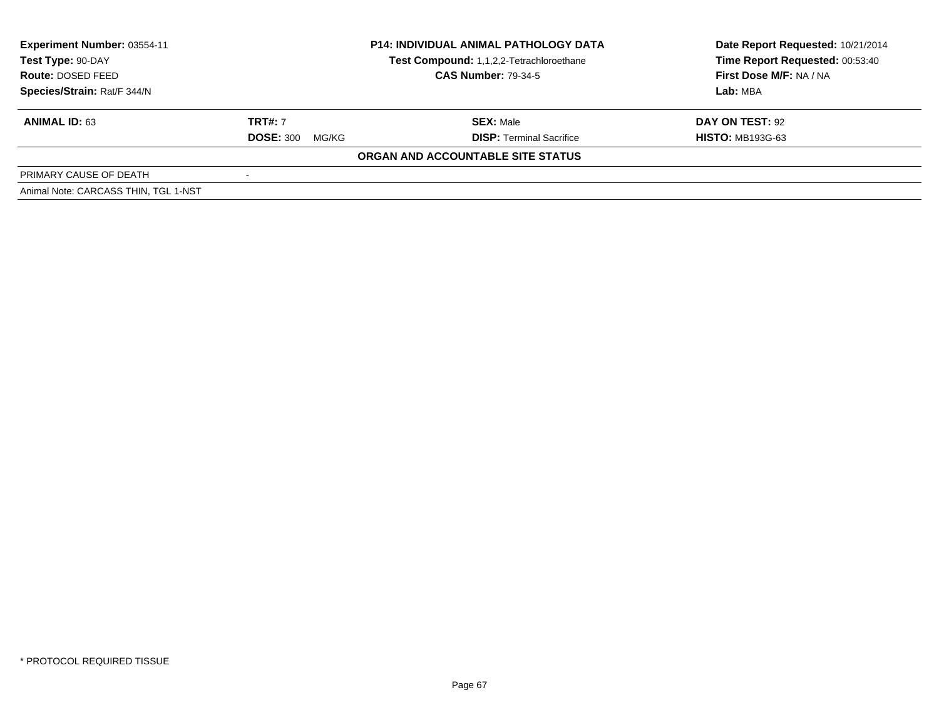| Experiment Number: 03554-11<br>Test Type: 90-DAY<br>Route: DOSED FEED<br>Species/Strain: Rat/F 344/N | <b>P14: INDIVIDUAL ANIMAL PATHOLOGY DATA</b><br>Test Compound: 1,1,2,2-Tetrachloroethane<br><b>CAS Number: 79-34-5</b> |                                                     | Date Report Requested: 10/21/2014<br>Time Report Requested: 00:53:40<br>First Dose M/F: NA / NA<br>Lab: MBA |
|------------------------------------------------------------------------------------------------------|------------------------------------------------------------------------------------------------------------------------|-----------------------------------------------------|-------------------------------------------------------------------------------------------------------------|
| <b>ANIMAL ID: 63</b>                                                                                 | <b>TRT#: 7</b><br><b>DOSE: 300</b><br>MG/KG                                                                            | <b>SEX: Male</b><br><b>DISP: Terminal Sacrifice</b> | DAY ON TEST: 92<br><b>HISTO: MB193G-63</b>                                                                  |
|                                                                                                      |                                                                                                                        | ORGAN AND ACCOUNTABLE SITE STATUS                   |                                                                                                             |
| PRIMARY CAUSE OF DEATH                                                                               |                                                                                                                        |                                                     |                                                                                                             |
| Animal Note: CARCASS THIN, TGL 1-NST                                                                 |                                                                                                                        |                                                     |                                                                                                             |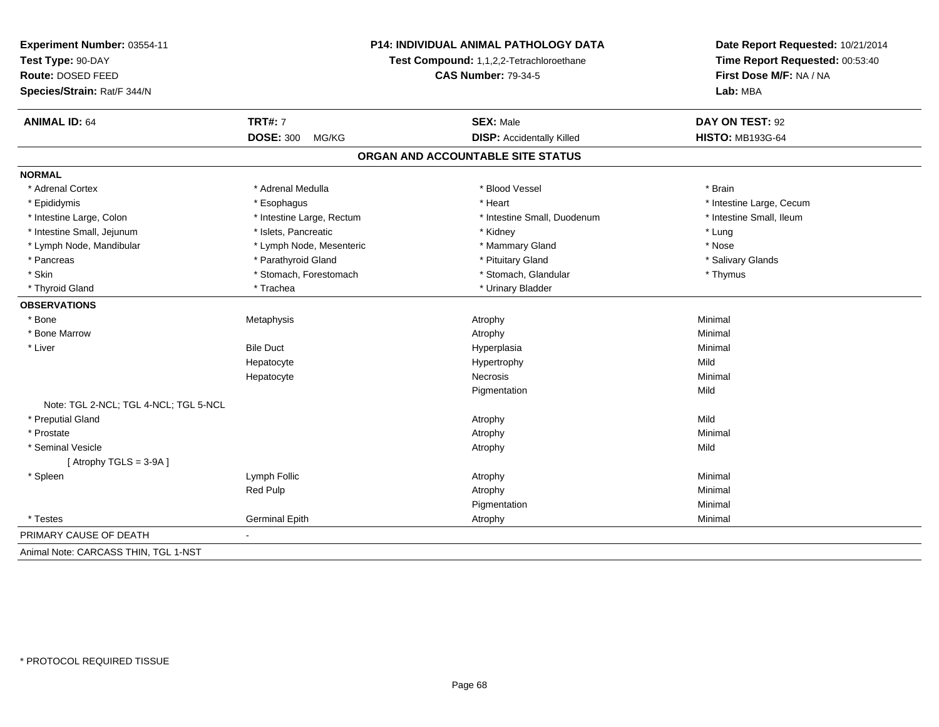| Experiment Number: 03554-11           | P14: INDIVIDUAL ANIMAL PATHOLOGY DATA<br>Test Compound: 1,1,2,2-Tetrachloroethane |                                   | Date Report Requested: 10/21/2014<br>Time Report Requested: 00:53:40 |
|---------------------------------------|-----------------------------------------------------------------------------------|-----------------------------------|----------------------------------------------------------------------|
| Test Type: 90-DAY                     |                                                                                   |                                   |                                                                      |
| Route: DOSED FEED                     |                                                                                   | <b>CAS Number: 79-34-5</b>        | First Dose M/F: NA / NA<br>Lab: MBA                                  |
| Species/Strain: Rat/F 344/N           |                                                                                   |                                   |                                                                      |
| <b>ANIMAL ID: 64</b>                  | <b>TRT#: 7</b>                                                                    | <b>SEX: Male</b>                  | DAY ON TEST: 92                                                      |
|                                       | <b>DOSE: 300</b><br>MG/KG                                                         | <b>DISP:</b> Accidentally Killed  | <b>HISTO: MB193G-64</b>                                              |
|                                       |                                                                                   | ORGAN AND ACCOUNTABLE SITE STATUS |                                                                      |
| <b>NORMAL</b>                         |                                                                                   |                                   |                                                                      |
| * Adrenal Cortex                      | * Adrenal Medulla                                                                 | * Blood Vessel                    | * Brain                                                              |
| * Epididymis                          | * Esophagus                                                                       | * Heart                           | * Intestine Large, Cecum                                             |
| * Intestine Large, Colon              | * Intestine Large, Rectum                                                         | * Intestine Small, Duodenum       | * Intestine Small, Ileum                                             |
| * Intestine Small, Jejunum            | * Islets, Pancreatic                                                              | * Kidney                          | * Lung                                                               |
| * Lymph Node, Mandibular              | * Lymph Node, Mesenteric                                                          | * Mammary Gland                   | * Nose                                                               |
| * Pancreas                            | * Parathyroid Gland                                                               | * Pituitary Gland                 | * Salivary Glands                                                    |
| * Skin                                | * Stomach, Forestomach                                                            | * Stomach, Glandular              | * Thymus                                                             |
| * Thyroid Gland                       | * Trachea                                                                         | * Urinary Bladder                 |                                                                      |
| <b>OBSERVATIONS</b>                   |                                                                                   |                                   |                                                                      |
| * Bone                                | Metaphysis                                                                        | Atrophy                           | Minimal                                                              |
| * Bone Marrow                         |                                                                                   | Atrophy                           | Minimal                                                              |
| * Liver                               | <b>Bile Duct</b>                                                                  | Hyperplasia                       | Minimal                                                              |
|                                       | Hepatocyte                                                                        | Hypertrophy                       | Mild                                                                 |
|                                       | Hepatocyte                                                                        | Necrosis                          | Minimal                                                              |
|                                       |                                                                                   | Pigmentation                      | Mild                                                                 |
| Note: TGL 2-NCL; TGL 4-NCL; TGL 5-NCL |                                                                                   |                                   |                                                                      |
| * Preputial Gland                     |                                                                                   | Atrophy                           | Mild                                                                 |
| * Prostate                            |                                                                                   | Atrophy                           | Minimal                                                              |
| * Seminal Vesicle                     |                                                                                   | Atrophy                           | Mild                                                                 |
| [Atrophy TGLS = $3-9A$ ]              |                                                                                   |                                   |                                                                      |
| * Spleen                              | Lymph Follic                                                                      | Atrophy                           | Minimal                                                              |
|                                       | Red Pulp                                                                          | Atrophy                           | Minimal                                                              |
|                                       |                                                                                   | Pigmentation                      | Minimal                                                              |
| * Testes                              | <b>Germinal Epith</b>                                                             | Atrophy                           | Minimal                                                              |
| PRIMARY CAUSE OF DEATH                | $\sim$                                                                            |                                   |                                                                      |
| Animal Note: CARCASS THIN, TGL 1-NST  |                                                                                   |                                   |                                                                      |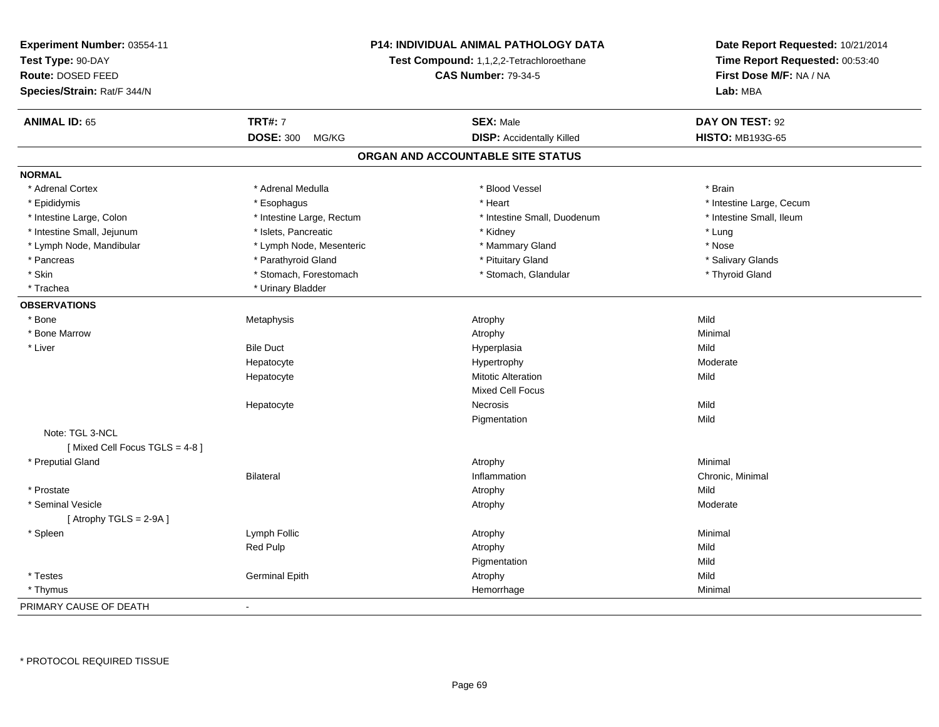| Experiment Number: 03554-11   | <b>P14: INDIVIDUAL ANIMAL PATHOLOGY DATA</b><br>Test Compound: 1,1,2,2-Tetrachloroethane<br><b>CAS Number: 79-34-5</b> |                                   | Date Report Requested: 10/21/2014<br>Time Report Requested: 00:53:40<br>First Dose M/F: NA / NA |  |
|-------------------------------|------------------------------------------------------------------------------------------------------------------------|-----------------------------------|-------------------------------------------------------------------------------------------------|--|
| Test Type: 90-DAY             |                                                                                                                        |                                   |                                                                                                 |  |
| Route: DOSED FEED             |                                                                                                                        |                                   |                                                                                                 |  |
| Species/Strain: Rat/F 344/N   |                                                                                                                        |                                   | Lab: MBA                                                                                        |  |
| <b>ANIMAL ID: 65</b>          | <b>TRT#: 7</b>                                                                                                         | <b>SEX: Male</b>                  | DAY ON TEST: 92                                                                                 |  |
|                               | <b>DOSE: 300</b><br>MG/KG                                                                                              | <b>DISP:</b> Accidentally Killed  | <b>HISTO: MB193G-65</b>                                                                         |  |
|                               |                                                                                                                        | ORGAN AND ACCOUNTABLE SITE STATUS |                                                                                                 |  |
| <b>NORMAL</b>                 |                                                                                                                        |                                   |                                                                                                 |  |
| * Adrenal Cortex              | * Adrenal Medulla                                                                                                      | * Blood Vessel                    | * Brain                                                                                         |  |
| * Epididymis                  | * Esophagus                                                                                                            | * Heart                           | * Intestine Large, Cecum                                                                        |  |
| * Intestine Large, Colon      | * Intestine Large, Rectum                                                                                              | * Intestine Small, Duodenum       | * Intestine Small, Ileum                                                                        |  |
| * Intestine Small, Jejunum    | * Islets, Pancreatic                                                                                                   | * Kidney                          | * Lung                                                                                          |  |
| * Lymph Node, Mandibular      | * Lymph Node, Mesenteric                                                                                               | * Mammary Gland                   | * Nose                                                                                          |  |
| * Pancreas                    | * Parathyroid Gland                                                                                                    | * Pituitary Gland                 | * Salivary Glands                                                                               |  |
| * Skin                        | * Stomach, Forestomach                                                                                                 | * Stomach, Glandular              | * Thyroid Gland                                                                                 |  |
| * Trachea                     | * Urinary Bladder                                                                                                      |                                   |                                                                                                 |  |
| <b>OBSERVATIONS</b>           |                                                                                                                        |                                   |                                                                                                 |  |
| * Bone                        | Metaphysis                                                                                                             | Atrophy                           | Mild                                                                                            |  |
| * Bone Marrow                 |                                                                                                                        | Atrophy                           | Minimal                                                                                         |  |
| * Liver                       | <b>Bile Duct</b>                                                                                                       | Hyperplasia                       | Mild                                                                                            |  |
|                               | Hepatocyte                                                                                                             | Hypertrophy                       | Moderate                                                                                        |  |
|                               | Hepatocyte                                                                                                             | <b>Mitotic Alteration</b>         | Mild                                                                                            |  |
|                               |                                                                                                                        | Mixed Cell Focus                  |                                                                                                 |  |
|                               | Hepatocyte                                                                                                             | Necrosis                          | Mild                                                                                            |  |
|                               |                                                                                                                        | Pigmentation                      | Mild                                                                                            |  |
| Note: TGL 3-NCL               |                                                                                                                        |                                   |                                                                                                 |  |
| [Mixed Cell Focus TGLS = 4-8] |                                                                                                                        |                                   |                                                                                                 |  |
| * Preputial Gland             |                                                                                                                        | Atrophy                           | Minimal                                                                                         |  |
|                               | <b>Bilateral</b>                                                                                                       | Inflammation                      | Chronic, Minimal                                                                                |  |
| * Prostate                    |                                                                                                                        | Atrophy                           | Mild                                                                                            |  |
| * Seminal Vesicle             |                                                                                                                        | Atrophy                           | Moderate                                                                                        |  |
| [Atrophy TGLS = 2-9A]         |                                                                                                                        |                                   |                                                                                                 |  |
| * Spleen                      | Lymph Follic                                                                                                           | Atrophy                           | Minimal                                                                                         |  |
|                               | Red Pulp                                                                                                               | Atrophy                           | Mild                                                                                            |  |
|                               |                                                                                                                        | Pigmentation                      | Mild                                                                                            |  |
| * Testes                      | <b>Germinal Epith</b>                                                                                                  | Atrophy                           | Mild                                                                                            |  |
| * Thymus                      |                                                                                                                        | Hemorrhage                        | Minimal                                                                                         |  |
| PRIMARY CAUSE OF DEATH        | $\blacksquare$                                                                                                         |                                   |                                                                                                 |  |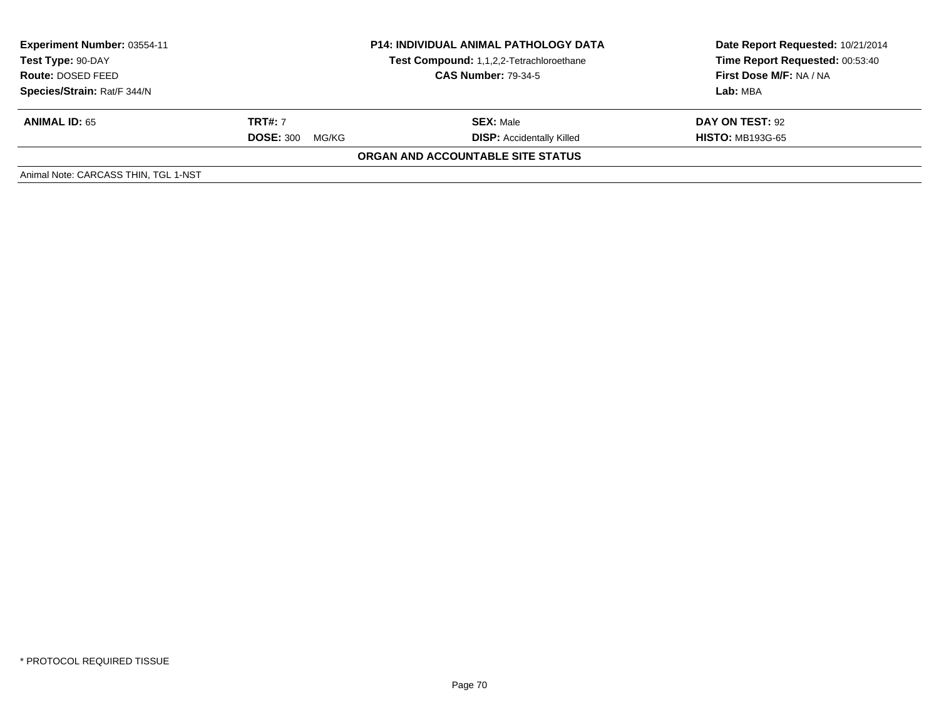| <b>Experiment Number: 03554-11</b><br>Test Type: 90-DAY<br>Route: DOSED FEED<br>Species/Strain: Rat/F 344/N | <b>P14: INDIVIDUAL ANIMAL PATHOLOGY DATA</b><br>Test Compound: 1,1,2,2-Tetrachloroethane<br><b>CAS Number: 79-34-5</b> |                                                      | Date Report Requested: 10/21/2014<br>Time Report Requested: 00:53:40<br>First Dose M/F: NA / NA<br>Lab: MBA |
|-------------------------------------------------------------------------------------------------------------|------------------------------------------------------------------------------------------------------------------------|------------------------------------------------------|-------------------------------------------------------------------------------------------------------------|
| <b>ANIMAL ID: 65</b>                                                                                        | <b>TRT#: 7</b><br><b>DOSE: 300</b><br>MG/KG                                                                            | <b>SEX: Male</b><br><b>DISP:</b> Accidentally Killed | DAY ON TEST: 92<br><b>HISTO: MB193G-65</b>                                                                  |
|                                                                                                             |                                                                                                                        | ORGAN AND ACCOUNTABLE SITE STATUS                    |                                                                                                             |
| Animal Note: CARCASS THIN, TGL 1-NST                                                                        |                                                                                                                        |                                                      |                                                                                                             |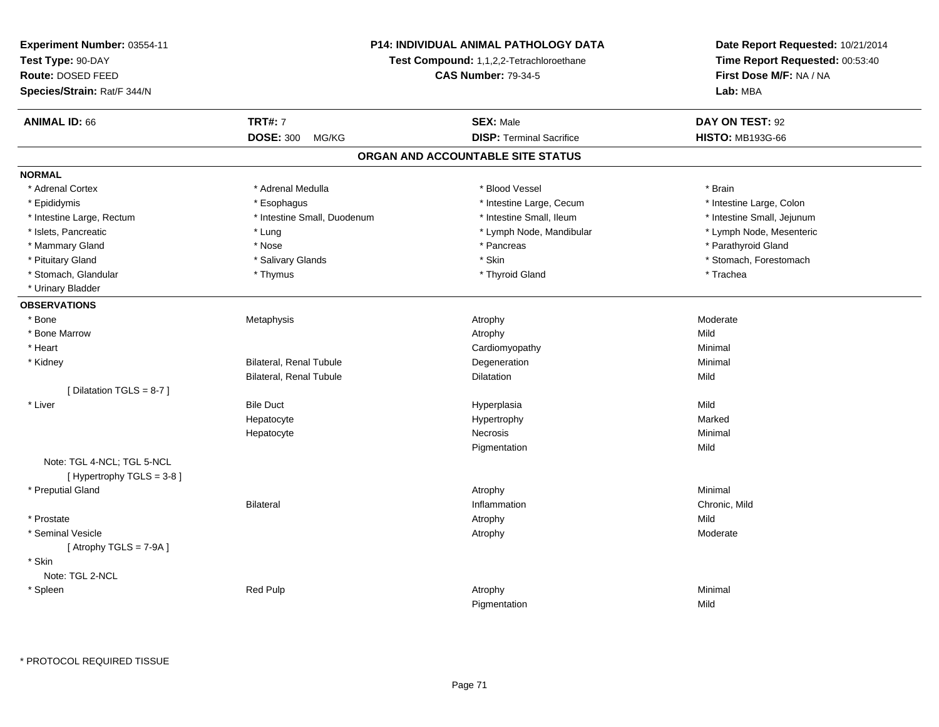| Experiment Number: 03554-11 |                                | <b>P14: INDIVIDUAL ANIMAL PATHOLOGY DATA</b> | Date Report Requested: 10/21/2014<br>Time Report Requested: 00:53:40 |
|-----------------------------|--------------------------------|----------------------------------------------|----------------------------------------------------------------------|
| Test Type: 90-DAY           |                                | Test Compound: 1,1,2,2-Tetrachloroethane     |                                                                      |
| Route: DOSED FEED           | <b>CAS Number: 79-34-5</b>     |                                              | First Dose M/F: NA / NA                                              |
| Species/Strain: Rat/F 344/N |                                |                                              | Lab: MBA                                                             |
| <b>ANIMAL ID: 66</b>        | <b>TRT#: 7</b>                 | <b>SEX: Male</b>                             | DAY ON TEST: 92                                                      |
|                             | <b>DOSE: 300</b><br>MG/KG      | <b>DISP: Terminal Sacrifice</b>              | <b>HISTO: MB193G-66</b>                                              |
|                             |                                | ORGAN AND ACCOUNTABLE SITE STATUS            |                                                                      |
| <b>NORMAL</b>               |                                |                                              |                                                                      |
| * Adrenal Cortex            | * Adrenal Medulla              | * Blood Vessel                               | * Brain                                                              |
| * Epididymis                | * Esophagus                    | * Intestine Large, Cecum                     | * Intestine Large, Colon                                             |
| * Intestine Large, Rectum   | * Intestine Small, Duodenum    | * Intestine Small, Ileum                     | * Intestine Small, Jejunum                                           |
| * Islets, Pancreatic        | * Lung                         | * Lymph Node, Mandibular                     | * Lymph Node, Mesenteric                                             |
| * Mammary Gland             | * Nose                         | * Pancreas                                   | * Parathyroid Gland                                                  |
| * Pituitary Gland           | * Salivary Glands              | * Skin                                       | * Stomach, Forestomach                                               |
| * Stomach, Glandular        | * Thymus                       | * Thyroid Gland                              | * Trachea                                                            |
| * Urinary Bladder           |                                |                                              |                                                                      |
| <b>OBSERVATIONS</b>         |                                |                                              |                                                                      |
| * Bone                      | Metaphysis                     | Atrophy                                      | Moderate                                                             |
| * Bone Marrow               |                                | Atrophy                                      | Mild                                                                 |
| * Heart                     |                                | Cardiomyopathy                               | Minimal                                                              |
| * Kidney                    | Bilateral, Renal Tubule        | Degeneration                                 | Minimal                                                              |
|                             | <b>Bilateral, Renal Tubule</b> | Dilatation                                   | Mild                                                                 |
| [ Dilatation TGLS = 8-7 ]   |                                |                                              |                                                                      |
| * Liver                     | <b>Bile Duct</b>               | Hyperplasia                                  | Mild                                                                 |
|                             | Hepatocyte                     | Hypertrophy                                  | Marked                                                               |
|                             | Hepatocyte                     | <b>Necrosis</b>                              | Minimal                                                              |
|                             |                                | Pigmentation                                 | Mild                                                                 |
| Note: TGL 4-NCL; TGL 5-NCL  |                                |                                              |                                                                      |
| [Hypertrophy TGLS = 3-8]    |                                |                                              |                                                                      |
| * Preputial Gland           |                                | Atrophy                                      | Minimal                                                              |
|                             | <b>Bilateral</b>               | Inflammation                                 | Chronic, Mild                                                        |
| * Prostate                  |                                | Atrophy                                      | Mild                                                                 |
| * Seminal Vesicle           |                                | Atrophy                                      | Moderate                                                             |
| [Atrophy TGLS = $7-9A$ ]    |                                |                                              |                                                                      |
| * Skin                      |                                |                                              |                                                                      |
| Note: TGL 2-NCL             |                                |                                              |                                                                      |
| * Spleen                    | <b>Red Pulp</b>                | Atrophy                                      | Minimal                                                              |
|                             |                                | Pigmentation                                 | Mild                                                                 |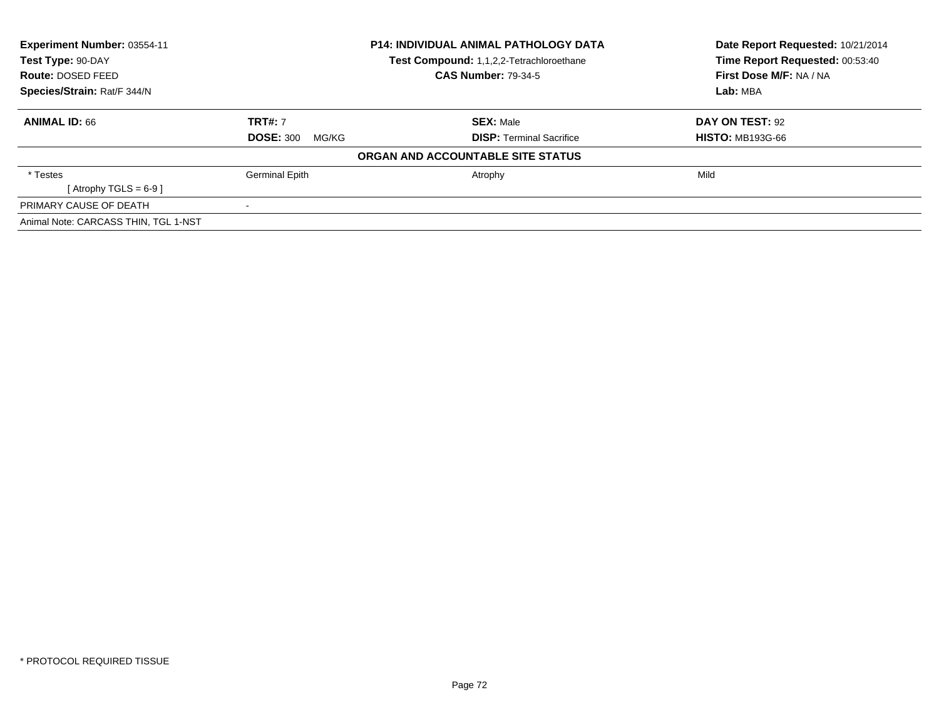| Experiment Number: 03554-11          |                            | <b>P14: INDIVIDUAL ANIMAL PATHOLOGY DATA</b> | Date Report Requested: 10/21/2014 |
|--------------------------------------|----------------------------|----------------------------------------------|-----------------------------------|
| Test Type: 90-DAY                    |                            | Test Compound: 1,1,2,2-Tetrachloroethane     | Time Report Requested: 00:53:40   |
| Route: DOSED FEED                    | <b>CAS Number: 79-34-5</b> |                                              | First Dose M/F: NA / NA           |
| Species/Strain: Rat/F 344/N          |                            |                                              | Lab: MBA                          |
| <b>ANIMAL ID: 66</b>                 | <b>TRT#: 7</b>             | <b>SEX: Male</b>                             | DAY ON TEST: 92                   |
|                                      | <b>DOSE: 300</b><br>MG/KG  | <b>DISP:</b> Terminal Sacrifice              | <b>HISTO: MB193G-66</b>           |
|                                      |                            | ORGAN AND ACCOUNTABLE SITE STATUS            |                                   |
| * Testes                             | Germinal Epith             | Atrophy                                      | Mild                              |
| [Atrophy TGLS = $6-9$ ]              |                            |                                              |                                   |
| PRIMARY CAUSE OF DEATH               |                            |                                              |                                   |
| Animal Note: CARCASS THIN, TGL 1-NST |                            |                                              |                                   |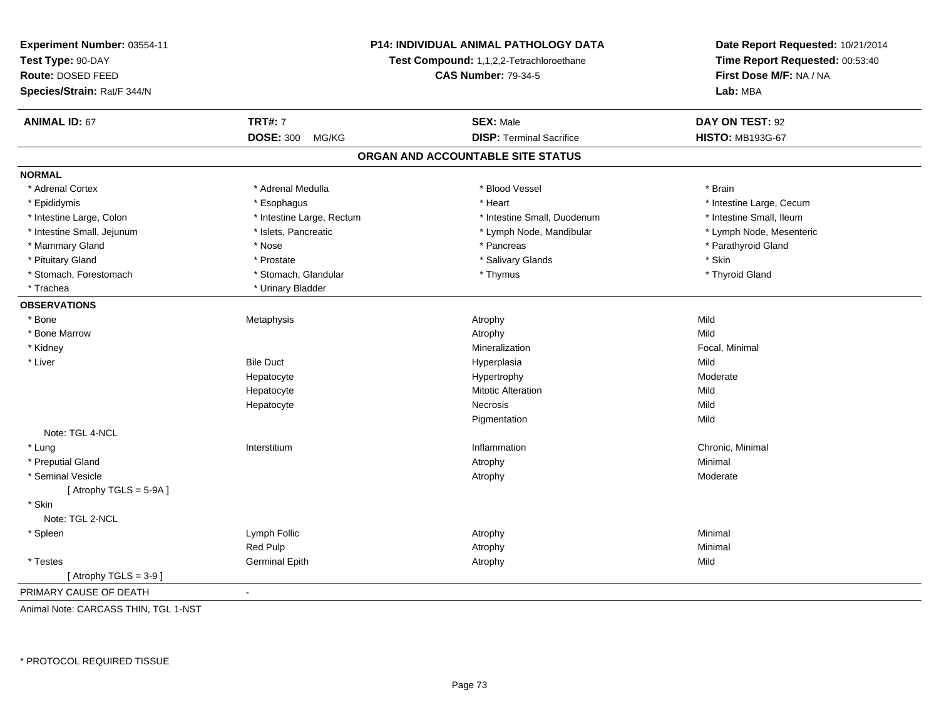| Experiment Number: 03554-11 | P14: INDIVIDUAL ANIMAL PATHOLOGY DATA<br>Test Compound: 1,1,2,2-Tetrachloroethane |                                   | Date Report Requested: 10/21/2014<br>Time Report Requested: 00:53:40 |  |
|-----------------------------|-----------------------------------------------------------------------------------|-----------------------------------|----------------------------------------------------------------------|--|
| Test Type: 90-DAY           |                                                                                   |                                   |                                                                      |  |
| Route: DOSED FEED           |                                                                                   | <b>CAS Number: 79-34-5</b>        | First Dose M/F: NA / NA                                              |  |
| Species/Strain: Rat/F 344/N |                                                                                   |                                   | Lab: MBA                                                             |  |
|                             |                                                                                   |                                   |                                                                      |  |
| <b>ANIMAL ID: 67</b>        | <b>TRT#: 7</b>                                                                    | <b>SEX: Male</b>                  | DAY ON TEST: 92                                                      |  |
|                             | <b>DOSE: 300</b><br>MG/KG                                                         | <b>DISP: Terminal Sacrifice</b>   | <b>HISTO: MB193G-67</b>                                              |  |
|                             |                                                                                   | ORGAN AND ACCOUNTABLE SITE STATUS |                                                                      |  |
| <b>NORMAL</b>               |                                                                                   |                                   |                                                                      |  |
| * Adrenal Cortex            | * Adrenal Medulla                                                                 | * Blood Vessel                    | * Brain                                                              |  |
| * Epididymis                | * Esophagus                                                                       | * Heart                           | * Intestine Large, Cecum                                             |  |
| * Intestine Large, Colon    | * Intestine Large, Rectum                                                         | * Intestine Small, Duodenum       | * Intestine Small, Ileum                                             |  |
| * Intestine Small, Jejunum  | * Islets, Pancreatic                                                              | * Lymph Node, Mandibular          | * Lymph Node, Mesenteric                                             |  |
| * Mammary Gland             | * Nose                                                                            | * Pancreas                        | * Parathyroid Gland                                                  |  |
| * Pituitary Gland           | * Prostate                                                                        | * Salivary Glands                 | * Skin                                                               |  |
| * Stomach, Forestomach      | * Stomach, Glandular                                                              | * Thymus                          | * Thyroid Gland                                                      |  |
| * Trachea                   | * Urinary Bladder                                                                 |                                   |                                                                      |  |
| <b>OBSERVATIONS</b>         |                                                                                   |                                   |                                                                      |  |
| * Bone                      | Metaphysis                                                                        | Atrophy                           | Mild                                                                 |  |
| * Bone Marrow               |                                                                                   | Atrophy                           | Mild                                                                 |  |
| * Kidney                    |                                                                                   | Mineralization                    | Focal, Minimal                                                       |  |
| * Liver                     | <b>Bile Duct</b>                                                                  | Hyperplasia                       | Mild                                                                 |  |
|                             | Hepatocyte                                                                        | Hypertrophy                       | Moderate                                                             |  |
|                             | Hepatocyte                                                                        | <b>Mitotic Alteration</b>         | Mild                                                                 |  |
|                             | Hepatocyte                                                                        | <b>Necrosis</b>                   | Mild                                                                 |  |
|                             |                                                                                   | Pigmentation                      | Mild                                                                 |  |
| Note: TGL 4-NCL             |                                                                                   |                                   |                                                                      |  |
| * Lung                      | Interstitium                                                                      | Inflammation                      | Chronic, Minimal                                                     |  |
| * Preputial Gland           |                                                                                   | Atrophy                           | Minimal                                                              |  |
| * Seminal Vesicle           |                                                                                   | Atrophy                           | Moderate                                                             |  |
| [Atrophy TGLS = $5-9A$ ]    |                                                                                   |                                   |                                                                      |  |
| * Skin                      |                                                                                   |                                   |                                                                      |  |
| Note: TGL 2-NCL             |                                                                                   |                                   |                                                                      |  |
| * Spleen                    | Lymph Follic                                                                      | Atrophy                           | Minimal                                                              |  |
|                             | Red Pulp                                                                          | Atrophy                           | Minimal                                                              |  |
| $^\star$ Testes             | <b>Germinal Epith</b>                                                             | Atrophy                           | Mild                                                                 |  |
| [Atrophy TGLS = $3-9$ ]     |                                                                                   |                                   |                                                                      |  |
| PRIMARY CAUSE OF DEATH      | ä,                                                                                |                                   |                                                                      |  |

Animal Note: CARCASS THIN, TGL 1-NST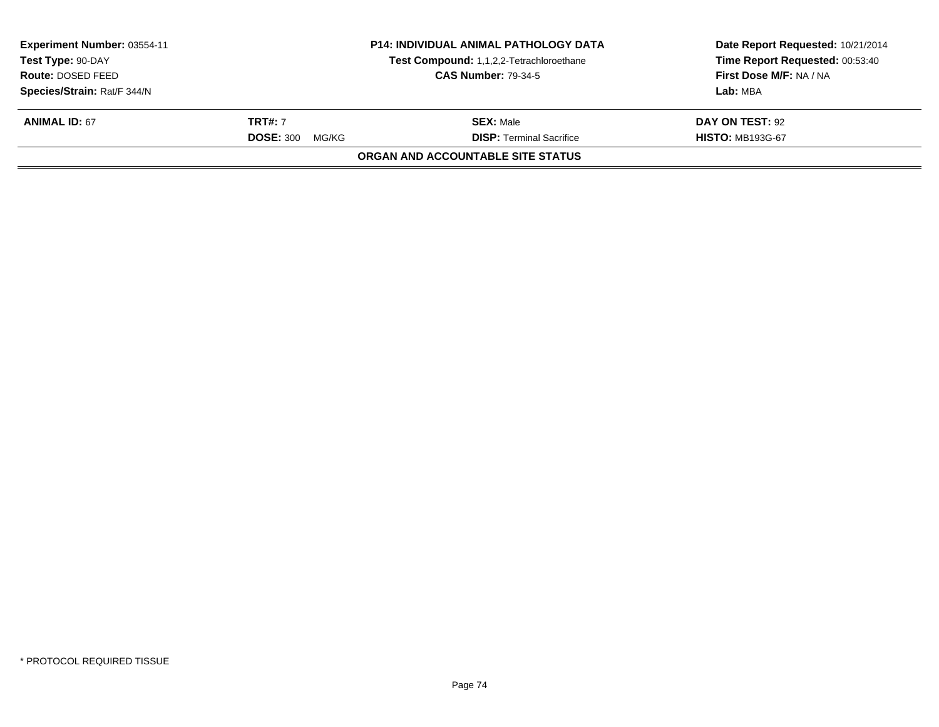| Experiment Number: 03554-11<br>Test Type: 90-DAY<br>Route: DOSED FEED |                           | <b>P14: INDIVIDUAL ANIMAL PATHOLOGY DATA</b> | Date Report Requested: 10/21/2014<br>Time Report Requested: 00:53:40 |
|-----------------------------------------------------------------------|---------------------------|----------------------------------------------|----------------------------------------------------------------------|
|                                                                       |                           | Test Compound: 1,1,2,2-Tetrachloroethane     |                                                                      |
|                                                                       |                           | <b>CAS Number: 79-34-5</b>                   | First Dose M/F: NA / NA                                              |
| Species/Strain: Rat/F 344/N                                           |                           |                                              | Lab: MBA                                                             |
| <b>ANIMAL ID: 67</b>                                                  | <b>TRT#: 7</b>            | <b>SEX: Male</b>                             | DAY ON TEST: 92                                                      |
|                                                                       | <b>DOSE: 300</b><br>MG/KG | <b>DISP: Terminal Sacrifice</b>              | <b>HISTO: MB193G-67</b>                                              |
|                                                                       |                           | ORGAN AND ACCOUNTABLE SITE STATUS            |                                                                      |
|                                                                       |                           |                                              |                                                                      |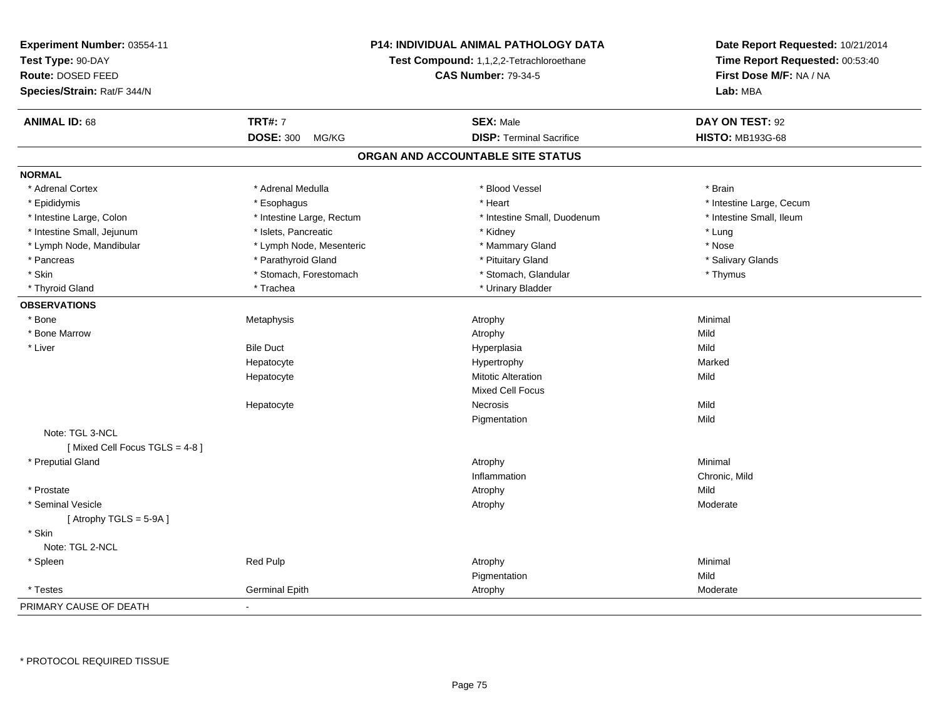| Experiment Number: 03554-11   | <b>P14: INDIVIDUAL ANIMAL PATHOLOGY DATA</b><br>Test Compound: 1,1,2,2-Tetrachloroethane<br><b>CAS Number: 79-34-5</b> |                                   | Date Report Requested: 10/21/2014<br>Time Report Requested: 00:53:40 |  |
|-------------------------------|------------------------------------------------------------------------------------------------------------------------|-----------------------------------|----------------------------------------------------------------------|--|
| Test Type: 90-DAY             |                                                                                                                        |                                   |                                                                      |  |
| Route: DOSED FEED             |                                                                                                                        |                                   | First Dose M/F: NA / NA                                              |  |
| Species/Strain: Rat/F 344/N   |                                                                                                                        |                                   | Lab: MBA                                                             |  |
|                               |                                                                                                                        |                                   |                                                                      |  |
| <b>ANIMAL ID: 68</b>          | <b>TRT#: 7</b>                                                                                                         | <b>SEX: Male</b>                  | DAY ON TEST: 92                                                      |  |
|                               | <b>DOSE: 300</b><br>MG/KG                                                                                              | <b>DISP: Terminal Sacrifice</b>   | <b>HISTO: MB193G-68</b>                                              |  |
|                               |                                                                                                                        | ORGAN AND ACCOUNTABLE SITE STATUS |                                                                      |  |
| <b>NORMAL</b>                 |                                                                                                                        |                                   |                                                                      |  |
| * Adrenal Cortex              | * Adrenal Medulla                                                                                                      | * Blood Vessel                    | * Brain                                                              |  |
| * Epididymis                  | * Esophagus                                                                                                            | * Heart                           | * Intestine Large, Cecum                                             |  |
| * Intestine Large, Colon      | * Intestine Large, Rectum                                                                                              | * Intestine Small, Duodenum       | * Intestine Small, Ileum                                             |  |
| * Intestine Small, Jejunum    | * Islets, Pancreatic                                                                                                   | * Kidney                          | * Lung                                                               |  |
| * Lymph Node, Mandibular      | * Lymph Node, Mesenteric                                                                                               | * Mammary Gland                   | * Nose                                                               |  |
| * Pancreas                    | * Parathyroid Gland                                                                                                    | * Pituitary Gland                 | * Salivary Glands                                                    |  |
| * Skin                        | * Stomach, Forestomach                                                                                                 | * Stomach, Glandular              | * Thymus                                                             |  |
| * Thyroid Gland               | * Trachea                                                                                                              | * Urinary Bladder                 |                                                                      |  |
| <b>OBSERVATIONS</b>           |                                                                                                                        |                                   |                                                                      |  |
| * Bone                        | Metaphysis                                                                                                             | Atrophy                           | Minimal                                                              |  |
| * Bone Marrow                 |                                                                                                                        | Atrophy                           | Mild                                                                 |  |
| * Liver                       | <b>Bile Duct</b>                                                                                                       | Hyperplasia                       | Mild                                                                 |  |
|                               | Hepatocyte                                                                                                             | Hypertrophy                       | Marked                                                               |  |
|                               | Hepatocyte                                                                                                             | <b>Mitotic Alteration</b>         | Mild                                                                 |  |
|                               |                                                                                                                        | <b>Mixed Cell Focus</b>           |                                                                      |  |
|                               | Hepatocyte                                                                                                             | <b>Necrosis</b>                   | Mild                                                                 |  |
|                               |                                                                                                                        | Pigmentation                      | Mild                                                                 |  |
| Note: TGL 3-NCL               |                                                                                                                        |                                   |                                                                      |  |
| [Mixed Cell Focus TGLS = 4-8] |                                                                                                                        |                                   |                                                                      |  |
| * Preputial Gland             |                                                                                                                        | Atrophy                           | Minimal                                                              |  |
|                               |                                                                                                                        | Inflammation                      | Chronic, Mild                                                        |  |
| * Prostate                    |                                                                                                                        | Atrophy                           | Mild                                                                 |  |
| * Seminal Vesicle             |                                                                                                                        | Atrophy                           | Moderate                                                             |  |
| [Atrophy TGLS = 5-9A]         |                                                                                                                        |                                   |                                                                      |  |
| * Skin                        |                                                                                                                        |                                   |                                                                      |  |
| Note: TGL 2-NCL               |                                                                                                                        |                                   |                                                                      |  |
| * Spleen                      | Red Pulp                                                                                                               | Atrophy                           | Minimal                                                              |  |
|                               |                                                                                                                        | Pigmentation                      | Mild                                                                 |  |
| * Testes                      | Germinal Epith                                                                                                         | Atrophy                           | Moderate                                                             |  |
| PRIMARY CAUSE OF DEATH        | $\blacksquare$                                                                                                         |                                   |                                                                      |  |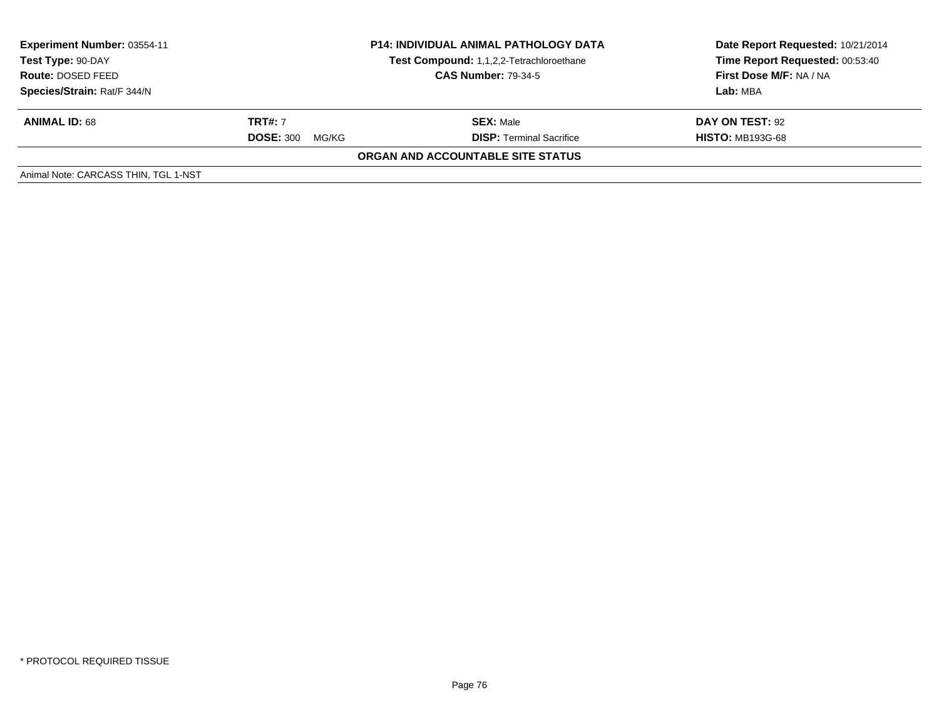| <b>Experiment Number: 03554-11</b><br>Test Type: 90-DAY<br><b>Route: DOSED FEED</b><br>Species/Strain: Rat/F 344/N | <b>P14: INDIVIDUAL ANIMAL PATHOLOGY DATA</b><br>Test Compound: 1,1,2,2-Tetrachloroethane<br><b>CAS Number: 79-34-5</b> |                                                     | Date Report Requested: 10/21/2014<br>Time Report Requested: 00:53:40<br>First Dose M/F: NA / NA<br>Lab: MBA |
|--------------------------------------------------------------------------------------------------------------------|------------------------------------------------------------------------------------------------------------------------|-----------------------------------------------------|-------------------------------------------------------------------------------------------------------------|
| <b>ANIMAL ID: 68</b>                                                                                               | <b>TRT#: 7</b><br><b>DOSE: 300</b><br>MG/KG                                                                            | <b>SEX: Male</b><br><b>DISP:</b> Terminal Sacrifice | DAY ON TEST: 92<br><b>HISTO: MB193G-68</b>                                                                  |
|                                                                                                                    |                                                                                                                        | <b>ORGAN AND ACCOUNTABLE SITE STATUS</b>            |                                                                                                             |
| Animal Note: CARCASS THIN, TGL 1-NST                                                                               |                                                                                                                        |                                                     |                                                                                                             |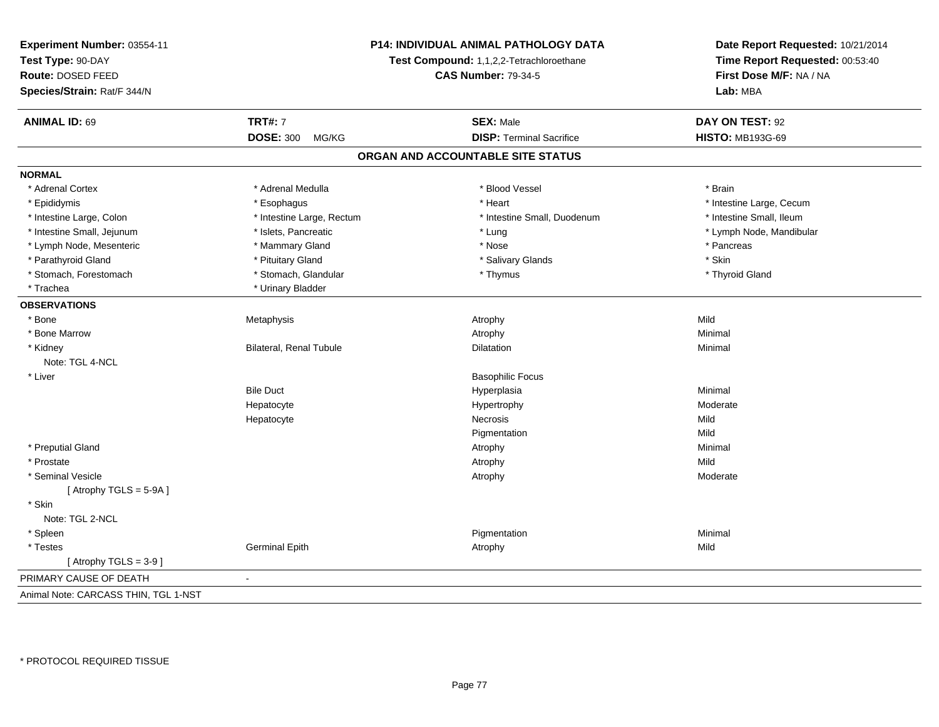| P14: INDIVIDUAL ANIMAL PATHOLOGY DATA<br>Experiment Number: 03554-11 |                                                                        | Date Report Requested: 10/21/2014 |                                 |  |
|----------------------------------------------------------------------|------------------------------------------------------------------------|-----------------------------------|---------------------------------|--|
| Test Type: 90-DAY                                                    | Test Compound: 1,1,2,2-Tetrachloroethane<br><b>CAS Number: 79-34-5</b> |                                   | Time Report Requested: 00:53:40 |  |
| Route: DOSED FEED                                                    |                                                                        |                                   | First Dose M/F: NA / NA         |  |
| Species/Strain: Rat/F 344/N                                          |                                                                        |                                   | Lab: MBA                        |  |
|                                                                      |                                                                        |                                   |                                 |  |
| <b>ANIMAL ID: 69</b>                                                 | <b>TRT#: 7</b>                                                         | <b>SEX: Male</b>                  | DAY ON TEST: 92                 |  |
|                                                                      | <b>DOSE: 300</b><br>MG/KG                                              | <b>DISP: Terminal Sacrifice</b>   | <b>HISTO: MB193G-69</b>         |  |
|                                                                      |                                                                        | ORGAN AND ACCOUNTABLE SITE STATUS |                                 |  |
| <b>NORMAL</b>                                                        |                                                                        |                                   |                                 |  |
| * Adrenal Cortex                                                     | * Adrenal Medulla                                                      | * Blood Vessel                    | * Brain                         |  |
| * Epididymis                                                         | * Esophagus                                                            | * Heart                           | * Intestine Large, Cecum        |  |
| * Intestine Large, Colon                                             | * Intestine Large, Rectum                                              | * Intestine Small, Duodenum       | * Intestine Small, Ileum        |  |
| * Intestine Small, Jejunum                                           | * Islets, Pancreatic                                                   | * Lung                            | * Lymph Node, Mandibular        |  |
| * Lymph Node, Mesenteric                                             | * Mammary Gland                                                        | * Nose                            | * Pancreas                      |  |
| * Parathyroid Gland                                                  | * Pituitary Gland                                                      | * Salivary Glands                 | * Skin                          |  |
| * Stomach, Forestomach                                               | * Stomach, Glandular                                                   | * Thymus                          | * Thyroid Gland                 |  |
| * Trachea                                                            | * Urinary Bladder                                                      |                                   |                                 |  |
| <b>OBSERVATIONS</b>                                                  |                                                                        |                                   |                                 |  |
| * Bone                                                               | Metaphysis                                                             | Atrophy                           | Mild                            |  |
| * Bone Marrow                                                        |                                                                        | Atrophy                           | Minimal                         |  |
| * Kidney                                                             | Bilateral, Renal Tubule                                                | Dilatation                        | Minimal                         |  |
| Note: TGL 4-NCL                                                      |                                                                        |                                   |                                 |  |
| * Liver                                                              |                                                                        | <b>Basophilic Focus</b>           |                                 |  |
|                                                                      | <b>Bile Duct</b>                                                       | Hyperplasia                       | Minimal                         |  |
|                                                                      | Hepatocyte                                                             | Hypertrophy                       | Moderate                        |  |
|                                                                      | Hepatocyte                                                             | Necrosis                          | Mild                            |  |
|                                                                      |                                                                        | Pigmentation                      | Mild                            |  |
| * Preputial Gland                                                    |                                                                        | Atrophy                           | Minimal                         |  |
| * Prostate                                                           |                                                                        | Atrophy                           | Mild                            |  |
| * Seminal Vesicle                                                    |                                                                        | Atrophy                           | Moderate                        |  |
| [Atrophy TGLS = $5-9A$ ]                                             |                                                                        |                                   |                                 |  |
| * Skin                                                               |                                                                        |                                   |                                 |  |
| Note: TGL 2-NCL                                                      |                                                                        |                                   |                                 |  |
| * Spleen                                                             |                                                                        | Pigmentation                      | Minimal                         |  |
| * Testes                                                             | <b>Germinal Epith</b>                                                  | Atrophy                           | Mild                            |  |
| [Atrophy TGLS = $3-9$ ]                                              |                                                                        |                                   |                                 |  |
| PRIMARY CAUSE OF DEATH                                               | $\sim$                                                                 |                                   |                                 |  |
| Animal Note: CARCASS THIN, TGL 1-NST                                 |                                                                        |                                   |                                 |  |

\* PROTOCOL REQUIRED TISSUE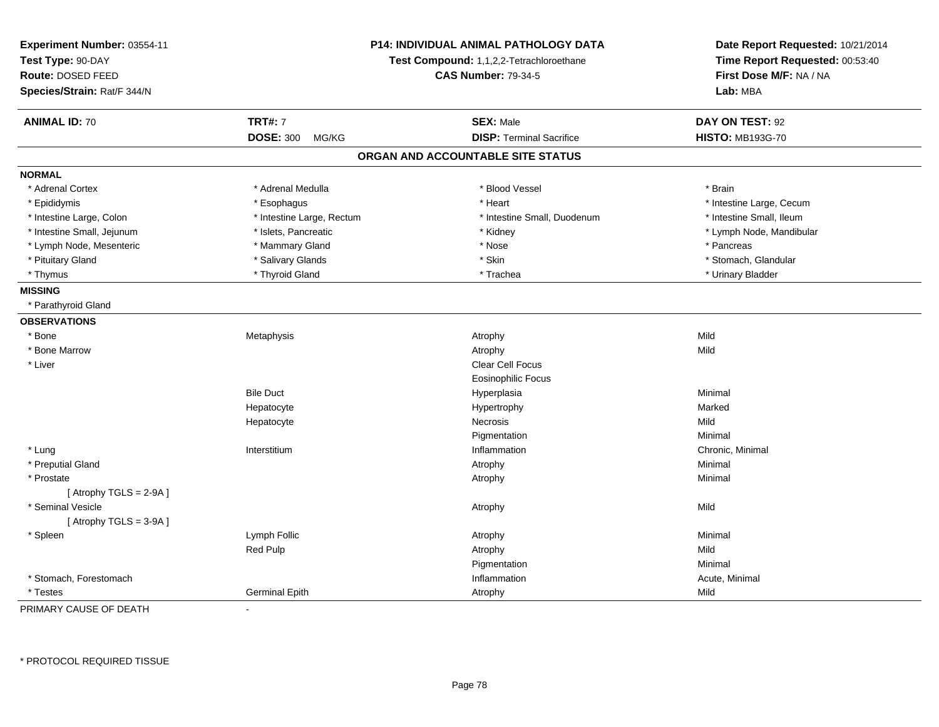| Experiment Number: 03554-11<br>Test Type: 90-DAY<br>Route: DOSED FEED<br>Species/Strain: Rat/F 344/N |                           | P14: INDIVIDUAL ANIMAL PATHOLOGY DATA<br>Test Compound: 1,1,2,2-Tetrachloroethane<br><b>CAS Number: 79-34-5</b> | Date Report Requested: 10/21/2014<br>Time Report Requested: 00:53:40<br>First Dose M/F: NA / NA<br>Lab: MBA |
|------------------------------------------------------------------------------------------------------|---------------------------|-----------------------------------------------------------------------------------------------------------------|-------------------------------------------------------------------------------------------------------------|
| <b>ANIMAL ID: 70</b>                                                                                 | <b>TRT#: 7</b>            | <b>SEX: Male</b>                                                                                                | DAY ON TEST: 92                                                                                             |
|                                                                                                      | <b>DOSE: 300</b><br>MG/KG | <b>DISP: Terminal Sacrifice</b>                                                                                 | <b>HISTO: MB193G-70</b>                                                                                     |
|                                                                                                      |                           | ORGAN AND ACCOUNTABLE SITE STATUS                                                                               |                                                                                                             |
| <b>NORMAL</b>                                                                                        |                           |                                                                                                                 |                                                                                                             |
| * Adrenal Cortex                                                                                     | * Adrenal Medulla         | * Blood Vessel                                                                                                  | * Brain                                                                                                     |
| * Epididymis                                                                                         | * Esophagus               | * Heart                                                                                                         | * Intestine Large, Cecum                                                                                    |
| * Intestine Large, Colon                                                                             | * Intestine Large, Rectum | * Intestine Small, Duodenum                                                                                     | * Intestine Small, Ileum                                                                                    |
| * Intestine Small, Jejunum                                                                           | * Islets, Pancreatic      | * Kidney                                                                                                        | * Lymph Node, Mandibular                                                                                    |
| * Lymph Node, Mesenteric                                                                             | * Mammary Gland           | * Nose                                                                                                          | * Pancreas                                                                                                  |
| * Pituitary Gland                                                                                    | * Salivary Glands         | * Skin                                                                                                          | * Stomach, Glandular                                                                                        |
| * Thymus                                                                                             | * Thyroid Gland           | * Trachea                                                                                                       | * Urinary Bladder                                                                                           |
| <b>MISSING</b>                                                                                       |                           |                                                                                                                 |                                                                                                             |
| * Parathyroid Gland                                                                                  |                           |                                                                                                                 |                                                                                                             |
| <b>OBSERVATIONS</b>                                                                                  |                           |                                                                                                                 |                                                                                                             |
| * Bone                                                                                               | Metaphysis                | Atrophy                                                                                                         | Mild                                                                                                        |
| * Bone Marrow                                                                                        |                           | Atrophy                                                                                                         | Mild                                                                                                        |
| * Liver                                                                                              |                           | <b>Clear Cell Focus</b>                                                                                         |                                                                                                             |
|                                                                                                      |                           | <b>Eosinophilic Focus</b>                                                                                       |                                                                                                             |
|                                                                                                      | <b>Bile Duct</b>          | Hyperplasia                                                                                                     | Minimal                                                                                                     |
|                                                                                                      | Hepatocyte                | Hypertrophy                                                                                                     | Marked                                                                                                      |
|                                                                                                      | Hepatocyte                | Necrosis                                                                                                        | Mild                                                                                                        |
|                                                                                                      |                           | Pigmentation                                                                                                    | Minimal                                                                                                     |
| * Lung                                                                                               | Interstitium              | Inflammation                                                                                                    | Chronic, Minimal                                                                                            |
| * Preputial Gland                                                                                    |                           | Atrophy                                                                                                         | Minimal                                                                                                     |
| * Prostate                                                                                           |                           | Atrophy                                                                                                         | Minimal                                                                                                     |
| [Atrophy TGLS = $2-9A$ ]                                                                             |                           |                                                                                                                 |                                                                                                             |
| * Seminal Vesicle                                                                                    |                           | Atrophy                                                                                                         | Mild                                                                                                        |
| [Atrophy TGLS = $3-9A$ ]                                                                             |                           |                                                                                                                 |                                                                                                             |
| * Spleen                                                                                             | Lymph Follic              | Atrophy                                                                                                         | Minimal                                                                                                     |
|                                                                                                      | Red Pulp                  | Atrophy                                                                                                         | Mild                                                                                                        |
|                                                                                                      |                           | Pigmentation                                                                                                    | Minimal                                                                                                     |
| * Stomach, Forestomach                                                                               |                           | Inflammation                                                                                                    | Acute, Minimal                                                                                              |
| * Testes                                                                                             | <b>Germinal Epith</b>     | Atrophy                                                                                                         | Mild                                                                                                        |

PRIMARY CAUSE OF DEATH-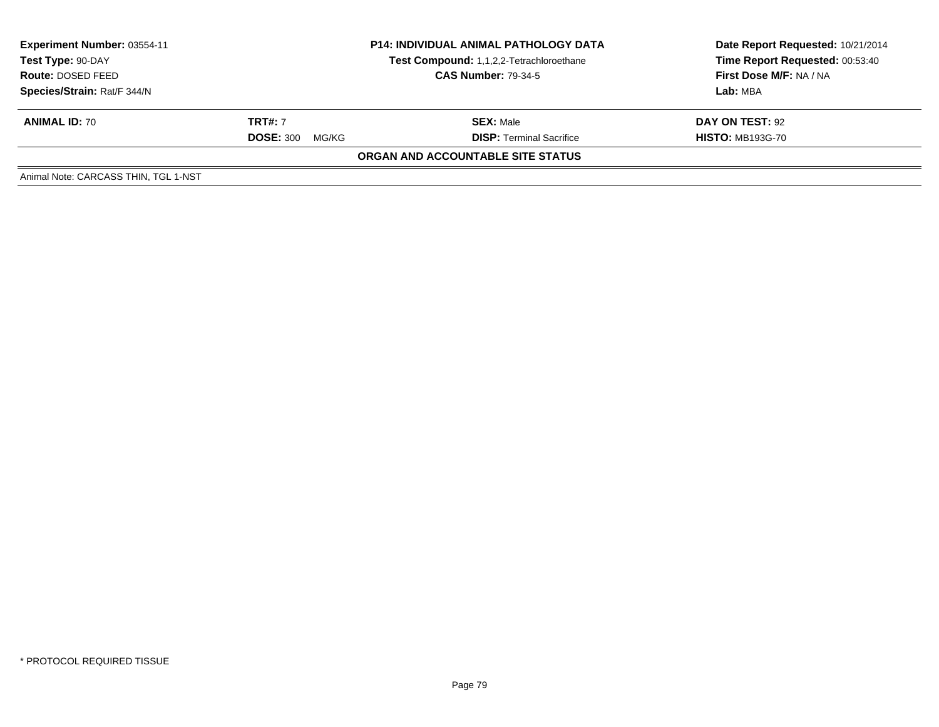| Experiment Number: 03554-11<br>Test Type: 90-DAY<br>Route: DOSED FEED | <b>P14: INDIVIDUAL ANIMAL PATHOLOGY DATA</b><br>Test Compound: 1,1,2,2-Tetrachloroethane<br><b>CAS Number: 79-34-5</b> |                                   | Date Report Requested: 10/21/2014<br>Time Report Requested: 00:53:40<br><b>First Dose M/F: NA / NA</b> |  |
|-----------------------------------------------------------------------|------------------------------------------------------------------------------------------------------------------------|-----------------------------------|--------------------------------------------------------------------------------------------------------|--|
| Species/Strain: Rat/F 344/N                                           |                                                                                                                        |                                   | Lab: MBA                                                                                               |  |
| <b>ANIMAL ID: 70</b>                                                  | <b>TRT#:</b> 7                                                                                                         | <b>SEX: Male</b>                  | DAY ON TEST: 92                                                                                        |  |
|                                                                       | <b>DOSE: 300</b><br>MG/KG                                                                                              | <b>DISP: Terminal Sacrifice</b>   | <b>HISTO: MB193G-70</b>                                                                                |  |
|                                                                       |                                                                                                                        | ORGAN AND ACCOUNTABLE SITE STATUS |                                                                                                        |  |
| Animal Note: CARCASS THIN, TGL 1-NST                                  |                                                                                                                        |                                   |                                                                                                        |  |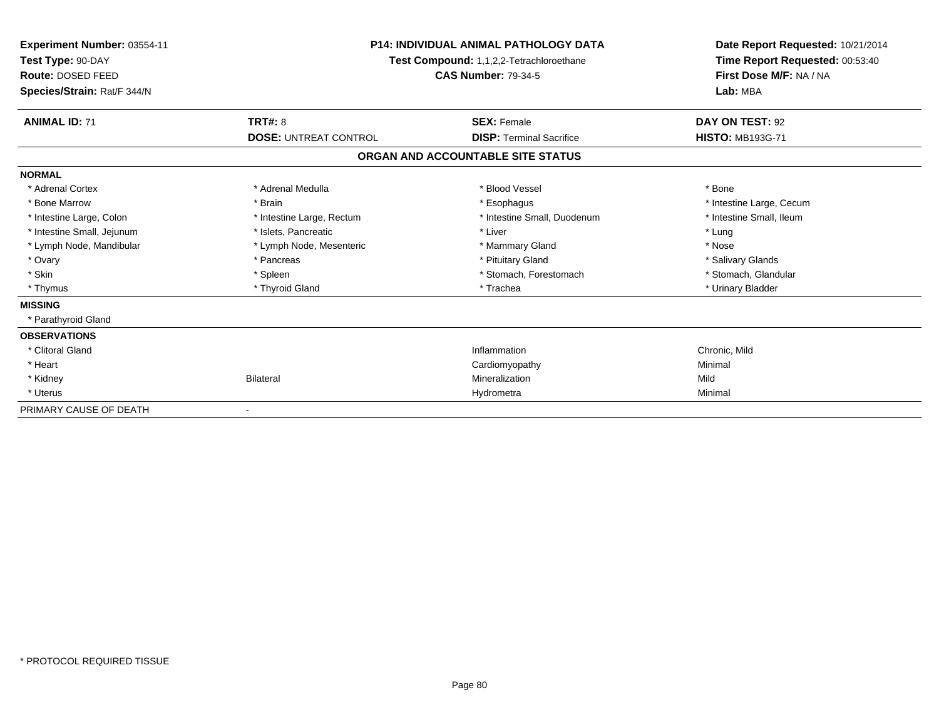| Experiment Number: 03554-11<br>Test Type: 90-DAY<br>Route: DOSED FEED<br>Species/Strain: Rat/F 344/N | <b>P14: INDIVIDUAL ANIMAL PATHOLOGY DATA</b><br>Test Compound: 1,1,2,2-Tetrachloroethane<br><b>CAS Number: 79-34-5</b> |                                   | Date Report Requested: 10/21/2014<br>Time Report Requested: 00:53:40<br>First Dose M/F: NA / NA<br>Lab: MBA |
|------------------------------------------------------------------------------------------------------|------------------------------------------------------------------------------------------------------------------------|-----------------------------------|-------------------------------------------------------------------------------------------------------------|
| <b>ANIMAL ID: 71</b>                                                                                 | <b>TRT#: 8</b>                                                                                                         | <b>SEX: Female</b>                | DAY ON TEST: 92                                                                                             |
|                                                                                                      | <b>DOSE: UNTREAT CONTROL</b>                                                                                           | <b>DISP: Terminal Sacrifice</b>   | <b>HISTO: MB193G-71</b>                                                                                     |
|                                                                                                      |                                                                                                                        | ORGAN AND ACCOUNTABLE SITE STATUS |                                                                                                             |
| <b>NORMAL</b>                                                                                        |                                                                                                                        |                                   |                                                                                                             |
| * Adrenal Cortex                                                                                     | * Adrenal Medulla                                                                                                      | * Blood Vessel                    | * Bone                                                                                                      |
| * Bone Marrow                                                                                        | * Brain                                                                                                                | * Esophagus                       | * Intestine Large, Cecum                                                                                    |
| * Intestine Large, Colon                                                                             | * Intestine Large, Rectum                                                                                              | * Intestine Small, Duodenum       | * Intestine Small, Ileum                                                                                    |
| * Intestine Small, Jejunum                                                                           | * Islets, Pancreatic                                                                                                   | * Liver                           | * Lung                                                                                                      |
| * Lymph Node, Mandibular                                                                             | * Lymph Node, Mesenteric                                                                                               | * Mammary Gland                   | * Nose                                                                                                      |
| * Ovary                                                                                              | * Pancreas                                                                                                             | * Pituitary Gland                 | * Salivary Glands                                                                                           |
| * Skin                                                                                               | * Spleen                                                                                                               | * Stomach, Forestomach            | * Stomach, Glandular                                                                                        |
| * Thymus                                                                                             | * Thyroid Gland                                                                                                        | * Trachea                         | * Urinary Bladder                                                                                           |
| <b>MISSING</b>                                                                                       |                                                                                                                        |                                   |                                                                                                             |
| * Parathyroid Gland                                                                                  |                                                                                                                        |                                   |                                                                                                             |
| <b>OBSERVATIONS</b>                                                                                  |                                                                                                                        |                                   |                                                                                                             |
| * Clitoral Gland                                                                                     |                                                                                                                        | Inflammation                      | Chronic, Mild                                                                                               |
| * Heart                                                                                              |                                                                                                                        | Cardiomyopathy                    | Minimal                                                                                                     |
| * Kidney                                                                                             | <b>Bilateral</b>                                                                                                       | Mineralization                    | Mild                                                                                                        |
| * Uterus                                                                                             |                                                                                                                        | Hydrometra                        | Minimal                                                                                                     |
| PRIMARY CAUSE OF DEATH                                                                               |                                                                                                                        |                                   |                                                                                                             |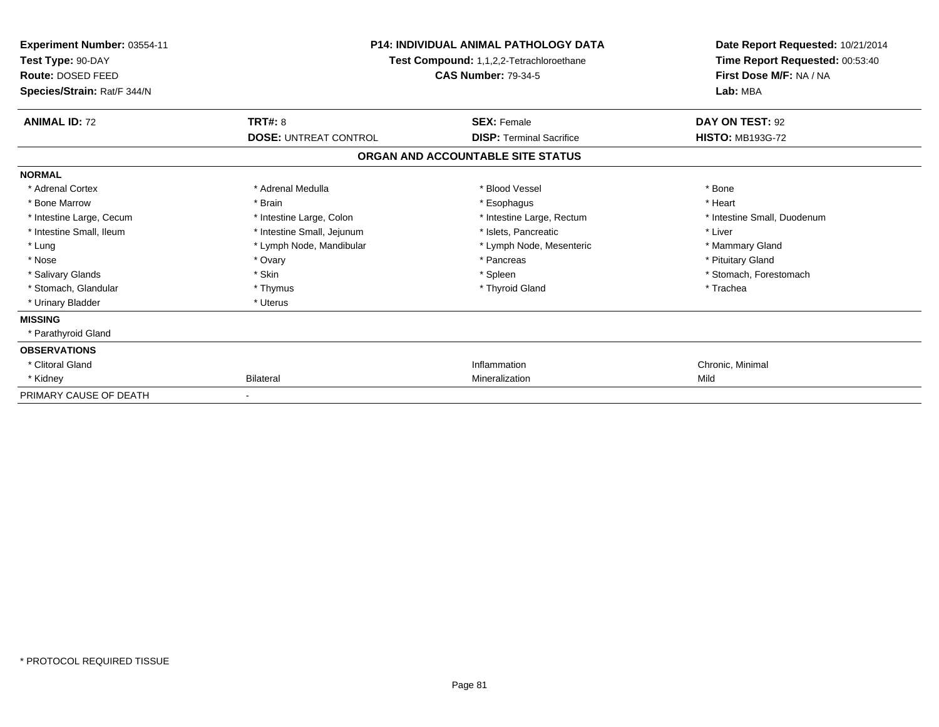| Experiment Number: 03554-11<br>Test Type: 90-DAY<br>Route: DOSED FEED<br>Species/Strain: Rat/F 344/N | <b>P14: INDIVIDUAL ANIMAL PATHOLOGY DATA</b><br>Test Compound: 1,1,2,2-Tetrachloroethane<br><b>CAS Number: 79-34-5</b> |                                   | Date Report Requested: 10/21/2014<br>Time Report Requested: 00:53:40<br>First Dose M/F: NA / NA<br>Lab: MBA |
|------------------------------------------------------------------------------------------------------|------------------------------------------------------------------------------------------------------------------------|-----------------------------------|-------------------------------------------------------------------------------------------------------------|
| <b>ANIMAL ID: 72</b>                                                                                 | <b>TRT#: 8</b>                                                                                                         | <b>SEX: Female</b>                | DAY ON TEST: 92                                                                                             |
|                                                                                                      | <b>DOSE: UNTREAT CONTROL</b>                                                                                           | <b>DISP: Terminal Sacrifice</b>   | <b>HISTO: MB193G-72</b>                                                                                     |
|                                                                                                      |                                                                                                                        | ORGAN AND ACCOUNTABLE SITE STATUS |                                                                                                             |
| <b>NORMAL</b>                                                                                        |                                                                                                                        |                                   |                                                                                                             |
| * Adrenal Cortex                                                                                     | * Adrenal Medulla                                                                                                      | * Blood Vessel                    | * Bone                                                                                                      |
| * Bone Marrow                                                                                        | * Brain                                                                                                                | * Esophagus                       | * Heart                                                                                                     |
| * Intestine Large, Cecum                                                                             | * Intestine Large, Colon                                                                                               | * Intestine Large, Rectum         | * Intestine Small, Duodenum                                                                                 |
| * Intestine Small, Ileum                                                                             | * Intestine Small, Jejunum                                                                                             | * Islets, Pancreatic              | * Liver                                                                                                     |
| * Lung                                                                                               | * Lymph Node, Mandibular                                                                                               | * Lymph Node, Mesenteric          | * Mammary Gland                                                                                             |
| * Nose                                                                                               | * Ovary                                                                                                                | * Pancreas                        | * Pituitary Gland                                                                                           |
| * Salivary Glands                                                                                    | * Skin                                                                                                                 | * Spleen                          | * Stomach, Forestomach                                                                                      |
| * Stomach, Glandular                                                                                 | * Thymus                                                                                                               | * Thyroid Gland                   | * Trachea                                                                                                   |
| * Urinary Bladder                                                                                    | * Uterus                                                                                                               |                                   |                                                                                                             |
| <b>MISSING</b>                                                                                       |                                                                                                                        |                                   |                                                                                                             |
| * Parathyroid Gland                                                                                  |                                                                                                                        |                                   |                                                                                                             |
| <b>OBSERVATIONS</b>                                                                                  |                                                                                                                        |                                   |                                                                                                             |
| * Clitoral Gland                                                                                     |                                                                                                                        | Inflammation                      | Chronic, Minimal                                                                                            |
| * Kidney                                                                                             | <b>Bilateral</b>                                                                                                       | Mineralization                    | Mild                                                                                                        |
| PRIMARY CAUSE OF DEATH                                                                               |                                                                                                                        |                                   |                                                                                                             |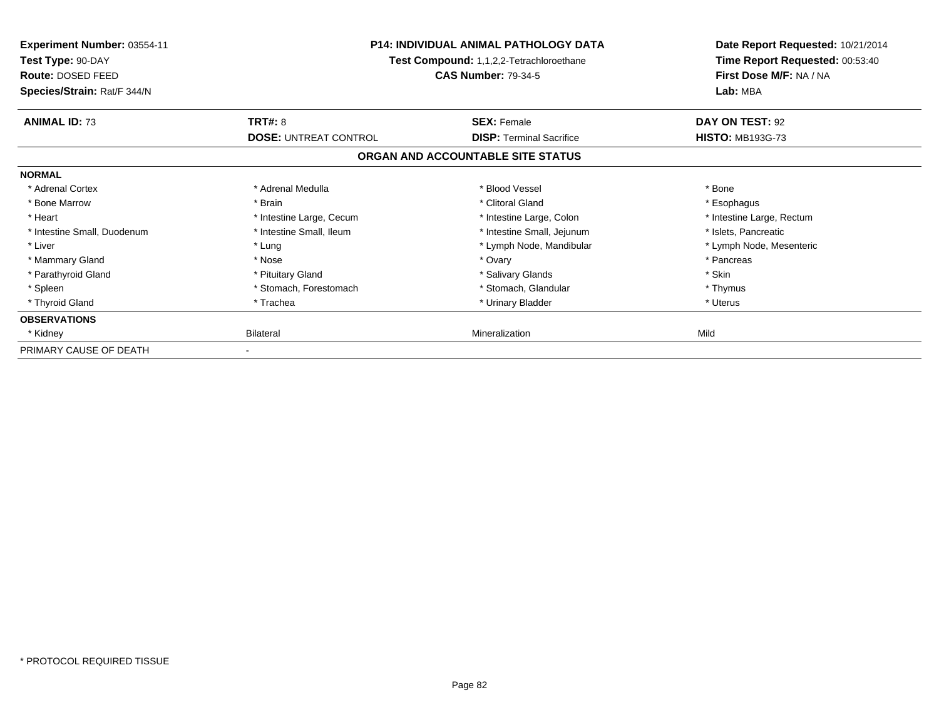| Experiment Number: 03554-11<br>Test Type: 90-DAY<br>Route: DOSED FEED<br>Species/Strain: Rat/F 344/N | <b>P14: INDIVIDUAL ANIMAL PATHOLOGY DATA</b><br>Test Compound: 1,1,2,2-Tetrachloroethane<br><b>CAS Number: 79-34-5</b> |                                   | Date Report Requested: 10/21/2014<br>Time Report Requested: 00:53:40<br>First Dose M/F: NA / NA<br>Lab: MBA |
|------------------------------------------------------------------------------------------------------|------------------------------------------------------------------------------------------------------------------------|-----------------------------------|-------------------------------------------------------------------------------------------------------------|
| <b>ANIMAL ID: 73</b>                                                                                 | TRT#: 8                                                                                                                | <b>SEX: Female</b>                | DAY ON TEST: 92                                                                                             |
|                                                                                                      | <b>DOSE: UNTREAT CONTROL</b>                                                                                           | <b>DISP:</b> Terminal Sacrifice   | <b>HISTO: MB193G-73</b>                                                                                     |
|                                                                                                      |                                                                                                                        | ORGAN AND ACCOUNTABLE SITE STATUS |                                                                                                             |
| <b>NORMAL</b>                                                                                        |                                                                                                                        |                                   |                                                                                                             |
| * Adrenal Cortex                                                                                     | * Adrenal Medulla                                                                                                      | * Blood Vessel                    | * Bone                                                                                                      |
| * Bone Marrow                                                                                        | * Brain                                                                                                                | * Clitoral Gland                  | * Esophagus                                                                                                 |
| * Heart                                                                                              | * Intestine Large, Cecum                                                                                               | * Intestine Large, Colon          | * Intestine Large, Rectum                                                                                   |
| * Intestine Small, Duodenum                                                                          | * Intestine Small, Ileum                                                                                               | * Intestine Small, Jejunum        | * Islets, Pancreatic                                                                                        |
| * Liver                                                                                              | * Lung                                                                                                                 | * Lymph Node, Mandibular          | * Lymph Node, Mesenteric                                                                                    |
| * Mammary Gland                                                                                      | * Nose                                                                                                                 | * Ovary                           | * Pancreas                                                                                                  |
| * Parathyroid Gland                                                                                  | * Pituitary Gland                                                                                                      | * Salivary Glands                 | * Skin                                                                                                      |
| * Spleen                                                                                             | * Stomach, Forestomach                                                                                                 | * Stomach, Glandular              | * Thymus                                                                                                    |
| * Thyroid Gland                                                                                      | * Trachea                                                                                                              | * Urinary Bladder                 | * Uterus                                                                                                    |
| <b>OBSERVATIONS</b>                                                                                  |                                                                                                                        |                                   |                                                                                                             |
| * Kidney                                                                                             | Bilateral                                                                                                              | Mineralization                    | Mild                                                                                                        |
| PRIMARY CAUSE OF DEATH                                                                               |                                                                                                                        |                                   |                                                                                                             |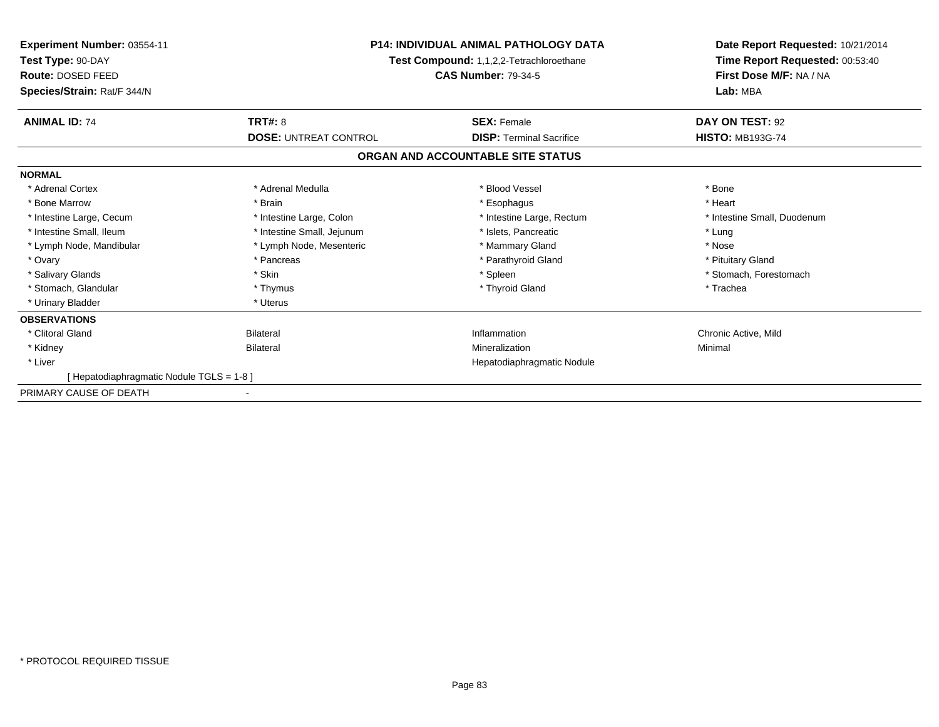| <b>Experiment Number: 03554-11</b><br>Test Type: 90-DAY<br>Route: DOSED FEED | <b>P14: INDIVIDUAL ANIMAL PATHOLOGY DATA</b><br>Test Compound: 1,1,2,2-Tetrachloroethane<br><b>CAS Number: 79-34-5</b> |                                   | Date Report Requested: 10/21/2014<br>Time Report Requested: 00:53:40<br>First Dose M/F: NA / NA |  |
|------------------------------------------------------------------------------|------------------------------------------------------------------------------------------------------------------------|-----------------------------------|-------------------------------------------------------------------------------------------------|--|
| Species/Strain: Rat/F 344/N                                                  |                                                                                                                        |                                   | Lab: MBA                                                                                        |  |
| <b>ANIMAL ID: 74</b>                                                         | <b>TRT#: 8</b>                                                                                                         | <b>SEX: Female</b>                | DAY ON TEST: 92                                                                                 |  |
|                                                                              | <b>DOSE: UNTREAT CONTROL</b>                                                                                           | <b>DISP: Terminal Sacrifice</b>   | <b>HISTO: MB193G-74</b>                                                                         |  |
|                                                                              |                                                                                                                        | ORGAN AND ACCOUNTABLE SITE STATUS |                                                                                                 |  |
| <b>NORMAL</b>                                                                |                                                                                                                        |                                   |                                                                                                 |  |
| * Adrenal Cortex                                                             | * Adrenal Medulla                                                                                                      | * Blood Vessel                    | * Bone                                                                                          |  |
| * Bone Marrow                                                                | * Brain                                                                                                                | * Esophagus                       | * Heart                                                                                         |  |
| * Intestine Large, Cecum                                                     | * Intestine Large, Colon                                                                                               | * Intestine Large, Rectum         | * Intestine Small, Duodenum                                                                     |  |
| * Intestine Small, Ileum                                                     | * Intestine Small, Jejunum                                                                                             | * Islets, Pancreatic              | * Lung                                                                                          |  |
| * Lymph Node, Mandibular                                                     | * Lymph Node, Mesenteric                                                                                               | * Mammary Gland                   | * Nose                                                                                          |  |
| * Ovary                                                                      | * Pancreas                                                                                                             | * Parathyroid Gland               | * Pituitary Gland                                                                               |  |
| * Salivary Glands                                                            | * Skin                                                                                                                 | * Spleen                          | * Stomach, Forestomach                                                                          |  |
| * Stomach, Glandular                                                         | * Thymus                                                                                                               | * Thyroid Gland                   | * Trachea                                                                                       |  |
| * Urinary Bladder                                                            | * Uterus                                                                                                               |                                   |                                                                                                 |  |
| <b>OBSERVATIONS</b>                                                          |                                                                                                                        |                                   |                                                                                                 |  |
| * Clitoral Gland                                                             | <b>Bilateral</b>                                                                                                       | Inflammation                      | Chronic Active, Mild                                                                            |  |
| * Kidney                                                                     | <b>Bilateral</b>                                                                                                       | Mineralization                    | Minimal                                                                                         |  |
| * Liver                                                                      |                                                                                                                        | Hepatodiaphragmatic Nodule        |                                                                                                 |  |
| Hepatodiaphragmatic Nodule TGLS = 1-8 ]                                      |                                                                                                                        |                                   |                                                                                                 |  |
| PRIMARY CAUSE OF DEATH                                                       | $\blacksquare$                                                                                                         |                                   |                                                                                                 |  |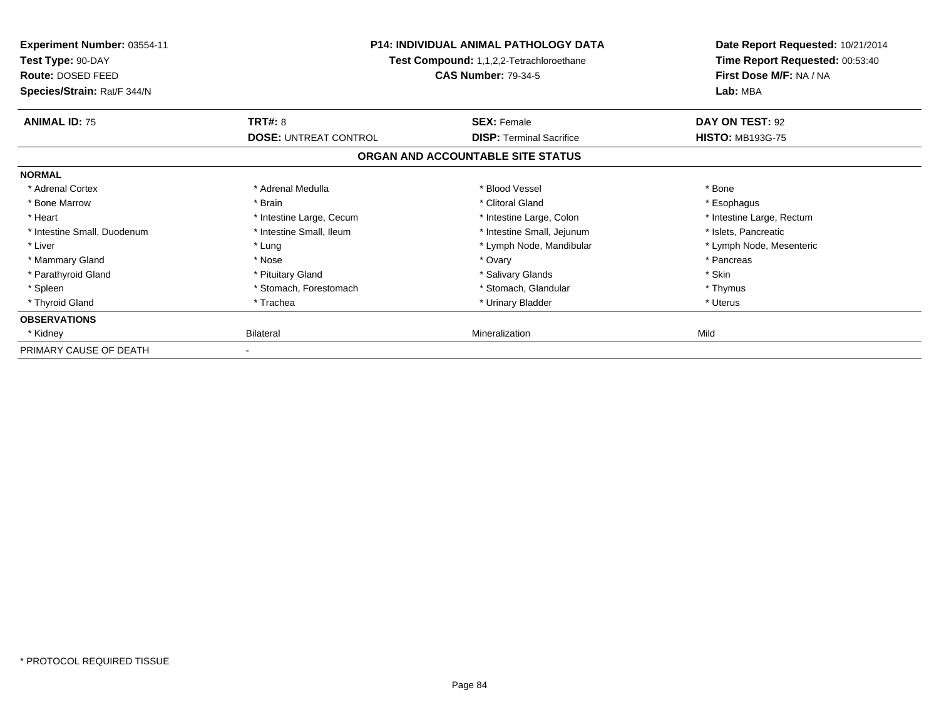| Experiment Number: 03554-11<br>Test Type: 90-DAY<br>Route: DOSED FEED<br>Species/Strain: Rat/F 344/N | <b>P14: INDIVIDUAL ANIMAL PATHOLOGY DATA</b><br>Test Compound: 1,1,2,2-Tetrachloroethane<br><b>CAS Number: 79-34-5</b> |                                   | Date Report Requested: 10/21/2014<br>Time Report Requested: 00:53:40<br>First Dose M/F: NA / NA<br>Lab: MBA |
|------------------------------------------------------------------------------------------------------|------------------------------------------------------------------------------------------------------------------------|-----------------------------------|-------------------------------------------------------------------------------------------------------------|
| <b>ANIMAL ID: 75</b>                                                                                 | TRT#: 8                                                                                                                | <b>SEX: Female</b>                | DAY ON TEST: 92                                                                                             |
|                                                                                                      | <b>DOSE: UNTREAT CONTROL</b>                                                                                           | <b>DISP:</b> Terminal Sacrifice   | <b>HISTO: MB193G-75</b>                                                                                     |
|                                                                                                      |                                                                                                                        | ORGAN AND ACCOUNTABLE SITE STATUS |                                                                                                             |
| <b>NORMAL</b>                                                                                        |                                                                                                                        |                                   |                                                                                                             |
| * Adrenal Cortex                                                                                     | * Adrenal Medulla                                                                                                      | * Blood Vessel                    | * Bone                                                                                                      |
| * Bone Marrow                                                                                        | * Brain                                                                                                                | * Clitoral Gland                  | * Esophagus                                                                                                 |
| * Heart                                                                                              | * Intestine Large, Cecum                                                                                               | * Intestine Large, Colon          | * Intestine Large, Rectum                                                                                   |
| * Intestine Small, Duodenum                                                                          | * Intestine Small, Ileum                                                                                               | * Intestine Small, Jejunum        | * Islets, Pancreatic                                                                                        |
| * Liver                                                                                              | * Lung                                                                                                                 | * Lymph Node, Mandibular          | * Lymph Node, Mesenteric                                                                                    |
| * Mammary Gland                                                                                      | * Nose                                                                                                                 | * Ovary                           | * Pancreas                                                                                                  |
| * Parathyroid Gland                                                                                  | * Pituitary Gland                                                                                                      | * Salivary Glands                 | * Skin                                                                                                      |
| * Spleen                                                                                             | * Stomach, Forestomach                                                                                                 | * Stomach, Glandular              | * Thymus                                                                                                    |
| * Thyroid Gland                                                                                      | * Trachea                                                                                                              | * Urinary Bladder                 | * Uterus                                                                                                    |
| <b>OBSERVATIONS</b>                                                                                  |                                                                                                                        |                                   |                                                                                                             |
| * Kidney                                                                                             | Bilateral                                                                                                              | Mineralization                    | Mild                                                                                                        |
| PRIMARY CAUSE OF DEATH                                                                               |                                                                                                                        |                                   |                                                                                                             |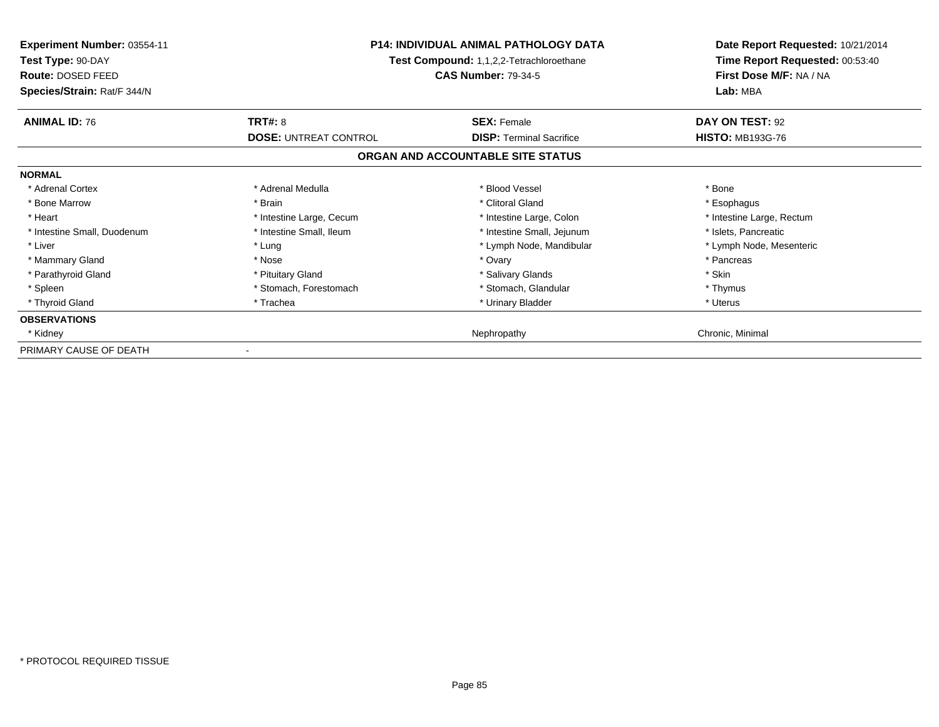| Experiment Number: 03554-11<br>Test Type: 90-DAY<br><b>Route: DOSED FEED</b><br>Species/Strain: Rat/F 344/N | <b>P14: INDIVIDUAL ANIMAL PATHOLOGY DATA</b><br>Test Compound: 1,1,2,2-Tetrachloroethane<br><b>CAS Number: 79-34-5</b> |                                   | Date Report Requested: 10/21/2014<br>Time Report Requested: 00:53:40<br>First Dose M/F: NA / NA<br>Lab: MBA |
|-------------------------------------------------------------------------------------------------------------|------------------------------------------------------------------------------------------------------------------------|-----------------------------------|-------------------------------------------------------------------------------------------------------------|
| <b>ANIMAL ID: 76</b>                                                                                        | <b>TRT#: 8</b>                                                                                                         | <b>SEX: Female</b>                | DAY ON TEST: 92                                                                                             |
|                                                                                                             | <b>DOSE: UNTREAT CONTROL</b>                                                                                           | <b>DISP:</b> Terminal Sacrifice   | <b>HISTO: MB193G-76</b>                                                                                     |
|                                                                                                             |                                                                                                                        | ORGAN AND ACCOUNTABLE SITE STATUS |                                                                                                             |
| <b>NORMAL</b>                                                                                               |                                                                                                                        |                                   |                                                                                                             |
| * Adrenal Cortex                                                                                            | * Adrenal Medulla                                                                                                      | * Blood Vessel                    | * Bone                                                                                                      |
| * Bone Marrow                                                                                               | * Brain                                                                                                                | * Clitoral Gland                  | * Esophagus                                                                                                 |
| * Heart                                                                                                     | * Intestine Large, Cecum                                                                                               | * Intestine Large, Colon          | * Intestine Large, Rectum                                                                                   |
| * Intestine Small, Duodenum                                                                                 | * Intestine Small, Ileum                                                                                               | * Intestine Small, Jejunum        | * Islets, Pancreatic                                                                                        |
| * Liver                                                                                                     | * Lung                                                                                                                 | * Lymph Node, Mandibular          | * Lymph Node, Mesenteric                                                                                    |
| * Mammary Gland                                                                                             | * Nose                                                                                                                 | * Ovary                           | * Pancreas                                                                                                  |
| * Parathyroid Gland                                                                                         | * Pituitary Gland                                                                                                      | * Salivary Glands                 | * Skin                                                                                                      |
| * Spleen                                                                                                    | * Stomach, Forestomach                                                                                                 | * Stomach, Glandular              | * Thymus                                                                                                    |
| * Thyroid Gland                                                                                             | * Trachea                                                                                                              | * Urinary Bladder                 | * Uterus                                                                                                    |
| <b>OBSERVATIONS</b>                                                                                         |                                                                                                                        |                                   |                                                                                                             |
| * Kidney                                                                                                    |                                                                                                                        | Nephropathy                       | Chronic, Minimal                                                                                            |
| PRIMARY CAUSE OF DEATH                                                                                      |                                                                                                                        |                                   |                                                                                                             |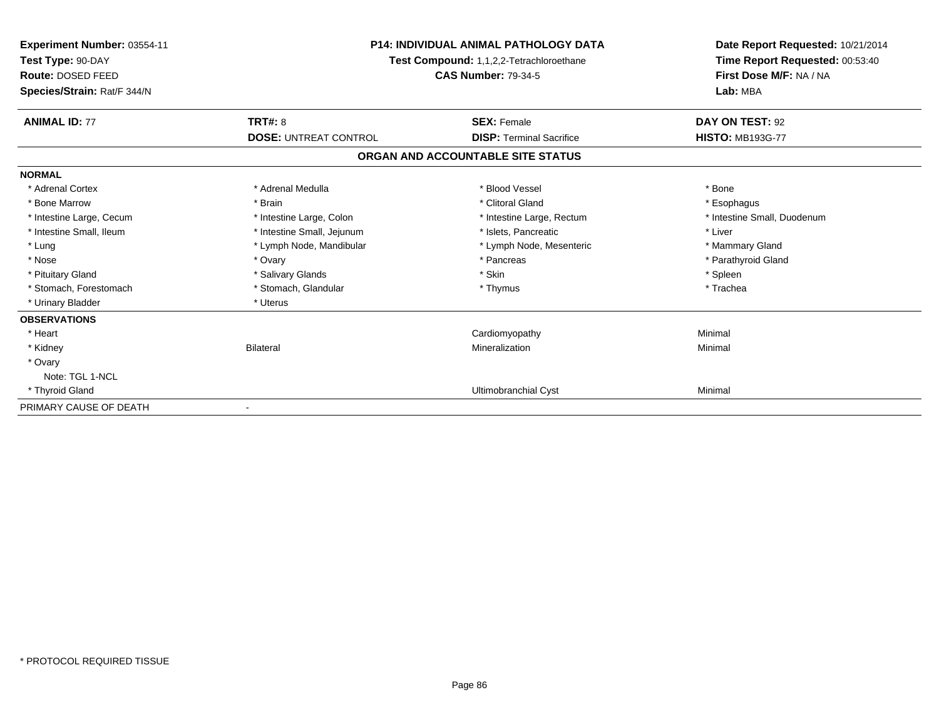| <b>Experiment Number: 03554-11</b><br>Test Type: 90-DAY<br>Route: DOSED FEED<br>Species/Strain: Rat/F 344/N | <b>P14: INDIVIDUAL ANIMAL PATHOLOGY DATA</b><br>Test Compound: 1,1,2,2-Tetrachloroethane<br><b>CAS Number: 79-34-5</b> |                                   | Date Report Requested: 10/21/2014<br>Time Report Requested: 00:53:40<br>First Dose M/F: NA / NA<br>Lab: MBA |
|-------------------------------------------------------------------------------------------------------------|------------------------------------------------------------------------------------------------------------------------|-----------------------------------|-------------------------------------------------------------------------------------------------------------|
| <b>ANIMAL ID: 77</b>                                                                                        | <b>TRT#: 8</b>                                                                                                         | <b>SEX: Female</b>                | DAY ON TEST: 92                                                                                             |
|                                                                                                             | <b>DOSE: UNTREAT CONTROL</b>                                                                                           | <b>DISP: Terminal Sacrifice</b>   | <b>HISTO: MB193G-77</b>                                                                                     |
|                                                                                                             |                                                                                                                        | ORGAN AND ACCOUNTABLE SITE STATUS |                                                                                                             |
| <b>NORMAL</b>                                                                                               |                                                                                                                        |                                   |                                                                                                             |
| * Adrenal Cortex                                                                                            | * Adrenal Medulla                                                                                                      | * Blood Vessel                    | * Bone                                                                                                      |
| * Bone Marrow                                                                                               | * Brain                                                                                                                | * Clitoral Gland                  | * Esophagus                                                                                                 |
| * Intestine Large, Cecum                                                                                    | * Intestine Large, Colon                                                                                               | * Intestine Large, Rectum         | * Intestine Small, Duodenum                                                                                 |
| * Intestine Small, Ileum                                                                                    | * Intestine Small, Jejunum                                                                                             | * Islets. Pancreatic              | * Liver                                                                                                     |
| * Lung                                                                                                      | * Lymph Node, Mandibular                                                                                               | * Lymph Node, Mesenteric          | * Mammary Gland                                                                                             |
| * Nose                                                                                                      | * Ovary                                                                                                                | * Pancreas                        | * Parathyroid Gland                                                                                         |
| * Pituitary Gland                                                                                           | * Salivary Glands                                                                                                      | * Skin                            | * Spleen                                                                                                    |
| * Stomach, Forestomach                                                                                      | * Stomach, Glandular                                                                                                   | * Thymus                          | * Trachea                                                                                                   |
| * Urinary Bladder                                                                                           | * Uterus                                                                                                               |                                   |                                                                                                             |
| <b>OBSERVATIONS</b>                                                                                         |                                                                                                                        |                                   |                                                                                                             |
| * Heart                                                                                                     |                                                                                                                        | Cardiomyopathy                    | Minimal                                                                                                     |
| * Kidney                                                                                                    | <b>Bilateral</b>                                                                                                       | Mineralization                    | Minimal                                                                                                     |
| * Ovary                                                                                                     |                                                                                                                        |                                   |                                                                                                             |
| Note: TGL 1-NCL                                                                                             |                                                                                                                        |                                   |                                                                                                             |
| * Thyroid Gland                                                                                             |                                                                                                                        | Ultimobranchial Cyst              | Minimal                                                                                                     |
| PRIMARY CAUSE OF DEATH                                                                                      |                                                                                                                        |                                   |                                                                                                             |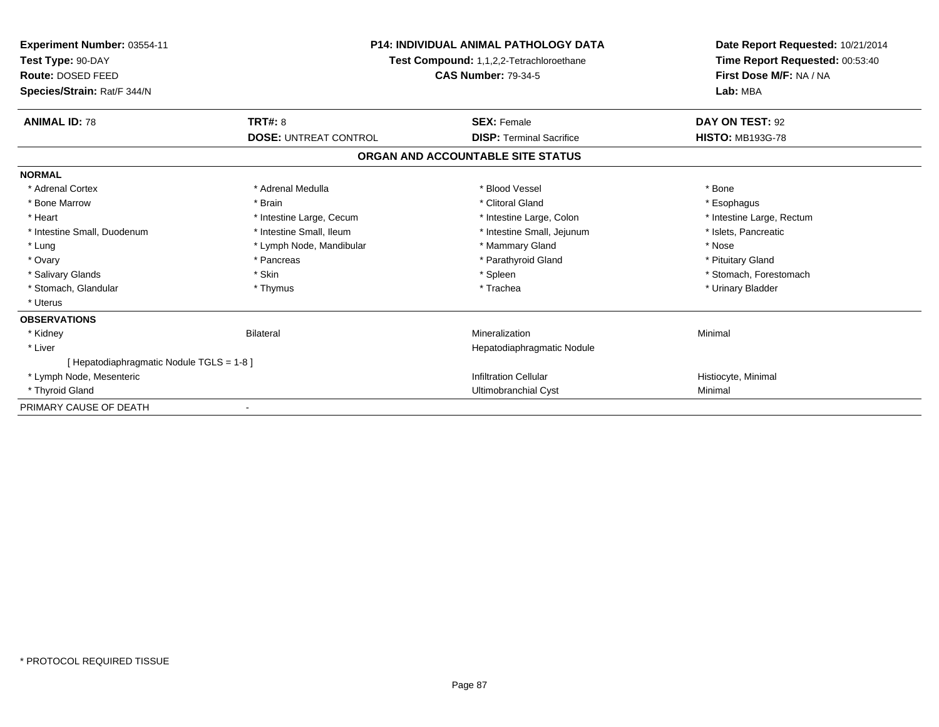| <b>Experiment Number: 03554-11</b><br>Test Type: 90-DAY<br>Route: DOSED FEED<br>Species/Strain: Rat/F 344/N | <b>P14: INDIVIDUAL ANIMAL PATHOLOGY DATA</b><br>Test Compound: 1,1,2,2-Tetrachloroethane<br><b>CAS Number: 79-34-5</b> |                                   | Date Report Requested: 10/21/2014<br>Time Report Requested: 00:53:40<br>First Dose M/F: NA / NA<br>Lab: MBA |
|-------------------------------------------------------------------------------------------------------------|------------------------------------------------------------------------------------------------------------------------|-----------------------------------|-------------------------------------------------------------------------------------------------------------|
| <b>ANIMAL ID: 78</b>                                                                                        | TRT#: 8                                                                                                                | <b>SEX: Female</b>                | DAY ON TEST: 92                                                                                             |
|                                                                                                             | <b>DOSE: UNTREAT CONTROL</b>                                                                                           | <b>DISP: Terminal Sacrifice</b>   | <b>HISTO: MB193G-78</b>                                                                                     |
|                                                                                                             |                                                                                                                        | ORGAN AND ACCOUNTABLE SITE STATUS |                                                                                                             |
| <b>NORMAL</b>                                                                                               |                                                                                                                        |                                   |                                                                                                             |
| * Adrenal Cortex                                                                                            | * Adrenal Medulla                                                                                                      | * Blood Vessel                    | * Bone                                                                                                      |
| * Bone Marrow                                                                                               | * Brain                                                                                                                | * Clitoral Gland                  | * Esophagus                                                                                                 |
| * Heart                                                                                                     | * Intestine Large, Cecum                                                                                               | * Intestine Large, Colon          | * Intestine Large, Rectum                                                                                   |
| * Intestine Small, Duodenum                                                                                 | * Intestine Small, Ileum                                                                                               | * Intestine Small, Jejunum        | * Islets, Pancreatic                                                                                        |
| * Lung                                                                                                      | * Lymph Node, Mandibular                                                                                               | * Mammary Gland                   | * Nose                                                                                                      |
| * Ovary                                                                                                     | * Pancreas                                                                                                             | * Parathyroid Gland               | * Pituitary Gland                                                                                           |
| * Salivary Glands                                                                                           | * Skin                                                                                                                 | * Spleen                          | * Stomach, Forestomach                                                                                      |
| * Stomach, Glandular                                                                                        | * Thymus                                                                                                               | * Trachea                         | * Urinary Bladder                                                                                           |
| * Uterus                                                                                                    |                                                                                                                        |                                   |                                                                                                             |
| <b>OBSERVATIONS</b>                                                                                         |                                                                                                                        |                                   |                                                                                                             |
| * Kidney                                                                                                    | Bilateral                                                                                                              | Mineralization                    | Minimal                                                                                                     |
| * Liver                                                                                                     |                                                                                                                        | Hepatodiaphragmatic Nodule        |                                                                                                             |
| [ Hepatodiaphragmatic Nodule TGLS = 1-8 ]                                                                   |                                                                                                                        |                                   |                                                                                                             |
| * Lymph Node, Mesenteric                                                                                    |                                                                                                                        | <b>Infiltration Cellular</b>      | Histiocyte, Minimal                                                                                         |
| * Thyroid Gland                                                                                             |                                                                                                                        | Ultimobranchial Cyst              | Minimal                                                                                                     |
| PRIMARY CAUSE OF DEATH                                                                                      |                                                                                                                        |                                   |                                                                                                             |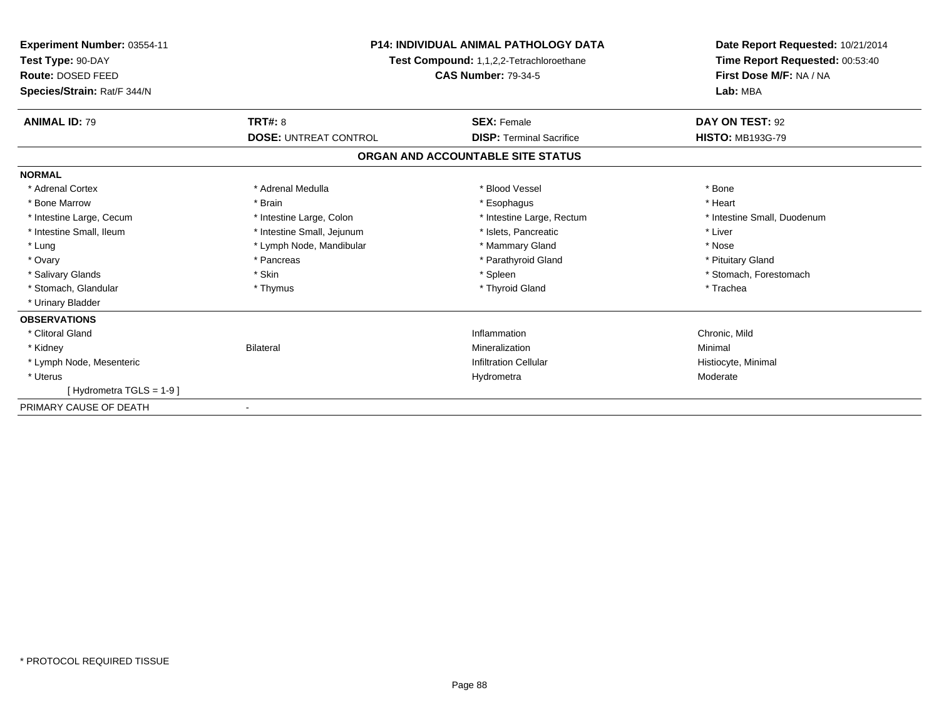| Experiment Number: 03554-11<br>Test Type: 90-DAY<br>Route: DOSED FEED<br>Species/Strain: Rat/F 344/N | <b>P14: INDIVIDUAL ANIMAL PATHOLOGY DATA</b><br>Test Compound: 1,1,2,2-Tetrachloroethane<br><b>CAS Number: 79-34-5</b> |                                   | Date Report Requested: 10/21/2014<br>Time Report Requested: 00:53:40<br>First Dose M/F: NA / NA<br>Lab: MBA |
|------------------------------------------------------------------------------------------------------|------------------------------------------------------------------------------------------------------------------------|-----------------------------------|-------------------------------------------------------------------------------------------------------------|
| <b>ANIMAL ID: 79</b>                                                                                 | <b>TRT#: 8</b>                                                                                                         | <b>SEX: Female</b>                | DAY ON TEST: 92                                                                                             |
|                                                                                                      | <b>DOSE: UNTREAT CONTROL</b>                                                                                           | <b>DISP: Terminal Sacrifice</b>   | <b>HISTO: MB193G-79</b>                                                                                     |
|                                                                                                      |                                                                                                                        | ORGAN AND ACCOUNTABLE SITE STATUS |                                                                                                             |
| <b>NORMAL</b>                                                                                        |                                                                                                                        |                                   |                                                                                                             |
| * Adrenal Cortex                                                                                     | * Adrenal Medulla                                                                                                      | * Blood Vessel                    | * Bone                                                                                                      |
| * Bone Marrow                                                                                        | * Brain                                                                                                                | * Esophagus                       | * Heart                                                                                                     |
| * Intestine Large, Cecum                                                                             | * Intestine Large, Colon                                                                                               | * Intestine Large, Rectum         | * Intestine Small, Duodenum                                                                                 |
| * Intestine Small, Ileum                                                                             | * Intestine Small, Jejunum                                                                                             | * Islets, Pancreatic              | * Liver                                                                                                     |
| * Lung                                                                                               | * Lymph Node, Mandibular                                                                                               | * Mammary Gland                   | * Nose                                                                                                      |
| * Ovary                                                                                              | * Pancreas                                                                                                             | * Parathyroid Gland               | * Pituitary Gland                                                                                           |
| * Salivary Glands                                                                                    | * Skin                                                                                                                 | * Spleen                          | * Stomach, Forestomach                                                                                      |
| * Stomach, Glandular                                                                                 | * Thymus                                                                                                               | * Thyroid Gland                   | * Trachea                                                                                                   |
| * Urinary Bladder                                                                                    |                                                                                                                        |                                   |                                                                                                             |
| <b>OBSERVATIONS</b>                                                                                  |                                                                                                                        |                                   |                                                                                                             |
| * Clitoral Gland                                                                                     |                                                                                                                        | Inflammation                      | Chronic, Mild                                                                                               |
| * Kidney                                                                                             | <b>Bilateral</b>                                                                                                       | Mineralization                    | Minimal                                                                                                     |
| * Lymph Node, Mesenteric                                                                             |                                                                                                                        | <b>Infiltration Cellular</b>      | Histiocyte, Minimal                                                                                         |
| * Uterus                                                                                             |                                                                                                                        | Hydrometra                        | Moderate                                                                                                    |
| [Hydrometra TGLS = 1-9]                                                                              |                                                                                                                        |                                   |                                                                                                             |
| PRIMARY CAUSE OF DEATH                                                                               |                                                                                                                        |                                   |                                                                                                             |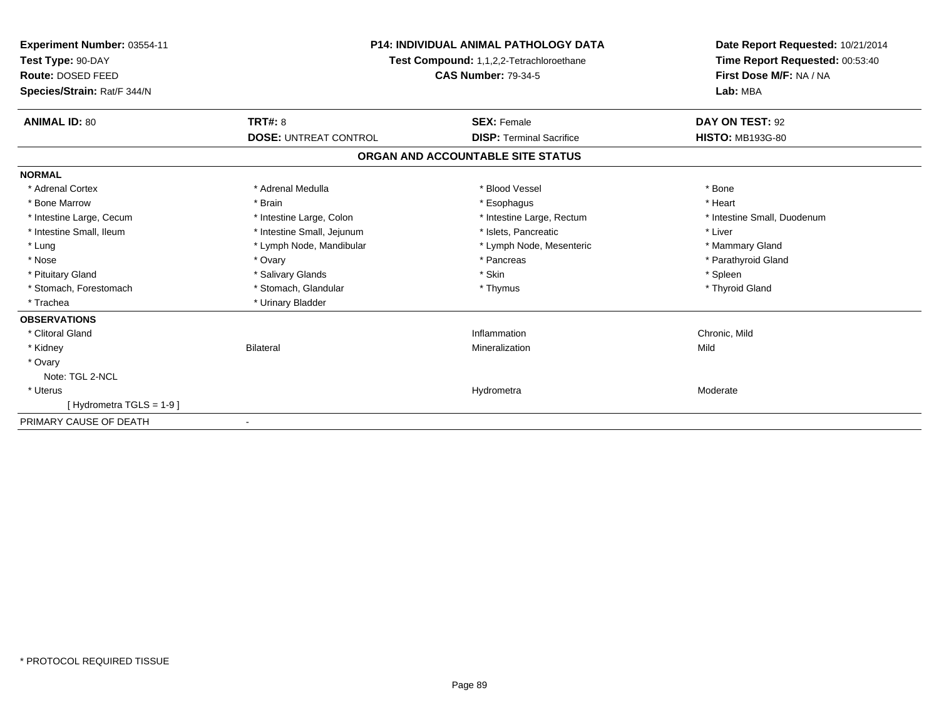| Experiment Number: 03554-11<br>Test Type: 90-DAY<br>Route: DOSED FEED<br>Species/Strain: Rat/F 344/N |                              | <b>P14: INDIVIDUAL ANIMAL PATHOLOGY DATA</b><br>Test Compound: 1,1,2,2-Tetrachloroethane<br><b>CAS Number: 79-34-5</b> | Date Report Requested: 10/21/2014<br>Time Report Requested: 00:53:40<br>First Dose M/F: NA / NA<br>Lab: MBA |  |
|------------------------------------------------------------------------------------------------------|------------------------------|------------------------------------------------------------------------------------------------------------------------|-------------------------------------------------------------------------------------------------------------|--|
| <b>ANIMAL ID: 80</b>                                                                                 | <b>TRT#: 8</b>               | <b>SEX: Female</b>                                                                                                     | DAY ON TEST: 92                                                                                             |  |
|                                                                                                      | <b>DOSE: UNTREAT CONTROL</b> | <b>DISP: Terminal Sacrifice</b>                                                                                        | <b>HISTO: MB193G-80</b>                                                                                     |  |
|                                                                                                      |                              | ORGAN AND ACCOUNTABLE SITE STATUS                                                                                      |                                                                                                             |  |
| <b>NORMAL</b>                                                                                        |                              |                                                                                                                        |                                                                                                             |  |
| * Adrenal Cortex                                                                                     | * Adrenal Medulla            | * Blood Vessel                                                                                                         | * Bone                                                                                                      |  |
| * Bone Marrow                                                                                        | * Brain                      | * Esophagus                                                                                                            | * Heart                                                                                                     |  |
| * Intestine Large, Cecum                                                                             | * Intestine Large, Colon     | * Intestine Large, Rectum                                                                                              | * Intestine Small, Duodenum                                                                                 |  |
| * Intestine Small, Ileum                                                                             | * Intestine Small, Jejunum   | * Islets. Pancreatic                                                                                                   | * Liver                                                                                                     |  |
| * Lung                                                                                               | * Lymph Node, Mandibular     | * Lymph Node, Mesenteric                                                                                               | * Mammary Gland                                                                                             |  |
| * Nose                                                                                               | * Ovary                      | * Pancreas                                                                                                             | * Parathyroid Gland                                                                                         |  |
| * Pituitary Gland                                                                                    | * Salivary Glands            | * Skin                                                                                                                 | * Spleen                                                                                                    |  |
| * Stomach, Forestomach                                                                               | * Stomach, Glandular         | * Thymus                                                                                                               | * Thyroid Gland                                                                                             |  |
| * Trachea                                                                                            | * Urinary Bladder            |                                                                                                                        |                                                                                                             |  |
| <b>OBSERVATIONS</b>                                                                                  |                              |                                                                                                                        |                                                                                                             |  |
| * Clitoral Gland                                                                                     |                              | Inflammation                                                                                                           | Chronic, Mild                                                                                               |  |
| * Kidney                                                                                             | <b>Bilateral</b>             | Mineralization                                                                                                         | Mild                                                                                                        |  |
| * Ovary                                                                                              |                              |                                                                                                                        |                                                                                                             |  |
| Note: TGL 2-NCL                                                                                      |                              |                                                                                                                        |                                                                                                             |  |
| * Uterus                                                                                             |                              | Hydrometra                                                                                                             | Moderate                                                                                                    |  |
| [Hydrometra TGLS = 1-9]                                                                              |                              |                                                                                                                        |                                                                                                             |  |
| PRIMARY CAUSE OF DEATH                                                                               |                              |                                                                                                                        |                                                                                                             |  |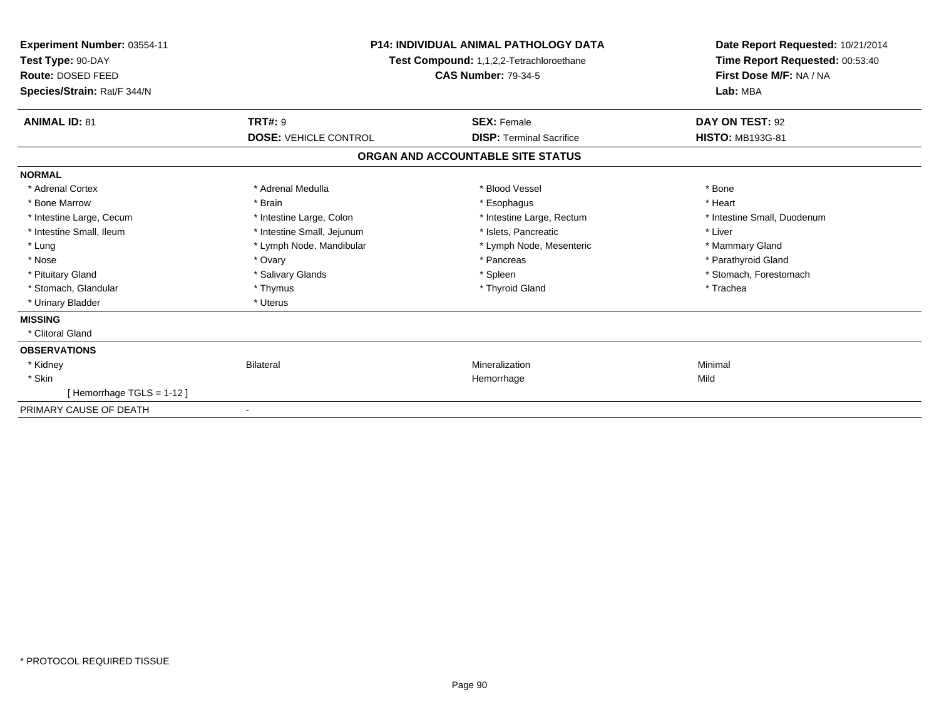| Experiment Number: 03554-11<br>Test Type: 90-DAY<br>Route: DOSED FEED<br>Species/Strain: Rat/F 344/N | <b>P14: INDIVIDUAL ANIMAL PATHOLOGY DATA</b><br>Test Compound: 1,1,2,2-Tetrachloroethane<br><b>CAS Number: 79-34-5</b> |                                   | Date Report Requested: 10/21/2014<br>Time Report Requested: 00:53:40<br>First Dose M/F: NA / NA<br>Lab: MBA |  |
|------------------------------------------------------------------------------------------------------|------------------------------------------------------------------------------------------------------------------------|-----------------------------------|-------------------------------------------------------------------------------------------------------------|--|
| <b>ANIMAL ID: 81</b>                                                                                 | <b>TRT#: 9</b>                                                                                                         | <b>SEX: Female</b>                | DAY ON TEST: 92                                                                                             |  |
|                                                                                                      | <b>DOSE: VEHICLE CONTROL</b>                                                                                           | <b>DISP: Terminal Sacrifice</b>   | <b>HISTO: MB193G-81</b>                                                                                     |  |
|                                                                                                      |                                                                                                                        | ORGAN AND ACCOUNTABLE SITE STATUS |                                                                                                             |  |
| <b>NORMAL</b>                                                                                        |                                                                                                                        |                                   |                                                                                                             |  |
| * Adrenal Cortex                                                                                     | * Adrenal Medulla                                                                                                      | * Blood Vessel                    | * Bone                                                                                                      |  |
| * Bone Marrow                                                                                        | * Brain                                                                                                                | * Esophagus                       | * Heart                                                                                                     |  |
| * Intestine Large, Cecum                                                                             | * Intestine Large, Colon                                                                                               | * Intestine Large, Rectum         | * Intestine Small, Duodenum                                                                                 |  |
| * Intestine Small, Ileum                                                                             | * Intestine Small, Jejunum                                                                                             | * Islets. Pancreatic              | * Liver                                                                                                     |  |
| * Lung                                                                                               | * Lymph Node, Mandibular                                                                                               | * Lymph Node, Mesenteric          | * Mammary Gland                                                                                             |  |
| * Nose                                                                                               | * Ovary                                                                                                                | * Pancreas                        | * Parathyroid Gland                                                                                         |  |
| * Pituitary Gland                                                                                    | * Salivary Glands                                                                                                      | * Spleen                          | * Stomach, Forestomach                                                                                      |  |
| * Stomach, Glandular                                                                                 | * Thymus                                                                                                               | * Thyroid Gland                   | * Trachea                                                                                                   |  |
| * Urinary Bladder                                                                                    | * Uterus                                                                                                               |                                   |                                                                                                             |  |
| <b>MISSING</b>                                                                                       |                                                                                                                        |                                   |                                                                                                             |  |
| * Clitoral Gland                                                                                     |                                                                                                                        |                                   |                                                                                                             |  |
| <b>OBSERVATIONS</b>                                                                                  |                                                                                                                        |                                   |                                                                                                             |  |
| * Kidney                                                                                             | <b>Bilateral</b>                                                                                                       | Mineralization                    | Minimal                                                                                                     |  |
| * Skin                                                                                               |                                                                                                                        | Hemorrhage                        | Mild                                                                                                        |  |
| [Hemorrhage TGLS = 1-12]                                                                             |                                                                                                                        |                                   |                                                                                                             |  |
| PRIMARY CAUSE OF DEATH                                                                               |                                                                                                                        |                                   |                                                                                                             |  |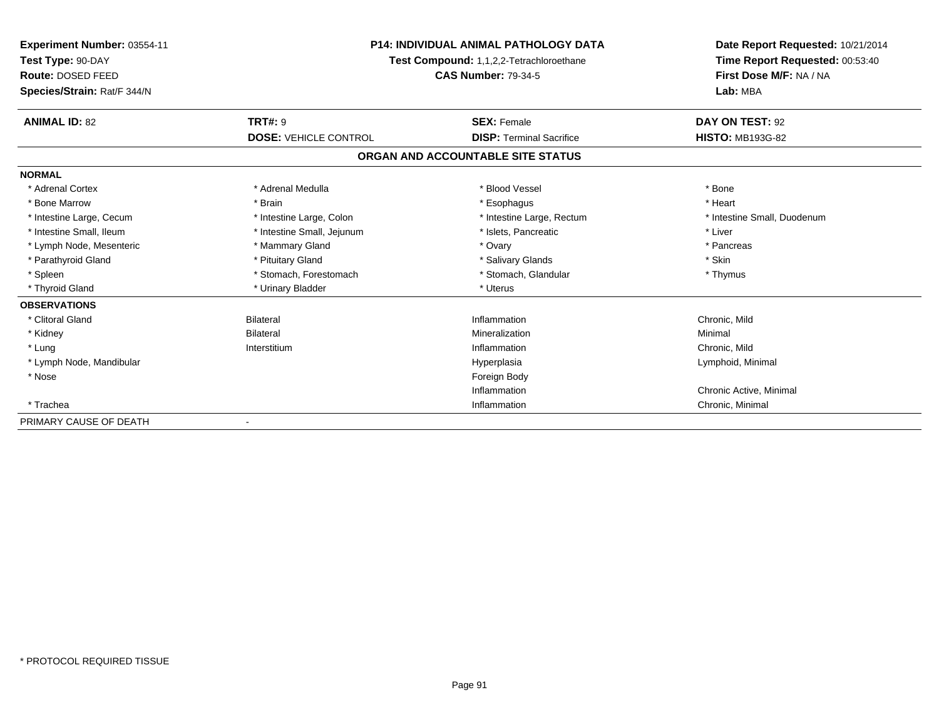| <b>Experiment Number: 03554-11</b><br>Test Type: 90-DAY<br>Route: DOSED FEED<br>Species/Strain: Rat/F 344/N | <b>P14: INDIVIDUAL ANIMAL PATHOLOGY DATA</b><br>Test Compound: 1,1,2,2-Tetrachloroethane<br><b>CAS Number: 79-34-5</b> |                                   | Date Report Requested: 10/21/2014<br>Time Report Requested: 00:53:40<br>First Dose M/F: NA / NA<br>Lab: MBA |  |
|-------------------------------------------------------------------------------------------------------------|------------------------------------------------------------------------------------------------------------------------|-----------------------------------|-------------------------------------------------------------------------------------------------------------|--|
| <b>ANIMAL ID: 82</b>                                                                                        | <b>TRT#: 9</b>                                                                                                         | <b>SEX: Female</b>                | DAY ON TEST: 92                                                                                             |  |
|                                                                                                             | <b>DOSE: VEHICLE CONTROL</b>                                                                                           | <b>DISP: Terminal Sacrifice</b>   | <b>HISTO: MB193G-82</b>                                                                                     |  |
|                                                                                                             |                                                                                                                        | ORGAN AND ACCOUNTABLE SITE STATUS |                                                                                                             |  |
| <b>NORMAL</b>                                                                                               |                                                                                                                        |                                   |                                                                                                             |  |
| * Adrenal Cortex                                                                                            | * Adrenal Medulla                                                                                                      | * Blood Vessel                    | * Bone                                                                                                      |  |
| * Bone Marrow                                                                                               | * Brain                                                                                                                | * Esophagus                       | * Heart                                                                                                     |  |
| * Intestine Large, Cecum                                                                                    | * Intestine Large, Colon                                                                                               | * Intestine Large, Rectum         | * Intestine Small, Duodenum                                                                                 |  |
| * Intestine Small, Ileum                                                                                    | * Intestine Small, Jejunum                                                                                             | * Islets, Pancreatic              | * Liver                                                                                                     |  |
| * Lymph Node, Mesenteric                                                                                    | * Mammary Gland                                                                                                        | * Ovary                           | * Pancreas                                                                                                  |  |
| * Parathyroid Gland                                                                                         | * Pituitary Gland                                                                                                      | * Salivary Glands                 | * Skin                                                                                                      |  |
| * Spleen                                                                                                    | * Stomach, Forestomach                                                                                                 | * Stomach, Glandular              | * Thymus                                                                                                    |  |
| * Thyroid Gland                                                                                             | * Urinary Bladder                                                                                                      | * Uterus                          |                                                                                                             |  |
| <b>OBSERVATIONS</b>                                                                                         |                                                                                                                        |                                   |                                                                                                             |  |
| * Clitoral Gland                                                                                            | <b>Bilateral</b>                                                                                                       | Inflammation                      | Chronic, Mild                                                                                               |  |
| * Kidney                                                                                                    | <b>Bilateral</b>                                                                                                       | Mineralization                    | Minimal                                                                                                     |  |
| * Lung                                                                                                      | Interstitium                                                                                                           | Inflammation                      | Chronic, Mild                                                                                               |  |
| * Lymph Node, Mandibular                                                                                    |                                                                                                                        | Hyperplasia                       | Lymphoid, Minimal                                                                                           |  |
| * Nose                                                                                                      |                                                                                                                        | Foreign Body                      |                                                                                                             |  |
|                                                                                                             |                                                                                                                        | Inflammation                      | Chronic Active, Minimal                                                                                     |  |
| * Trachea                                                                                                   |                                                                                                                        | Inflammation                      | Chronic, Minimal                                                                                            |  |
| PRIMARY CAUSE OF DEATH                                                                                      |                                                                                                                        |                                   |                                                                                                             |  |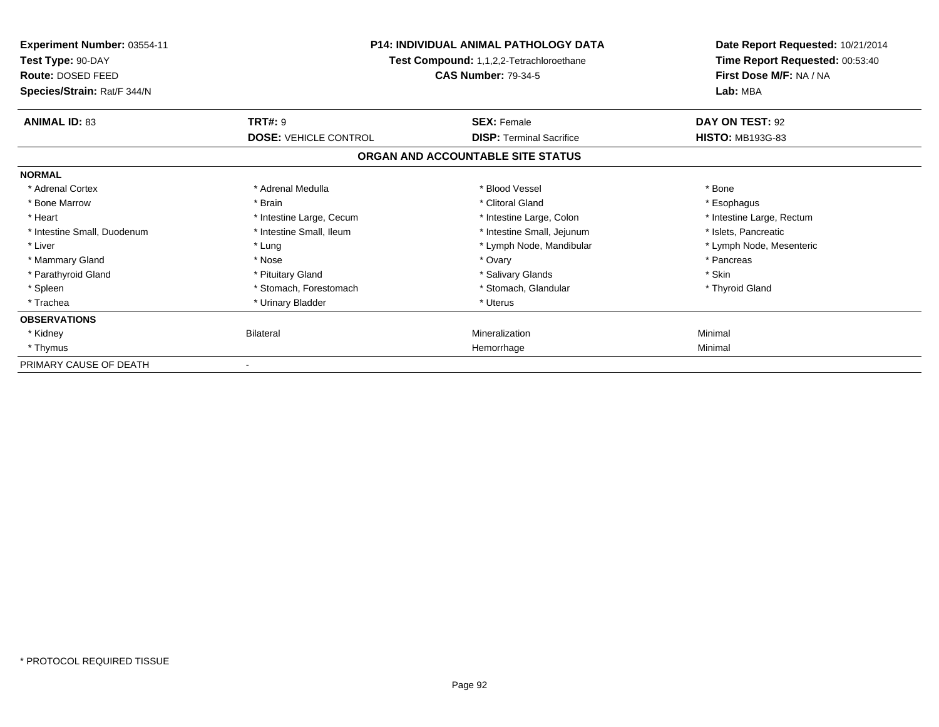| <b>Experiment Number: 03554-11</b><br>Test Type: 90-DAY<br><b>Route: DOSED FEED</b><br>Species/Strain: Rat/F 344/N | <b>P14: INDIVIDUAL ANIMAL PATHOLOGY DATA</b><br>Test Compound: 1,1,2,2-Tetrachloroethane<br><b>CAS Number: 79-34-5</b> |                                   | Date Report Requested: 10/21/2014<br>Time Report Requested: 00:53:40<br>First Dose M/F: NA / NA<br>Lab: MBA |
|--------------------------------------------------------------------------------------------------------------------|------------------------------------------------------------------------------------------------------------------------|-----------------------------------|-------------------------------------------------------------------------------------------------------------|
| <b>ANIMAL ID: 83</b>                                                                                               | <b>TRT#: 9</b>                                                                                                         | <b>SEX: Female</b>                | DAY ON TEST: 92                                                                                             |
|                                                                                                                    | <b>DOSE: VEHICLE CONTROL</b>                                                                                           | <b>DISP: Terminal Sacrifice</b>   | <b>HISTO: MB193G-83</b>                                                                                     |
|                                                                                                                    |                                                                                                                        | ORGAN AND ACCOUNTABLE SITE STATUS |                                                                                                             |
| <b>NORMAL</b>                                                                                                      |                                                                                                                        |                                   |                                                                                                             |
| * Adrenal Cortex                                                                                                   | * Adrenal Medulla                                                                                                      | * Blood Vessel                    | * Bone                                                                                                      |
| * Bone Marrow                                                                                                      | * Brain                                                                                                                | * Clitoral Gland                  | * Esophagus                                                                                                 |
| * Heart                                                                                                            | * Intestine Large, Cecum                                                                                               | * Intestine Large, Colon          | * Intestine Large, Rectum                                                                                   |
| * Intestine Small, Duodenum                                                                                        | * Intestine Small, Ileum                                                                                               | * Intestine Small, Jejunum        | * Islets, Pancreatic                                                                                        |
| * Liver                                                                                                            | * Lung                                                                                                                 | * Lymph Node, Mandibular          | * Lymph Node, Mesenteric                                                                                    |
| * Mammary Gland                                                                                                    | * Nose                                                                                                                 | * Ovary                           | * Pancreas                                                                                                  |
| * Parathyroid Gland                                                                                                | * Pituitary Gland                                                                                                      | * Salivary Glands                 | * Skin                                                                                                      |
| * Spleen                                                                                                           | * Stomach, Forestomach                                                                                                 | * Stomach, Glandular              | * Thyroid Gland                                                                                             |
| * Trachea                                                                                                          | * Urinary Bladder                                                                                                      | * Uterus                          |                                                                                                             |
| <b>OBSERVATIONS</b>                                                                                                |                                                                                                                        |                                   |                                                                                                             |
| * Kidney                                                                                                           | Bilateral                                                                                                              | Mineralization                    | Minimal                                                                                                     |
| * Thymus                                                                                                           |                                                                                                                        | Hemorrhage                        | Minimal                                                                                                     |
| PRIMARY CAUSE OF DEATH                                                                                             |                                                                                                                        |                                   |                                                                                                             |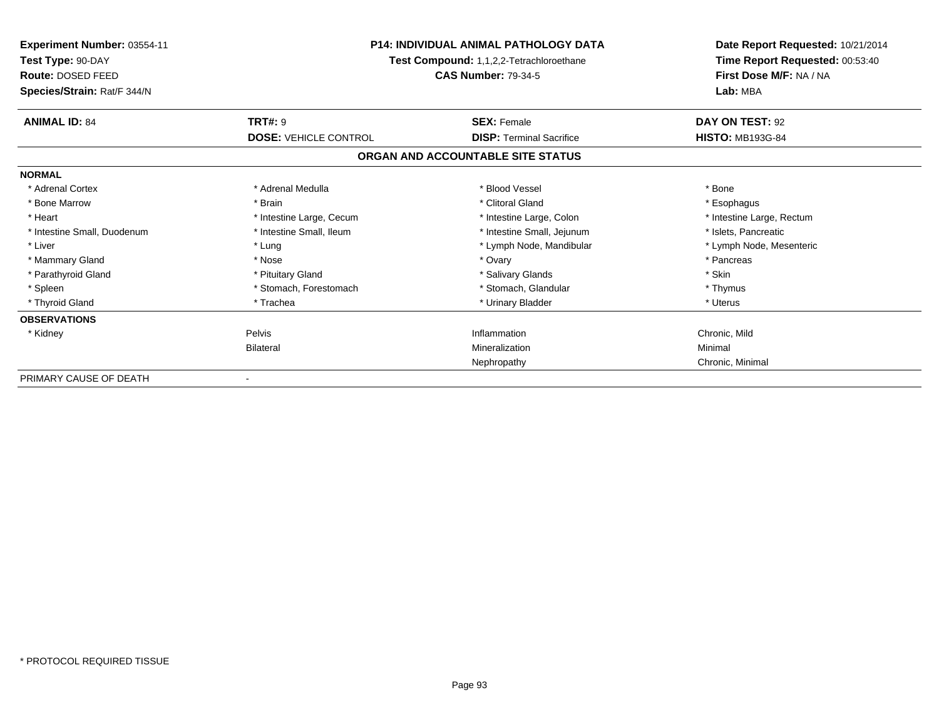| <b>Experiment Number: 03554-11</b><br>Test Type: 90-DAY<br>Route: DOSED FEED<br>Species/Strain: Rat/F 344/N | <b>P14: INDIVIDUAL ANIMAL PATHOLOGY DATA</b><br>Test Compound: 1,1,2,2-Tetrachloroethane<br><b>CAS Number: 79-34-5</b> |                                   | Date Report Requested: 10/21/2014<br>Time Report Requested: 00:53:40<br>First Dose M/F: NA / NA<br>Lab: MBA |
|-------------------------------------------------------------------------------------------------------------|------------------------------------------------------------------------------------------------------------------------|-----------------------------------|-------------------------------------------------------------------------------------------------------------|
| <b>ANIMAL ID: 84</b>                                                                                        | <b>TRT#: 9</b>                                                                                                         | <b>SEX: Female</b>                | DAY ON TEST: 92                                                                                             |
|                                                                                                             | <b>DOSE: VEHICLE CONTROL</b>                                                                                           | <b>DISP: Terminal Sacrifice</b>   | <b>HISTO: MB193G-84</b>                                                                                     |
|                                                                                                             |                                                                                                                        | ORGAN AND ACCOUNTABLE SITE STATUS |                                                                                                             |
| <b>NORMAL</b>                                                                                               |                                                                                                                        |                                   |                                                                                                             |
| * Adrenal Cortex                                                                                            | * Adrenal Medulla                                                                                                      | * Blood Vessel                    | * Bone                                                                                                      |
| * Bone Marrow                                                                                               | * Brain                                                                                                                | * Clitoral Gland                  | * Esophagus                                                                                                 |
| * Heart                                                                                                     | * Intestine Large, Cecum                                                                                               | * Intestine Large, Colon          | * Intestine Large, Rectum                                                                                   |
| * Intestine Small, Duodenum                                                                                 | * Intestine Small. Ileum                                                                                               | * Intestine Small, Jejunum        | * Islets, Pancreatic                                                                                        |
| * Liver                                                                                                     | * Lung                                                                                                                 | * Lymph Node, Mandibular          | * Lymph Node, Mesenteric                                                                                    |
| * Mammary Gland                                                                                             | * Nose                                                                                                                 | * Ovary                           | * Pancreas                                                                                                  |
| * Parathyroid Gland                                                                                         | * Pituitary Gland                                                                                                      | * Salivary Glands                 | * Skin                                                                                                      |
| * Spleen                                                                                                    | * Stomach, Forestomach                                                                                                 | * Stomach, Glandular              | * Thymus                                                                                                    |
| * Thyroid Gland                                                                                             | * Trachea                                                                                                              | * Urinary Bladder                 | * Uterus                                                                                                    |
| <b>OBSERVATIONS</b>                                                                                         |                                                                                                                        |                                   |                                                                                                             |
| * Kidney                                                                                                    | <b>Pelvis</b>                                                                                                          | Inflammation                      | Chronic, Mild                                                                                               |
|                                                                                                             | <b>Bilateral</b>                                                                                                       | Mineralization                    | Minimal                                                                                                     |
|                                                                                                             |                                                                                                                        | Nephropathy                       | Chronic, Minimal                                                                                            |
| PRIMARY CAUSE OF DEATH                                                                                      |                                                                                                                        |                                   |                                                                                                             |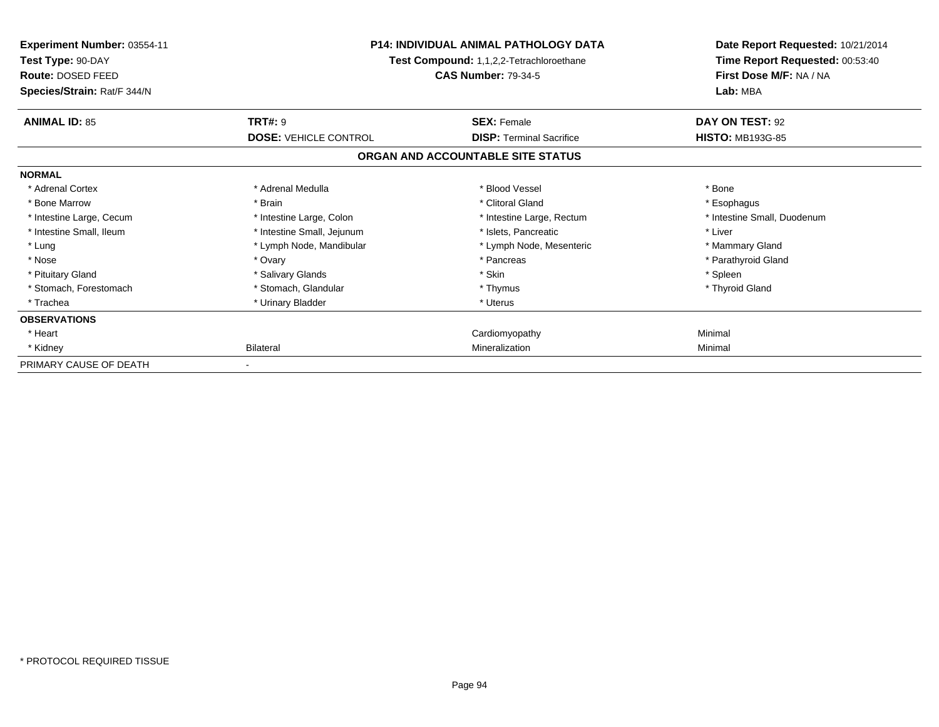| <b>Experiment Number: 03554-11</b><br>Test Type: 90-DAY<br>Route: DOSED FEED<br>Species/Strain: Rat/F 344/N | <b>P14: INDIVIDUAL ANIMAL PATHOLOGY DATA</b><br>Test Compound: 1,1,2,2-Tetrachloroethane<br><b>CAS Number: 79-34-5</b> |                                   | Date Report Requested: 10/21/2014<br>Time Report Requested: 00:53:40<br>First Dose M/F: NA / NA<br>Lab: MBA |
|-------------------------------------------------------------------------------------------------------------|------------------------------------------------------------------------------------------------------------------------|-----------------------------------|-------------------------------------------------------------------------------------------------------------|
| <b>ANIMAL ID: 85</b>                                                                                        | <b>TRT#: 9</b>                                                                                                         | <b>SEX: Female</b>                | DAY ON TEST: 92                                                                                             |
|                                                                                                             | <b>DOSE: VEHICLE CONTROL</b>                                                                                           | <b>DISP: Terminal Sacrifice</b>   | <b>HISTO: MB193G-85</b>                                                                                     |
|                                                                                                             |                                                                                                                        | ORGAN AND ACCOUNTABLE SITE STATUS |                                                                                                             |
| <b>NORMAL</b>                                                                                               |                                                                                                                        |                                   |                                                                                                             |
| * Adrenal Cortex                                                                                            | * Adrenal Medulla                                                                                                      | * Blood Vessel                    | * Bone                                                                                                      |
| * Bone Marrow                                                                                               | * Brain                                                                                                                | * Clitoral Gland                  | * Esophagus                                                                                                 |
| * Intestine Large, Cecum                                                                                    | * Intestine Large, Colon                                                                                               | * Intestine Large, Rectum         | * Intestine Small, Duodenum                                                                                 |
| * Intestine Small, Ileum                                                                                    | * Intestine Small, Jejunum                                                                                             | * Islets, Pancreatic              | * Liver                                                                                                     |
| * Lung                                                                                                      | * Lymph Node, Mandibular                                                                                               | * Lymph Node, Mesenteric          | * Mammary Gland                                                                                             |
| * Nose                                                                                                      | * Ovary                                                                                                                | * Pancreas                        | * Parathyroid Gland                                                                                         |
| * Pituitary Gland                                                                                           | * Salivary Glands                                                                                                      | * Skin                            | * Spleen                                                                                                    |
| * Stomach, Forestomach                                                                                      | * Stomach, Glandular                                                                                                   | * Thymus                          | * Thyroid Gland                                                                                             |
| * Trachea                                                                                                   | * Urinary Bladder                                                                                                      | * Uterus                          |                                                                                                             |
| <b>OBSERVATIONS</b>                                                                                         |                                                                                                                        |                                   |                                                                                                             |
| * Heart                                                                                                     |                                                                                                                        | Cardiomyopathy                    | Minimal                                                                                                     |
| * Kidney                                                                                                    | <b>Bilateral</b>                                                                                                       | Mineralization                    | Minimal                                                                                                     |
| PRIMARY CAUSE OF DEATH                                                                                      |                                                                                                                        |                                   |                                                                                                             |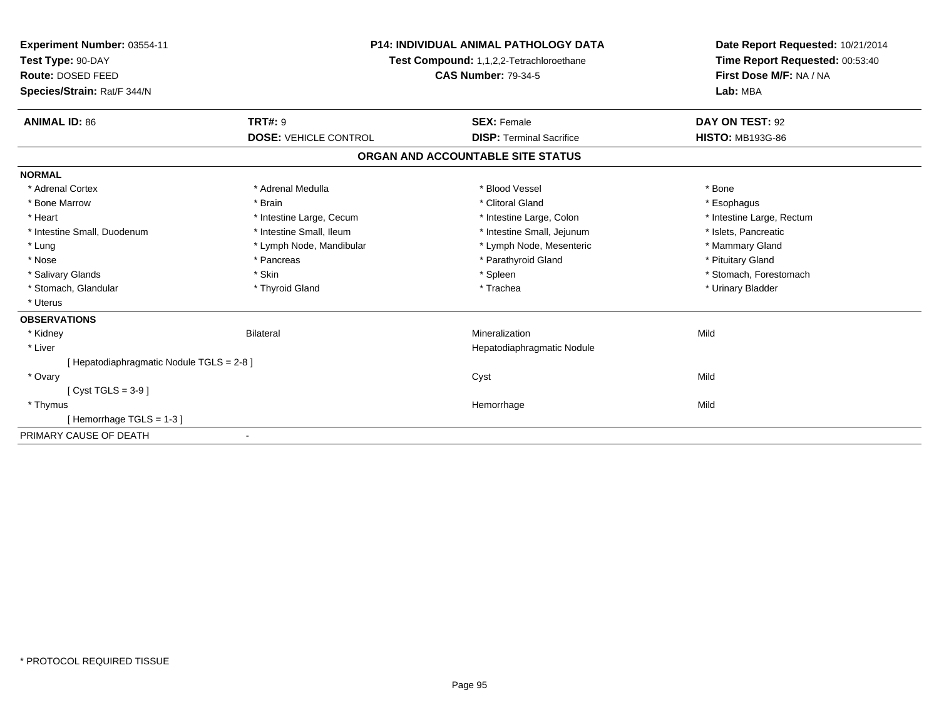| Experiment Number: 03554-11               | <b>P14: INDIVIDUAL ANIMAL PATHOLOGY DATA</b><br>Test Compound: 1,1,2,2-Tetrachloroethane<br><b>CAS Number: 79-34-5</b> |                                   | Date Report Requested: 10/21/2014 |
|-------------------------------------------|------------------------------------------------------------------------------------------------------------------------|-----------------------------------|-----------------------------------|
| Test Type: 90-DAY                         |                                                                                                                        |                                   | Time Report Requested: 00:53:40   |
| Route: DOSED FEED                         |                                                                                                                        |                                   | First Dose M/F: NA / NA           |
| Species/Strain: Rat/F 344/N               |                                                                                                                        |                                   | Lab: MBA                          |
| <b>ANIMAL ID: 86</b>                      | <b>TRT#: 9</b>                                                                                                         | <b>SEX: Female</b>                | DAY ON TEST: 92                   |
|                                           | <b>DOSE: VEHICLE CONTROL</b>                                                                                           | <b>DISP: Terminal Sacrifice</b>   | <b>HISTO: MB193G-86</b>           |
|                                           |                                                                                                                        | ORGAN AND ACCOUNTABLE SITE STATUS |                                   |
| <b>NORMAL</b>                             |                                                                                                                        |                                   |                                   |
| * Adrenal Cortex                          | * Adrenal Medulla                                                                                                      | * Blood Vessel                    | * Bone                            |
| * Bone Marrow                             | * Brain                                                                                                                | * Clitoral Gland                  | * Esophagus                       |
| * Heart                                   | * Intestine Large, Cecum                                                                                               | * Intestine Large, Colon          | * Intestine Large, Rectum         |
| * Intestine Small, Duodenum               | * Intestine Small. Ileum                                                                                               | * Intestine Small, Jejunum        | * Islets, Pancreatic              |
| * Lung                                    | * Lymph Node, Mandibular                                                                                               | * Lymph Node, Mesenteric          | * Mammary Gland                   |
| * Nose                                    | * Pancreas                                                                                                             | * Parathyroid Gland               | * Pituitary Gland                 |
| * Salivary Glands                         | * Skin                                                                                                                 | * Spleen                          | * Stomach, Forestomach            |
| * Stomach, Glandular                      | * Thyroid Gland                                                                                                        | * Trachea                         | * Urinary Bladder                 |
| * Uterus                                  |                                                                                                                        |                                   |                                   |
| <b>OBSERVATIONS</b>                       |                                                                                                                        |                                   |                                   |
| * Kidney                                  | <b>Bilateral</b>                                                                                                       | Mineralization                    | Mild                              |
| * Liver                                   |                                                                                                                        | Hepatodiaphragmatic Nodule        |                                   |
| [ Hepatodiaphragmatic Nodule TGLS = 2-8 ] |                                                                                                                        |                                   |                                   |
| * Ovary                                   |                                                                                                                        | Cyst                              | Mild                              |
| [ Cyst TGLS = $3-9$ ]                     |                                                                                                                        |                                   |                                   |
| * Thymus                                  |                                                                                                                        | Hemorrhage                        | Mild                              |
| [Hemorrhage TGLS = $1-3$ ]                |                                                                                                                        |                                   |                                   |
| PRIMARY CAUSE OF DEATH                    |                                                                                                                        |                                   |                                   |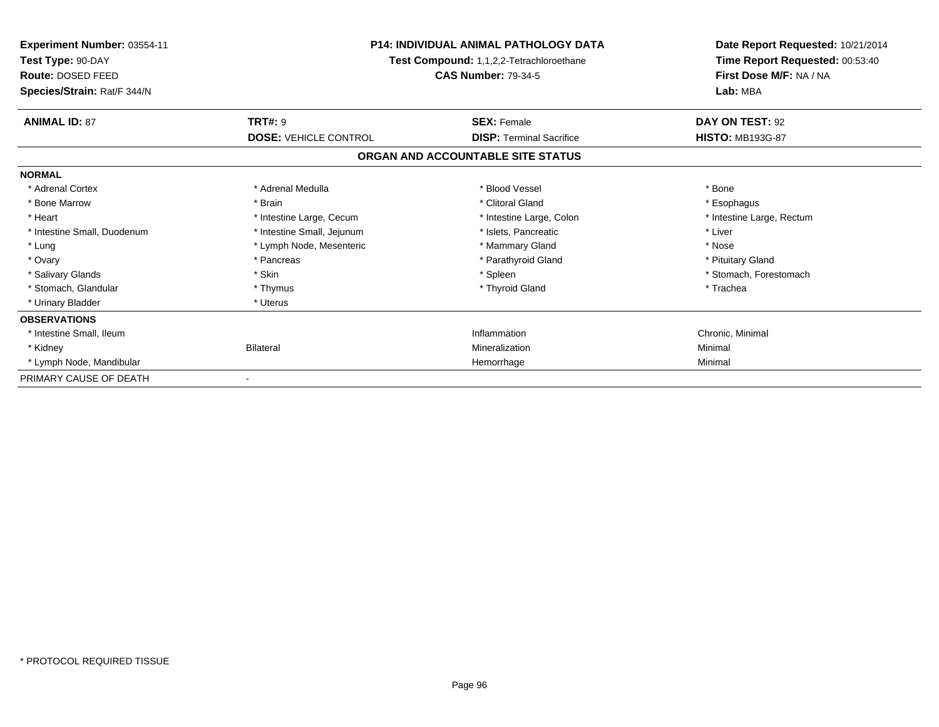| Experiment Number: 03554-11<br>Test Type: 90-DAY<br>Route: DOSED FEED<br>Species/Strain: Rat/F 344/N | <b>P14: INDIVIDUAL ANIMAL PATHOLOGY DATA</b><br>Test Compound: 1,1,2,2-Tetrachloroethane<br><b>CAS Number: 79-34-5</b> |                                   | Date Report Requested: 10/21/2014<br>Time Report Requested: 00:53:40<br>First Dose M/F: NA / NA<br>Lab: MBA |
|------------------------------------------------------------------------------------------------------|------------------------------------------------------------------------------------------------------------------------|-----------------------------------|-------------------------------------------------------------------------------------------------------------|
| <b>ANIMAL ID: 87</b>                                                                                 | <b>TRT#: 9</b>                                                                                                         | <b>SEX: Female</b>                | DAY ON TEST: 92                                                                                             |
|                                                                                                      | <b>DOSE: VEHICLE CONTROL</b>                                                                                           | <b>DISP: Terminal Sacrifice</b>   | <b>HISTO: MB193G-87</b>                                                                                     |
|                                                                                                      |                                                                                                                        | ORGAN AND ACCOUNTABLE SITE STATUS |                                                                                                             |
| <b>NORMAL</b>                                                                                        |                                                                                                                        |                                   |                                                                                                             |
| * Adrenal Cortex                                                                                     | * Adrenal Medulla                                                                                                      | * Blood Vessel                    | * Bone                                                                                                      |
| * Bone Marrow                                                                                        | * Brain                                                                                                                | * Clitoral Gland                  | * Esophagus                                                                                                 |
| * Heart                                                                                              | * Intestine Large, Cecum                                                                                               | * Intestine Large, Colon          | * Intestine Large, Rectum                                                                                   |
| * Intestine Small, Duodenum                                                                          | * Intestine Small, Jejunum                                                                                             | * Islets, Pancreatic              | * Liver                                                                                                     |
| * Lung                                                                                               | * Lymph Node, Mesenteric                                                                                               | * Mammary Gland                   | * Nose                                                                                                      |
| * Ovary                                                                                              | * Pancreas                                                                                                             | * Parathyroid Gland               | * Pituitary Gland                                                                                           |
| * Salivary Glands                                                                                    | * Skin                                                                                                                 | * Spleen                          | * Stomach, Forestomach                                                                                      |
| * Stomach, Glandular                                                                                 | * Thymus                                                                                                               | * Thyroid Gland                   | * Trachea                                                                                                   |
| * Urinary Bladder                                                                                    | * Uterus                                                                                                               |                                   |                                                                                                             |
| <b>OBSERVATIONS</b>                                                                                  |                                                                                                                        |                                   |                                                                                                             |
| * Intestine Small, Ileum                                                                             |                                                                                                                        | Inflammation                      | Chronic, Minimal                                                                                            |
| * Kidney                                                                                             | <b>Bilateral</b>                                                                                                       | Mineralization                    | Minimal                                                                                                     |
| * Lymph Node, Mandibular                                                                             |                                                                                                                        | Hemorrhage                        | Minimal                                                                                                     |
| PRIMARY CAUSE OF DEATH                                                                               |                                                                                                                        |                                   |                                                                                                             |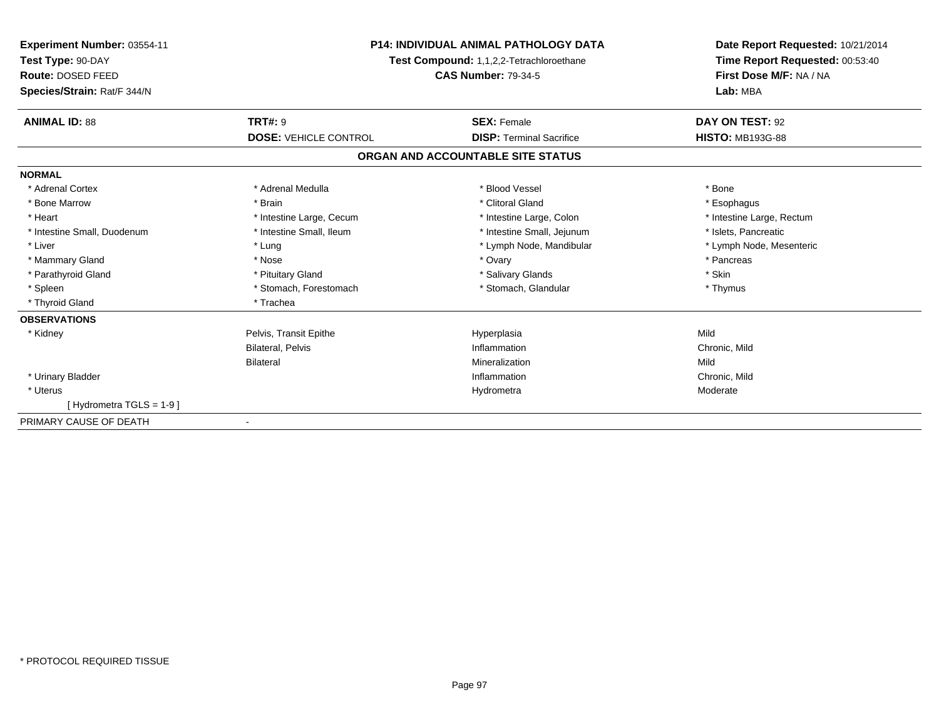| Experiment Number: 03554-11<br>Test Type: 90-DAY<br>Route: DOSED FEED<br>Species/Strain: Rat/F 344/N | <b>P14: INDIVIDUAL ANIMAL PATHOLOGY DATA</b><br>Test Compound: 1,1,2,2-Tetrachloroethane<br><b>CAS Number: 79-34-5</b> |                                   | Date Report Requested: 10/21/2014<br>Time Report Requested: 00:53:40<br>First Dose M/F: NA / NA<br>Lab: MBA |
|------------------------------------------------------------------------------------------------------|------------------------------------------------------------------------------------------------------------------------|-----------------------------------|-------------------------------------------------------------------------------------------------------------|
| <b>ANIMAL ID: 88</b>                                                                                 | <b>TRT#: 9</b>                                                                                                         | <b>SEX: Female</b>                | DAY ON TEST: 92                                                                                             |
|                                                                                                      | <b>DOSE: VEHICLE CONTROL</b>                                                                                           | <b>DISP: Terminal Sacrifice</b>   | <b>HISTO: MB193G-88</b>                                                                                     |
|                                                                                                      |                                                                                                                        | ORGAN AND ACCOUNTABLE SITE STATUS |                                                                                                             |
| <b>NORMAL</b>                                                                                        |                                                                                                                        |                                   |                                                                                                             |
| * Adrenal Cortex                                                                                     | * Adrenal Medulla                                                                                                      | * Blood Vessel                    | * Bone                                                                                                      |
| * Bone Marrow                                                                                        | * Brain                                                                                                                | * Clitoral Gland                  | * Esophagus                                                                                                 |
| * Heart                                                                                              | * Intestine Large, Cecum                                                                                               | * Intestine Large, Colon          | * Intestine Large, Rectum                                                                                   |
| * Intestine Small, Duodenum                                                                          | * Intestine Small, Ileum                                                                                               | * Intestine Small, Jejunum        | * Islets, Pancreatic                                                                                        |
| * Liver                                                                                              | * Lung                                                                                                                 | * Lymph Node, Mandibular          | * Lymph Node, Mesenteric                                                                                    |
| * Mammary Gland                                                                                      | * Nose                                                                                                                 | * Ovary                           | * Pancreas                                                                                                  |
| * Parathyroid Gland                                                                                  | * Pituitary Gland                                                                                                      | * Salivary Glands                 | * Skin                                                                                                      |
| * Spleen                                                                                             | * Stomach, Forestomach                                                                                                 | * Stomach, Glandular              | * Thymus                                                                                                    |
| * Thyroid Gland                                                                                      | * Trachea                                                                                                              |                                   |                                                                                                             |
| <b>OBSERVATIONS</b>                                                                                  |                                                                                                                        |                                   |                                                                                                             |
| * Kidney                                                                                             | Pelvis, Transit Epithe                                                                                                 | Hyperplasia                       | Mild                                                                                                        |
|                                                                                                      | <b>Bilateral, Pelvis</b>                                                                                               | Inflammation                      | Chronic, Mild                                                                                               |
|                                                                                                      | <b>Bilateral</b>                                                                                                       | Mineralization                    | Mild                                                                                                        |
| * Urinary Bladder                                                                                    |                                                                                                                        | Inflammation                      | Chronic, Mild                                                                                               |
| * Uterus                                                                                             |                                                                                                                        | Hydrometra                        | Moderate                                                                                                    |
| [Hydrometra TGLS = 1-9]                                                                              |                                                                                                                        |                                   |                                                                                                             |
| PRIMARY CAUSE OF DEATH                                                                               |                                                                                                                        |                                   |                                                                                                             |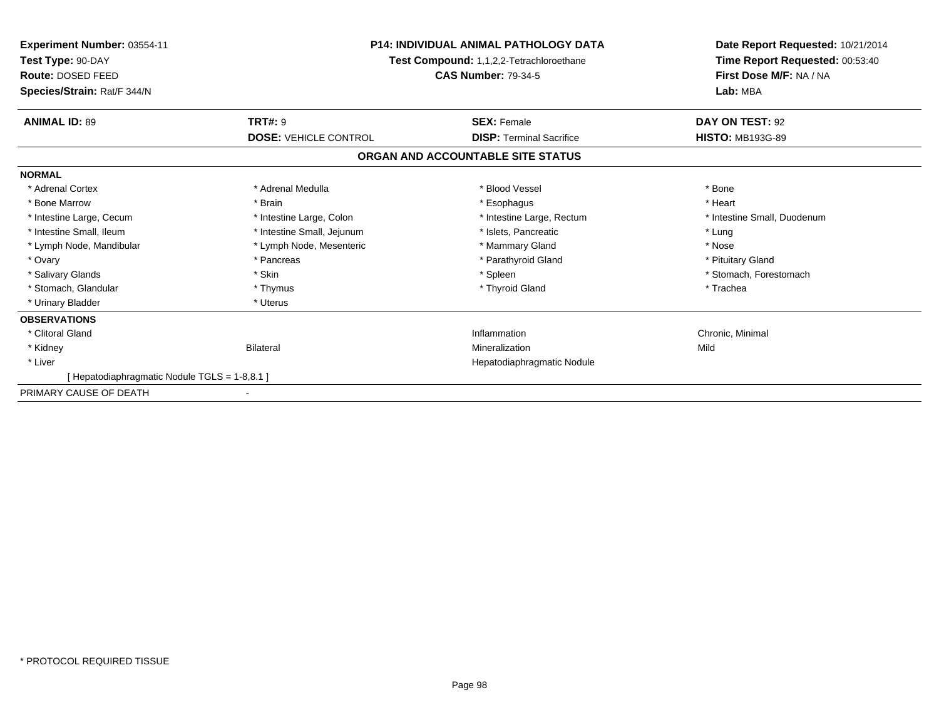| <b>Experiment Number: 03554-11</b><br>Test Type: 90-DAY | <b>P14: INDIVIDUAL ANIMAL PATHOLOGY DATA</b><br>Test Compound: 1,1,2,2-Tetrachloroethane<br><b>CAS Number: 79-34-5</b> |                                   | Date Report Requested: 10/21/2014<br>Time Report Requested: 00:53:40<br>First Dose M/F: NA / NA<br>Lab: MBA |
|---------------------------------------------------------|------------------------------------------------------------------------------------------------------------------------|-----------------------------------|-------------------------------------------------------------------------------------------------------------|
| Route: DOSED FEED<br>Species/Strain: Rat/F 344/N        |                                                                                                                        |                                   |                                                                                                             |
| <b>ANIMAL ID: 89</b>                                    | <b>TRT#: 9</b>                                                                                                         | <b>SEX: Female</b>                | DAY ON TEST: 92                                                                                             |
|                                                         | <b>DOSE: VEHICLE CONTROL</b>                                                                                           | <b>DISP: Terminal Sacrifice</b>   | <b>HISTO: MB193G-89</b>                                                                                     |
|                                                         |                                                                                                                        | ORGAN AND ACCOUNTABLE SITE STATUS |                                                                                                             |
| <b>NORMAL</b>                                           |                                                                                                                        |                                   |                                                                                                             |
| * Adrenal Cortex                                        | * Adrenal Medulla                                                                                                      | * Blood Vessel                    | * Bone                                                                                                      |
| * Bone Marrow                                           | * Brain                                                                                                                | * Esophagus                       | * Heart                                                                                                     |
| * Intestine Large, Cecum                                | * Intestine Large, Colon                                                                                               | * Intestine Large, Rectum         | * Intestine Small, Duodenum                                                                                 |
| * Intestine Small, Ileum                                | * Intestine Small, Jejunum                                                                                             | * Islets, Pancreatic              | * Lung                                                                                                      |
| * Lymph Node, Mandibular                                | * Lymph Node, Mesenteric                                                                                               | * Mammary Gland                   | * Nose                                                                                                      |
| * Ovary                                                 | * Pancreas                                                                                                             | * Parathyroid Gland               | * Pituitary Gland                                                                                           |
| * Salivary Glands                                       | * Skin                                                                                                                 | * Spleen                          | * Stomach, Forestomach                                                                                      |
| * Stomach, Glandular                                    | * Thymus                                                                                                               | * Thyroid Gland                   | * Trachea                                                                                                   |
| * Urinary Bladder                                       | * Uterus                                                                                                               |                                   |                                                                                                             |
| <b>OBSERVATIONS</b>                                     |                                                                                                                        |                                   |                                                                                                             |
| * Clitoral Gland                                        |                                                                                                                        | Inflammation                      | Chronic, Minimal                                                                                            |
| * Kidney                                                | Bilateral                                                                                                              | Mineralization                    | Mild                                                                                                        |
| * Liver                                                 |                                                                                                                        | Hepatodiaphragmatic Nodule        |                                                                                                             |
| [Hepatodiaphragmatic Nodule TGLS = 1-8,8.1]             |                                                                                                                        |                                   |                                                                                                             |
| PRIMARY CAUSE OF DEATH                                  |                                                                                                                        |                                   |                                                                                                             |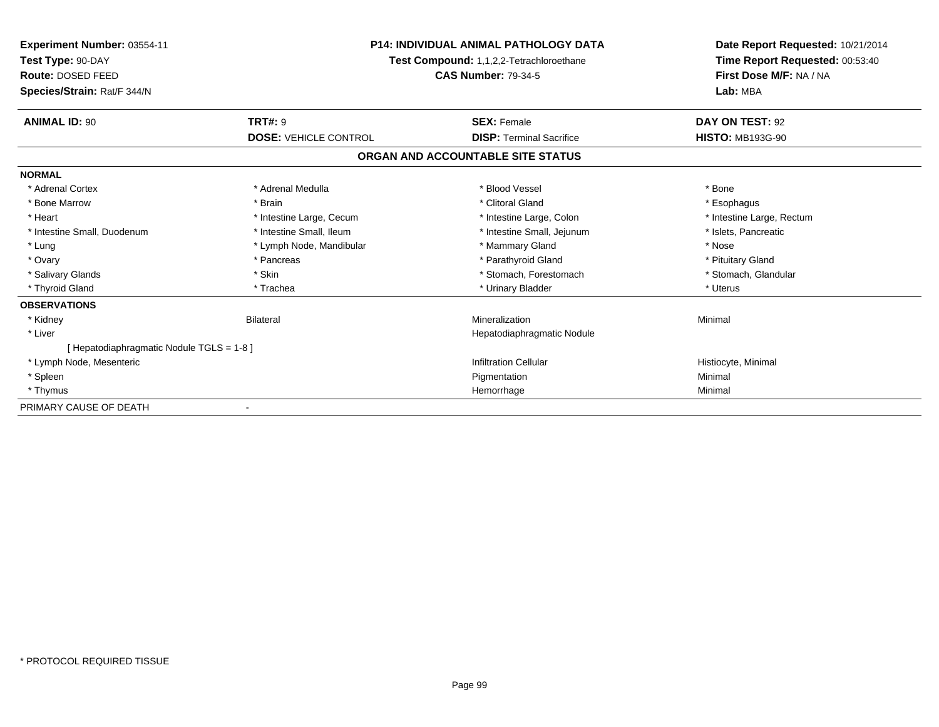| <b>Experiment Number: 03554-11</b><br>Test Type: 90-DAY<br>Route: DOSED FEED<br>Species/Strain: Rat/F 344/N | <b>P14: INDIVIDUAL ANIMAL PATHOLOGY DATA</b><br>Test Compound: 1,1,2,2-Tetrachloroethane<br><b>CAS Number: 79-34-5</b> |                                   | Date Report Requested: 10/21/2014<br>Time Report Requested: 00:53:40<br>First Dose M/F: NA / NA<br>Lab: MBA |
|-------------------------------------------------------------------------------------------------------------|------------------------------------------------------------------------------------------------------------------------|-----------------------------------|-------------------------------------------------------------------------------------------------------------|
| <b>ANIMAL ID: 90</b>                                                                                        | <b>TRT#: 9</b>                                                                                                         | <b>SEX: Female</b>                | DAY ON TEST: 92                                                                                             |
|                                                                                                             | <b>DOSE: VEHICLE CONTROL</b>                                                                                           | <b>DISP: Terminal Sacrifice</b>   | <b>HISTO: MB193G-90</b>                                                                                     |
|                                                                                                             |                                                                                                                        | ORGAN AND ACCOUNTABLE SITE STATUS |                                                                                                             |
| <b>NORMAL</b>                                                                                               |                                                                                                                        |                                   |                                                                                                             |
| * Adrenal Cortex                                                                                            | * Adrenal Medulla                                                                                                      | * Blood Vessel                    | * Bone                                                                                                      |
| * Bone Marrow                                                                                               | * Brain                                                                                                                | * Clitoral Gland                  | * Esophagus                                                                                                 |
| * Heart                                                                                                     | * Intestine Large, Cecum                                                                                               | * Intestine Large, Colon          | * Intestine Large, Rectum                                                                                   |
| * Intestine Small, Duodenum                                                                                 | * Intestine Small, Ileum                                                                                               | * Intestine Small, Jejunum        | * Islets, Pancreatic                                                                                        |
| * Lung                                                                                                      | * Lymph Node, Mandibular                                                                                               | * Mammary Gland                   | * Nose                                                                                                      |
| * Ovary                                                                                                     | * Pancreas                                                                                                             | * Parathyroid Gland               | * Pituitary Gland                                                                                           |
| * Salivary Glands                                                                                           | * Skin                                                                                                                 | * Stomach, Forestomach            | * Stomach, Glandular                                                                                        |
| * Thyroid Gland                                                                                             | * Trachea                                                                                                              | * Urinary Bladder                 | * Uterus                                                                                                    |
| <b>OBSERVATIONS</b>                                                                                         |                                                                                                                        |                                   |                                                                                                             |
| * Kidney                                                                                                    | <b>Bilateral</b>                                                                                                       | Mineralization                    | Minimal                                                                                                     |
| * Liver                                                                                                     |                                                                                                                        | Hepatodiaphragmatic Nodule        |                                                                                                             |
| [ Hepatodiaphragmatic Nodule TGLS = 1-8 ]                                                                   |                                                                                                                        |                                   |                                                                                                             |
| * Lymph Node, Mesenteric                                                                                    |                                                                                                                        | <b>Infiltration Cellular</b>      | Histiocyte, Minimal                                                                                         |
| * Spleen                                                                                                    |                                                                                                                        | Pigmentation                      | Minimal                                                                                                     |
| * Thymus                                                                                                    |                                                                                                                        | Hemorrhage                        | Minimal                                                                                                     |
| PRIMARY CAUSE OF DEATH                                                                                      |                                                                                                                        |                                   |                                                                                                             |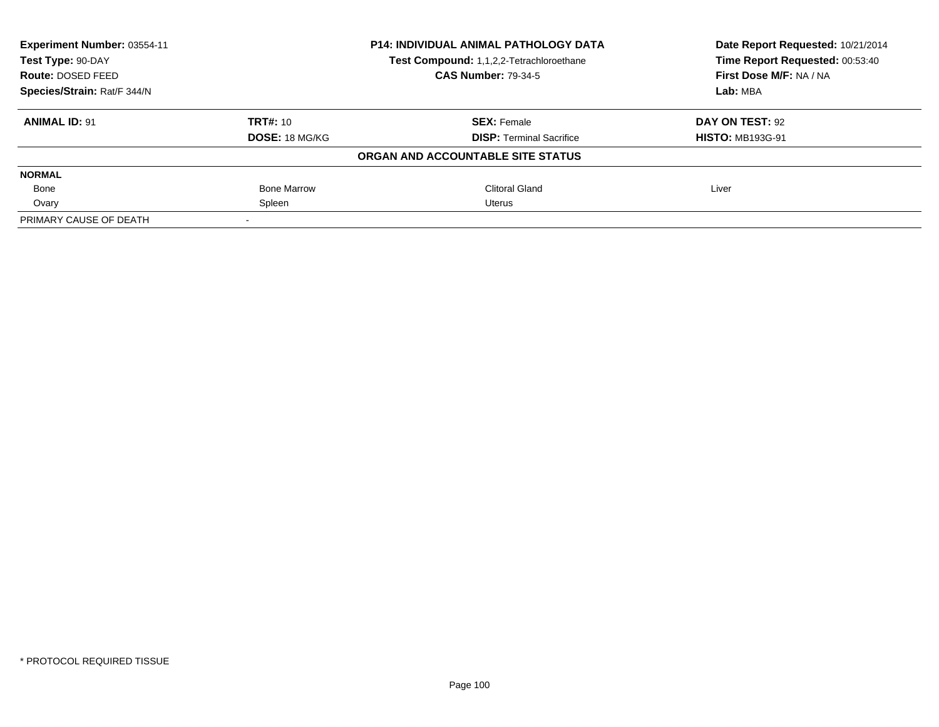| Experiment Number: 03554-11 | <b>P14: INDIVIDUAL ANIMAL PATHOLOGY DATA</b><br>Test Compound: 1,1,2,2-Tetrachloroethane |                                   | Date Report Requested: 10/21/2014<br>Time Report Requested: 00:53:40 |
|-----------------------------|------------------------------------------------------------------------------------------|-----------------------------------|----------------------------------------------------------------------|
| Test Type: 90-DAY           |                                                                                          |                                   |                                                                      |
| Route: DOSED FEED           |                                                                                          | <b>CAS Number: 79-34-5</b>        | First Dose M/F: NA / NA                                              |
| Species/Strain: Rat/F 344/N |                                                                                          |                                   | Lab: MBA                                                             |
| <b>ANIMAL ID: 91</b>        | <b>TRT#: 10</b>                                                                          | <b>SEX: Female</b>                | DAY ON TEST: 92                                                      |
|                             | <b>DOSE: 18 MG/KG</b>                                                                    | <b>DISP: Terminal Sacrifice</b>   | <b>HISTO: MB193G-91</b>                                              |
|                             |                                                                                          | ORGAN AND ACCOUNTABLE SITE STATUS |                                                                      |
| <b>NORMAL</b>               |                                                                                          |                                   |                                                                      |
| Bone                        | <b>Bone Marrow</b>                                                                       | Clitoral Gland                    | Liver                                                                |
| Ovary                       | Spleen                                                                                   | Uterus                            |                                                                      |
| PRIMARY CAUSE OF DEATH      |                                                                                          |                                   |                                                                      |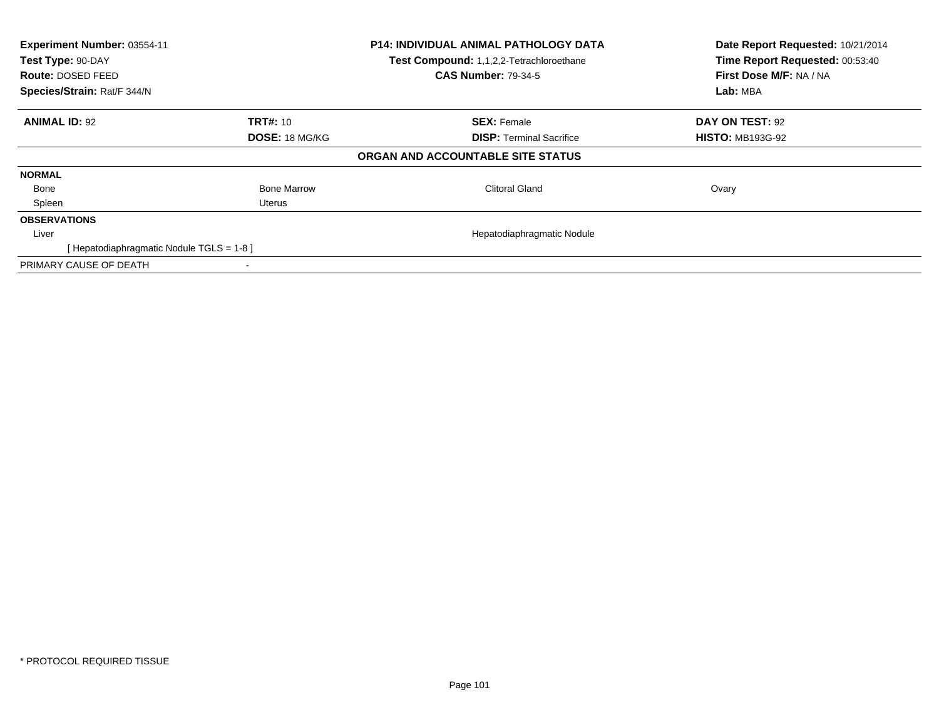| Experiment Number: 03554-11<br>Test Type: 90-DAY<br><b>Route: DOSED FEED</b><br>Species/Strain: Rat/F 344/N |                       | P14: INDIVIDUAL ANIMAL PATHOLOGY DATA<br>Test Compound: 1,1,2,2-Tetrachloroethane<br><b>CAS Number: 79-34-5</b> | Date Report Requested: 10/21/2014<br>Time Report Requested: 00:53:40<br>First Dose M/F: NA / NA<br>Lab: MBA |
|-------------------------------------------------------------------------------------------------------------|-----------------------|-----------------------------------------------------------------------------------------------------------------|-------------------------------------------------------------------------------------------------------------|
| <b>ANIMAL ID: 92</b>                                                                                        | <b>TRT#: 10</b>       | <b>SEX: Female</b>                                                                                              | DAY ON TEST: 92                                                                                             |
|                                                                                                             | <b>DOSE: 18 MG/KG</b> | <b>DISP:</b> Terminal Sacrifice                                                                                 | <b>HISTO: MB193G-92</b>                                                                                     |
|                                                                                                             |                       | ORGAN AND ACCOUNTABLE SITE STATUS                                                                               |                                                                                                             |
| <b>NORMAL</b>                                                                                               |                       |                                                                                                                 |                                                                                                             |
| Bone                                                                                                        | <b>Bone Marrow</b>    | <b>Clitoral Gland</b>                                                                                           | Ovary                                                                                                       |
| Spleen                                                                                                      | Uterus                |                                                                                                                 |                                                                                                             |
| <b>OBSERVATIONS</b>                                                                                         |                       |                                                                                                                 |                                                                                                             |
| Liver                                                                                                       |                       | Hepatodiaphragmatic Nodule                                                                                      |                                                                                                             |
| [Hepatodiaphragmatic Nodule TGLS = 1-8]                                                                     |                       |                                                                                                                 |                                                                                                             |
| PRIMARY CAUSE OF DEATH                                                                                      |                       |                                                                                                                 |                                                                                                             |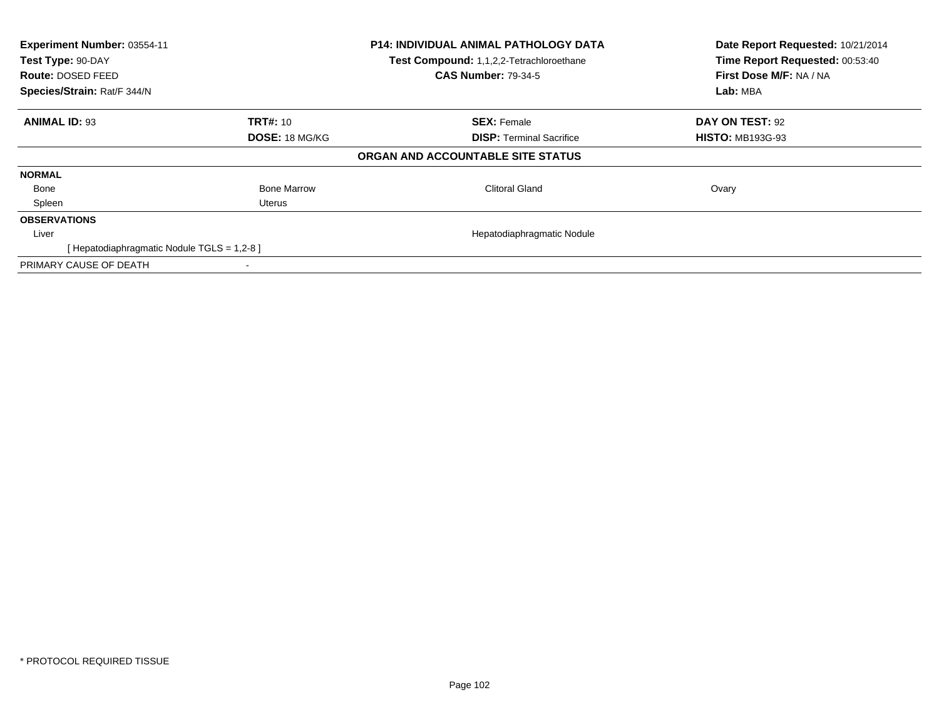| Experiment Number: 03554-11<br>Test Type: 90-DAY<br><b>Route: DOSED FEED</b><br>Species/Strain: Rat/F 344/N |                       | P14: INDIVIDUAL ANIMAL PATHOLOGY DATA<br>Test Compound: 1,1,2,2-Tetrachloroethane<br><b>CAS Number: 79-34-5</b> | Date Report Requested: 10/21/2014<br>Time Report Requested: 00:53:40<br>First Dose M/F: NA / NA<br>Lab: MBA |
|-------------------------------------------------------------------------------------------------------------|-----------------------|-----------------------------------------------------------------------------------------------------------------|-------------------------------------------------------------------------------------------------------------|
| <b>ANIMAL ID: 93</b>                                                                                        | <b>TRT#: 10</b>       | <b>SEX: Female</b>                                                                                              | DAY ON TEST: 92                                                                                             |
|                                                                                                             | <b>DOSE: 18 MG/KG</b> | <b>DISP:</b> Terminal Sacrifice                                                                                 | <b>HISTO: MB193G-93</b>                                                                                     |
|                                                                                                             |                       | ORGAN AND ACCOUNTABLE SITE STATUS                                                                               |                                                                                                             |
| <b>NORMAL</b>                                                                                               |                       |                                                                                                                 |                                                                                                             |
| Bone                                                                                                        | <b>Bone Marrow</b>    | <b>Clitoral Gland</b>                                                                                           | Ovary                                                                                                       |
| Spleen                                                                                                      | Uterus                |                                                                                                                 |                                                                                                             |
| <b>OBSERVATIONS</b>                                                                                         |                       |                                                                                                                 |                                                                                                             |
| Liver                                                                                                       |                       | Hepatodiaphragmatic Nodule                                                                                      |                                                                                                             |
| [ Hepatodiaphragmatic Nodule TGLS = 1,2-8 ]                                                                 |                       |                                                                                                                 |                                                                                                             |
| PRIMARY CAUSE OF DEATH                                                                                      |                       |                                                                                                                 |                                                                                                             |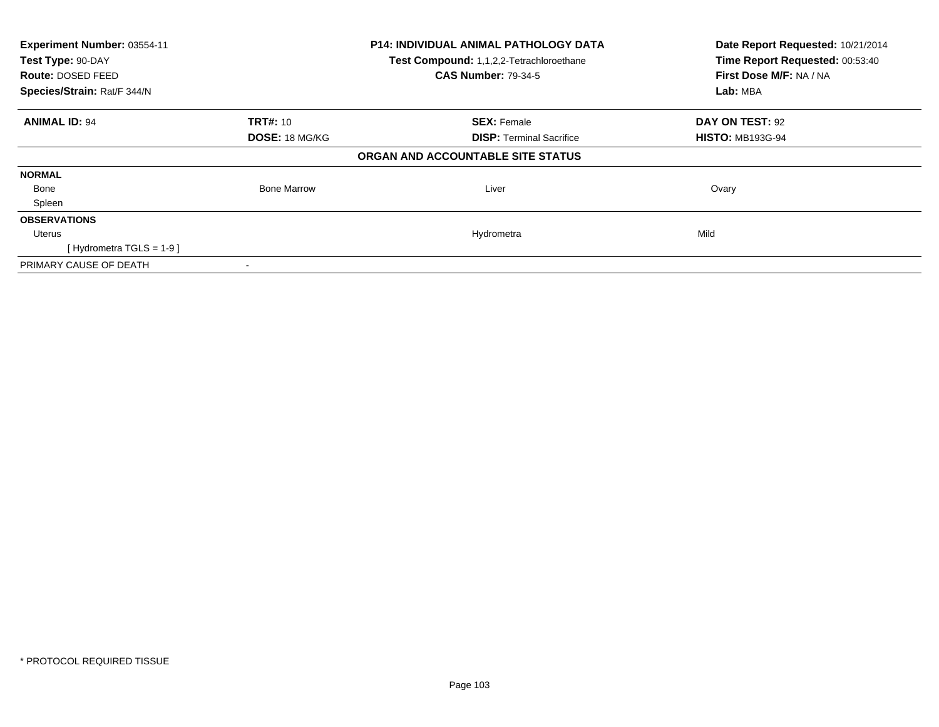| Experiment Number: 03554-11<br>Test Type: 90-DAY |                       | <b>P14: INDIVIDUAL ANIMAL PATHOLOGY DATA</b> | Date Report Requested: 10/21/2014 |
|--------------------------------------------------|-----------------------|----------------------------------------------|-----------------------------------|
|                                                  |                       | Test Compound: 1,1,2,2-Tetrachloroethane     | Time Report Requested: 00:53:40   |
| Route: DOSED FEED                                |                       | <b>CAS Number: 79-34-5</b>                   | First Dose M/F: NA / NA           |
| Species/Strain: Rat/F 344/N                      |                       |                                              | Lab: MBA                          |
| <b>ANIMAL ID: 94</b>                             | <b>TRT#: 10</b>       | <b>SEX: Female</b>                           | DAY ON TEST: 92                   |
|                                                  | <b>DOSE: 18 MG/KG</b> | <b>DISP:</b> Terminal Sacrifice              | <b>HISTO: MB193G-94</b>           |
|                                                  |                       | ORGAN AND ACCOUNTABLE SITE STATUS            |                                   |
| <b>NORMAL</b>                                    |                       |                                              |                                   |
| Bone                                             | <b>Bone Marrow</b>    | Liver                                        | Ovary                             |
| Spleen                                           |                       |                                              |                                   |
| <b>OBSERVATIONS</b>                              |                       |                                              |                                   |
| Uterus                                           |                       | Hydrometra                                   | Mild                              |
| [Hydrometra TGLS = $1-9$ ]                       |                       |                                              |                                   |
| PRIMARY CAUSE OF DEATH                           |                       |                                              |                                   |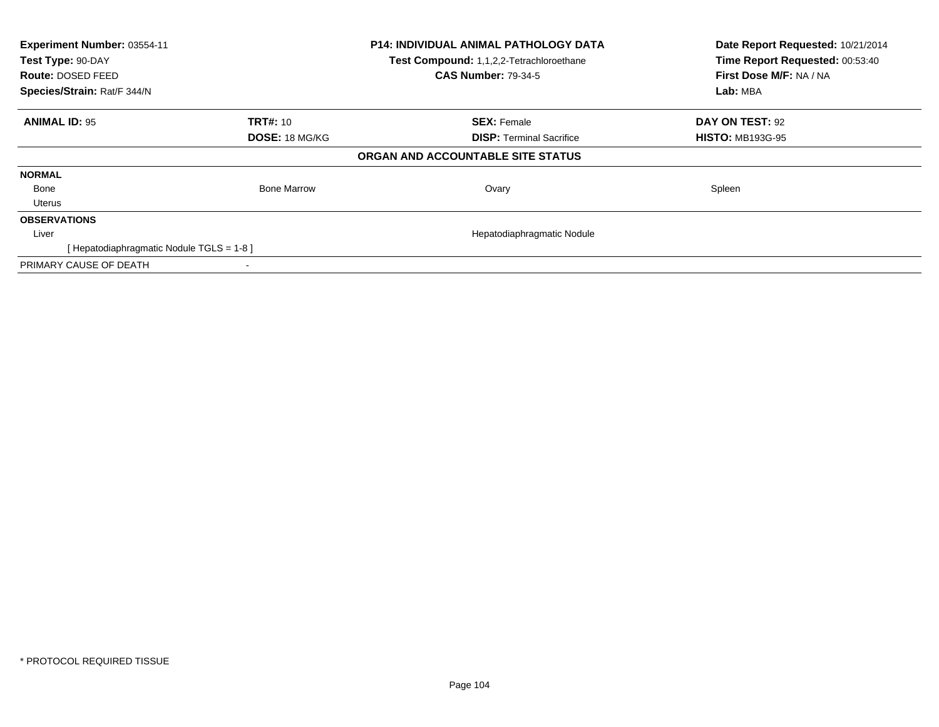| Experiment Number: 03554-11<br>Test Type: 90-DAY<br><b>Route: DOSED FEED</b><br>Species/Strain: Rat/F 344/N |                       | <b>P14: INDIVIDUAL ANIMAL PATHOLOGY DATA</b><br>Test Compound: 1,1,2,2-Tetrachloroethane<br><b>CAS Number: 79-34-5</b> | Date Report Requested: 10/21/2014<br>Time Report Requested: 00:53:40<br>First Dose M/F: NA / NA<br>Lab: MBA |
|-------------------------------------------------------------------------------------------------------------|-----------------------|------------------------------------------------------------------------------------------------------------------------|-------------------------------------------------------------------------------------------------------------|
| <b>ANIMAL ID: 95</b>                                                                                        | <b>TRT#: 10</b>       | <b>SEX: Female</b>                                                                                                     | DAY ON TEST: 92                                                                                             |
|                                                                                                             | <b>DOSE: 18 MG/KG</b> | <b>DISP:</b> Terminal Sacrifice                                                                                        | <b>HISTO: MB193G-95</b>                                                                                     |
|                                                                                                             |                       | ORGAN AND ACCOUNTABLE SITE STATUS                                                                                      |                                                                                                             |
| <b>NORMAL</b>                                                                                               |                       |                                                                                                                        |                                                                                                             |
| Bone                                                                                                        | <b>Bone Marrow</b>    | Ovary                                                                                                                  | Spleen                                                                                                      |
| <b>Uterus</b>                                                                                               |                       |                                                                                                                        |                                                                                                             |
| <b>OBSERVATIONS</b>                                                                                         |                       |                                                                                                                        |                                                                                                             |
| Liver                                                                                                       |                       | Hepatodiaphragmatic Nodule                                                                                             |                                                                                                             |
| [ Hepatodiaphragmatic Nodule TGLS = 1-8 ]                                                                   |                       |                                                                                                                        |                                                                                                             |
| PRIMARY CAUSE OF DEATH                                                                                      |                       |                                                                                                                        |                                                                                                             |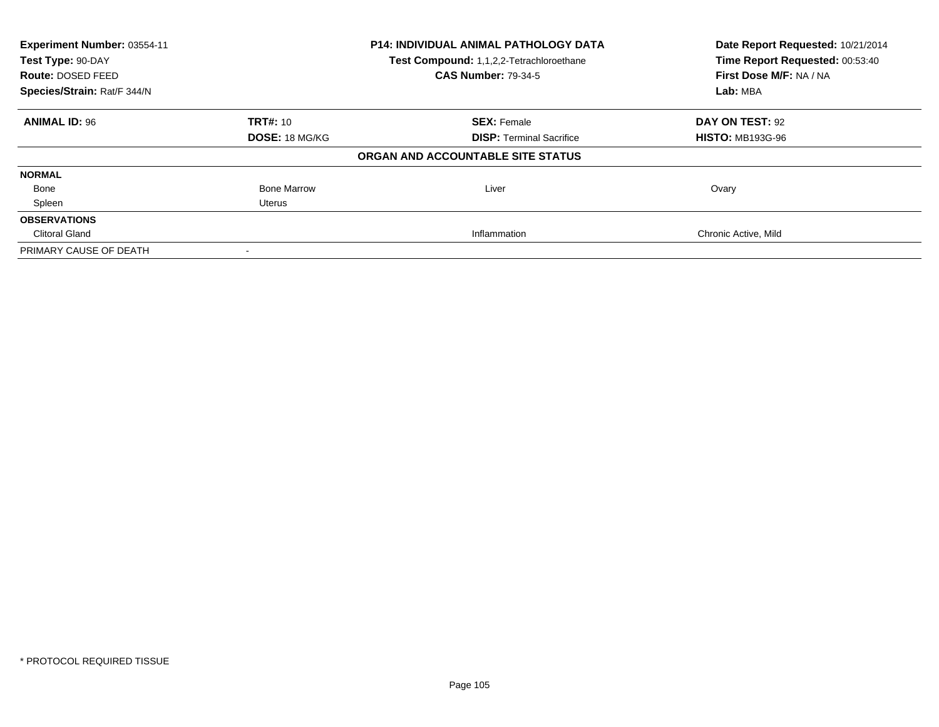| Experiment Number: 03554-11<br><b>P14: INDIVIDUAL ANIMAL PATHOLOGY DATA</b><br>Test Type: 90-DAY<br>Test Compound: 1,1,2,2-Tetrachloroethane |                       |                                   | Date Report Requested: 10/21/2014 |
|----------------------------------------------------------------------------------------------------------------------------------------------|-----------------------|-----------------------------------|-----------------------------------|
|                                                                                                                                              |                       | Time Report Requested: 00:53:40   |                                   |
| <b>Route: DOSED FEED</b>                                                                                                                     |                       | <b>CAS Number: 79-34-5</b>        | First Dose M/F: NA / NA           |
| Species/Strain: Rat/F 344/N                                                                                                                  |                       |                                   | Lab: MBA                          |
| <b>ANIMAL ID: 96</b>                                                                                                                         | TRT#: 10              | <b>SEX: Female</b>                | DAY ON TEST: 92                   |
|                                                                                                                                              | <b>DOSE: 18 MG/KG</b> | <b>DISP:</b> Terminal Sacrifice   | <b>HISTO: MB193G-96</b>           |
|                                                                                                                                              |                       | ORGAN AND ACCOUNTABLE SITE STATUS |                                   |
| <b>NORMAL</b>                                                                                                                                |                       |                                   |                                   |
| Bone                                                                                                                                         | <b>Bone Marrow</b>    | Liver                             | Ovary                             |
| Spleen                                                                                                                                       | Uterus                |                                   |                                   |
| <b>OBSERVATIONS</b>                                                                                                                          |                       |                                   |                                   |
| <b>Clitoral Gland</b>                                                                                                                        |                       | Inflammation                      | Chronic Active, Mild              |
| PRIMARY CAUSE OF DEATH                                                                                                                       |                       |                                   |                                   |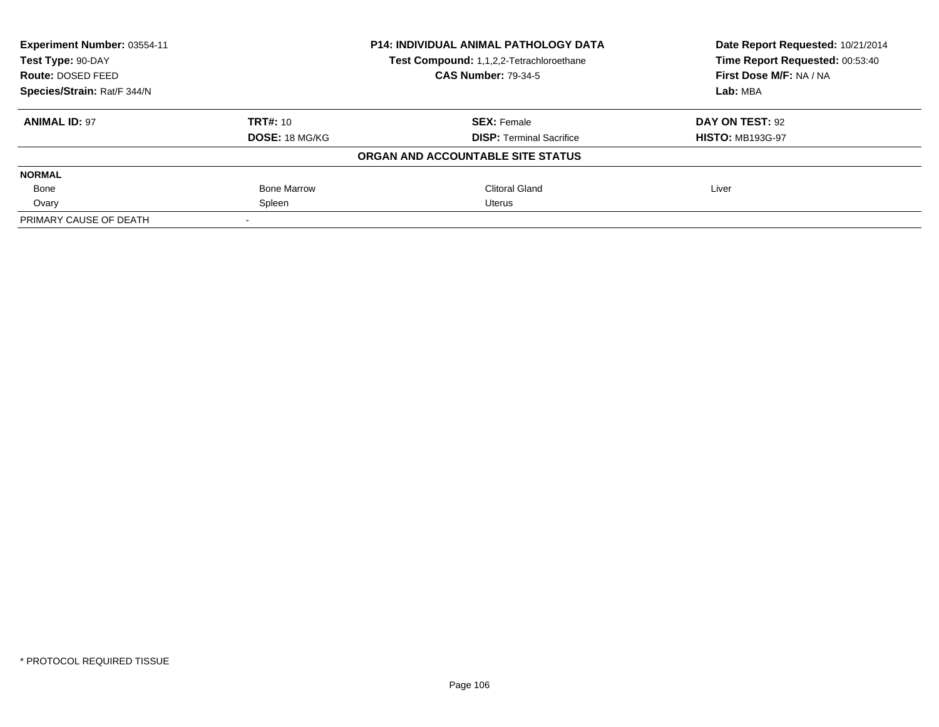| Experiment Number: 03554-11 | <b>P14: INDIVIDUAL ANIMAL PATHOLOGY DATA</b><br>Test Compound: 1,1,2,2-Tetrachloroethane |                                   | Date Report Requested: 10/21/2014<br>Time Report Requested: 00:53:40 |
|-----------------------------|------------------------------------------------------------------------------------------|-----------------------------------|----------------------------------------------------------------------|
| Test Type: 90-DAY           |                                                                                          |                                   |                                                                      |
| Route: DOSED FEED           |                                                                                          | <b>CAS Number: 79-34-5</b>        | First Dose M/F: NA / NA                                              |
| Species/Strain: Rat/F 344/N |                                                                                          |                                   | Lab: MBA                                                             |
| <b>ANIMAL ID: 97</b>        | <b>TRT#: 10</b>                                                                          | <b>SEX: Female</b>                | DAY ON TEST: 92                                                      |
|                             | <b>DOSE: 18 MG/KG</b>                                                                    | <b>DISP: Terminal Sacrifice</b>   | <b>HISTO: MB193G-97</b>                                              |
|                             |                                                                                          | ORGAN AND ACCOUNTABLE SITE STATUS |                                                                      |
| <b>NORMAL</b>               |                                                                                          |                                   |                                                                      |
| Bone                        | <b>Bone Marrow</b>                                                                       | <b>Clitoral Gland</b>             | Liver                                                                |
| Ovary                       | Spleen                                                                                   | Uterus                            |                                                                      |
| PRIMARY CAUSE OF DEATH      |                                                                                          |                                   |                                                                      |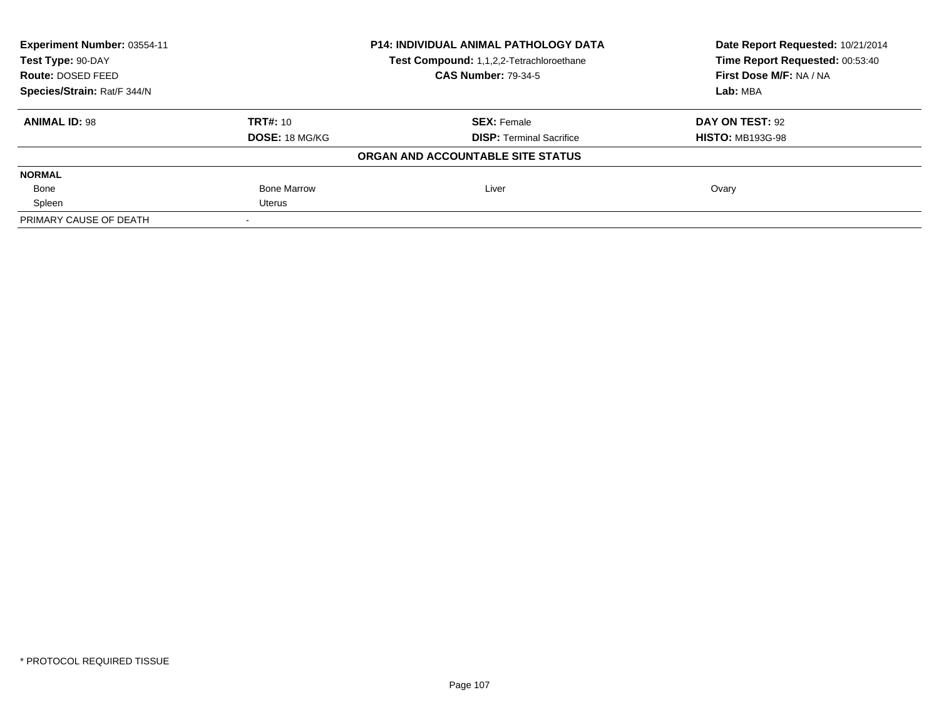| Experiment Number: 03554-11 | <b>P14: INDIVIDUAL ANIMAL PATHOLOGY DATA</b><br>Test Compound: 1,1,2,2-Tetrachloroethane |                                   | Date Report Requested: 10/21/2014<br>Time Report Requested: 00:53:40 |
|-----------------------------|------------------------------------------------------------------------------------------|-----------------------------------|----------------------------------------------------------------------|
| Test Type: 90-DAY           |                                                                                          |                                   |                                                                      |
| Route: DOSED FEED           |                                                                                          | <b>CAS Number: 79-34-5</b>        | First Dose M/F: NA / NA                                              |
| Species/Strain: Rat/F 344/N |                                                                                          |                                   | Lab: MBA                                                             |
| <b>ANIMAL ID: 98</b>        | <b>TRT#: 10</b>                                                                          | <b>SEX: Female</b>                | DAY ON TEST: 92                                                      |
|                             | <b>DOSE: 18 MG/KG</b>                                                                    | <b>DISP: Terminal Sacrifice</b>   | <b>HISTO: MB193G-98</b>                                              |
|                             |                                                                                          | ORGAN AND ACCOUNTABLE SITE STATUS |                                                                      |
| <b>NORMAL</b>               |                                                                                          |                                   |                                                                      |
| Bone                        | <b>Bone Marrow</b>                                                                       | Liver                             | Ovary                                                                |
| Spleen                      | Uterus                                                                                   |                                   |                                                                      |
| PRIMARY CAUSE OF DEATH      |                                                                                          |                                   |                                                                      |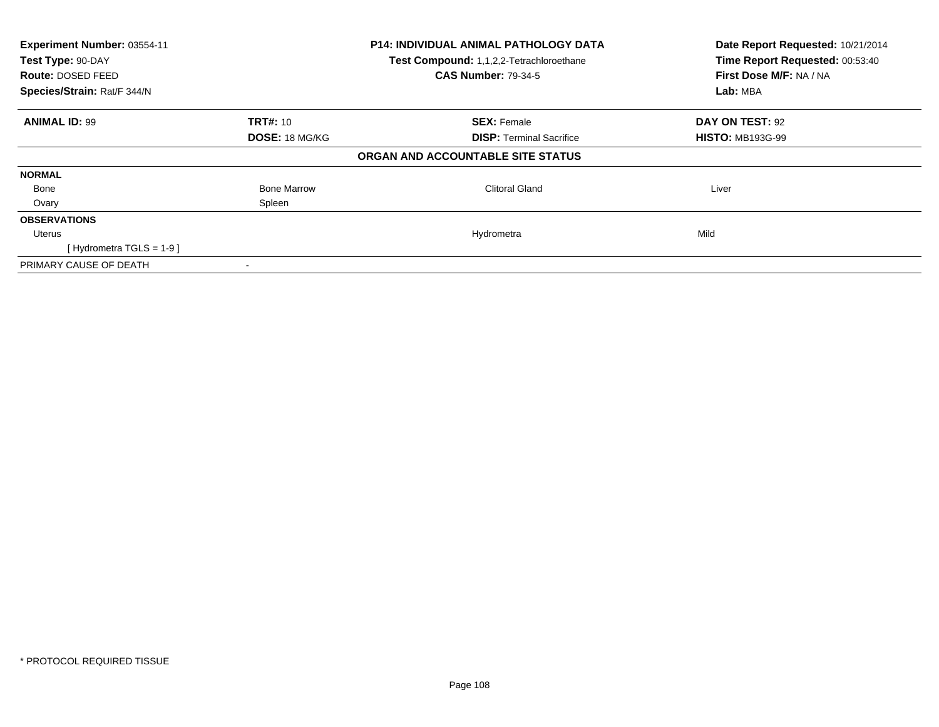| Experiment Number: 03554-11<br>Test Type: 90-DAY<br><b>Route: DOSED FEED</b><br>Species/Strain: Rat/F 344/N |                                          | <b>P14: INDIVIDUAL ANIMAL PATHOLOGY DATA</b><br>Test Compound: 1,1,2,2-Tetrachloroethane<br><b>CAS Number: 79-34-5</b> | Date Report Requested: 10/21/2014<br>Time Report Requested: 00:53:40<br>First Dose M/F: NA / NA<br>Lab: MBA |
|-------------------------------------------------------------------------------------------------------------|------------------------------------------|------------------------------------------------------------------------------------------------------------------------|-------------------------------------------------------------------------------------------------------------|
| <b>ANIMAL ID: 99</b>                                                                                        | <b>TRT#: 10</b><br><b>DOSE: 18 MG/KG</b> | <b>SEX: Female</b><br><b>DISP:</b> Terminal Sacrifice                                                                  | DAY ON TEST: 92<br><b>HISTO: MB193G-99</b>                                                                  |
|                                                                                                             |                                          | ORGAN AND ACCOUNTABLE SITE STATUS                                                                                      |                                                                                                             |
| <b>NORMAL</b>                                                                                               |                                          |                                                                                                                        |                                                                                                             |
| Bone                                                                                                        | <b>Bone Marrow</b>                       | Clitoral Gland                                                                                                         | Liver                                                                                                       |
| Ovary                                                                                                       | Spleen                                   |                                                                                                                        |                                                                                                             |
| <b>OBSERVATIONS</b>                                                                                         |                                          |                                                                                                                        |                                                                                                             |
| Uterus                                                                                                      |                                          | Hydrometra                                                                                                             | Mild                                                                                                        |
| [Hydrometra TGLS = $1-9$ ]                                                                                  |                                          |                                                                                                                        |                                                                                                             |
| PRIMARY CAUSE OF DEATH                                                                                      |                                          |                                                                                                                        |                                                                                                             |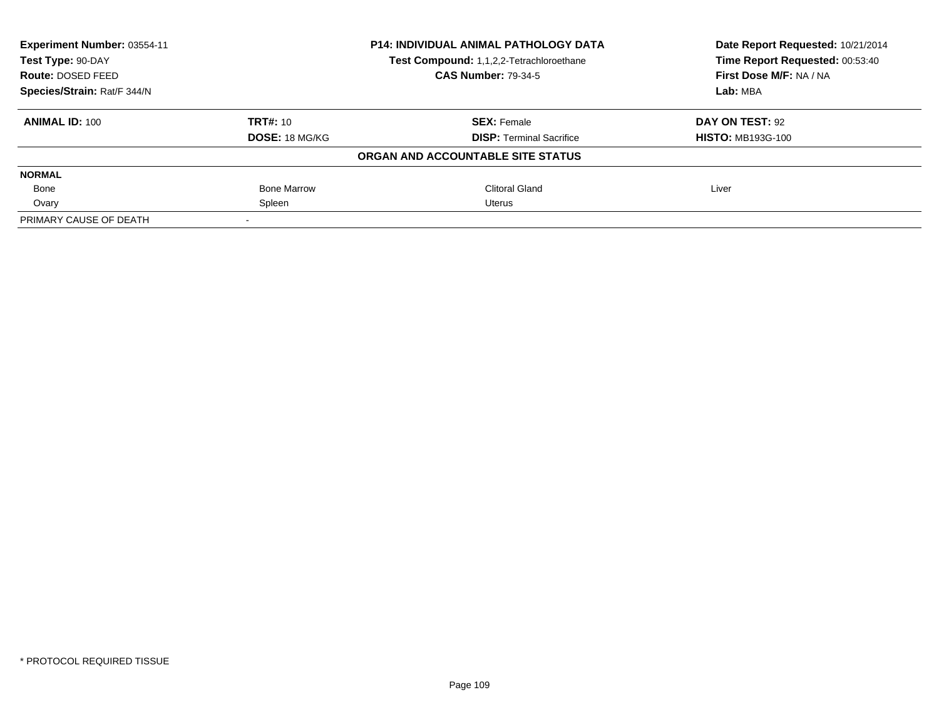| Experiment Number: 03554-11 | <b>P14: INDIVIDUAL ANIMAL PATHOLOGY DATA</b><br>Test Compound: 1,1,2,2-Tetrachloroethane |                                   | Date Report Requested: 10/21/2014 |
|-----------------------------|------------------------------------------------------------------------------------------|-----------------------------------|-----------------------------------|
| Test Type: 90-DAY           |                                                                                          |                                   | Time Report Requested: 00:53:40   |
| Route: DOSED FEED           |                                                                                          | <b>CAS Number: 79-34-5</b>        | First Dose M/F: NA / NA           |
| Species/Strain: Rat/F 344/N |                                                                                          |                                   | Lab: MBA                          |
| <b>ANIMAL ID: 100</b>       | TRT#: 10                                                                                 | <b>SEX: Female</b>                | DAY ON TEST: 92                   |
|                             | <b>DOSE: 18 MG/KG</b>                                                                    | <b>DISP:</b> Terminal Sacrifice   | <b>HISTO: MB193G-100</b>          |
|                             |                                                                                          | ORGAN AND ACCOUNTABLE SITE STATUS |                                   |
| <b>NORMAL</b>               |                                                                                          |                                   |                                   |
| Bone                        | <b>Bone Marrow</b>                                                                       | Clitoral Gland                    | Liver                             |
| Ovary                       | Spleen                                                                                   | Uterus                            |                                   |
| PRIMARY CAUSE OF DEATH      |                                                                                          |                                   |                                   |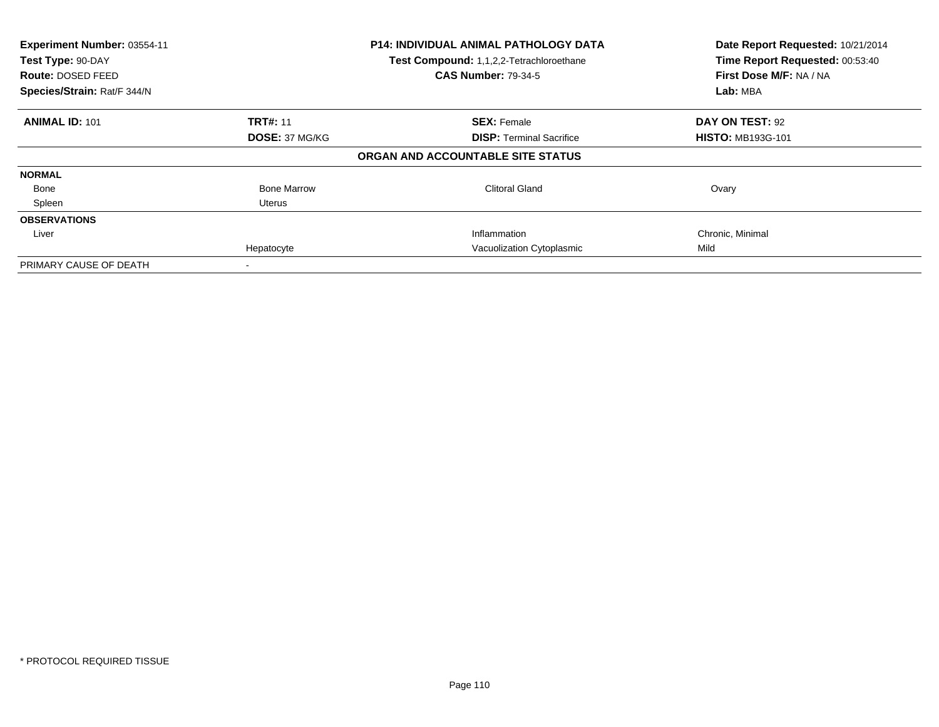| Experiment Number: 03554-11<br>Test Type: 90-DAY<br><b>Route: DOSED FEED</b><br>Species/Strain: Rat/F 344/N |                    | <b>P14: INDIVIDUAL ANIMAL PATHOLOGY DATA</b><br>Test Compound: 1,1,2,2-Tetrachloroethane<br><b>CAS Number: 79-34-5</b> | Date Report Requested: 10/21/2014<br>Time Report Requested: 00:53:40<br>First Dose M/F: NA / NA<br>Lab: MBA |
|-------------------------------------------------------------------------------------------------------------|--------------------|------------------------------------------------------------------------------------------------------------------------|-------------------------------------------------------------------------------------------------------------|
| <b>ANIMAL ID: 101</b>                                                                                       | <b>TRT#: 11</b>    | <b>SEX: Female</b>                                                                                                     | DAY ON TEST: 92                                                                                             |
|                                                                                                             | DOSE: 37 MG/KG     | <b>DISP:</b> Terminal Sacrifice                                                                                        | <b>HISTO: MB193G-101</b>                                                                                    |
|                                                                                                             |                    | ORGAN AND ACCOUNTABLE SITE STATUS                                                                                      |                                                                                                             |
| <b>NORMAL</b>                                                                                               |                    |                                                                                                                        |                                                                                                             |
| Bone                                                                                                        | <b>Bone Marrow</b> | <b>Clitoral Gland</b>                                                                                                  | Ovary                                                                                                       |
| Spleen                                                                                                      | Uterus             |                                                                                                                        |                                                                                                             |
| <b>OBSERVATIONS</b>                                                                                         |                    |                                                                                                                        |                                                                                                             |
| Liver                                                                                                       |                    | Inflammation                                                                                                           | Chronic, Minimal                                                                                            |
|                                                                                                             | Hepatocyte         | Vacuolization Cytoplasmic                                                                                              | Mild                                                                                                        |
| PRIMARY CAUSE OF DEATH                                                                                      |                    |                                                                                                                        |                                                                                                             |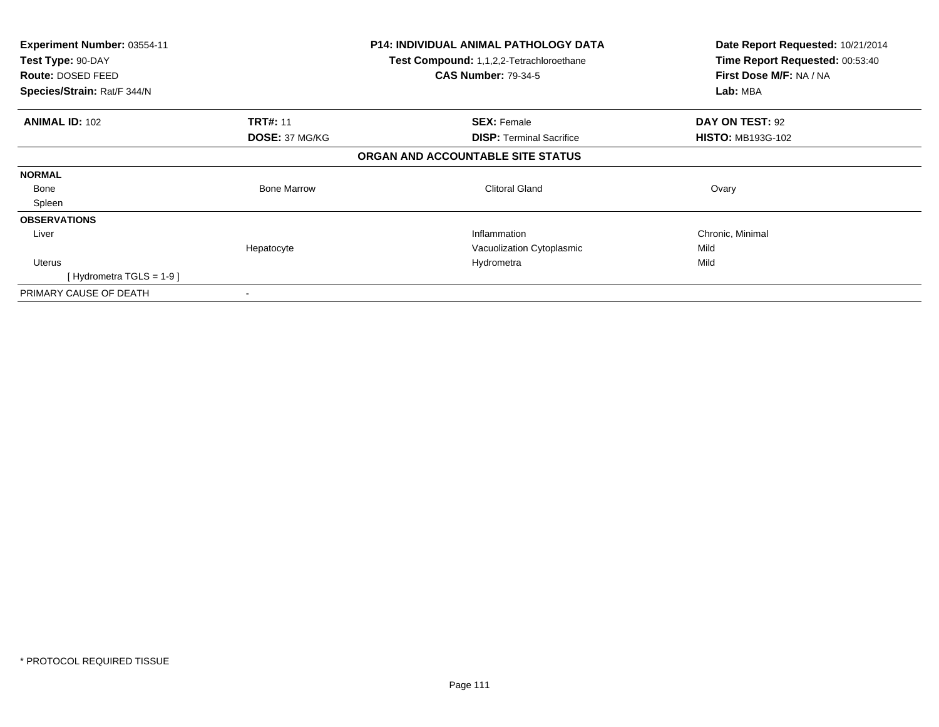| <b>Experiment Number: 03554-11</b> |                                          | <b>P14: INDIVIDUAL ANIMAL PATHOLOGY DATA</b> | Date Report Requested: 10/21/2014 |
|------------------------------------|------------------------------------------|----------------------------------------------|-----------------------------------|
| Test Type: 90-DAY                  | Test Compound: 1,1,2,2-Tetrachloroethane |                                              | Time Report Requested: 00:53:40   |
| Route: DOSED FEED                  |                                          | <b>CAS Number: 79-34-5</b>                   | First Dose M/F: NA / NA           |
| Species/Strain: Rat/F 344/N        |                                          |                                              | Lab: MBA                          |
| <b>ANIMAL ID: 102</b>              | <b>TRT#: 11</b>                          | <b>SEX: Female</b>                           | DAY ON TEST: 92                   |
|                                    | DOSE: 37 MG/KG                           | <b>DISP: Terminal Sacrifice</b>              | <b>HISTO: MB193G-102</b>          |
|                                    |                                          | ORGAN AND ACCOUNTABLE SITE STATUS            |                                   |
| <b>NORMAL</b>                      |                                          |                                              |                                   |
| Bone                               | <b>Bone Marrow</b>                       | Clitoral Gland                               | Ovary                             |
| Spleen                             |                                          |                                              |                                   |
| <b>OBSERVATIONS</b>                |                                          |                                              |                                   |
| Liver                              |                                          | Inflammation                                 | Chronic, Minimal                  |
|                                    | Hepatocyte                               | Vacuolization Cytoplasmic                    | Mild                              |
| <b>Uterus</b>                      |                                          | Hydrometra                                   | Mild                              |
| [Hydrometra TGLS = $1-9$ ]         |                                          |                                              |                                   |
| PRIMARY CAUSE OF DEATH             |                                          |                                              |                                   |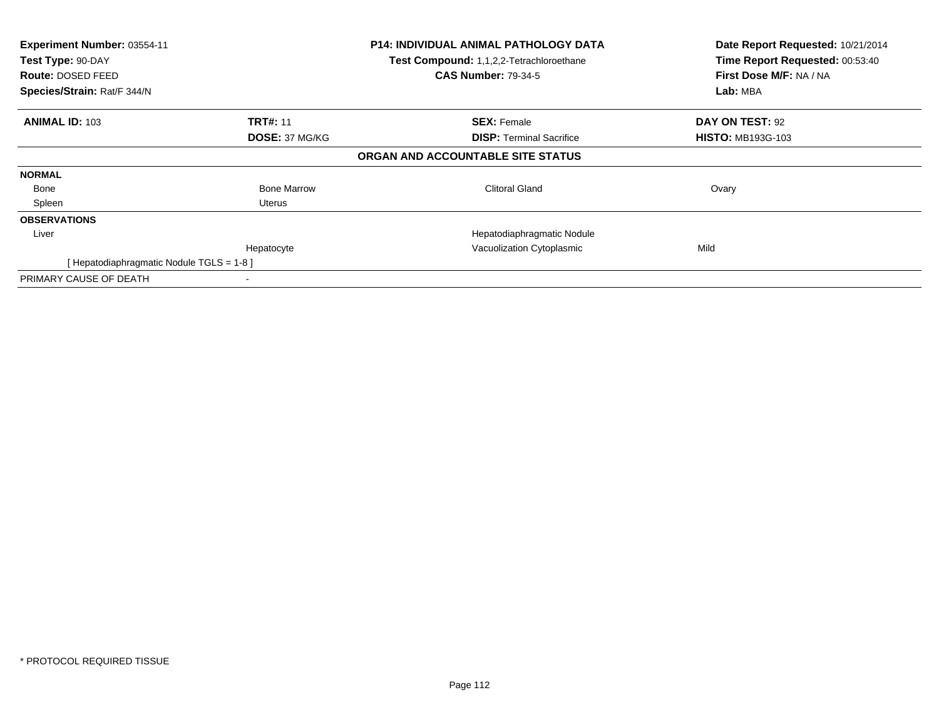| Experiment Number: 03554-11<br>Test Type: 90-DAY<br>Route: DOSED FEED<br>Species/Strain: Rat/F 344/N |                    | <b>P14: INDIVIDUAL ANIMAL PATHOLOGY DATA</b><br>Test Compound: 1,1,2,2-Tetrachloroethane<br><b>CAS Number: 79-34-5</b> | Date Report Requested: 10/21/2014<br>Time Report Requested: 00:53:40<br>First Dose M/F: NA / NA<br>Lab: MBA |
|------------------------------------------------------------------------------------------------------|--------------------|------------------------------------------------------------------------------------------------------------------------|-------------------------------------------------------------------------------------------------------------|
| <b>ANIMAL ID: 103</b>                                                                                | <b>TRT#: 11</b>    | <b>SEX: Female</b>                                                                                                     | DAY ON TEST: 92                                                                                             |
|                                                                                                      | DOSE: 37 MG/KG     | <b>DISP:</b> Terminal Sacrifice<br>ORGAN AND ACCOUNTABLE SITE STATUS                                                   | <b>HISTO: MB193G-103</b>                                                                                    |
| <b>NORMAL</b>                                                                                        |                    |                                                                                                                        |                                                                                                             |
| Bone                                                                                                 | <b>Bone Marrow</b> | <b>Clitoral Gland</b>                                                                                                  | Ovary                                                                                                       |
| Spleen                                                                                               | Uterus             |                                                                                                                        |                                                                                                             |
| <b>OBSERVATIONS</b>                                                                                  |                    |                                                                                                                        |                                                                                                             |
| Liver                                                                                                |                    | Hepatodiaphragmatic Nodule                                                                                             |                                                                                                             |
|                                                                                                      | Hepatocyte         | Vacuolization Cytoplasmic                                                                                              | Mild                                                                                                        |
| [Hepatodiaphragmatic Nodule TGLS = 1-8]                                                              |                    |                                                                                                                        |                                                                                                             |
| PRIMARY CAUSE OF DEATH                                                                               |                    |                                                                                                                        |                                                                                                             |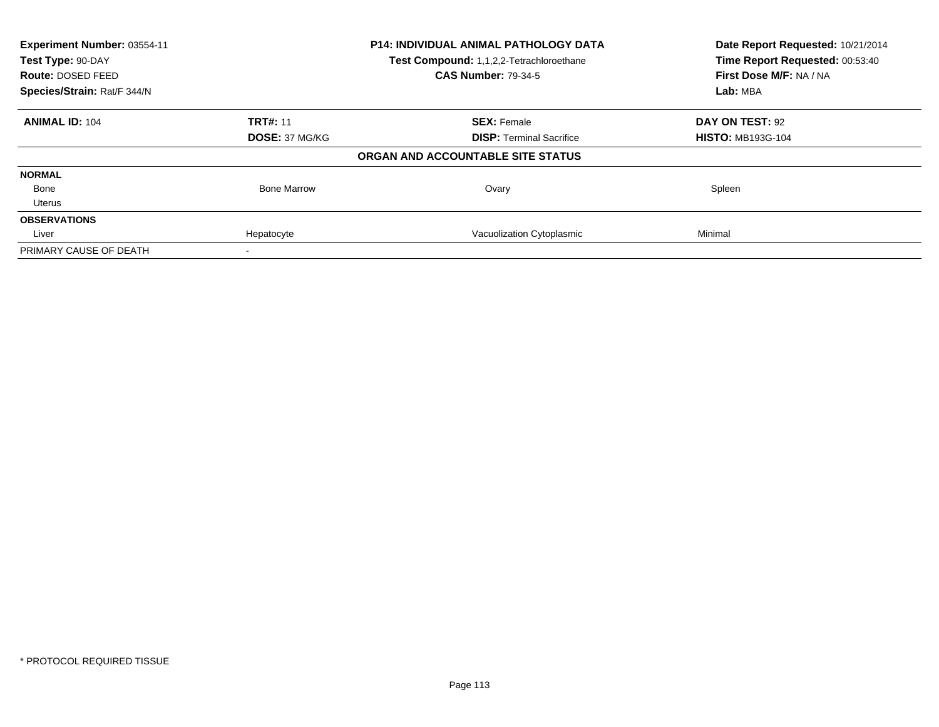| Experiment Number: 03554-11 |                       | <b>P14: INDIVIDUAL ANIMAL PATHOLOGY DATA</b> | Date Report Requested: 10/21/2014                          |
|-----------------------------|-----------------------|----------------------------------------------|------------------------------------------------------------|
| Test Type: 90-DAY           |                       | Test Compound: 1,1,2,2-Tetrachloroethane     | Time Report Requested: 00:53:40<br>First Dose M/F: NA / NA |
| <b>Route: DOSED FEED</b>    |                       | <b>CAS Number: 79-34-5</b>                   |                                                            |
| Species/Strain: Rat/F 344/N |                       |                                              | Lab: MBA                                                   |
| <b>ANIMAL ID: 104</b>       | <b>TRT#: 11</b>       | <b>SEX: Female</b>                           | DAY ON TEST: 92                                            |
|                             | <b>DOSE: 37 MG/KG</b> | <b>DISP:</b> Terminal Sacrifice              | <b>HISTO: MB193G-104</b>                                   |
|                             |                       | ORGAN AND ACCOUNTABLE SITE STATUS            |                                                            |
| <b>NORMAL</b>               |                       |                                              |                                                            |
| Bone                        | <b>Bone Marrow</b>    | Ovary                                        | Spleen                                                     |
| Uterus                      |                       |                                              |                                                            |
| <b>OBSERVATIONS</b>         |                       |                                              |                                                            |
| Liver                       | Hepatocyte            | Vacuolization Cytoplasmic                    | Minimal                                                    |
| PRIMARY CAUSE OF DEATH      |                       |                                              |                                                            |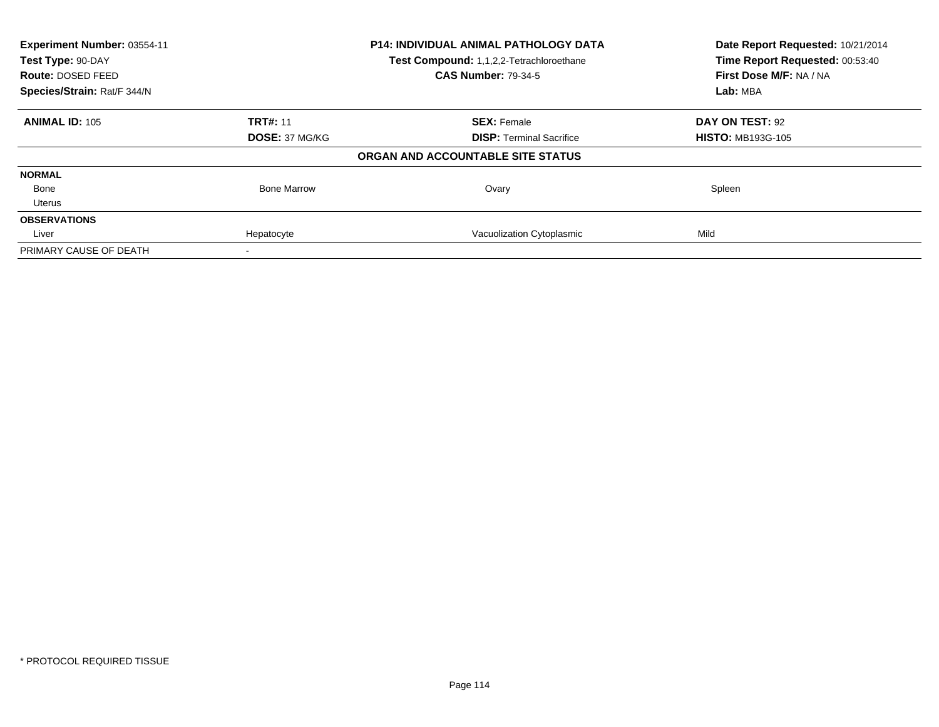| Experiment Number: 03554-11 |                       | P14: INDIVIDUAL ANIMAL PATHOLOGY DATA    | Date Report Requested: 10/21/2014<br>Time Report Requested: 00:53:40 |
|-----------------------------|-----------------------|------------------------------------------|----------------------------------------------------------------------|
| Test Type: 90-DAY           |                       | Test Compound: 1,1,2,2-Tetrachloroethane |                                                                      |
| Route: DOSED FEED           |                       | <b>CAS Number: 79-34-5</b>               | First Dose M/F: NA / NA                                              |
| Species/Strain: Rat/F 344/N |                       |                                          | Lab: MBA                                                             |
| <b>ANIMAL ID: 105</b>       | <b>TRT#: 11</b>       | <b>SEX: Female</b>                       | DAY ON TEST: 92                                                      |
|                             | <b>DOSE: 37 MG/KG</b> | <b>DISP:</b> Terminal Sacrifice          | <b>HISTO: MB193G-105</b>                                             |
|                             |                       | ORGAN AND ACCOUNTABLE SITE STATUS        |                                                                      |
| <b>NORMAL</b>               |                       |                                          |                                                                      |
| Bone                        | <b>Bone Marrow</b>    | Ovary                                    | Spleen                                                               |
| Uterus                      |                       |                                          |                                                                      |
| <b>OBSERVATIONS</b>         |                       |                                          |                                                                      |
| Liver                       | Hepatocyte            | Vacuolization Cytoplasmic                | Mild                                                                 |
| PRIMARY CAUSE OF DEATH      |                       |                                          |                                                                      |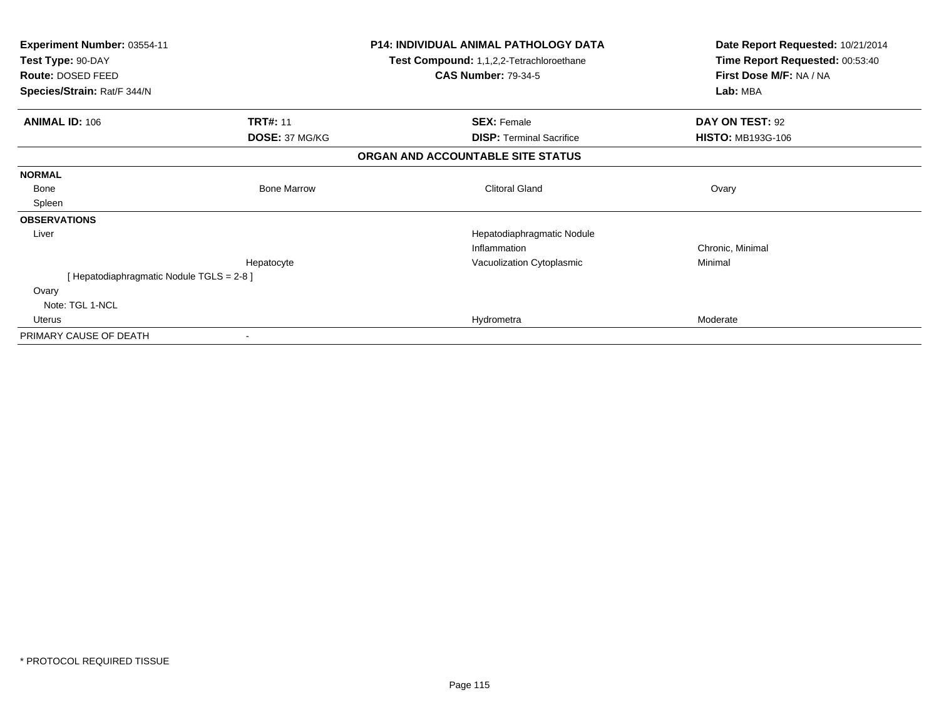| Experiment Number: 03554-11<br>Test Type: 90-DAY<br>Route: DOSED FEED |                    | <b>P14: INDIVIDUAL ANIMAL PATHOLOGY DATA</b><br>Test Compound: 1,1,2,2-Tetrachloroethane<br><b>CAS Number: 79-34-5</b> | Date Report Requested: 10/21/2014<br>Time Report Requested: 00:53:40<br>First Dose M/F: NA / NA |
|-----------------------------------------------------------------------|--------------------|------------------------------------------------------------------------------------------------------------------------|-------------------------------------------------------------------------------------------------|
| Species/Strain: Rat/F 344/N                                           |                    |                                                                                                                        | Lab: MBA                                                                                        |
| <b>ANIMAL ID: 106</b>                                                 | <b>TRT#: 11</b>    | <b>SEX: Female</b>                                                                                                     | DAY ON TEST: 92                                                                                 |
|                                                                       | DOSE: 37 MG/KG     | <b>DISP: Terminal Sacrifice</b>                                                                                        | <b>HISTO: MB193G-106</b>                                                                        |
|                                                                       |                    | ORGAN AND ACCOUNTABLE SITE STATUS                                                                                      |                                                                                                 |
| <b>NORMAL</b>                                                         |                    |                                                                                                                        |                                                                                                 |
| Bone                                                                  | <b>Bone Marrow</b> | <b>Clitoral Gland</b>                                                                                                  | Ovary                                                                                           |
| Spleen                                                                |                    |                                                                                                                        |                                                                                                 |
| <b>OBSERVATIONS</b>                                                   |                    |                                                                                                                        |                                                                                                 |
| Liver                                                                 |                    | Hepatodiaphragmatic Nodule                                                                                             |                                                                                                 |
|                                                                       |                    | Inflammation                                                                                                           | Chronic, Minimal                                                                                |
|                                                                       | Hepatocyte         | Vacuolization Cytoplasmic                                                                                              | Minimal                                                                                         |
| [Hepatodiaphragmatic Nodule TGLS = 2-8]                               |                    |                                                                                                                        |                                                                                                 |
| Ovary                                                                 |                    |                                                                                                                        |                                                                                                 |
| Note: TGL 1-NCL                                                       |                    |                                                                                                                        |                                                                                                 |
| Uterus                                                                |                    | Hydrometra                                                                                                             | Moderate                                                                                        |
| PRIMARY CAUSE OF DEATH                                                |                    |                                                                                                                        |                                                                                                 |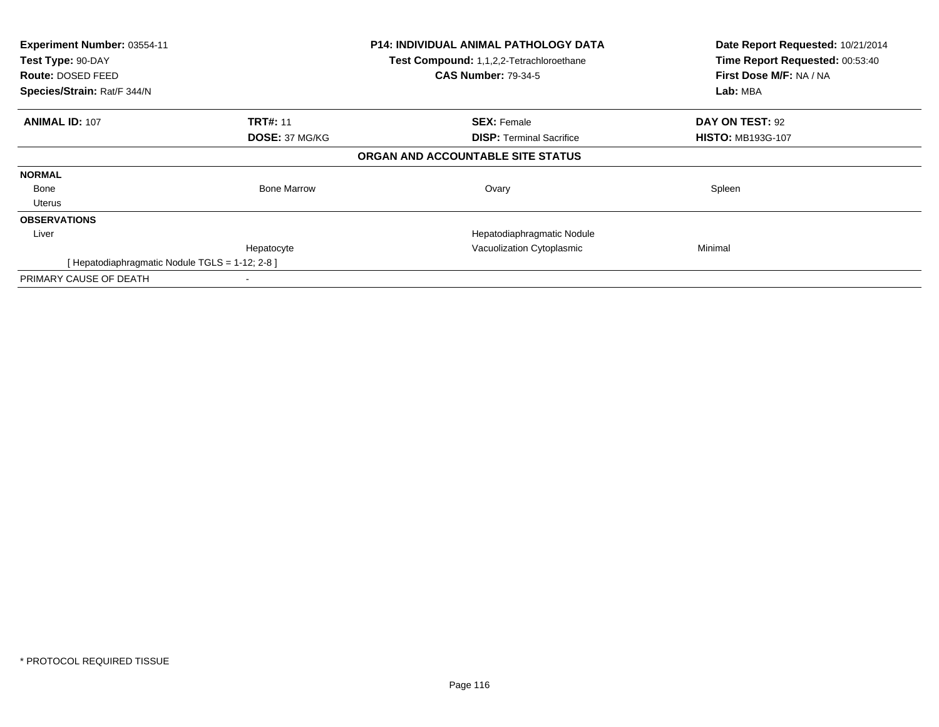| Experiment Number: 03554-11<br>Test Type: 90-DAY<br><b>Route: DOSED FEED</b><br>Species/Strain: Rat/F 344/N |                       | P14: INDIVIDUAL ANIMAL PATHOLOGY DATA<br>Test Compound: 1,1,2,2-Tetrachloroethane<br><b>CAS Number: 79-34-5</b> | Date Report Requested: 10/21/2014<br>Time Report Requested: 00:53:40<br>First Dose M/F: NA / NA<br>Lab: MBA |
|-------------------------------------------------------------------------------------------------------------|-----------------------|-----------------------------------------------------------------------------------------------------------------|-------------------------------------------------------------------------------------------------------------|
| <b>ANIMAL ID: 107</b>                                                                                       | <b>TRT#: 11</b>       | <b>SEX: Female</b>                                                                                              | DAY ON TEST: 92                                                                                             |
|                                                                                                             | <b>DOSE: 37 MG/KG</b> | <b>DISP:</b> Terminal Sacrifice<br>ORGAN AND ACCOUNTABLE SITE STATUS                                            | <b>HISTO: MB193G-107</b>                                                                                    |
| <b>NORMAL</b>                                                                                               |                       |                                                                                                                 |                                                                                                             |
| Bone                                                                                                        | <b>Bone Marrow</b>    | Ovary                                                                                                           | Spleen                                                                                                      |
| Uterus                                                                                                      |                       |                                                                                                                 |                                                                                                             |
| <b>OBSERVATIONS</b>                                                                                         |                       |                                                                                                                 |                                                                                                             |
| Liver                                                                                                       |                       | Hepatodiaphragmatic Nodule                                                                                      |                                                                                                             |
|                                                                                                             | Hepatocyte            | Vacuolization Cytoplasmic                                                                                       | Minimal                                                                                                     |
| [Hepatodiaphragmatic Nodule TGLS = 1-12; 2-8 ]                                                              |                       |                                                                                                                 |                                                                                                             |
| PRIMARY CAUSE OF DEATH                                                                                      |                       |                                                                                                                 |                                                                                                             |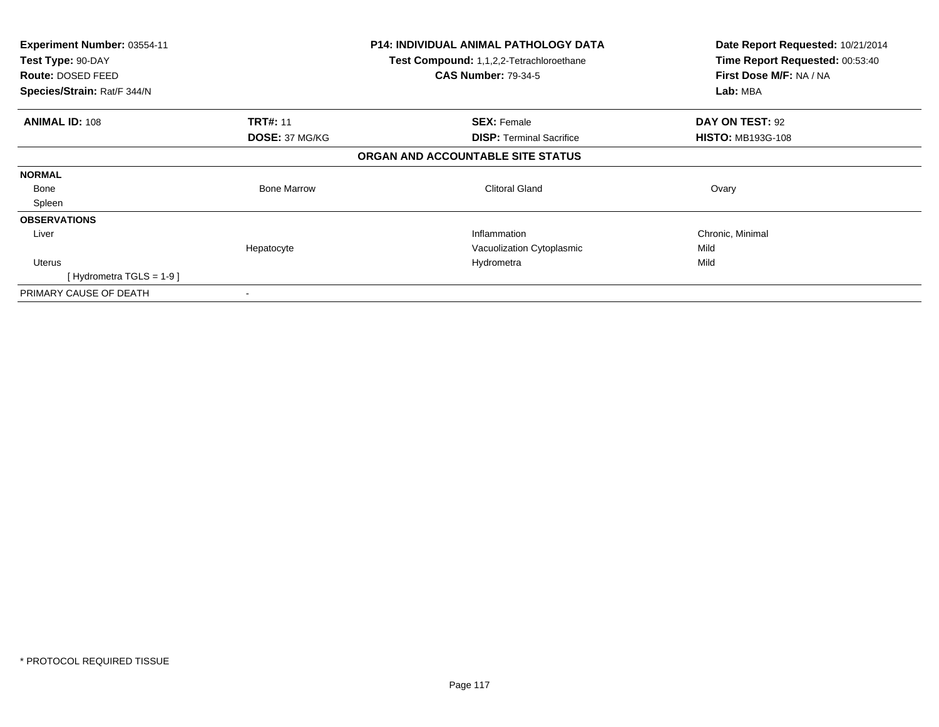| <b>Experiment Number: 03554-11</b> |                    | <b>P14: INDIVIDUAL ANIMAL PATHOLOGY DATA</b>    | Date Report Requested: 10/21/2014 |
|------------------------------------|--------------------|-------------------------------------------------|-----------------------------------|
| Test Type: 90-DAY                  |                    | <b>Test Compound: 1,1,2,2-Tetrachloroethane</b> | Time Report Requested: 00:53:40   |
| Route: DOSED FEED                  |                    | <b>CAS Number: 79-34-5</b>                      | First Dose M/F: NA / NA           |
| Species/Strain: Rat/F 344/N        |                    |                                                 | Lab: MBA                          |
| <b>ANIMAL ID: 108</b>              | <b>TRT#: 11</b>    | <b>SEX: Female</b>                              | DAY ON TEST: 92                   |
|                                    | DOSE: 37 MG/KG     | <b>DISP: Terminal Sacrifice</b>                 | <b>HISTO: MB193G-108</b>          |
|                                    |                    | ORGAN AND ACCOUNTABLE SITE STATUS               |                                   |
| <b>NORMAL</b>                      |                    |                                                 |                                   |
| Bone                               | <b>Bone Marrow</b> | <b>Clitoral Gland</b>                           | Ovary                             |
| Spleen                             |                    |                                                 |                                   |
| <b>OBSERVATIONS</b>                |                    |                                                 |                                   |
| Liver                              |                    | Inflammation                                    | Chronic, Minimal                  |
|                                    | Hepatocyte         | Vacuolization Cytoplasmic                       | Mild                              |
| <b>Uterus</b>                      |                    | Hydrometra                                      | Mild                              |
| [Hydrometra TGLS = $1-9$ ]         |                    |                                                 |                                   |
| PRIMARY CAUSE OF DEATH             |                    |                                                 |                                   |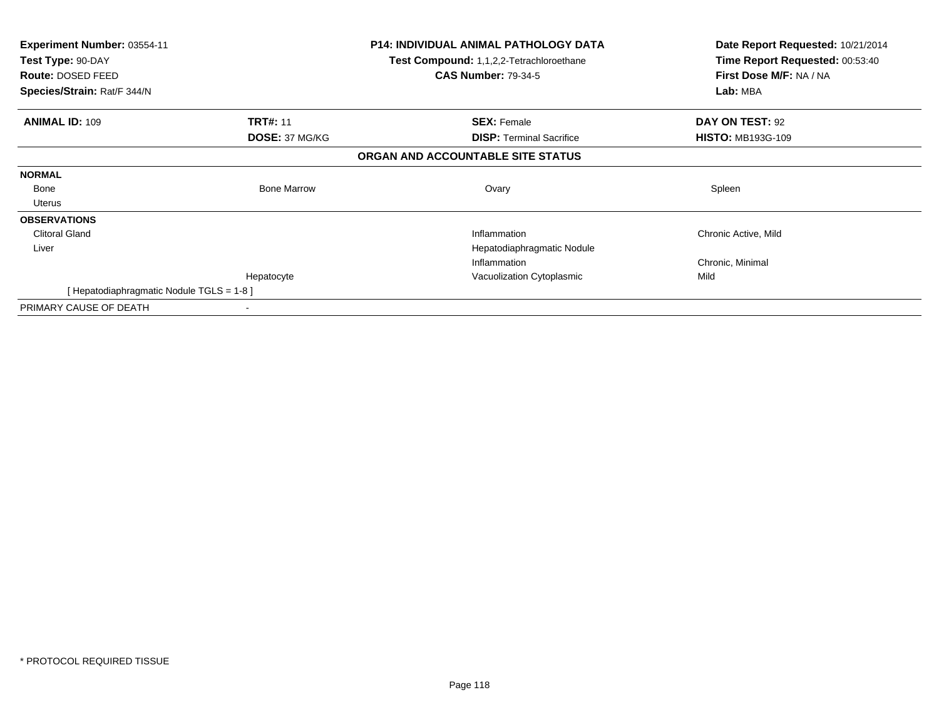| <b>Experiment Number: 03554-11</b><br>Test Type: 90-DAY<br><b>Route: DOSED FEED</b><br>Species/Strain: Rat/F 344/N |                    | <b>P14: INDIVIDUAL ANIMAL PATHOLOGY DATA</b><br>Test Compound: 1,1,2,2-Tetrachloroethane<br><b>CAS Number: 79-34-5</b> | Date Report Requested: 10/21/2014<br>Time Report Requested: 00:53:40<br>First Dose M/F: NA / NA<br>Lab: MBA |
|--------------------------------------------------------------------------------------------------------------------|--------------------|------------------------------------------------------------------------------------------------------------------------|-------------------------------------------------------------------------------------------------------------|
| <b>ANIMAL ID: 109</b>                                                                                              | <b>TRT#: 11</b>    | <b>SEX: Female</b>                                                                                                     | DAY ON TEST: 92                                                                                             |
|                                                                                                                    | DOSE: 37 MG/KG     | <b>DISP:</b> Terminal Sacrifice                                                                                        | <b>HISTO: MB193G-109</b>                                                                                    |
|                                                                                                                    |                    | ORGAN AND ACCOUNTABLE SITE STATUS                                                                                      |                                                                                                             |
| <b>NORMAL</b>                                                                                                      |                    |                                                                                                                        |                                                                                                             |
| Bone                                                                                                               | <b>Bone Marrow</b> | Ovary                                                                                                                  | Spleen                                                                                                      |
| Uterus                                                                                                             |                    |                                                                                                                        |                                                                                                             |
| <b>OBSERVATIONS</b>                                                                                                |                    |                                                                                                                        |                                                                                                             |
| <b>Clitoral Gland</b>                                                                                              |                    | Inflammation                                                                                                           | Chronic Active, Mild                                                                                        |
| Liver                                                                                                              |                    | Hepatodiaphragmatic Nodule                                                                                             |                                                                                                             |
|                                                                                                                    |                    | Inflammation                                                                                                           | Chronic, Minimal                                                                                            |
|                                                                                                                    | Hepatocyte         | Vacuolization Cytoplasmic                                                                                              | Mild                                                                                                        |
| [Hepatodiaphragmatic Nodule TGLS = 1-8]                                                                            |                    |                                                                                                                        |                                                                                                             |
| PRIMARY CAUSE OF DEATH                                                                                             |                    |                                                                                                                        |                                                                                                             |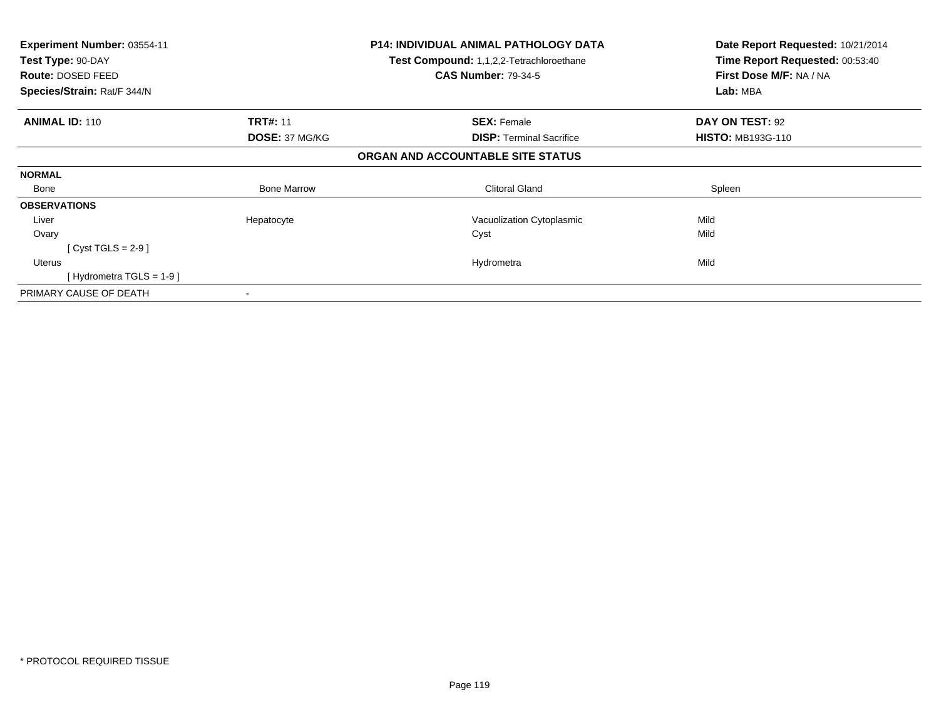| <b>Experiment Number: 03554-11</b> |                       | <b>P14: INDIVIDUAL ANIMAL PATHOLOGY DATA</b> | Date Report Requested: 10/21/2014 |
|------------------------------------|-----------------------|----------------------------------------------|-----------------------------------|
| Test Type: 90-DAY                  |                       | Test Compound: 1,1,2,2-Tetrachloroethane     | Time Report Requested: 00:53:40   |
| Route: DOSED FEED                  |                       | <b>CAS Number: 79-34-5</b>                   | First Dose M/F: NA / NA           |
| Species/Strain: Rat/F 344/N        |                       |                                              | Lab: MBA                          |
| <b>ANIMAL ID: 110</b>              | <b>TRT#: 11</b>       | <b>SEX: Female</b>                           | DAY ON TEST: 92                   |
|                                    | <b>DOSE: 37 MG/KG</b> | <b>DISP:</b> Terminal Sacrifice              | <b>HISTO: MB193G-110</b>          |
|                                    |                       | ORGAN AND ACCOUNTABLE SITE STATUS            |                                   |
| <b>NORMAL</b>                      |                       |                                              |                                   |
| Bone                               | <b>Bone Marrow</b>    | <b>Clitoral Gland</b>                        | Spleen                            |
| <b>OBSERVATIONS</b>                |                       |                                              |                                   |
| Liver                              | Hepatocyte            | Vacuolization Cytoplasmic                    | Mild                              |
| Ovary                              |                       | Cyst                                         | Mild                              |
| [Cyst TGLS = $2-9$ ]               |                       |                                              |                                   |
| Uterus                             |                       | Hydrometra                                   | Mild                              |
| [Hydrometra TGLS = $1-9$ ]         |                       |                                              |                                   |
| PRIMARY CAUSE OF DEATH             |                       |                                              |                                   |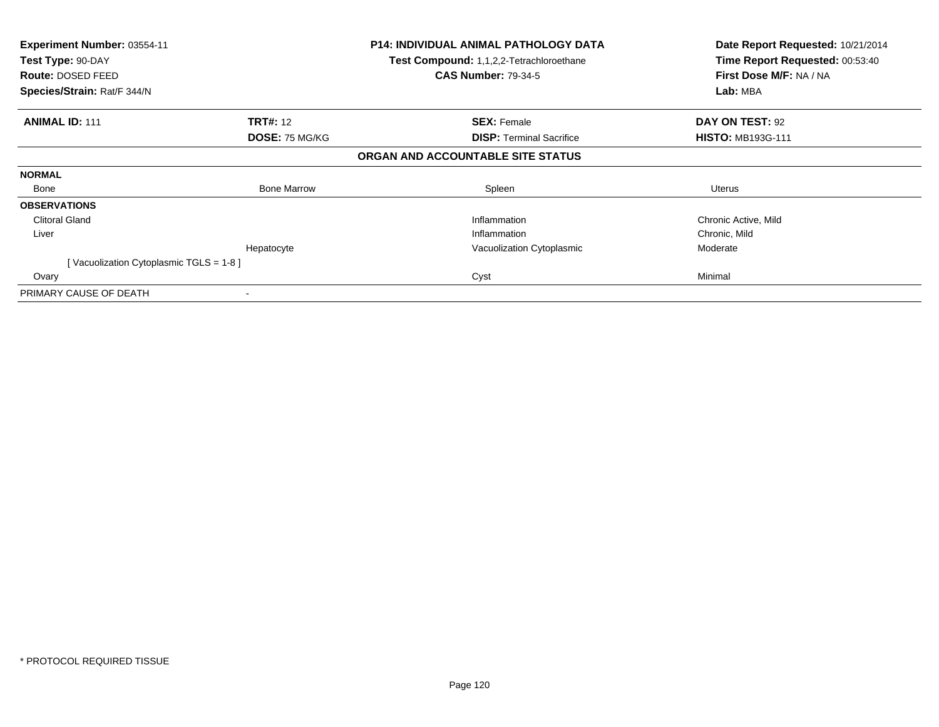| <b>Experiment Number: 03554-11</b><br>Test Type: 90-DAY<br><b>Route: DOSED FEED</b><br>Species/Strain: Rat/F 344/N |                       | <b>P14: INDIVIDUAL ANIMAL PATHOLOGY DATA</b><br><b>Test Compound: 1,1,2,2-Tetrachloroethane</b><br><b>CAS Number: 79-34-5</b> | Date Report Requested: 10/21/2014<br>Time Report Requested: 00:53:40<br>First Dose M/F: NA / NA<br>Lab: MBA |
|--------------------------------------------------------------------------------------------------------------------|-----------------------|-------------------------------------------------------------------------------------------------------------------------------|-------------------------------------------------------------------------------------------------------------|
| <b>ANIMAL ID: 111</b>                                                                                              | <b>TRT#: 12</b>       | <b>SEX: Female</b>                                                                                                            | DAY ON TEST: 92                                                                                             |
|                                                                                                                    | <b>DOSE: 75 MG/KG</b> | <b>DISP: Terminal Sacrifice</b>                                                                                               | <b>HISTO: MB193G-111</b>                                                                                    |
|                                                                                                                    |                       | ORGAN AND ACCOUNTABLE SITE STATUS                                                                                             |                                                                                                             |
| <b>NORMAL</b>                                                                                                      |                       |                                                                                                                               |                                                                                                             |
| Bone                                                                                                               | <b>Bone Marrow</b>    | Spleen                                                                                                                        | Uterus                                                                                                      |
| <b>OBSERVATIONS</b>                                                                                                |                       |                                                                                                                               |                                                                                                             |
| <b>Clitoral Gland</b>                                                                                              |                       | Inflammation                                                                                                                  | Chronic Active, Mild                                                                                        |
| Liver                                                                                                              |                       | Inflammation                                                                                                                  | Chronic, Mild                                                                                               |
|                                                                                                                    | Hepatocyte            | Vacuolization Cytoplasmic                                                                                                     | Moderate                                                                                                    |
| [Vacuolization Cytoplasmic TGLS = $1-8$ ]                                                                          |                       |                                                                                                                               |                                                                                                             |
| Ovary                                                                                                              |                       | Cyst                                                                                                                          | Minimal                                                                                                     |
| PRIMARY CAUSE OF DEATH                                                                                             |                       |                                                                                                                               |                                                                                                             |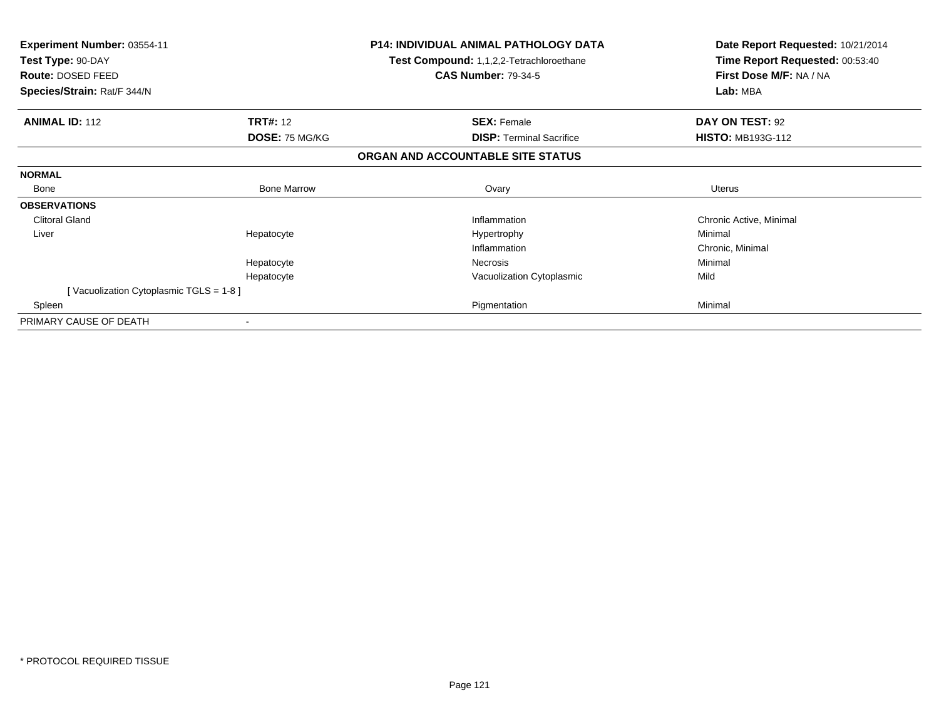| Experiment Number: 03554-11<br>Test Type: 90-DAY<br>Route: DOSED FEED |                          | P14: INDIVIDUAL ANIMAL PATHOLOGY DATA<br>Test Compound: 1,1,2,2-Tetrachloroethane<br><b>CAS Number: 79-34-5</b> | Date Report Requested: 10/21/2014<br>Time Report Requested: 00:53:40<br>First Dose M/F: NA / NA |
|-----------------------------------------------------------------------|--------------------------|-----------------------------------------------------------------------------------------------------------------|-------------------------------------------------------------------------------------------------|
| Species/Strain: Rat/F 344/N                                           |                          |                                                                                                                 | Lab: MBA                                                                                        |
| <b>ANIMAL ID: 112</b>                                                 | <b>TRT#: 12</b>          | <b>SEX: Female</b>                                                                                              | DAY ON TEST: 92                                                                                 |
|                                                                       | DOSE: 75 MG/KG           | <b>DISP:</b> Terminal Sacrifice                                                                                 | <b>HISTO: MB193G-112</b>                                                                        |
|                                                                       |                          | ORGAN AND ACCOUNTABLE SITE STATUS                                                                               |                                                                                                 |
| <b>NORMAL</b>                                                         |                          |                                                                                                                 |                                                                                                 |
| Bone                                                                  | <b>Bone Marrow</b>       | Ovary                                                                                                           | <b>Uterus</b>                                                                                   |
| <b>OBSERVATIONS</b>                                                   |                          |                                                                                                                 |                                                                                                 |
| <b>Clitoral Gland</b>                                                 |                          | Inflammation                                                                                                    | Chronic Active, Minimal                                                                         |
| Liver                                                                 | Hepatocyte               | Hypertrophy                                                                                                     | Minimal                                                                                         |
|                                                                       |                          | Inflammation                                                                                                    | Chronic, Minimal                                                                                |
|                                                                       | Hepatocyte               | Necrosis                                                                                                        | Minimal                                                                                         |
|                                                                       | Hepatocyte               | Vacuolization Cytoplasmic                                                                                       | Mild                                                                                            |
| [Vacuolization Cytoplasmic TGLS = 1-8]                                |                          |                                                                                                                 |                                                                                                 |
| Spleen                                                                |                          | Pigmentation                                                                                                    | Minimal                                                                                         |
| PRIMARY CAUSE OF DEATH                                                | $\overline{\phantom{a}}$ |                                                                                                                 |                                                                                                 |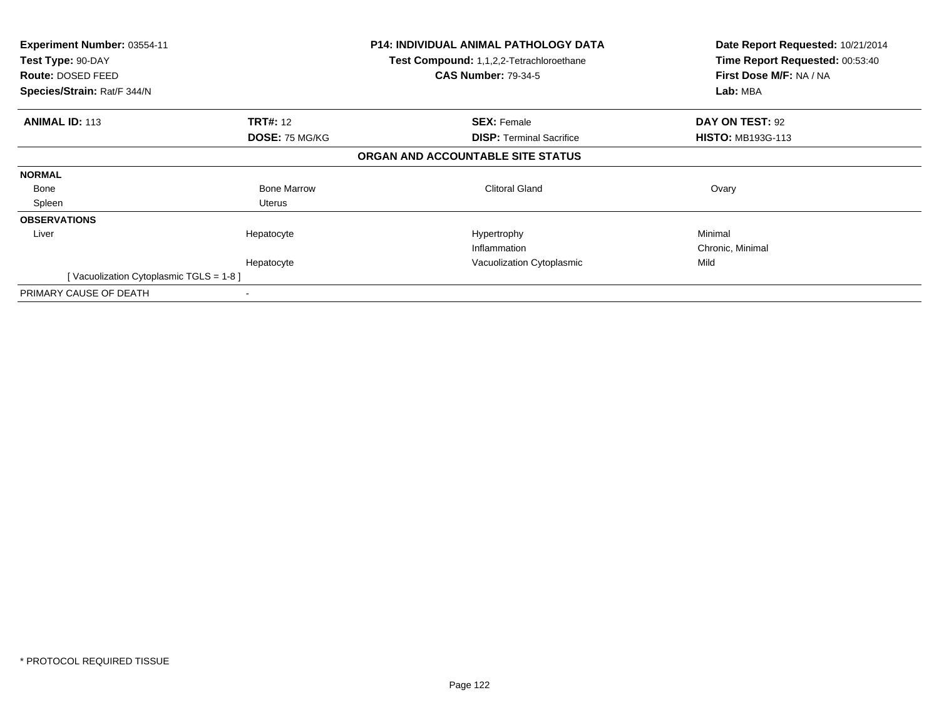| Experiment Number: 03554-11<br>Test Type: 90-DAY<br>Route: DOSED FEED<br>Species/Strain: Rat/F 344/N |                       | <b>P14: INDIVIDUAL ANIMAL PATHOLOGY DATA</b><br><b>Test Compound: 1,1,2,2-Tetrachloroethane</b><br><b>CAS Number: 79-34-5</b> | Date Report Requested: 10/21/2014<br>Time Report Requested: 00:53:40<br>First Dose M/F: NA / NA<br>Lab: MBA |
|------------------------------------------------------------------------------------------------------|-----------------------|-------------------------------------------------------------------------------------------------------------------------------|-------------------------------------------------------------------------------------------------------------|
| <b>ANIMAL ID: 113</b>                                                                                | <b>TRT#:</b> 12       | <b>SEX: Female</b>                                                                                                            | DAY ON TEST: 92                                                                                             |
|                                                                                                      | <b>DOSE: 75 MG/KG</b> | <b>DISP: Terminal Sacrifice</b>                                                                                               | <b>HISTO: MB193G-113</b>                                                                                    |
|                                                                                                      |                       | ORGAN AND ACCOUNTABLE SITE STATUS                                                                                             |                                                                                                             |
| <b>NORMAL</b>                                                                                        |                       |                                                                                                                               |                                                                                                             |
| Bone                                                                                                 | <b>Bone Marrow</b>    | <b>Clitoral Gland</b>                                                                                                         | Ovary                                                                                                       |
| Spleen                                                                                               | Uterus                |                                                                                                                               |                                                                                                             |
| <b>OBSERVATIONS</b>                                                                                  |                       |                                                                                                                               |                                                                                                             |
| Liver                                                                                                | Hepatocyte            | Hypertrophy                                                                                                                   | Minimal                                                                                                     |
|                                                                                                      |                       | Inflammation                                                                                                                  | Chronic, Minimal                                                                                            |
|                                                                                                      | Hepatocyte            | Vacuolization Cytoplasmic                                                                                                     | Mild                                                                                                        |
| [Vacuolization Cytoplasmic TGLS = $1-8$ ]                                                            |                       |                                                                                                                               |                                                                                                             |
| PRIMARY CAUSE OF DEATH                                                                               |                       |                                                                                                                               |                                                                                                             |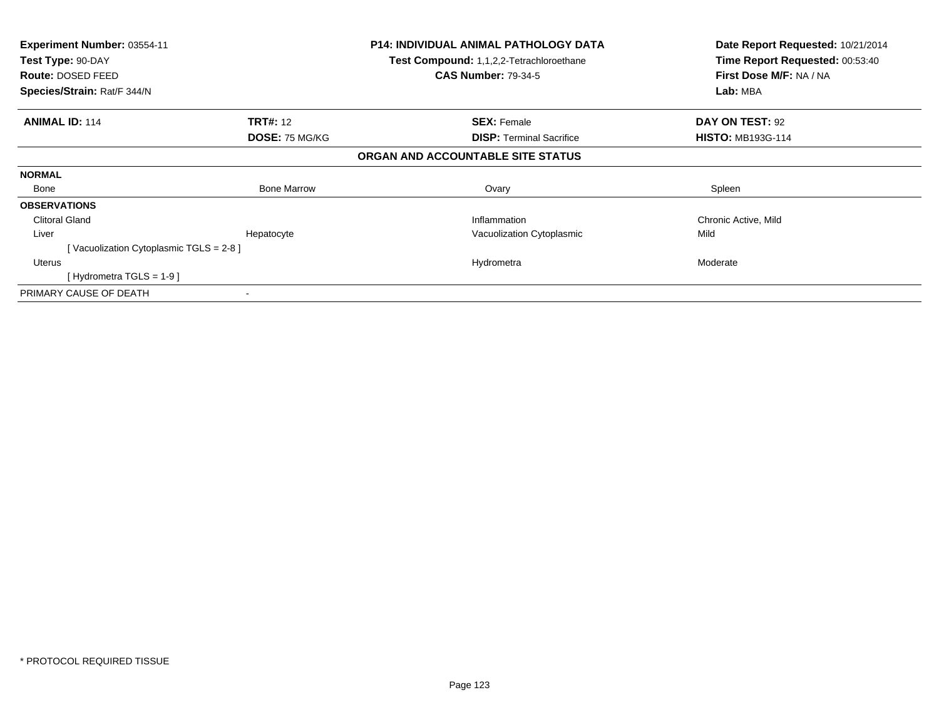| <b>Experiment Number: 03554-11</b><br>Test Type: 90-DAY<br>Route: DOSED FEED<br>Species/Strain: Rat/F 344/N |                       | <b>P14: INDIVIDUAL ANIMAL PATHOLOGY DATA</b><br><b>Test Compound: 1,1,2,2-Tetrachloroethane</b><br><b>CAS Number: 79-34-5</b> | Date Report Requested: 10/21/2014<br>Time Report Requested: 00:53:40<br>First Dose M/F: NA / NA<br>Lab: MBA |
|-------------------------------------------------------------------------------------------------------------|-----------------------|-------------------------------------------------------------------------------------------------------------------------------|-------------------------------------------------------------------------------------------------------------|
| <b>ANIMAL ID: 114</b>                                                                                       | <b>TRT#: 12</b>       | <b>SEX: Female</b>                                                                                                            | DAY ON TEST: 92                                                                                             |
|                                                                                                             | <b>DOSE: 75 MG/KG</b> | <b>DISP: Terminal Sacrifice</b>                                                                                               | <b>HISTO: MB193G-114</b>                                                                                    |
|                                                                                                             |                       | ORGAN AND ACCOUNTABLE SITE STATUS                                                                                             |                                                                                                             |
| <b>NORMAL</b>                                                                                               |                       |                                                                                                                               |                                                                                                             |
| Bone                                                                                                        | <b>Bone Marrow</b>    | Ovary                                                                                                                         | Spleen                                                                                                      |
| <b>OBSERVATIONS</b>                                                                                         |                       |                                                                                                                               |                                                                                                             |
| <b>Clitoral Gland</b>                                                                                       |                       | Inflammation                                                                                                                  | Chronic Active, Mild                                                                                        |
| Liver                                                                                                       | Hepatocyte            | Vacuolization Cytoplasmic                                                                                                     | Mild                                                                                                        |
| [Vacuolization Cytoplasmic TGLS = 2-8]                                                                      |                       |                                                                                                                               |                                                                                                             |
| Uterus                                                                                                      |                       | Hydrometra                                                                                                                    | Moderate                                                                                                    |
| [Hydrometra TGLS = $1-9$ ]                                                                                  |                       |                                                                                                                               |                                                                                                             |
| PRIMARY CAUSE OF DEATH                                                                                      |                       |                                                                                                                               |                                                                                                             |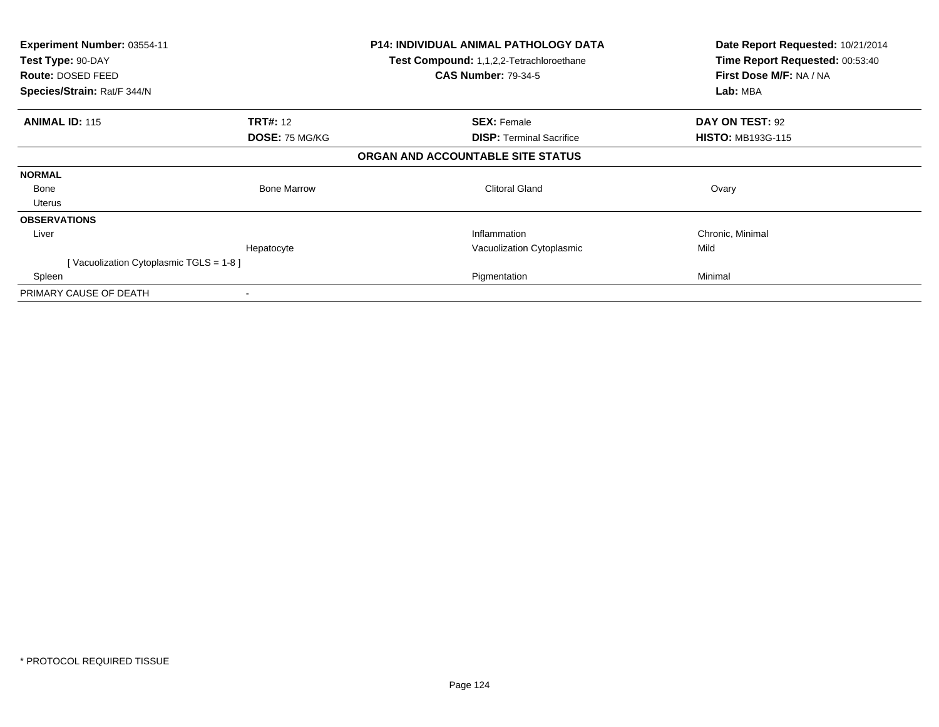| <b>Experiment Number: 03554-11</b>     |                       | <b>P14: INDIVIDUAL ANIMAL PATHOLOGY DATA</b>    | Date Report Requested: 10/21/2014 |
|----------------------------------------|-----------------------|-------------------------------------------------|-----------------------------------|
| Test Type: 90-DAY                      |                       | <b>Test Compound: 1,1,2,2-Tetrachloroethane</b> | Time Report Requested: 00:53:40   |
| Route: DOSED FEED                      |                       | <b>CAS Number: 79-34-5</b>                      | First Dose M/F: NA / NA           |
| Species/Strain: Rat/F 344/N            |                       |                                                 | Lab: MBA                          |
| <b>ANIMAL ID: 115</b>                  | <b>TRT#:</b> 12       | <b>SEX: Female</b>                              | DAY ON TEST: 92                   |
|                                        | <b>DOSE: 75 MG/KG</b> | <b>DISP:</b> Terminal Sacrifice                 | <b>HISTO: MB193G-115</b>          |
|                                        |                       | ORGAN AND ACCOUNTABLE SITE STATUS               |                                   |
| <b>NORMAL</b>                          |                       |                                                 |                                   |
| Bone                                   | <b>Bone Marrow</b>    | <b>Clitoral Gland</b>                           | Ovary                             |
| Uterus                                 |                       |                                                 |                                   |
| <b>OBSERVATIONS</b>                    |                       |                                                 |                                   |
| Liver                                  |                       | Inflammation                                    | Chronic, Minimal                  |
|                                        | Hepatocyte            | Vacuolization Cytoplasmic                       | Mild                              |
| [Vacuolization Cytoplasmic TGLS = 1-8] |                       |                                                 |                                   |
| Spleen                                 |                       | Pigmentation                                    | Minimal                           |
| PRIMARY CAUSE OF DEATH                 |                       |                                                 |                                   |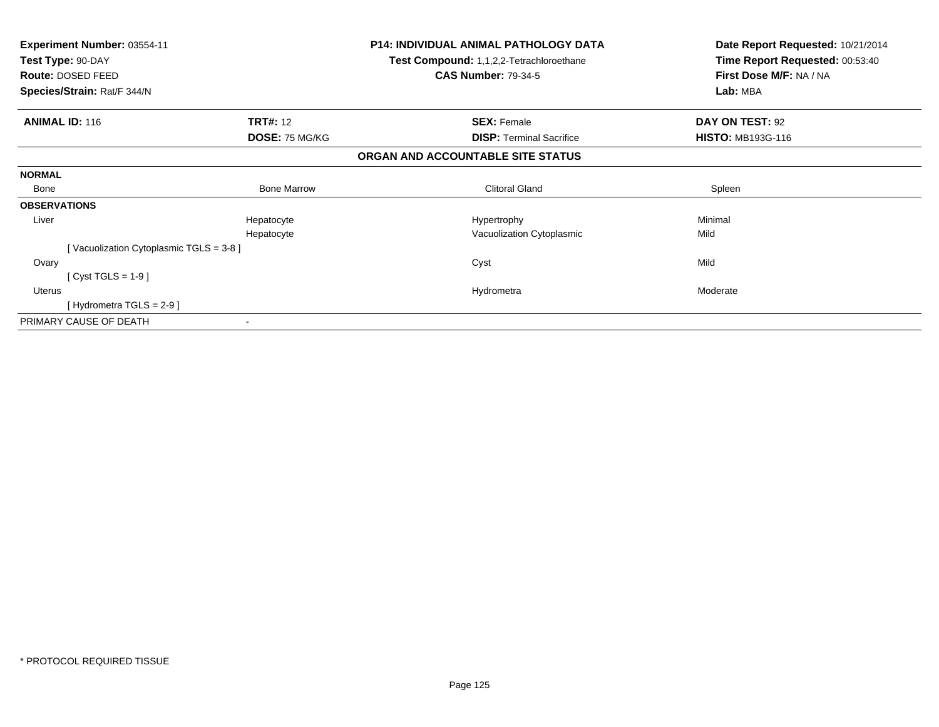| Experiment Number: 03554-11<br>Test Type: 90-DAY<br>Route: DOSED FEED<br>Species/Strain: Rat/F 344/N |                          | <b>P14: INDIVIDUAL ANIMAL PATHOLOGY DATA</b><br>Test Compound: 1,1,2,2-Tetrachloroethane<br><b>CAS Number: 79-34-5</b> | Date Report Requested: 10/21/2014<br>Time Report Requested: 00:53:40<br>First Dose M/F: NA / NA<br>Lab: MBA |
|------------------------------------------------------------------------------------------------------|--------------------------|------------------------------------------------------------------------------------------------------------------------|-------------------------------------------------------------------------------------------------------------|
| <b>ANIMAL ID: 116</b>                                                                                | <b>TRT#: 12</b>          | <b>SEX: Female</b>                                                                                                     | DAY ON TEST: 92                                                                                             |
|                                                                                                      | DOSE: 75 MG/KG           | <b>DISP: Terminal Sacrifice</b>                                                                                        | <b>HISTO: MB193G-116</b>                                                                                    |
|                                                                                                      |                          | ORGAN AND ACCOUNTABLE SITE STATUS                                                                                      |                                                                                                             |
| <b>NORMAL</b>                                                                                        |                          |                                                                                                                        |                                                                                                             |
| Bone                                                                                                 | <b>Bone Marrow</b>       | <b>Clitoral Gland</b>                                                                                                  | Spleen                                                                                                      |
| <b>OBSERVATIONS</b>                                                                                  |                          |                                                                                                                        |                                                                                                             |
| Liver                                                                                                | Hepatocyte               | Hypertrophy                                                                                                            | Minimal                                                                                                     |
|                                                                                                      | Hepatocyte               | Vacuolization Cytoplasmic                                                                                              | Mild                                                                                                        |
| [Vacuolization Cytoplasmic TGLS = 3-8]                                                               |                          |                                                                                                                        |                                                                                                             |
| Ovary                                                                                                |                          | Cyst                                                                                                                   | Mild                                                                                                        |
| [Cyst TGLS = $1-9$ ]                                                                                 |                          |                                                                                                                        |                                                                                                             |
| <b>Uterus</b>                                                                                        |                          | Hydrometra                                                                                                             | Moderate                                                                                                    |
| [Hydrometra TGLS = $2-9$ ]                                                                           |                          |                                                                                                                        |                                                                                                             |
| PRIMARY CAUSE OF DEATH                                                                               | $\overline{\phantom{a}}$ |                                                                                                                        |                                                                                                             |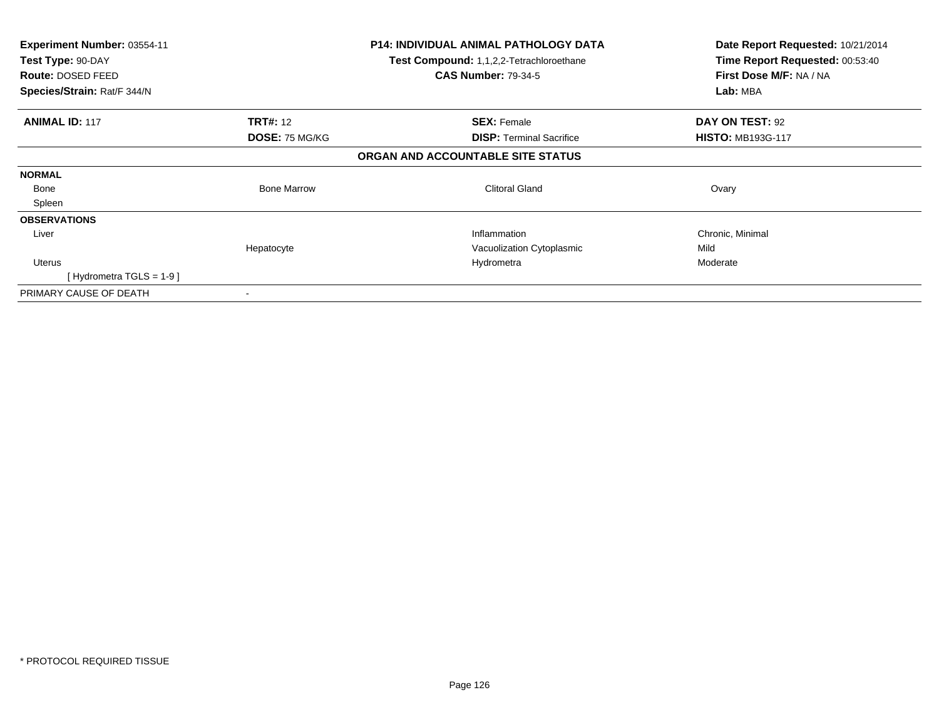| <b>Experiment Number: 03554-11</b><br>Test Type: 90-DAY |                       | <b>P14: INDIVIDUAL ANIMAL PATHOLOGY DATA</b><br><b>Test Compound: 1,1,2,2-Tetrachloroethane</b> | Date Report Requested: 10/21/2014<br>Time Report Requested: 00:53:40 |
|---------------------------------------------------------|-----------------------|-------------------------------------------------------------------------------------------------|----------------------------------------------------------------------|
| <b>Route: DOSED FEED</b>                                |                       | <b>CAS Number: 79-34-5</b>                                                                      | First Dose M/F: NA / NA                                              |
| Species/Strain: Rat/F 344/N                             |                       |                                                                                                 | Lab: MBA                                                             |
| <b>ANIMAL ID: 117</b>                                   | <b>TRT#: 12</b>       | <b>SEX: Female</b>                                                                              | DAY ON TEST: 92                                                      |
|                                                         | <b>DOSE: 75 MG/KG</b> | <b>DISP: Terminal Sacrifice</b>                                                                 | <b>HISTO: MB193G-117</b>                                             |
|                                                         |                       | ORGAN AND ACCOUNTABLE SITE STATUS                                                               |                                                                      |
| <b>NORMAL</b>                                           |                       |                                                                                                 |                                                                      |
| Bone                                                    | <b>Bone Marrow</b>    | <b>Clitoral Gland</b>                                                                           | Ovary                                                                |
| Spleen                                                  |                       |                                                                                                 |                                                                      |
| <b>OBSERVATIONS</b>                                     |                       |                                                                                                 |                                                                      |
| Liver                                                   |                       | Inflammation                                                                                    | Chronic, Minimal                                                     |
|                                                         | Hepatocyte            | Vacuolization Cytoplasmic                                                                       | Mild                                                                 |
| Uterus                                                  |                       | Hydrometra                                                                                      | Moderate                                                             |
| [Hydrometra TGLS = $1-9$ ]                              |                       |                                                                                                 |                                                                      |
| PRIMARY CAUSE OF DEATH                                  |                       |                                                                                                 |                                                                      |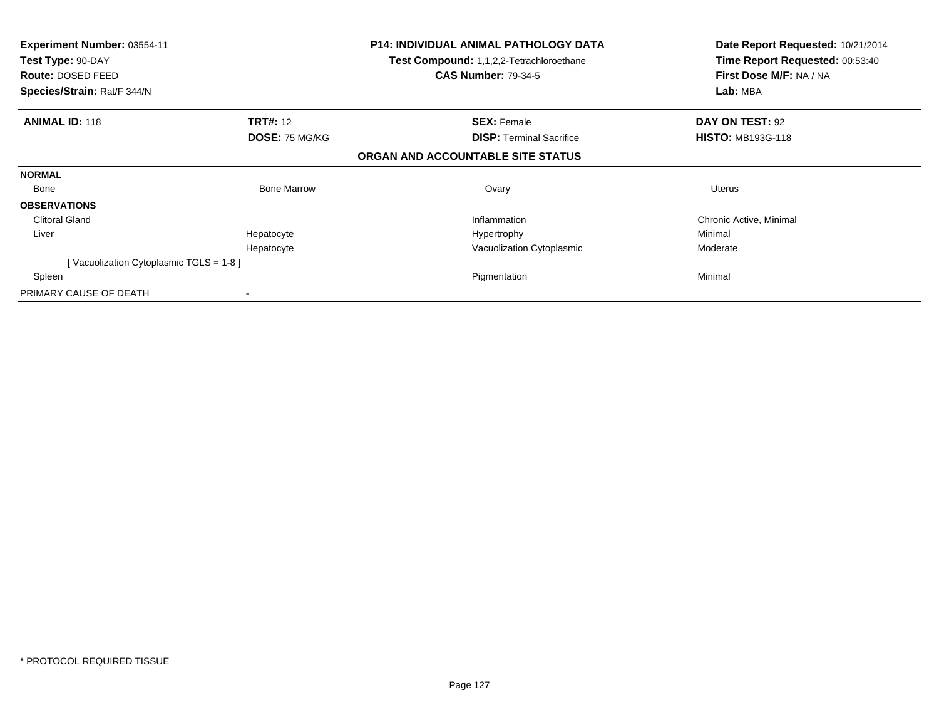| <b>Experiment Number: 03554-11</b><br>Test Type: 90-DAY<br><b>Route: DOSED FEED</b><br>Species/Strain: Rat/F 344/N |                    | <b>P14: INDIVIDUAL ANIMAL PATHOLOGY DATA</b><br><b>Test Compound: 1,1,2,2-Tetrachloroethane</b><br><b>CAS Number: 79-34-5</b> | Date Report Requested: 10/21/2014<br>Time Report Requested: 00:53:40<br>First Dose M/F: NA / NA<br>Lab: MBA |
|--------------------------------------------------------------------------------------------------------------------|--------------------|-------------------------------------------------------------------------------------------------------------------------------|-------------------------------------------------------------------------------------------------------------|
| <b>ANIMAL ID: 118</b>                                                                                              | <b>TRT#: 12</b>    | <b>SEX: Female</b>                                                                                                            | DAY ON TEST: 92                                                                                             |
|                                                                                                                    | DOSE: 75 MG/KG     | <b>DISP:</b> Terminal Sacrifice                                                                                               | <b>HISTO: MB193G-118</b>                                                                                    |
|                                                                                                                    |                    | ORGAN AND ACCOUNTABLE SITE STATUS                                                                                             |                                                                                                             |
| <b>NORMAL</b>                                                                                                      |                    |                                                                                                                               |                                                                                                             |
| Bone                                                                                                               | <b>Bone Marrow</b> | Ovary                                                                                                                         | Uterus                                                                                                      |
| <b>OBSERVATIONS</b>                                                                                                |                    |                                                                                                                               |                                                                                                             |
| <b>Clitoral Gland</b>                                                                                              |                    | Inflammation                                                                                                                  | Chronic Active, Minimal                                                                                     |
| Liver                                                                                                              | Hepatocyte         | Hypertrophy                                                                                                                   | Minimal                                                                                                     |
|                                                                                                                    | Hepatocyte         | Vacuolization Cytoplasmic                                                                                                     | Moderate                                                                                                    |
| [Vacuolization Cytoplasmic TGLS = 1-8]                                                                             |                    |                                                                                                                               |                                                                                                             |
| Spleen                                                                                                             |                    | Pigmentation                                                                                                                  | Minimal                                                                                                     |
| PRIMARY CAUSE OF DEATH                                                                                             |                    |                                                                                                                               |                                                                                                             |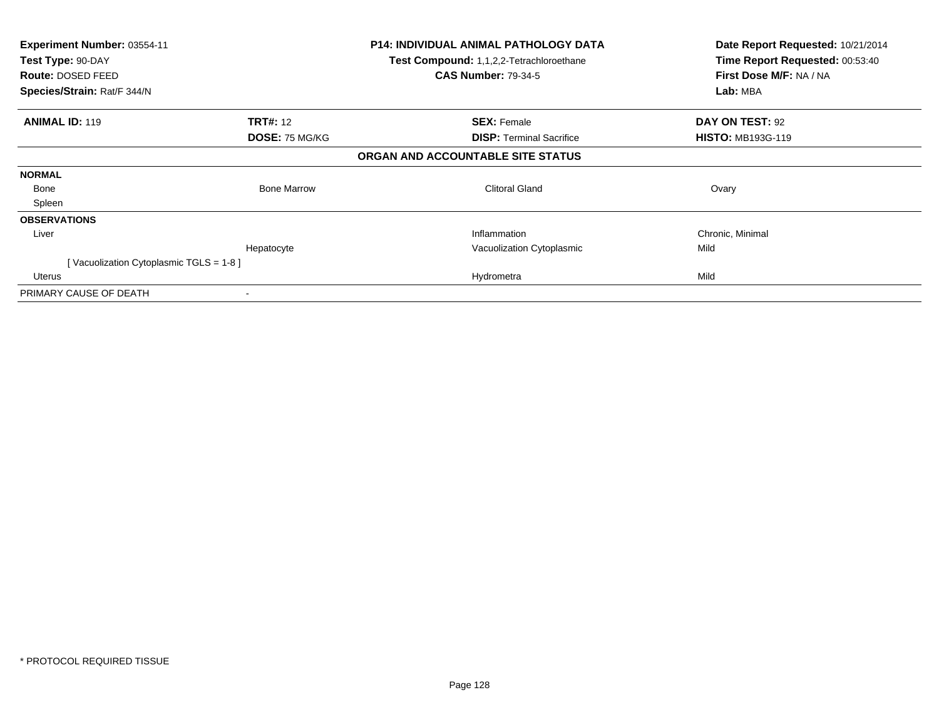| Experiment Number: 03554-11            |                       | <b>P14: INDIVIDUAL ANIMAL PATHOLOGY DATA</b>    | Date Report Requested: 10/21/2014 |
|----------------------------------------|-----------------------|-------------------------------------------------|-----------------------------------|
| Test Type: 90-DAY                      |                       | <b>Test Compound: 1,1,2,2-Tetrachloroethane</b> | Time Report Requested: 00:53:40   |
| Route: DOSED FEED                      |                       | <b>CAS Number: 79-34-5</b>                      | First Dose M/F: NA / NA           |
| Species/Strain: Rat/F 344/N            |                       |                                                 | Lab: MBA                          |
| <b>ANIMAL ID: 119</b>                  | <b>TRT#:</b> 12       | <b>SEX: Female</b>                              | DAY ON TEST: 92                   |
|                                        | <b>DOSE: 75 MG/KG</b> | <b>DISP:</b> Terminal Sacrifice                 | <b>HISTO: MB193G-119</b>          |
|                                        |                       | ORGAN AND ACCOUNTABLE SITE STATUS               |                                   |
| <b>NORMAL</b>                          |                       |                                                 |                                   |
| Bone                                   | <b>Bone Marrow</b>    | <b>Clitoral Gland</b>                           | Ovary                             |
| Spleen                                 |                       |                                                 |                                   |
| <b>OBSERVATIONS</b>                    |                       |                                                 |                                   |
| Liver                                  |                       | Inflammation                                    | Chronic, Minimal                  |
|                                        | Hepatocyte            | Vacuolization Cytoplasmic                       | Mild                              |
| [Vacuolization Cytoplasmic TGLS = 1-8] |                       |                                                 |                                   |
| Uterus                                 |                       | Hydrometra                                      | Mild                              |
| PRIMARY CAUSE OF DEATH                 |                       |                                                 |                                   |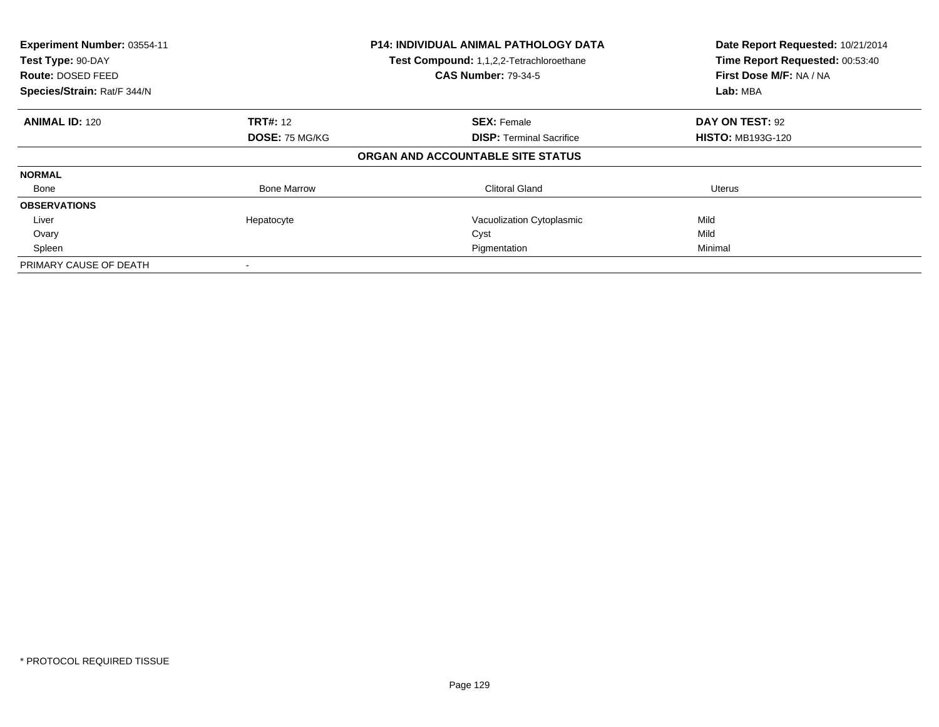| Experiment Number: 03554-11<br>Test Type: 90-DAY<br><b>Route: DOSED FEED</b><br>Species/Strain: Rat/F 344/N |                    | <b>P14: INDIVIDUAL ANIMAL PATHOLOGY DATA</b><br>Test Compound: 1,1,2,2-Tetrachloroethane<br><b>CAS Number: 79-34-5</b> | Date Report Requested: 10/21/2014<br>Time Report Requested: 00:53:40<br>First Dose M/F: NA / NA<br>Lab: MBA |
|-------------------------------------------------------------------------------------------------------------|--------------------|------------------------------------------------------------------------------------------------------------------------|-------------------------------------------------------------------------------------------------------------|
| <b>ANIMAL ID: 120</b>                                                                                       | <b>TRT#: 12</b>    | <b>SEX: Female</b>                                                                                                     | DAY ON TEST: 92                                                                                             |
|                                                                                                             | DOSE: 75 MG/KG     | <b>DISP:</b> Terminal Sacrifice                                                                                        | <b>HISTO: MB193G-120</b>                                                                                    |
|                                                                                                             |                    | ORGAN AND ACCOUNTABLE SITE STATUS                                                                                      |                                                                                                             |
| <b>NORMAL</b>                                                                                               |                    |                                                                                                                        |                                                                                                             |
| Bone                                                                                                        | <b>Bone Marrow</b> | <b>Clitoral Gland</b>                                                                                                  | Uterus                                                                                                      |
| <b>OBSERVATIONS</b>                                                                                         |                    |                                                                                                                        |                                                                                                             |
| Liver                                                                                                       | Hepatocyte         | Vacuolization Cytoplasmic                                                                                              | Mild                                                                                                        |
| Ovary                                                                                                       |                    | Cyst                                                                                                                   | Mild                                                                                                        |
| Spleen                                                                                                      |                    | Pigmentation                                                                                                           | Minimal                                                                                                     |
| PRIMARY CAUSE OF DEATH                                                                                      |                    |                                                                                                                        |                                                                                                             |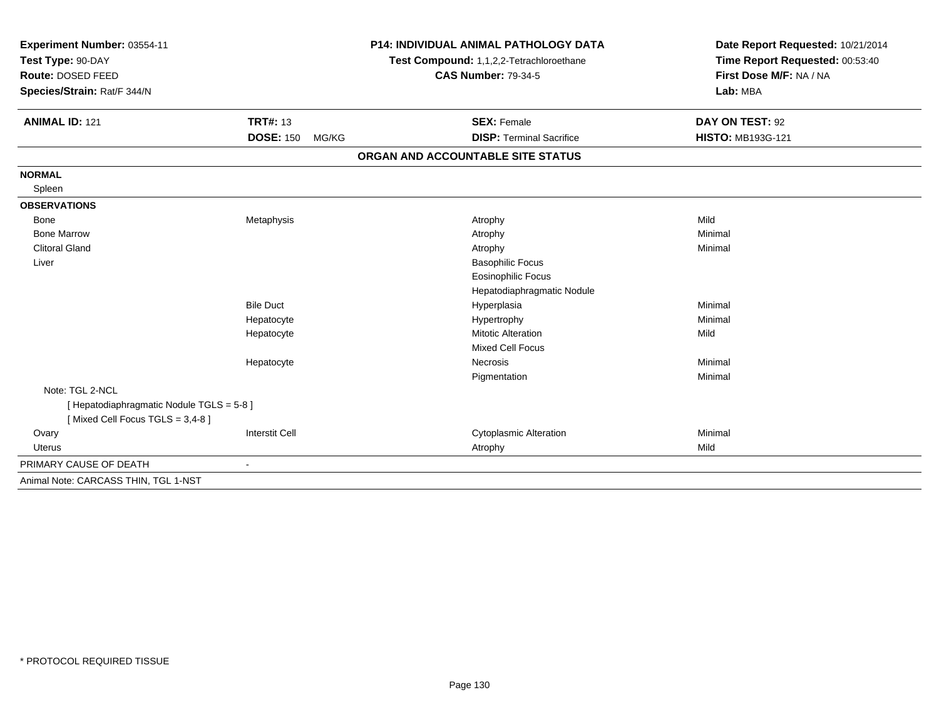| Experiment Number: 03554-11                                                  |                                          | <b>P14: INDIVIDUAL ANIMAL PATHOLOGY DATA</b> | Date Report Requested: 10/21/2014 |
|------------------------------------------------------------------------------|------------------------------------------|----------------------------------------------|-----------------------------------|
| Test Type: 90-DAY                                                            | Test Compound: 1,1,2,2-Tetrachloroethane |                                              | Time Report Requested: 00:53:40   |
| Route: DOSED FEED                                                            |                                          | <b>CAS Number: 79-34-5</b>                   | First Dose M/F: NA / NA           |
| Species/Strain: Rat/F 344/N                                                  |                                          |                                              | Lab: MBA                          |
| <b>ANIMAL ID: 121</b>                                                        | <b>TRT#: 13</b>                          | <b>SEX: Female</b>                           | DAY ON TEST: 92                   |
|                                                                              | <b>DOSE: 150</b><br>MG/KG                | <b>DISP: Terminal Sacrifice</b>              | <b>HISTO: MB193G-121</b>          |
|                                                                              |                                          | ORGAN AND ACCOUNTABLE SITE STATUS            |                                   |
| <b>NORMAL</b>                                                                |                                          |                                              |                                   |
| Spleen                                                                       |                                          |                                              |                                   |
| <b>OBSERVATIONS</b>                                                          |                                          |                                              |                                   |
| <b>Bone</b>                                                                  | Metaphysis                               | Atrophy                                      | Mild                              |
| <b>Bone Marrow</b>                                                           |                                          | Atrophy                                      | Minimal                           |
| <b>Clitoral Gland</b>                                                        |                                          | Atrophy                                      | Minimal                           |
| Liver                                                                        |                                          | <b>Basophilic Focus</b>                      |                                   |
|                                                                              |                                          | <b>Eosinophilic Focus</b>                    |                                   |
|                                                                              |                                          | Hepatodiaphragmatic Nodule                   |                                   |
|                                                                              | <b>Bile Duct</b>                         | Hyperplasia                                  | Minimal                           |
|                                                                              | Hepatocyte                               | Hypertrophy                                  | Minimal                           |
|                                                                              | Hepatocyte                               | <b>Mitotic Alteration</b>                    | Mild                              |
|                                                                              |                                          | <b>Mixed Cell Focus</b>                      |                                   |
|                                                                              | Hepatocyte                               | <b>Necrosis</b>                              | Minimal                           |
|                                                                              |                                          | Pigmentation                                 | Minimal                           |
| Note: TGL 2-NCL                                                              |                                          |                                              |                                   |
| [ Hepatodiaphragmatic Nodule TGLS = 5-8 ]<br>[Mixed Cell Focus TGLS = 3,4-8] |                                          |                                              |                                   |
| Ovary                                                                        | <b>Interstit Cell</b>                    | <b>Cytoplasmic Alteration</b>                | Minimal                           |
| <b>Uterus</b>                                                                |                                          | Atrophy                                      | Mild                              |
| PRIMARY CAUSE OF DEATH                                                       | ÷                                        |                                              |                                   |
| Animal Note: CARCASS THIN, TGL 1-NST                                         |                                          |                                              |                                   |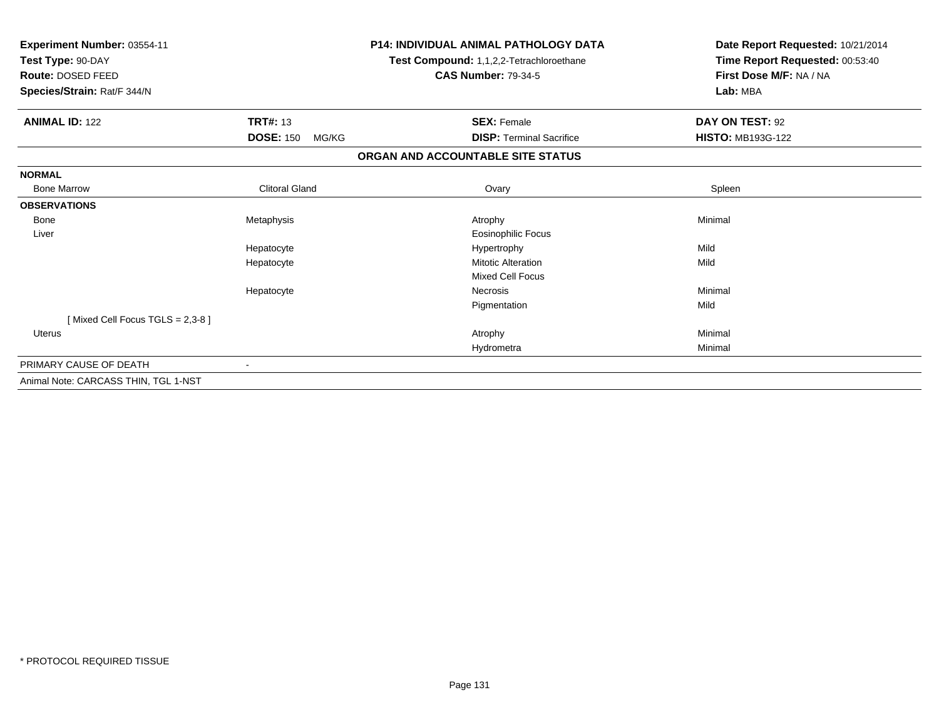| Experiment Number: 03554-11<br>Test Type: 90-DAY<br>Route: DOSED FEED<br>Species/Strain: Rat/F 344/N |                           | <b>P14: INDIVIDUAL ANIMAL PATHOLOGY DATA</b><br>Test Compound: 1,1,2,2-Tetrachloroethane<br><b>CAS Number: 79-34-5</b> | Date Report Requested: 10/21/2014<br>Time Report Requested: 00:53:40<br>First Dose M/F: NA / NA<br>Lab: MBA |
|------------------------------------------------------------------------------------------------------|---------------------------|------------------------------------------------------------------------------------------------------------------------|-------------------------------------------------------------------------------------------------------------|
| <b>ANIMAL ID: 122</b>                                                                                | <b>TRT#: 13</b>           | <b>SEX: Female</b>                                                                                                     | DAY ON TEST: 92                                                                                             |
|                                                                                                      | <b>DOSE: 150</b><br>MG/KG | <b>DISP: Terminal Sacrifice</b>                                                                                        | <b>HISTO: MB193G-122</b>                                                                                    |
|                                                                                                      |                           | ORGAN AND ACCOUNTABLE SITE STATUS                                                                                      |                                                                                                             |
| <b>NORMAL</b>                                                                                        |                           |                                                                                                                        |                                                                                                             |
| <b>Bone Marrow</b>                                                                                   | <b>Clitoral Gland</b>     | Ovary                                                                                                                  | Spleen                                                                                                      |
| <b>OBSERVATIONS</b>                                                                                  |                           |                                                                                                                        |                                                                                                             |
| Bone                                                                                                 | Metaphysis                | Atrophy                                                                                                                | Minimal                                                                                                     |
| Liver                                                                                                |                           | Eosinophilic Focus                                                                                                     |                                                                                                             |
|                                                                                                      | Hepatocyte                | Hypertrophy                                                                                                            | Mild                                                                                                        |
|                                                                                                      | Hepatocyte                | <b>Mitotic Alteration</b>                                                                                              | Mild                                                                                                        |
|                                                                                                      |                           | <b>Mixed Cell Focus</b>                                                                                                |                                                                                                             |
|                                                                                                      | Hepatocyte                | Necrosis                                                                                                               | Minimal                                                                                                     |
|                                                                                                      |                           | Pigmentation                                                                                                           | Mild                                                                                                        |
| [Mixed Cell Focus TGLS = 2,3-8]                                                                      |                           |                                                                                                                        |                                                                                                             |
| <b>Uterus</b>                                                                                        |                           | Atrophy                                                                                                                | Minimal                                                                                                     |
|                                                                                                      |                           | Hydrometra                                                                                                             | Minimal                                                                                                     |
| PRIMARY CAUSE OF DEATH                                                                               |                           |                                                                                                                        |                                                                                                             |
| Animal Note: CARCASS THIN, TGL 1-NST                                                                 |                           |                                                                                                                        |                                                                                                             |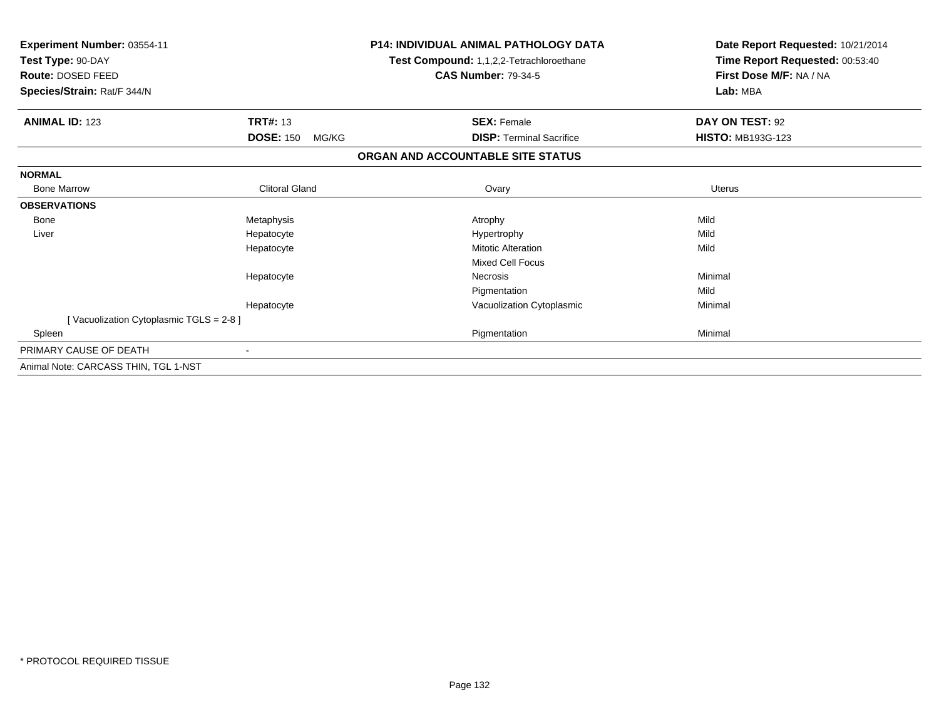| Experiment Number: 03554-11<br>Test Type: 90-DAY<br>Route: DOSED FEED<br>Species/Strain: Rat/F 344/N |                           | <b>P14: INDIVIDUAL ANIMAL PATHOLOGY DATA</b><br>Test Compound: 1,1,2,2-Tetrachloroethane<br><b>CAS Number: 79-34-5</b> | Date Report Requested: 10/21/2014<br>Time Report Requested: 00:53:40<br>First Dose M/F: NA / NA<br>Lab: MBA |
|------------------------------------------------------------------------------------------------------|---------------------------|------------------------------------------------------------------------------------------------------------------------|-------------------------------------------------------------------------------------------------------------|
| <b>ANIMAL ID: 123</b>                                                                                | <b>TRT#: 13</b>           | <b>SEX: Female</b>                                                                                                     | DAY ON TEST: 92                                                                                             |
|                                                                                                      | <b>DOSE: 150</b><br>MG/KG | <b>DISP: Terminal Sacrifice</b>                                                                                        | <b>HISTO: MB193G-123</b>                                                                                    |
|                                                                                                      |                           | ORGAN AND ACCOUNTABLE SITE STATUS                                                                                      |                                                                                                             |
| <b>NORMAL</b>                                                                                        |                           |                                                                                                                        |                                                                                                             |
| <b>Bone Marrow</b>                                                                                   | <b>Clitoral Gland</b>     | Ovary                                                                                                                  | Uterus                                                                                                      |
| <b>OBSERVATIONS</b>                                                                                  |                           |                                                                                                                        |                                                                                                             |
| <b>Bone</b>                                                                                          | Metaphysis                | Atrophy                                                                                                                | Mild                                                                                                        |
| Liver                                                                                                | Hepatocyte                | Hypertrophy                                                                                                            | Mild                                                                                                        |
|                                                                                                      | Hepatocyte                | <b>Mitotic Alteration</b>                                                                                              | Mild                                                                                                        |
|                                                                                                      |                           | <b>Mixed Cell Focus</b>                                                                                                |                                                                                                             |
|                                                                                                      | Hepatocyte                | Necrosis                                                                                                               | Minimal                                                                                                     |
|                                                                                                      |                           | Pigmentation                                                                                                           | Mild                                                                                                        |
|                                                                                                      | Hepatocyte                | Vacuolization Cytoplasmic                                                                                              | Minimal                                                                                                     |
| [Vacuolization Cytoplasmic TGLS = 2-8]                                                               |                           |                                                                                                                        |                                                                                                             |
| Spleen                                                                                               |                           | Pigmentation                                                                                                           | Minimal                                                                                                     |
| PRIMARY CAUSE OF DEATH                                                                               | $\blacksquare$            |                                                                                                                        |                                                                                                             |
| Animal Note: CARCASS THIN, TGL 1-NST                                                                 |                           |                                                                                                                        |                                                                                                             |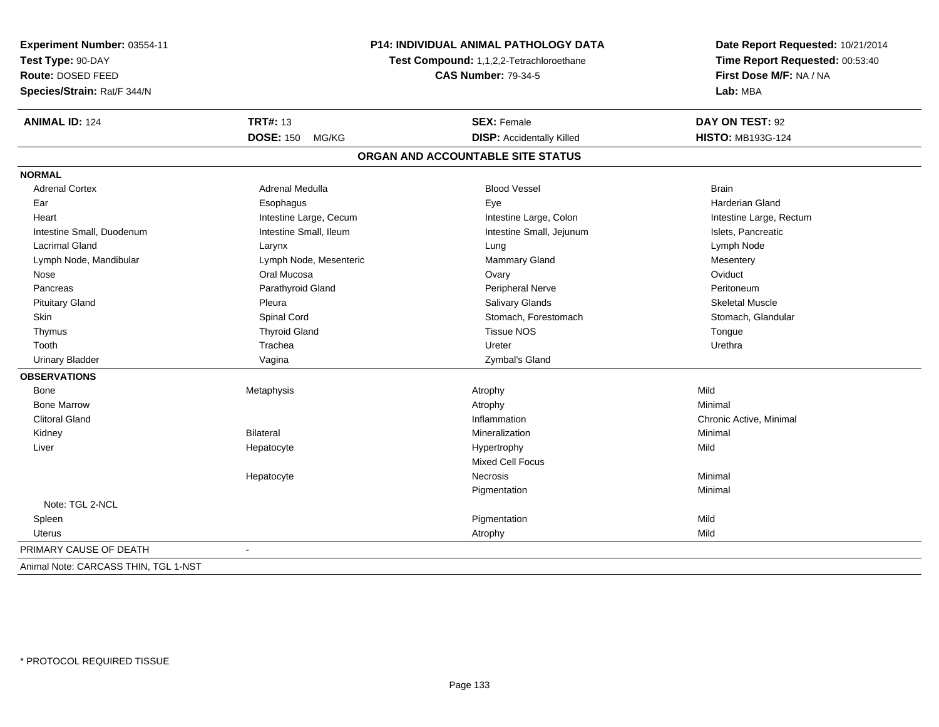| Experiment Number: 03554-11<br>Test Type: 90-DAY<br><b>Route: DOSED FEED</b><br>Species/Strain: Rat/F 344/N | <b>P14: INDIVIDUAL ANIMAL PATHOLOGY DATA</b><br>Test Compound: 1,1,2,2-Tetrachloroethane<br><b>CAS Number: 79-34-5</b> |                                   | Date Report Requested: 10/21/2014<br>Time Report Requested: 00:53:40<br>First Dose M/F: NA / NA<br>Lab: MBA |
|-------------------------------------------------------------------------------------------------------------|------------------------------------------------------------------------------------------------------------------------|-----------------------------------|-------------------------------------------------------------------------------------------------------------|
|                                                                                                             |                                                                                                                        |                                   |                                                                                                             |
| <b>ANIMAL ID: 124</b>                                                                                       | <b>TRT#: 13</b>                                                                                                        | <b>SEX: Female</b>                | DAY ON TEST: 92                                                                                             |
|                                                                                                             | <b>DOSE: 150</b><br>MG/KG                                                                                              | <b>DISP:</b> Accidentally Killed  | <b>HISTO: MB193G-124</b>                                                                                    |
|                                                                                                             |                                                                                                                        | ORGAN AND ACCOUNTABLE SITE STATUS |                                                                                                             |
| <b>NORMAL</b>                                                                                               |                                                                                                                        |                                   |                                                                                                             |
| <b>Adrenal Cortex</b>                                                                                       | <b>Adrenal Medulla</b>                                                                                                 | <b>Blood Vessel</b>               | <b>Brain</b>                                                                                                |
| Ear                                                                                                         | Esophagus                                                                                                              | Eye                               | <b>Harderian Gland</b>                                                                                      |
| Heart                                                                                                       | Intestine Large, Cecum                                                                                                 | Intestine Large, Colon            | Intestine Large, Rectum                                                                                     |
| Intestine Small, Duodenum                                                                                   | Intestine Small, Ileum                                                                                                 | Intestine Small, Jejunum          | Islets, Pancreatic                                                                                          |
| <b>Lacrimal Gland</b>                                                                                       | Larynx                                                                                                                 | Lung                              | Lymph Node                                                                                                  |
| Lymph Node, Mandibular                                                                                      | Lymph Node, Mesenteric                                                                                                 | Mammary Gland                     | Mesentery                                                                                                   |
| Nose                                                                                                        | Oral Mucosa                                                                                                            | Ovary                             | Oviduct                                                                                                     |
| Pancreas                                                                                                    | Parathyroid Gland                                                                                                      | Peripheral Nerve                  | Peritoneum                                                                                                  |
| <b>Pituitary Gland</b>                                                                                      | Pleura                                                                                                                 | Salivary Glands                   | <b>Skeletal Muscle</b>                                                                                      |
| <b>Skin</b>                                                                                                 | Spinal Cord                                                                                                            | Stomach, Forestomach              | Stomach, Glandular                                                                                          |
| Thymus                                                                                                      | <b>Thyroid Gland</b>                                                                                                   | <b>Tissue NOS</b>                 | Tongue                                                                                                      |
| Tooth                                                                                                       | Trachea                                                                                                                | Ureter                            | Urethra                                                                                                     |
| <b>Urinary Bladder</b>                                                                                      | Vagina                                                                                                                 | Zymbal's Gland                    |                                                                                                             |
| <b>OBSERVATIONS</b>                                                                                         |                                                                                                                        |                                   |                                                                                                             |
| Bone                                                                                                        | Metaphysis                                                                                                             | Atrophy                           | Mild                                                                                                        |
| <b>Bone Marrow</b>                                                                                          |                                                                                                                        | Atrophy                           | Minimal                                                                                                     |
| <b>Clitoral Gland</b>                                                                                       |                                                                                                                        | Inflammation                      | Chronic Active, Minimal                                                                                     |
| Kidney                                                                                                      | <b>Bilateral</b>                                                                                                       | Mineralization                    | Minimal                                                                                                     |
| Liver                                                                                                       | Hepatocyte                                                                                                             | Hypertrophy                       | Mild                                                                                                        |
|                                                                                                             |                                                                                                                        | <b>Mixed Cell Focus</b>           |                                                                                                             |
|                                                                                                             | Hepatocyte                                                                                                             | Necrosis                          | Minimal                                                                                                     |
|                                                                                                             |                                                                                                                        | Pigmentation                      | Minimal                                                                                                     |
| Note: TGL 2-NCL                                                                                             |                                                                                                                        |                                   |                                                                                                             |
| Spleen                                                                                                      |                                                                                                                        | Pigmentation                      | Mild                                                                                                        |
| Uterus                                                                                                      |                                                                                                                        | Atrophy                           | Mild                                                                                                        |
| PRIMARY CAUSE OF DEATH                                                                                      | $\overline{\phantom{a}}$                                                                                               |                                   |                                                                                                             |
| Animal Nata: CABCACC TUIN TCL 4 NICT                                                                        |                                                                                                                        |                                   |                                                                                                             |

Animal Note: CARCASS THIN, TGL 1-NST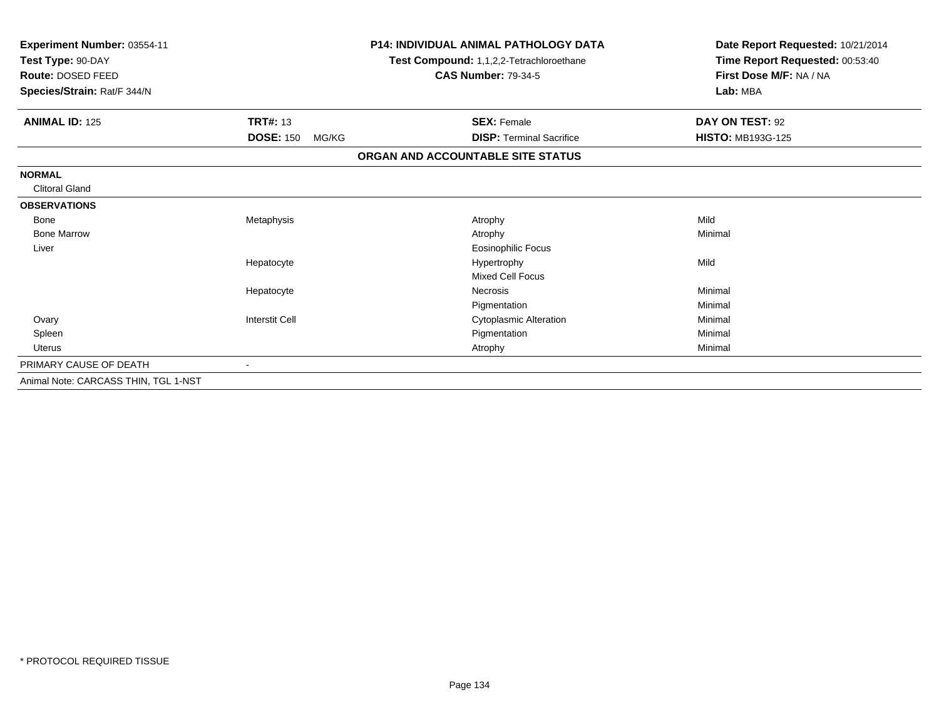| Experiment Number: 03554-11<br>Test Type: 90-DAY<br>Route: DOSED FEED<br>Species/Strain: Rat/F 344/N |                           | <b>P14: INDIVIDUAL ANIMAL PATHOLOGY DATA</b><br>Test Compound: 1,1,2,2-Tetrachloroethane<br><b>CAS Number: 79-34-5</b> | Date Report Requested: 10/21/2014<br>Time Report Requested: 00:53:40<br>First Dose M/F: NA / NA<br>Lab: MBA |  |
|------------------------------------------------------------------------------------------------------|---------------------------|------------------------------------------------------------------------------------------------------------------------|-------------------------------------------------------------------------------------------------------------|--|
| <b>ANIMAL ID: 125</b>                                                                                | <b>TRT#: 13</b>           | <b>SEX: Female</b>                                                                                                     | DAY ON TEST: 92                                                                                             |  |
|                                                                                                      | <b>DOSE: 150</b><br>MG/KG | <b>DISP: Terminal Sacrifice</b>                                                                                        | <b>HISTO: MB193G-125</b>                                                                                    |  |
|                                                                                                      |                           | ORGAN AND ACCOUNTABLE SITE STATUS                                                                                      |                                                                                                             |  |
| <b>NORMAL</b>                                                                                        |                           |                                                                                                                        |                                                                                                             |  |
| <b>Clitoral Gland</b>                                                                                |                           |                                                                                                                        |                                                                                                             |  |
| <b>OBSERVATIONS</b>                                                                                  |                           |                                                                                                                        |                                                                                                             |  |
| Bone                                                                                                 | Metaphysis                | Atrophy                                                                                                                | Mild                                                                                                        |  |
| <b>Bone Marrow</b>                                                                                   |                           | Atrophy                                                                                                                | Minimal                                                                                                     |  |
| Liver                                                                                                |                           | <b>Eosinophilic Focus</b>                                                                                              |                                                                                                             |  |
|                                                                                                      | Hepatocyte                | Hypertrophy                                                                                                            | Mild                                                                                                        |  |
|                                                                                                      |                           | <b>Mixed Cell Focus</b>                                                                                                |                                                                                                             |  |
|                                                                                                      | Hepatocyte                | <b>Necrosis</b>                                                                                                        | Minimal                                                                                                     |  |
|                                                                                                      |                           | Pigmentation                                                                                                           | Minimal                                                                                                     |  |
| Ovary                                                                                                | <b>Interstit Cell</b>     | <b>Cytoplasmic Alteration</b>                                                                                          | Minimal                                                                                                     |  |
| Spleen                                                                                               |                           | Pigmentation                                                                                                           | Minimal                                                                                                     |  |
| <b>Uterus</b>                                                                                        |                           | Atrophy                                                                                                                | Minimal                                                                                                     |  |
| PRIMARY CAUSE OF DEATH                                                                               |                           |                                                                                                                        |                                                                                                             |  |
| Animal Note: CARCASS THIN, TGL 1-NST                                                                 |                           |                                                                                                                        |                                                                                                             |  |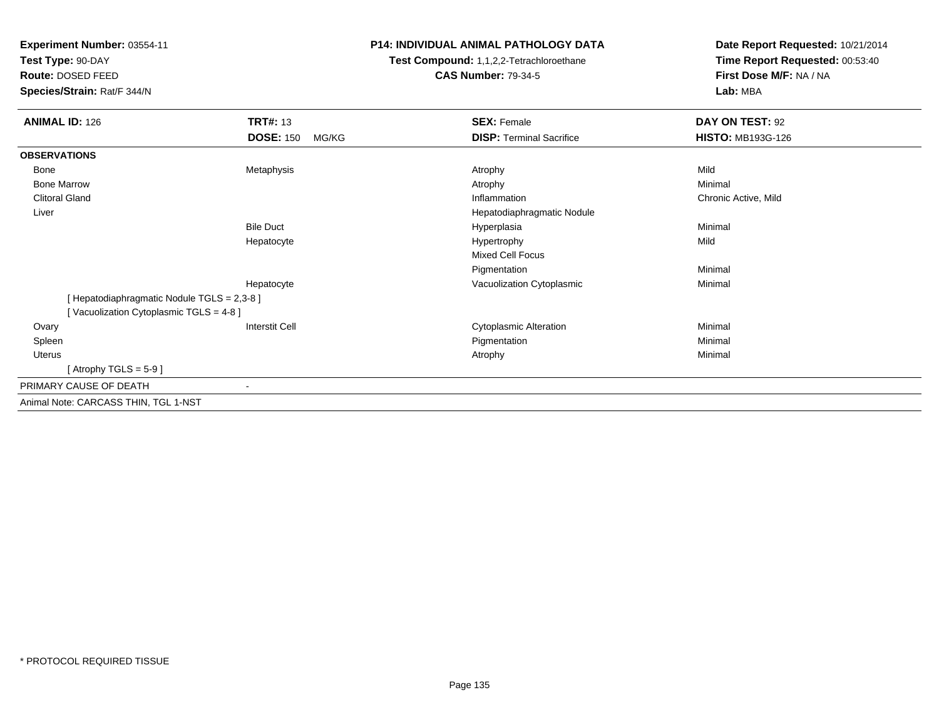**Experiment Number:** 03554-11

**Test Type:** 90-DAY

**Route:** DOSED FEED

**Species/Strain:** Rat/F 344/N

## **P14: INDIVIDUAL ANIMAL PATHOLOGY DATA**

**Test Compound:** 1,1,2,2-Tetrachloroethane**CAS Number:** 79-34-5

**Date Report Requested:** 10/21/2014**Time Report Requested:** 00:53:40**First Dose M/F:** NA / NA**Lab:** MBA

| <b>ANIMAL ID: 126</b>                       | <b>TRT#: 13</b>           | <b>SEX: Female</b>              | DAY ON TEST: 92          |  |
|---------------------------------------------|---------------------------|---------------------------------|--------------------------|--|
|                                             | <b>DOSE: 150</b><br>MG/KG | <b>DISP: Terminal Sacrifice</b> | <b>HISTO: MB193G-126</b> |  |
| <b>OBSERVATIONS</b>                         |                           |                                 |                          |  |
| Bone                                        | Metaphysis                | Atrophy                         | Mild                     |  |
| <b>Bone Marrow</b>                          |                           | Atrophy                         | Minimal                  |  |
| <b>Clitoral Gland</b>                       |                           | Inflammation                    | Chronic Active, Mild     |  |
| Liver                                       |                           | Hepatodiaphragmatic Nodule      |                          |  |
|                                             | <b>Bile Duct</b>          | Hyperplasia                     | Minimal                  |  |
|                                             | Hepatocyte                | Hypertrophy                     | Mild                     |  |
|                                             |                           | <b>Mixed Cell Focus</b>         |                          |  |
|                                             |                           | Pigmentation                    | Minimal                  |  |
|                                             | Hepatocyte                | Vacuolization Cytoplasmic       | Minimal                  |  |
| [ Hepatodiaphragmatic Nodule TGLS = 2,3-8 ] |                           |                                 |                          |  |
| [Vacuolization Cytoplasmic TGLS = 4-8]      |                           |                                 |                          |  |
| Ovary                                       | <b>Interstit Cell</b>     | <b>Cytoplasmic Alteration</b>   | Minimal                  |  |
| Spleen                                      |                           | Pigmentation                    | Minimal                  |  |
| Uterus                                      |                           | Atrophy                         | Minimal                  |  |
| [Atrophy TGLS = $5-9$ ]                     |                           |                                 |                          |  |
| PRIMARY CAUSE OF DEATH                      | -                         |                                 |                          |  |
| Animal Note: CARCASS THIN, TGL 1-NST        |                           |                                 |                          |  |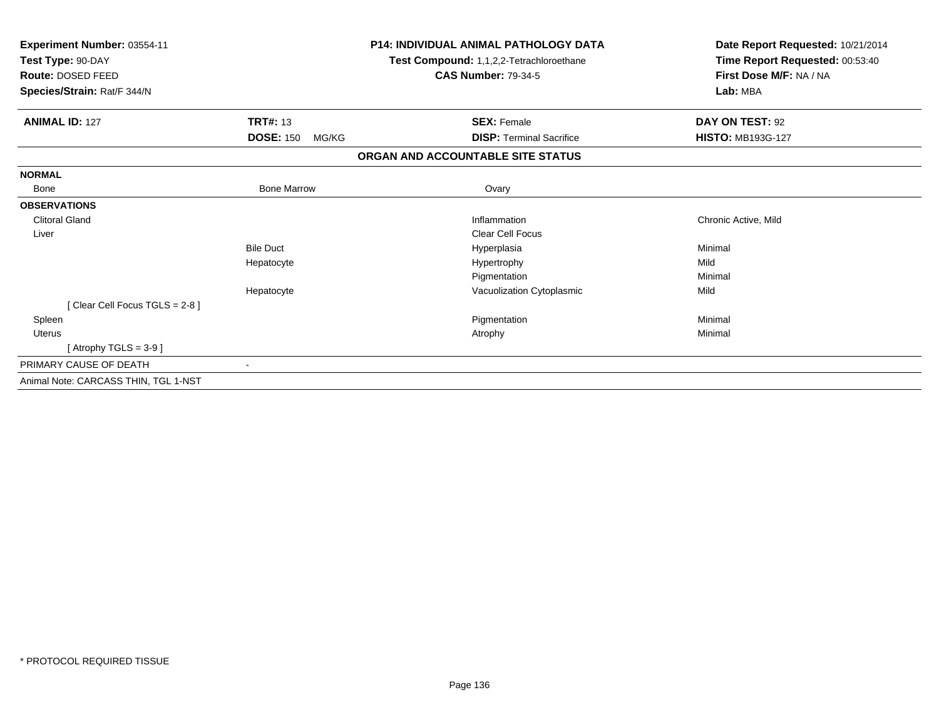| Experiment Number: 03554-11<br>Test Type: 90-DAY<br>Route: DOSED FEED<br>Species/Strain: Rat/F 344/N |                           | <b>P14: INDIVIDUAL ANIMAL PATHOLOGY DATA</b><br>Test Compound: 1,1,2,2-Tetrachloroethane<br><b>CAS Number: 79-34-5</b> | Date Report Requested: 10/21/2014<br>Time Report Requested: 00:53:40<br>First Dose M/F: NA / NA<br>Lab: MBA |
|------------------------------------------------------------------------------------------------------|---------------------------|------------------------------------------------------------------------------------------------------------------------|-------------------------------------------------------------------------------------------------------------|
| <b>ANIMAL ID: 127</b>                                                                                | <b>TRT#: 13</b>           | <b>SEX: Female</b>                                                                                                     | DAY ON TEST: 92                                                                                             |
|                                                                                                      | <b>DOSE: 150</b><br>MG/KG | <b>DISP: Terminal Sacrifice</b>                                                                                        | <b>HISTO: MB193G-127</b>                                                                                    |
|                                                                                                      |                           | ORGAN AND ACCOUNTABLE SITE STATUS                                                                                      |                                                                                                             |
| <b>NORMAL</b>                                                                                        |                           |                                                                                                                        |                                                                                                             |
| <b>Bone</b>                                                                                          | <b>Bone Marrow</b>        | Ovary                                                                                                                  |                                                                                                             |
| <b>OBSERVATIONS</b>                                                                                  |                           |                                                                                                                        |                                                                                                             |
| <b>Clitoral Gland</b>                                                                                |                           | Inflammation                                                                                                           | Chronic Active, Mild                                                                                        |
| Liver                                                                                                |                           | Clear Cell Focus                                                                                                       |                                                                                                             |
|                                                                                                      | <b>Bile Duct</b>          | Hyperplasia                                                                                                            | Minimal                                                                                                     |
|                                                                                                      | Hepatocyte                | Hypertrophy                                                                                                            | Mild                                                                                                        |
|                                                                                                      |                           | Pigmentation                                                                                                           | Minimal                                                                                                     |
|                                                                                                      | Hepatocyte                | Vacuolization Cytoplasmic                                                                                              | Mild                                                                                                        |
| [Clear Cell Focus TGLS = 2-8 ]                                                                       |                           |                                                                                                                        |                                                                                                             |
| Spleen                                                                                               |                           | Pigmentation                                                                                                           | Minimal                                                                                                     |
| <b>Uterus</b>                                                                                        |                           | Atrophy                                                                                                                | Minimal                                                                                                     |
| [Atrophy TGLS = $3-9$ ]                                                                              |                           |                                                                                                                        |                                                                                                             |
| PRIMARY CAUSE OF DEATH                                                                               |                           |                                                                                                                        |                                                                                                             |
| Animal Note: CARCASS THIN, TGL 1-NST                                                                 |                           |                                                                                                                        |                                                                                                             |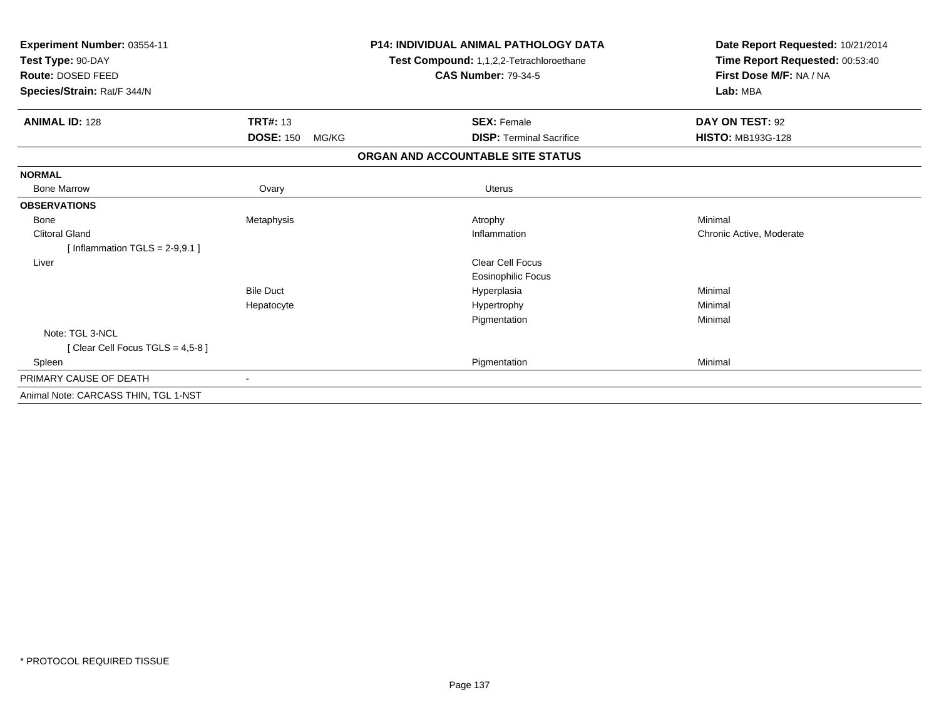| Experiment Number: 03554-11<br>Test Type: 90-DAY<br>Route: DOSED FEED<br>Species/Strain: Rat/F 344/N |                           | <b>P14: INDIVIDUAL ANIMAL PATHOLOGY DATA</b><br>Test Compound: 1,1,2,2-Tetrachloroethane<br><b>CAS Number: 79-34-5</b> | Date Report Requested: 10/21/2014<br>Time Report Requested: 00:53:40<br>First Dose M/F: NA / NA<br>Lab: MBA |  |
|------------------------------------------------------------------------------------------------------|---------------------------|------------------------------------------------------------------------------------------------------------------------|-------------------------------------------------------------------------------------------------------------|--|
| <b>ANIMAL ID: 128</b>                                                                                | <b>TRT#: 13</b>           | <b>SEX: Female</b>                                                                                                     | DAY ON TEST: 92                                                                                             |  |
|                                                                                                      | <b>DOSE: 150</b><br>MG/KG | <b>DISP: Terminal Sacrifice</b>                                                                                        | <b>HISTO: MB193G-128</b>                                                                                    |  |
|                                                                                                      |                           | ORGAN AND ACCOUNTABLE SITE STATUS                                                                                      |                                                                                                             |  |
| <b>NORMAL</b>                                                                                        |                           |                                                                                                                        |                                                                                                             |  |
| <b>Bone Marrow</b>                                                                                   | Ovary                     | <b>Uterus</b>                                                                                                          |                                                                                                             |  |
| <b>OBSERVATIONS</b>                                                                                  |                           |                                                                                                                        |                                                                                                             |  |
| Bone                                                                                                 | Metaphysis                | Atrophy                                                                                                                | Minimal                                                                                                     |  |
| <b>Clitoral Gland</b>                                                                                |                           | Inflammation                                                                                                           | Chronic Active, Moderate                                                                                    |  |
| [Inflammation TGLS = $2-9,9.1$ ]                                                                     |                           |                                                                                                                        |                                                                                                             |  |
| Liver                                                                                                |                           | Clear Cell Focus                                                                                                       |                                                                                                             |  |
|                                                                                                      |                           | <b>Eosinophilic Focus</b>                                                                                              |                                                                                                             |  |
|                                                                                                      | <b>Bile Duct</b>          | Hyperplasia                                                                                                            | Minimal                                                                                                     |  |
|                                                                                                      | Hepatocyte                | Hypertrophy                                                                                                            | Minimal                                                                                                     |  |
|                                                                                                      |                           | Pigmentation                                                                                                           | Minimal                                                                                                     |  |
| Note: TGL 3-NCL                                                                                      |                           |                                                                                                                        |                                                                                                             |  |
| [ Clear Cell Focus TGLS = 4,5-8 ]                                                                    |                           |                                                                                                                        |                                                                                                             |  |
| Spleen                                                                                               |                           | Pigmentation                                                                                                           | Minimal                                                                                                     |  |
| PRIMARY CAUSE OF DEATH                                                                               |                           |                                                                                                                        |                                                                                                             |  |
| Animal Note: CARCASS THIN, TGL 1-NST                                                                 |                           |                                                                                                                        |                                                                                                             |  |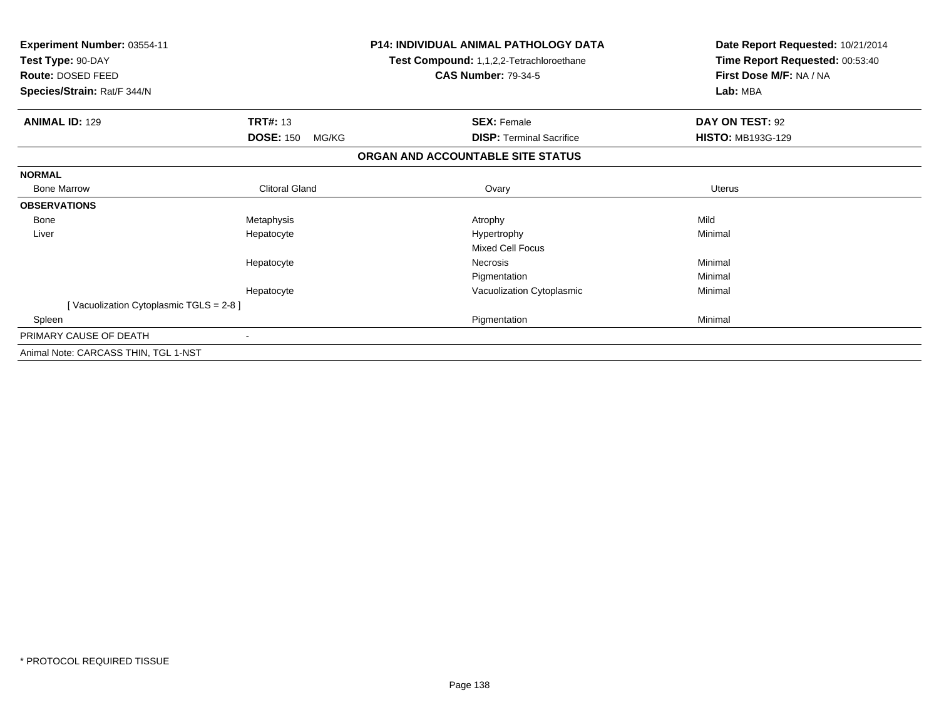| Experiment Number: 03554-11<br>Test Type: 90-DAY<br>Route: DOSED FEED |                           | <b>P14: INDIVIDUAL ANIMAL PATHOLOGY DATA</b><br>Test Compound: 1,1,2,2-Tetrachloroethane<br><b>CAS Number: 79-34-5</b> | Date Report Requested: 10/21/2014<br>Time Report Requested: 00:53:40<br>First Dose M/F: NA / NA |  |
|-----------------------------------------------------------------------|---------------------------|------------------------------------------------------------------------------------------------------------------------|-------------------------------------------------------------------------------------------------|--|
| Species/Strain: Rat/F 344/N                                           |                           |                                                                                                                        | Lab: MBA                                                                                        |  |
| <b>ANIMAL ID: 129</b>                                                 | <b>TRT#: 13</b>           | <b>SEX: Female</b>                                                                                                     | DAY ON TEST: 92                                                                                 |  |
|                                                                       | <b>DOSE: 150</b><br>MG/KG | <b>DISP: Terminal Sacrifice</b>                                                                                        | <b>HISTO: MB193G-129</b>                                                                        |  |
|                                                                       |                           | ORGAN AND ACCOUNTABLE SITE STATUS                                                                                      |                                                                                                 |  |
| <b>NORMAL</b>                                                         |                           |                                                                                                                        |                                                                                                 |  |
| <b>Bone Marrow</b>                                                    | <b>Clitoral Gland</b>     | Ovary                                                                                                                  | <b>Uterus</b>                                                                                   |  |
| <b>OBSERVATIONS</b>                                                   |                           |                                                                                                                        |                                                                                                 |  |
| Bone                                                                  | Metaphysis                | Atrophy                                                                                                                | Mild                                                                                            |  |
| Liver                                                                 | Hepatocyte                | Hypertrophy                                                                                                            | Minimal                                                                                         |  |
|                                                                       |                           | Mixed Cell Focus                                                                                                       |                                                                                                 |  |
|                                                                       | Hepatocyte                | <b>Necrosis</b>                                                                                                        | Minimal                                                                                         |  |
|                                                                       |                           | Pigmentation                                                                                                           | Minimal                                                                                         |  |
|                                                                       | Hepatocyte                | Vacuolization Cytoplasmic                                                                                              | Minimal                                                                                         |  |
| [Vacuolization Cytoplasmic TGLS = 2-8]                                |                           |                                                                                                                        |                                                                                                 |  |
| Spleen                                                                |                           | Pigmentation                                                                                                           | Minimal                                                                                         |  |
| PRIMARY CAUSE OF DEATH                                                | $\blacksquare$            |                                                                                                                        |                                                                                                 |  |
| Animal Note: CARCASS THIN, TGL 1-NST                                  |                           |                                                                                                                        |                                                                                                 |  |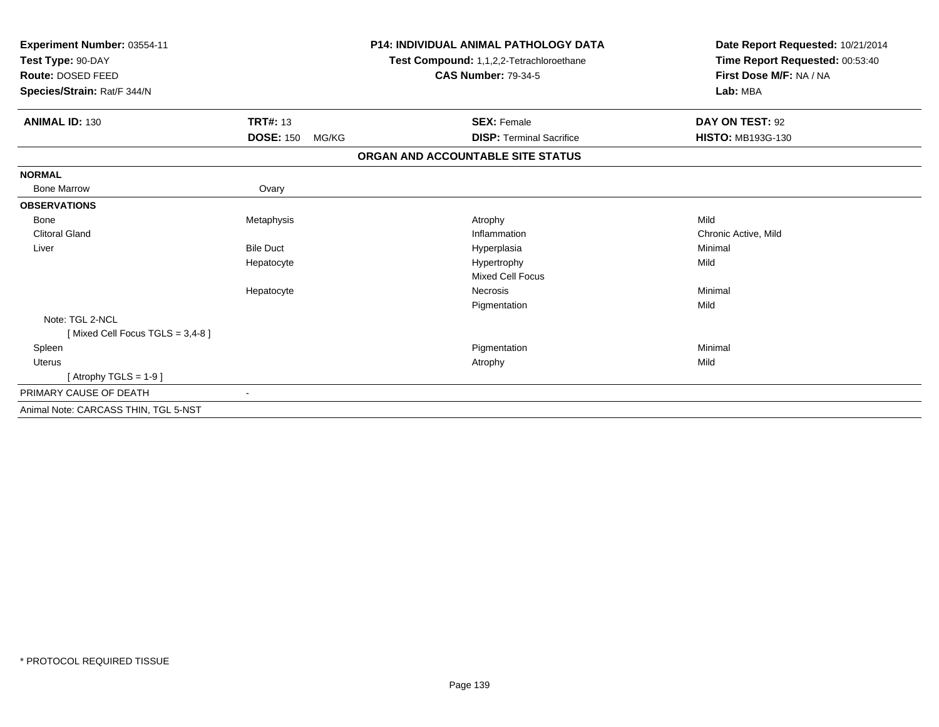| Experiment Number: 03554-11<br>Test Type: 90-DAY<br>Route: DOSED FEED<br>Species/Strain: Rat/F 344/N |                           | <b>P14: INDIVIDUAL ANIMAL PATHOLOGY DATA</b><br>Test Compound: 1,1,2,2-Tetrachloroethane<br><b>CAS Number: 79-34-5</b> | Date Report Requested: 10/21/2014<br>Time Report Requested: 00:53:40<br>First Dose M/F: NA / NA<br>Lab: MBA |
|------------------------------------------------------------------------------------------------------|---------------------------|------------------------------------------------------------------------------------------------------------------------|-------------------------------------------------------------------------------------------------------------|
| <b>ANIMAL ID: 130</b>                                                                                | <b>TRT#: 13</b>           | <b>SEX: Female</b>                                                                                                     | DAY ON TEST: 92                                                                                             |
|                                                                                                      | <b>DOSE: 150</b><br>MG/KG | <b>DISP: Terminal Sacrifice</b>                                                                                        | <b>HISTO: MB193G-130</b>                                                                                    |
|                                                                                                      |                           | ORGAN AND ACCOUNTABLE SITE STATUS                                                                                      |                                                                                                             |
| <b>NORMAL</b>                                                                                        |                           |                                                                                                                        |                                                                                                             |
| <b>Bone Marrow</b>                                                                                   | Ovary                     |                                                                                                                        |                                                                                                             |
| <b>OBSERVATIONS</b>                                                                                  |                           |                                                                                                                        |                                                                                                             |
| Bone                                                                                                 | Metaphysis                | Atrophy                                                                                                                | Mild                                                                                                        |
| <b>Clitoral Gland</b>                                                                                |                           | Inflammation                                                                                                           | Chronic Active, Mild                                                                                        |
| Liver                                                                                                | <b>Bile Duct</b>          | Hyperplasia                                                                                                            | Minimal                                                                                                     |
|                                                                                                      | Hepatocyte                | Hypertrophy                                                                                                            | Mild                                                                                                        |
|                                                                                                      |                           | <b>Mixed Cell Focus</b>                                                                                                |                                                                                                             |
|                                                                                                      | Hepatocyte                | <b>Necrosis</b>                                                                                                        | Minimal                                                                                                     |
|                                                                                                      |                           | Pigmentation                                                                                                           | Mild                                                                                                        |
| Note: TGL 2-NCL                                                                                      |                           |                                                                                                                        |                                                                                                             |
| [Mixed Cell Focus TGLS = 3,4-8]                                                                      |                           |                                                                                                                        |                                                                                                             |
| Spleen                                                                                               |                           | Pigmentation                                                                                                           | Minimal                                                                                                     |
| Uterus                                                                                               |                           | Atrophy                                                                                                                | Mild                                                                                                        |
| [Atrophy TGLS = $1-9$ ]                                                                              |                           |                                                                                                                        |                                                                                                             |
| PRIMARY CAUSE OF DEATH                                                                               |                           |                                                                                                                        |                                                                                                             |
| Animal Note: CARCASS THIN, TGL 5-NST                                                                 |                           |                                                                                                                        |                                                                                                             |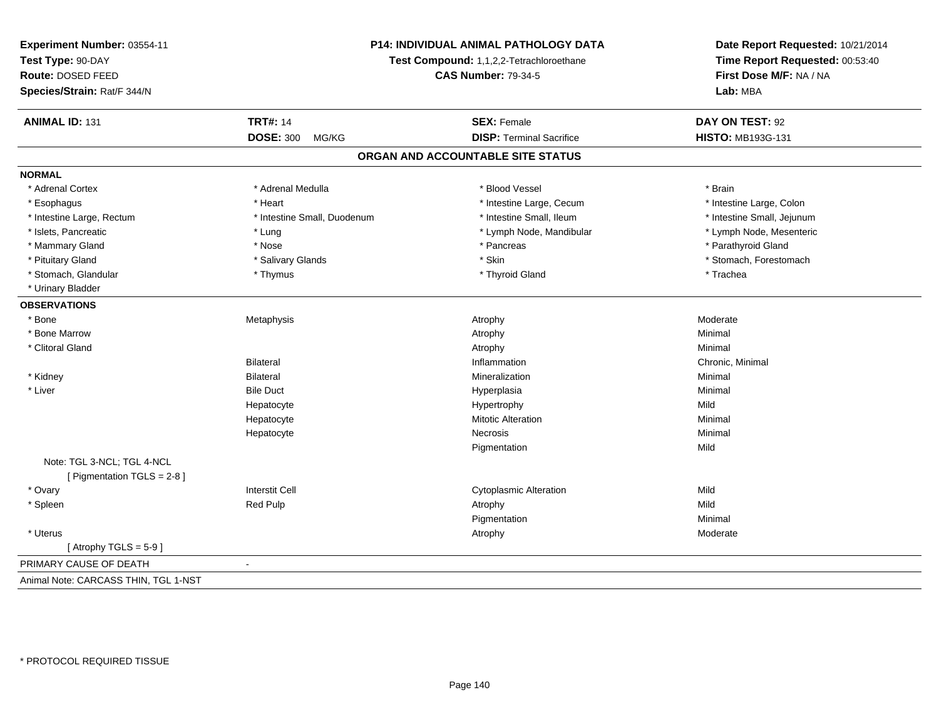| Experiment Number: 03554-11          | P14: INDIVIDUAL ANIMAL PATHOLOGY DATA<br>Test Compound: 1,1,2,2-Tetrachloroethane<br><b>CAS Number: 79-34-5</b> |                                   | Date Report Requested: 10/21/2014<br>Time Report Requested: 00:53:40<br>First Dose M/F: NA / NA |
|--------------------------------------|-----------------------------------------------------------------------------------------------------------------|-----------------------------------|-------------------------------------------------------------------------------------------------|
| Test Type: 90-DAY                    |                                                                                                                 |                                   |                                                                                                 |
| Route: DOSED FEED                    |                                                                                                                 |                                   |                                                                                                 |
| Species/Strain: Rat/F 344/N          |                                                                                                                 |                                   | Lab: MBA                                                                                        |
| <b>ANIMAL ID: 131</b>                | <b>TRT#: 14</b>                                                                                                 | <b>SEX: Female</b>                | DAY ON TEST: 92                                                                                 |
|                                      | <b>DOSE: 300</b><br>MG/KG                                                                                       | <b>DISP: Terminal Sacrifice</b>   | <b>HISTO: MB193G-131</b>                                                                        |
|                                      |                                                                                                                 | ORGAN AND ACCOUNTABLE SITE STATUS |                                                                                                 |
| <b>NORMAL</b>                        |                                                                                                                 |                                   |                                                                                                 |
| * Adrenal Cortex                     | * Adrenal Medulla                                                                                               | * Blood Vessel                    | * Brain                                                                                         |
| * Esophagus                          | * Heart                                                                                                         | * Intestine Large, Cecum          | * Intestine Large, Colon                                                                        |
| * Intestine Large, Rectum            | * Intestine Small, Duodenum                                                                                     | * Intestine Small, Ileum          | * Intestine Small, Jejunum                                                                      |
| * Islets, Pancreatic                 | * Lung                                                                                                          | * Lymph Node, Mandibular          | * Lymph Node, Mesenteric                                                                        |
| * Mammary Gland                      | * Nose                                                                                                          | * Pancreas                        | * Parathyroid Gland                                                                             |
| * Pituitary Gland                    | * Salivary Glands                                                                                               | * Skin                            | * Stomach, Forestomach                                                                          |
| * Stomach, Glandular                 | * Thymus                                                                                                        | * Thyroid Gland                   | * Trachea                                                                                       |
| * Urinary Bladder                    |                                                                                                                 |                                   |                                                                                                 |
| <b>OBSERVATIONS</b>                  |                                                                                                                 |                                   |                                                                                                 |
| * Bone                               | Metaphysis                                                                                                      | Atrophy                           | Moderate                                                                                        |
| * Bone Marrow                        |                                                                                                                 | Atrophy                           | Minimal                                                                                         |
| * Clitoral Gland                     |                                                                                                                 | Atrophy                           | Minimal                                                                                         |
|                                      | <b>Bilateral</b>                                                                                                | Inflammation                      | Chronic, Minimal                                                                                |
| * Kidney                             | <b>Bilateral</b>                                                                                                | Mineralization                    | Minimal                                                                                         |
| * Liver                              | <b>Bile Duct</b>                                                                                                | Hyperplasia                       | Minimal                                                                                         |
|                                      | Hepatocyte                                                                                                      | Hypertrophy                       | Mild                                                                                            |
|                                      | Hepatocyte                                                                                                      | <b>Mitotic Alteration</b>         | Minimal                                                                                         |
|                                      | Hepatocyte                                                                                                      | Necrosis                          | Minimal                                                                                         |
|                                      |                                                                                                                 | Pigmentation                      | Mild                                                                                            |
| Note: TGL 3-NCL; TGL 4-NCL           |                                                                                                                 |                                   |                                                                                                 |
| [ Pigmentation TGLS = 2-8 ]          |                                                                                                                 |                                   |                                                                                                 |
| * Ovary                              | <b>Interstit Cell</b>                                                                                           | <b>Cytoplasmic Alteration</b>     | Mild                                                                                            |
| * Spleen                             | <b>Red Pulp</b>                                                                                                 | Atrophy                           | Mild                                                                                            |
|                                      |                                                                                                                 | Pigmentation                      | Minimal                                                                                         |
| * Uterus                             |                                                                                                                 | Atrophy                           | Moderate                                                                                        |
| [Atrophy TGLS = $5-9$ ]              |                                                                                                                 |                                   |                                                                                                 |
| PRIMARY CAUSE OF DEATH               | $\blacksquare$                                                                                                  |                                   |                                                                                                 |
| Animal Note: CARCASS THIN, TGL 1-NST |                                                                                                                 |                                   |                                                                                                 |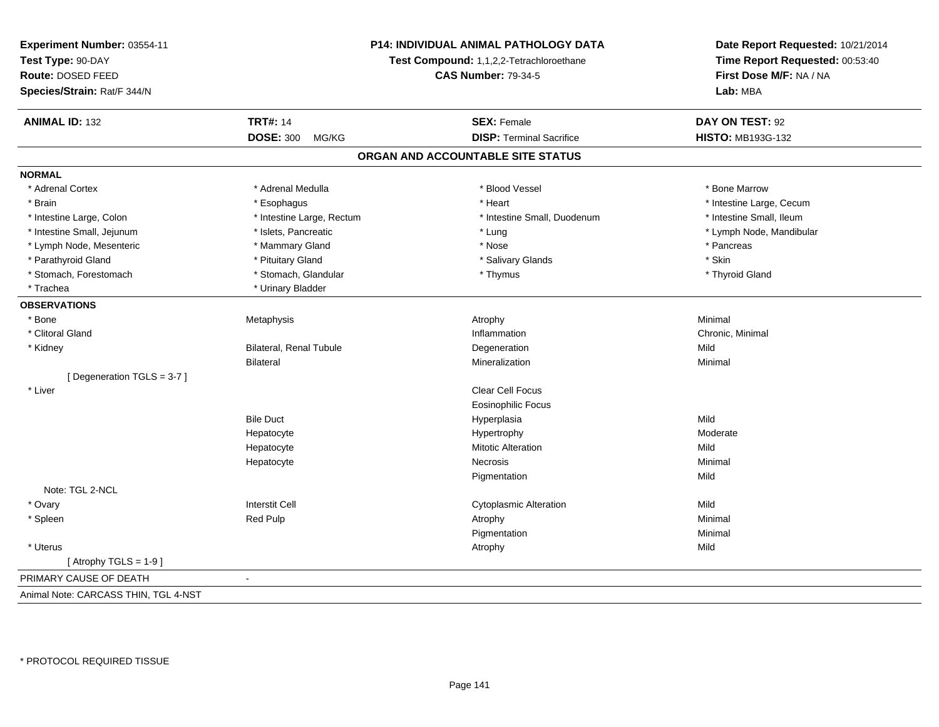| Experiment Number: 03554-11          | P14: INDIVIDUAL ANIMAL PATHOLOGY DATA<br>Test Compound: 1,1,2,2-Tetrachloroethane<br><b>CAS Number: 79-34-5</b> |                                   | Date Report Requested: 10/21/2014 |  |
|--------------------------------------|-----------------------------------------------------------------------------------------------------------------|-----------------------------------|-----------------------------------|--|
| Test Type: 90-DAY                    |                                                                                                                 |                                   | Time Report Requested: 00:53:40   |  |
| Route: DOSED FEED                    |                                                                                                                 |                                   | First Dose M/F: NA / NA           |  |
| Species/Strain: Rat/F 344/N          |                                                                                                                 |                                   | Lab: MBA                          |  |
|                                      |                                                                                                                 |                                   |                                   |  |
| <b>ANIMAL ID: 132</b>                | <b>TRT#: 14</b>                                                                                                 | <b>SEX: Female</b>                | DAY ON TEST: 92                   |  |
|                                      | <b>DOSE: 300</b><br>MG/KG                                                                                       | <b>DISP: Terminal Sacrifice</b>   | <b>HISTO: MB193G-132</b>          |  |
|                                      |                                                                                                                 | ORGAN AND ACCOUNTABLE SITE STATUS |                                   |  |
| <b>NORMAL</b>                        |                                                                                                                 |                                   |                                   |  |
| * Adrenal Cortex                     | * Adrenal Medulla                                                                                               | * Blood Vessel                    | * Bone Marrow                     |  |
| * Brain                              | * Esophagus                                                                                                     | * Heart                           | * Intestine Large, Cecum          |  |
| * Intestine Large, Colon             | * Intestine Large, Rectum                                                                                       | * Intestine Small, Duodenum       | * Intestine Small, Ileum          |  |
| * Intestine Small, Jejunum           | * Islets, Pancreatic                                                                                            | * Lung                            | * Lymph Node, Mandibular          |  |
| * Lymph Node, Mesenteric             | * Mammary Gland                                                                                                 | * Nose                            | * Pancreas                        |  |
| * Parathyroid Gland                  | * Pituitary Gland                                                                                               | * Salivary Glands                 | * Skin                            |  |
| * Stomach, Forestomach               | * Stomach, Glandular                                                                                            | * Thymus                          | * Thyroid Gland                   |  |
| * Trachea                            | * Urinary Bladder                                                                                               |                                   |                                   |  |
| <b>OBSERVATIONS</b>                  |                                                                                                                 |                                   |                                   |  |
| * Bone                               | Metaphysis                                                                                                      | Atrophy                           | Minimal                           |  |
| * Clitoral Gland                     |                                                                                                                 | Inflammation                      | Chronic, Minimal                  |  |
| * Kidney                             | <b>Bilateral, Renal Tubule</b>                                                                                  | Degeneration                      | Mild                              |  |
|                                      | <b>Bilateral</b>                                                                                                | Mineralization                    | Minimal                           |  |
| [Degeneration TGLS = 3-7]            |                                                                                                                 |                                   |                                   |  |
| * Liver                              |                                                                                                                 | Clear Cell Focus                  |                                   |  |
|                                      |                                                                                                                 | <b>Eosinophilic Focus</b>         |                                   |  |
|                                      | <b>Bile Duct</b>                                                                                                | Hyperplasia                       | Mild                              |  |
|                                      | Hepatocyte                                                                                                      | Hypertrophy                       | Moderate                          |  |
|                                      | Hepatocyte                                                                                                      | <b>Mitotic Alteration</b>         | Mild                              |  |
|                                      | Hepatocyte                                                                                                      | Necrosis                          | Minimal                           |  |
|                                      |                                                                                                                 | Pigmentation                      | Mild                              |  |
| Note: TGL 2-NCL                      |                                                                                                                 |                                   |                                   |  |
| * Ovary                              | <b>Interstit Cell</b>                                                                                           | <b>Cytoplasmic Alteration</b>     | Mild                              |  |
| * Spleen                             | Red Pulp                                                                                                        | Atrophy                           | Minimal                           |  |
|                                      |                                                                                                                 | Pigmentation                      | Minimal                           |  |
| * Uterus                             |                                                                                                                 | Atrophy                           | Mild                              |  |
| [Atrophy TGLS = $1-9$ ]              |                                                                                                                 |                                   |                                   |  |
| PRIMARY CAUSE OF DEATH               |                                                                                                                 |                                   |                                   |  |
| Animal Note: CARCASS THIN, TGL 4-NST |                                                                                                                 |                                   |                                   |  |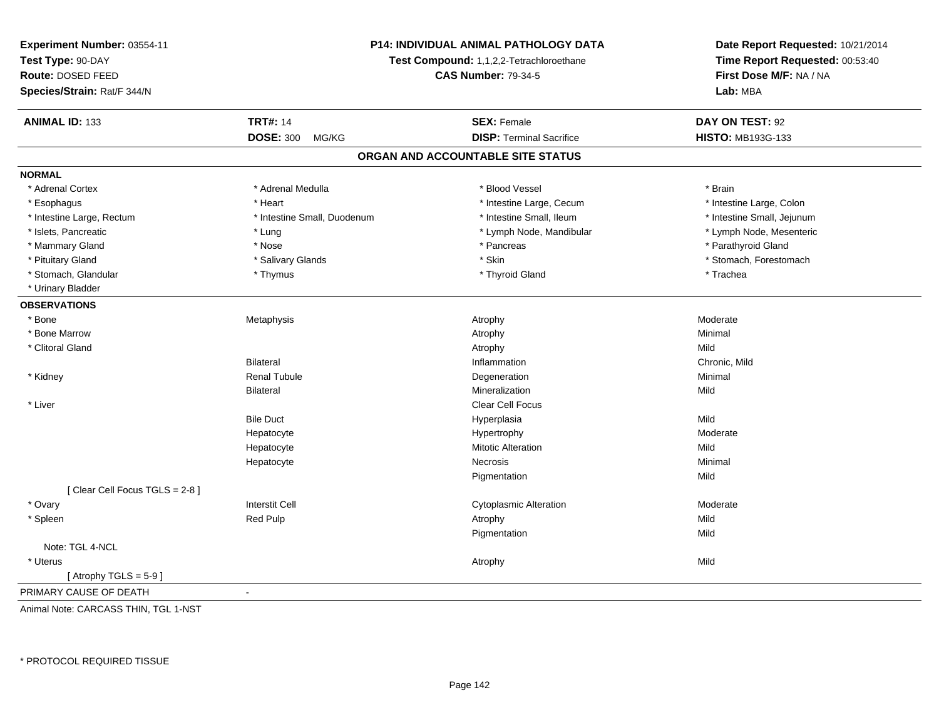| Experiment Number: 03554-11            |                                          | <b>P14: INDIVIDUAL ANIMAL PATHOLOGY DATA</b> | Date Report Requested: 10/21/2014<br>Time Report Requested: 00:53:40 |  |
|----------------------------------------|------------------------------------------|----------------------------------------------|----------------------------------------------------------------------|--|
| Test Type: 90-DAY<br>Route: DOSED FEED | Test Compound: 1,1,2,2-Tetrachloroethane |                                              |                                                                      |  |
|                                        |                                          | <b>CAS Number: 79-34-5</b>                   | First Dose M/F: NA / NA<br>Lab: MBA                                  |  |
| Species/Strain: Rat/F 344/N            |                                          |                                              |                                                                      |  |
| <b>ANIMAL ID: 133</b>                  | <b>TRT#: 14</b>                          | <b>SEX: Female</b>                           | DAY ON TEST: 92                                                      |  |
|                                        | <b>DOSE: 300</b><br>MG/KG                | <b>DISP: Terminal Sacrifice</b>              | HISTO: MB193G-133                                                    |  |
|                                        |                                          | ORGAN AND ACCOUNTABLE SITE STATUS            |                                                                      |  |
| <b>NORMAL</b>                          |                                          |                                              |                                                                      |  |
| * Adrenal Cortex                       | * Adrenal Medulla                        | * Blood Vessel                               | * Brain                                                              |  |
| * Esophagus                            | * Heart                                  | * Intestine Large, Cecum                     | * Intestine Large, Colon                                             |  |
| * Intestine Large, Rectum              | * Intestine Small, Duodenum              | * Intestine Small, Ileum                     | * Intestine Small, Jejunum                                           |  |
| * Islets, Pancreatic                   | $*$ Lung                                 | * Lymph Node, Mandibular                     | * Lymph Node, Mesenteric                                             |  |
| * Mammary Gland                        | * Nose                                   | * Pancreas                                   | * Parathyroid Gland                                                  |  |
| * Pituitary Gland                      | * Salivary Glands                        | * Skin                                       | * Stomach, Forestomach                                               |  |
| * Stomach, Glandular                   | * Thymus                                 | * Thyroid Gland                              | * Trachea                                                            |  |
| * Urinary Bladder                      |                                          |                                              |                                                                      |  |
| <b>OBSERVATIONS</b>                    |                                          |                                              |                                                                      |  |
| * Bone                                 | Metaphysis                               | Atrophy                                      | Moderate                                                             |  |
| * Bone Marrow                          |                                          | Atrophy                                      | Minimal                                                              |  |
| * Clitoral Gland                       |                                          | Atrophy                                      | Mild                                                                 |  |
|                                        | <b>Bilateral</b>                         | Inflammation                                 | Chronic, Mild                                                        |  |
| * Kidney                               | <b>Renal Tubule</b>                      | Degeneration                                 | Minimal                                                              |  |
|                                        | <b>Bilateral</b>                         | Mineralization                               | Mild                                                                 |  |
| * Liver                                |                                          | Clear Cell Focus                             |                                                                      |  |
|                                        | <b>Bile Duct</b>                         | Hyperplasia                                  | Mild                                                                 |  |
|                                        | Hepatocyte                               | Hypertrophy                                  | Moderate                                                             |  |
|                                        | Hepatocyte                               | <b>Mitotic Alteration</b>                    | Mild                                                                 |  |
|                                        | Hepatocyte                               | <b>Necrosis</b>                              | Minimal                                                              |  |
|                                        |                                          | Pigmentation                                 | Mild                                                                 |  |
| [Clear Cell Focus TGLS = 2-8]          |                                          |                                              |                                                                      |  |
| * Ovary                                | <b>Interstit Cell</b>                    | <b>Cytoplasmic Alteration</b>                | Moderate                                                             |  |
| * Spleen                               | Red Pulp                                 | Atrophy                                      | Mild                                                                 |  |
|                                        |                                          | Pigmentation                                 | Mild                                                                 |  |
| Note: TGL 4-NCL                        |                                          |                                              |                                                                      |  |
| * Uterus                               |                                          | Atrophy                                      | Mild                                                                 |  |
| [Atrophy TGLS = $5-9$ ]                |                                          |                                              |                                                                      |  |
| PRIMARY CAUSE OF DEATH                 | $\sim$                                   |                                              |                                                                      |  |

Animal Note: CARCASS THIN, TGL 1-NST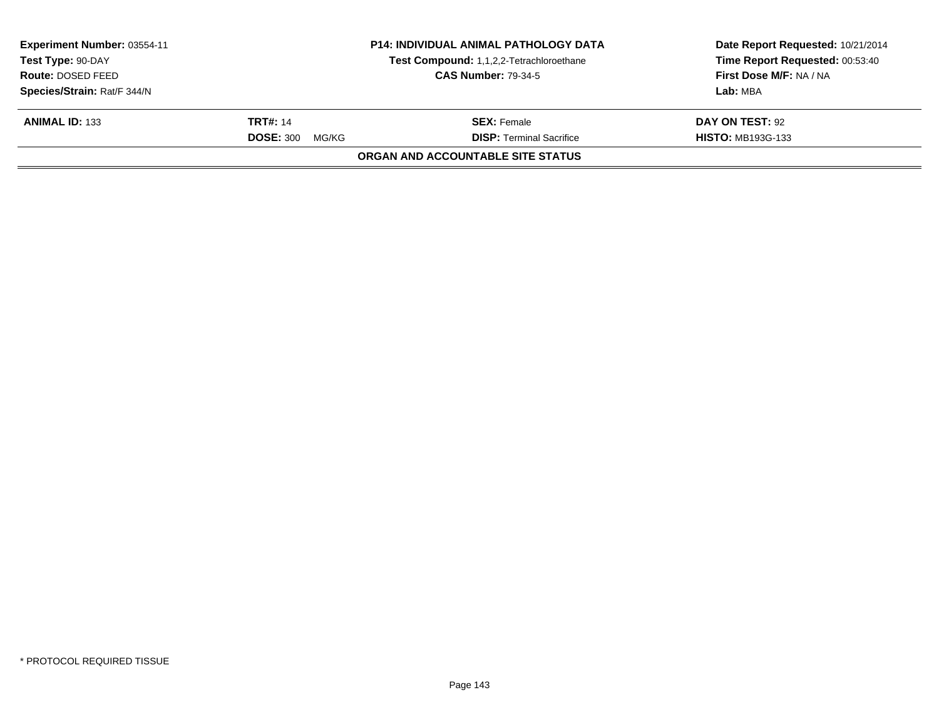| Experiment Number: 03554-11<br>Test Type: 90-DAY |                           | <b>P14: INDIVIDUAL ANIMAL PATHOLOGY DATA</b><br>Test Compound: 1,1,2,2-Tetrachloroethane | Date Report Requested: 10/21/2014<br>Time Report Requested: 00:53:40 |
|--------------------------------------------------|---------------------------|------------------------------------------------------------------------------------------|----------------------------------------------------------------------|
| Route: DOSED FEED                                |                           | <b>CAS Number: 79-34-5</b>                                                               | First Dose M/F: NA / NA                                              |
| Species/Strain: Rat/F 344/N                      |                           |                                                                                          | Lab: MBA                                                             |
| <b>ANIMAL ID: 133</b>                            | <b>TRT#: 14</b>           | <b>SEX:</b> Female                                                                       | DAY ON TEST: 92                                                      |
|                                                  | <b>DOSE: 300</b><br>MG/KG | <b>DISP: Terminal Sacrifice</b>                                                          | <b>HISTO: MB193G-133</b>                                             |
|                                                  |                           | ORGAN AND ACCOUNTABLE SITE STATUS                                                        |                                                                      |
|                                                  |                           |                                                                                          |                                                                      |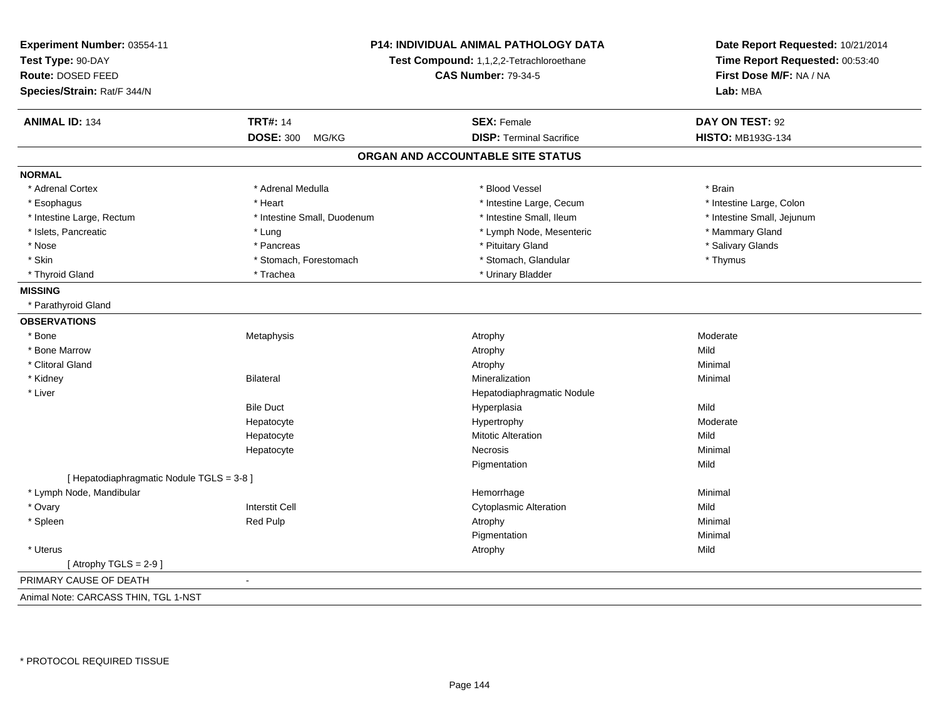| Experiment Number: 03554-11<br>Test Type: 90-DAY<br>Route: DOSED FEED<br>Species/Strain: Rat/F 344/N |                             | P14: INDIVIDUAL ANIMAL PATHOLOGY DATA<br>Test Compound: 1,1,2,2-Tetrachloroethane<br><b>CAS Number: 79-34-5</b> |                            |
|------------------------------------------------------------------------------------------------------|-----------------------------|-----------------------------------------------------------------------------------------------------------------|----------------------------|
| <b>ANIMAL ID: 134</b>                                                                                | <b>TRT#: 14</b>             | <b>SEX: Female</b>                                                                                              | DAY ON TEST: 92            |
|                                                                                                      | <b>DOSE: 300</b><br>MG/KG   | <b>DISP: Terminal Sacrifice</b>                                                                                 | HISTO: MB193G-134          |
|                                                                                                      |                             | ORGAN AND ACCOUNTABLE SITE STATUS                                                                               |                            |
| <b>NORMAL</b>                                                                                        |                             |                                                                                                                 |                            |
| * Adrenal Cortex                                                                                     | * Adrenal Medulla           | * Blood Vessel                                                                                                  | * Brain                    |
| * Esophagus                                                                                          | * Heart                     | * Intestine Large, Cecum                                                                                        | * Intestine Large, Colon   |
| * Intestine Large, Rectum                                                                            | * Intestine Small, Duodenum | * Intestine Small, Ileum                                                                                        | * Intestine Small, Jejunum |
| * Islets, Pancreatic                                                                                 | * Lung                      | * Lymph Node, Mesenteric                                                                                        | * Mammary Gland            |
| * Nose                                                                                               | * Pancreas                  | * Pituitary Gland                                                                                               | * Salivary Glands          |
| * Skin                                                                                               | * Stomach, Forestomach      | * Stomach, Glandular                                                                                            | * Thymus                   |
| * Thyroid Gland                                                                                      | * Trachea                   | * Urinary Bladder                                                                                               |                            |
| <b>MISSING</b>                                                                                       |                             |                                                                                                                 |                            |
| * Parathyroid Gland                                                                                  |                             |                                                                                                                 |                            |
| <b>OBSERVATIONS</b>                                                                                  |                             |                                                                                                                 |                            |
| * Bone                                                                                               | Metaphysis                  | Atrophy                                                                                                         | Moderate                   |
| * Bone Marrow                                                                                        |                             | Atrophy                                                                                                         | Mild                       |
| * Clitoral Gland                                                                                     |                             | Atrophy                                                                                                         | Minimal                    |
| * Kidney                                                                                             | <b>Bilateral</b>            | Mineralization                                                                                                  | Minimal                    |
| * Liver                                                                                              |                             | Hepatodiaphragmatic Nodule                                                                                      |                            |
|                                                                                                      | <b>Bile Duct</b>            | Hyperplasia                                                                                                     | Mild                       |
|                                                                                                      | Hepatocyte                  | Hypertrophy                                                                                                     | Moderate                   |
|                                                                                                      | Hepatocyte                  | <b>Mitotic Alteration</b>                                                                                       | Mild                       |
|                                                                                                      | Hepatocyte                  | Necrosis                                                                                                        | Minimal                    |
|                                                                                                      |                             | Pigmentation                                                                                                    | Mild                       |
| [ Hepatodiaphragmatic Nodule TGLS = 3-8 ]                                                            |                             |                                                                                                                 |                            |
| * Lymph Node, Mandibular                                                                             |                             | Hemorrhage                                                                                                      | Minimal                    |
| * Ovary                                                                                              | <b>Interstit Cell</b>       | <b>Cytoplasmic Alteration</b>                                                                                   | Mild                       |
| * Spleen                                                                                             | Red Pulp                    | Atrophy                                                                                                         | Minimal                    |
|                                                                                                      |                             | Pigmentation                                                                                                    | Minimal                    |
| * Uterus                                                                                             |                             | Atrophy                                                                                                         | Mild                       |
| [Atrophy TGLS = $2-9$ ]                                                                              |                             |                                                                                                                 |                            |
| PRIMARY CAUSE OF DEATH                                                                               |                             |                                                                                                                 |                            |
| Animal Note: CARCASS THIN, TGL 1-NST                                                                 |                             |                                                                                                                 |                            |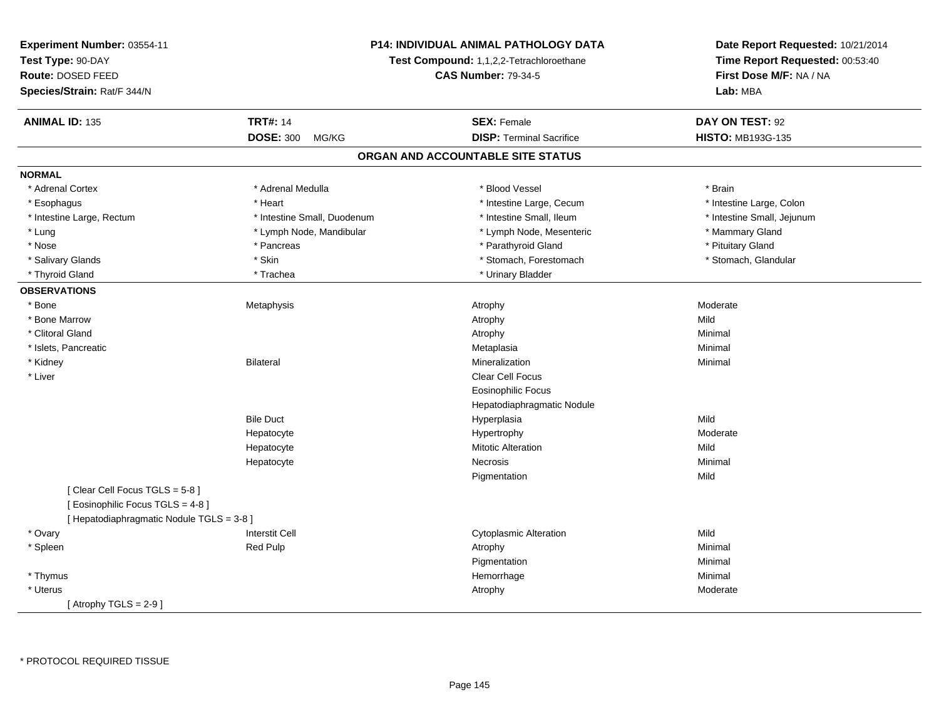| Experiment Number: 03554-11               | <b>P14: INDIVIDUAL ANIMAL PATHOLOGY DATA</b> |                                   | Date Report Requested: 10/21/2014   |
|-------------------------------------------|----------------------------------------------|-----------------------------------|-------------------------------------|
| Test Type: 90-DAY                         | Test Compound: 1,1,2,2-Tetrachloroethane     |                                   | Time Report Requested: 00:53:40     |
| Route: DOSED FEED                         |                                              | <b>CAS Number: 79-34-5</b>        |                                     |
| Species/Strain: Rat/F 344/N               |                                              |                                   | First Dose M/F: NA / NA<br>Lab: MBA |
| <b>ANIMAL ID: 135</b>                     | <b>TRT#: 14</b>                              | <b>SEX: Female</b>                | DAY ON TEST: 92                     |
|                                           | <b>DOSE: 300</b><br>MG/KG                    | <b>DISP: Terminal Sacrifice</b>   | HISTO: MB193G-135                   |
|                                           |                                              | ORGAN AND ACCOUNTABLE SITE STATUS |                                     |
| <b>NORMAL</b>                             |                                              |                                   |                                     |
| * Adrenal Cortex                          | * Adrenal Medulla                            | * Blood Vessel                    | * Brain                             |
| * Esophagus                               | * Heart                                      | * Intestine Large, Cecum          | * Intestine Large, Colon            |
| * Intestine Large, Rectum                 | * Intestine Small, Duodenum                  | * Intestine Small, Ileum          | * Intestine Small, Jejunum          |
| * Lung                                    | * Lymph Node, Mandibular                     | * Lymph Node, Mesenteric          | * Mammary Gland                     |
| * Nose                                    | * Pancreas                                   | * Parathyroid Gland               | * Pituitary Gland                   |
| * Salivary Glands                         | * Skin                                       | * Stomach, Forestomach            | * Stomach, Glandular                |
| * Thyroid Gland                           | * Trachea                                    | * Urinary Bladder                 |                                     |
| <b>OBSERVATIONS</b>                       |                                              |                                   |                                     |
| * Bone                                    | Metaphysis                                   | Atrophy                           | Moderate                            |
| * Bone Marrow                             |                                              | Atrophy                           | Mild                                |
| * Clitoral Gland                          |                                              | Atrophy                           | Minimal                             |
| * Islets, Pancreatic                      |                                              | Metaplasia                        | Minimal                             |
| * Kidney                                  | Bilateral                                    | Mineralization                    | Minimal                             |
| * Liver                                   |                                              | Clear Cell Focus                  |                                     |
|                                           |                                              | Eosinophilic Focus                |                                     |
|                                           |                                              | Hepatodiaphragmatic Nodule        |                                     |
|                                           | <b>Bile Duct</b>                             | Hyperplasia                       | Mild                                |
|                                           | Hepatocyte                                   | Hypertrophy                       | Moderate                            |
|                                           | Hepatocyte                                   | <b>Mitotic Alteration</b>         | Mild                                |
|                                           | Hepatocyte                                   | <b>Necrosis</b>                   | Minimal                             |
|                                           |                                              | Pigmentation                      | Mild                                |
| [Clear Cell Focus TGLS = 5-8]             |                                              |                                   |                                     |
| [ Eosinophilic Focus TGLS = 4-8 ]         |                                              |                                   |                                     |
| [ Hepatodiaphragmatic Nodule TGLS = 3-8 ] |                                              |                                   |                                     |
| * Ovary                                   | <b>Interstit Cell</b>                        | <b>Cytoplasmic Alteration</b>     | Mild                                |
| * Spleen                                  | <b>Red Pulp</b>                              | Atrophy                           | Minimal                             |
|                                           |                                              | Pigmentation                      | Minimal                             |
| * Thymus                                  |                                              | Hemorrhage                        | Minimal                             |
| * Uterus                                  |                                              | Atrophy                           | Moderate                            |
| [Atrophy TGLS = 2-9 ]                     |                                              |                                   |                                     |

\* PROTOCOL REQUIRED TISSUE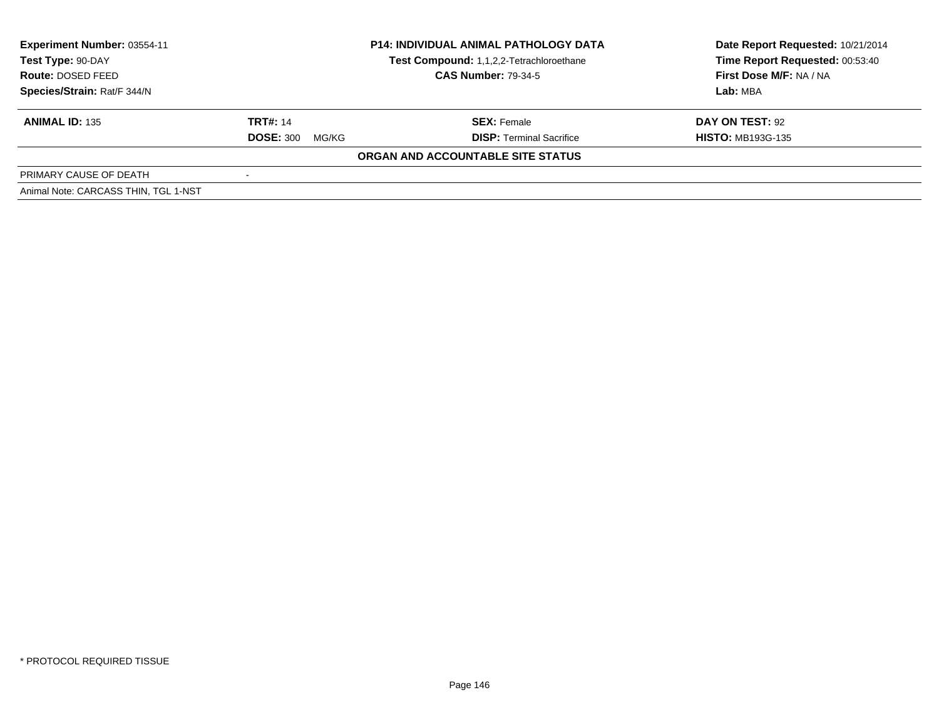| <b>Experiment Number: 03554-11</b><br>Test Type: 90-DAY<br><b>Route: DOSED FEED</b><br>Species/Strain: Rat/F 344/N |                                              | <b>P14: INDIVIDUAL ANIMAL PATHOLOGY DATA</b><br>Test Compound: 1,1,2,2-Tetrachloroethane<br><b>CAS Number: 79-34-5</b> | Date Report Requested: 10/21/2014<br>Time Report Requested: 00:53:40<br>First Dose M/F: NA / NA<br>Lab: MBA |
|--------------------------------------------------------------------------------------------------------------------|----------------------------------------------|------------------------------------------------------------------------------------------------------------------------|-------------------------------------------------------------------------------------------------------------|
| <b>ANIMAL ID: 135</b>                                                                                              | <b>TRT#: 14</b><br><b>DOSE: 300</b><br>MG/KG | <b>SEX: Female</b><br><b>DISP:</b> Terminal Sacrifice                                                                  | DAY ON TEST: 92<br><b>HISTO: MB193G-135</b>                                                                 |
|                                                                                                                    |                                              | ORGAN AND ACCOUNTABLE SITE STATUS                                                                                      |                                                                                                             |
| PRIMARY CAUSE OF DEATH                                                                                             | $\overline{\phantom{a}}$                     |                                                                                                                        |                                                                                                             |
| Animal Note: CARCASS THIN, TGL 1-NST                                                                               |                                              |                                                                                                                        |                                                                                                             |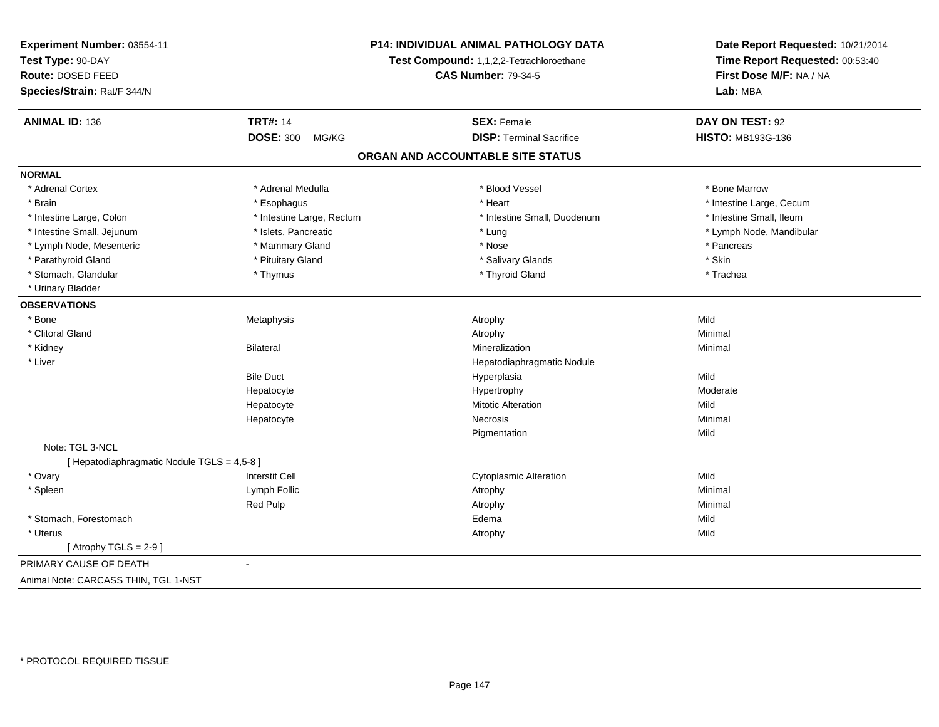| Experiment Number: 03554-11<br>Test Type: 90-DAY<br>Route: DOSED FEED |                           | P14: INDIVIDUAL ANIMAL PATHOLOGY DATA<br>Test Compound: 1,1,2,2-Tetrachloroethane<br><b>CAS Number: 79-34-5</b> | Date Report Requested: 10/21/2014<br>Time Report Requested: 00:53:40<br>First Dose M/F: NA / NA<br>Lab: MBA |
|-----------------------------------------------------------------------|---------------------------|-----------------------------------------------------------------------------------------------------------------|-------------------------------------------------------------------------------------------------------------|
| Species/Strain: Rat/F 344/N                                           |                           |                                                                                                                 |                                                                                                             |
| <b>ANIMAL ID: 136</b>                                                 | <b>TRT#: 14</b>           | <b>SEX: Female</b>                                                                                              | DAY ON TEST: 92                                                                                             |
|                                                                       | <b>DOSE: 300</b><br>MG/KG | <b>DISP: Terminal Sacrifice</b>                                                                                 | <b>HISTO: MB193G-136</b>                                                                                    |
|                                                                       |                           | ORGAN AND ACCOUNTABLE SITE STATUS                                                                               |                                                                                                             |
| <b>NORMAL</b>                                                         |                           |                                                                                                                 |                                                                                                             |
| * Adrenal Cortex                                                      | * Adrenal Medulla         | * Blood Vessel                                                                                                  | * Bone Marrow                                                                                               |
| * Brain                                                               | * Esophagus               | * Heart                                                                                                         | * Intestine Large, Cecum                                                                                    |
| * Intestine Large, Colon                                              | * Intestine Large, Rectum | * Intestine Small, Duodenum                                                                                     | * Intestine Small, Ileum                                                                                    |
| * Intestine Small, Jejunum                                            | * Islets, Pancreatic      | * Lung                                                                                                          | * Lymph Node, Mandibular                                                                                    |
| * Lymph Node, Mesenteric                                              | * Mammary Gland           | * Nose                                                                                                          | * Pancreas                                                                                                  |
| * Parathyroid Gland                                                   | * Pituitary Gland         | * Salivary Glands                                                                                               | * Skin                                                                                                      |
| * Stomach, Glandular                                                  | * Thymus                  | * Thyroid Gland                                                                                                 | * Trachea                                                                                                   |
| * Urinary Bladder                                                     |                           |                                                                                                                 |                                                                                                             |
| <b>OBSERVATIONS</b>                                                   |                           |                                                                                                                 |                                                                                                             |
| * Bone                                                                | Metaphysis                | Atrophy                                                                                                         | Mild                                                                                                        |
| * Clitoral Gland                                                      |                           | Atrophy                                                                                                         | Minimal                                                                                                     |
| * Kidney                                                              | <b>Bilateral</b>          | Mineralization                                                                                                  | Minimal                                                                                                     |
| * Liver                                                               |                           | Hepatodiaphragmatic Nodule                                                                                      |                                                                                                             |
|                                                                       | <b>Bile Duct</b>          | Hyperplasia                                                                                                     | Mild                                                                                                        |
|                                                                       | Hepatocyte                | Hypertrophy                                                                                                     | Moderate                                                                                                    |
|                                                                       | Hepatocyte                | <b>Mitotic Alteration</b>                                                                                       | Mild                                                                                                        |
|                                                                       | Hepatocyte                | <b>Necrosis</b>                                                                                                 | Minimal                                                                                                     |
|                                                                       |                           | Pigmentation                                                                                                    | Mild                                                                                                        |
| Note: TGL 3-NCL                                                       |                           |                                                                                                                 |                                                                                                             |
| [ Hepatodiaphragmatic Nodule TGLS = 4,5-8 ]                           |                           |                                                                                                                 |                                                                                                             |
| * Ovary                                                               | <b>Interstit Cell</b>     | <b>Cytoplasmic Alteration</b>                                                                                   | Mild                                                                                                        |
| * Spleen                                                              | Lymph Follic              | Atrophy                                                                                                         | Minimal                                                                                                     |
|                                                                       | Red Pulp                  | Atrophy                                                                                                         | Minimal                                                                                                     |
| * Stomach, Forestomach                                                |                           | Edema                                                                                                           | Mild                                                                                                        |
| * Uterus                                                              |                           | Atrophy                                                                                                         | Mild                                                                                                        |
| [Atrophy TGLS = $2-9$ ]                                               |                           |                                                                                                                 |                                                                                                             |
| PRIMARY CAUSE OF DEATH                                                |                           |                                                                                                                 |                                                                                                             |
| Animal Note: CARCASS THIN, TGL 1-NST                                  |                           |                                                                                                                 |                                                                                                             |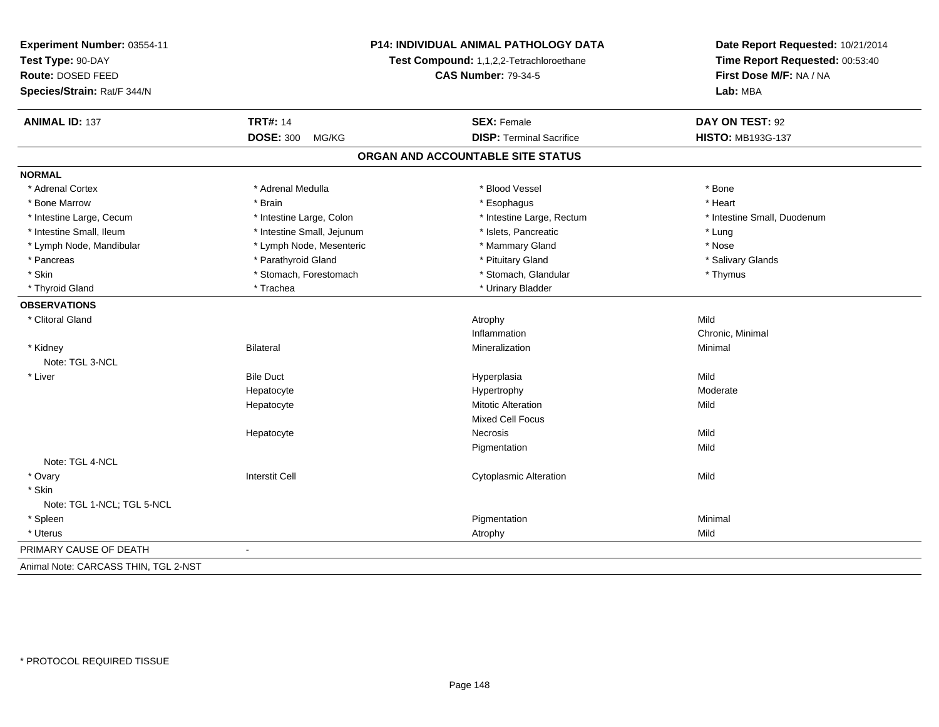| Experiment Number: 03554-11          | <b>P14: INDIVIDUAL ANIMAL PATHOLOGY DATA</b> |                                          | Date Report Requested: 10/21/2014                          |
|--------------------------------------|----------------------------------------------|------------------------------------------|------------------------------------------------------------|
| Test Type: 90-DAY                    |                                              | Test Compound: 1,1,2,2-Tetrachloroethane | Time Report Requested: 00:53:40<br>First Dose M/F: NA / NA |
| Route: DOSED FEED                    |                                              | <b>CAS Number: 79-34-5</b>               |                                                            |
| Species/Strain: Rat/F 344/N          |                                              |                                          | Lab: MBA                                                   |
| <b>ANIMAL ID: 137</b>                | <b>TRT#: 14</b>                              | <b>SEX: Female</b>                       | DAY ON TEST: 92                                            |
|                                      | <b>DOSE: 300</b><br>MG/KG                    | <b>DISP: Terminal Sacrifice</b>          | <b>HISTO: MB193G-137</b>                                   |
|                                      |                                              | ORGAN AND ACCOUNTABLE SITE STATUS        |                                                            |
| <b>NORMAL</b>                        |                                              |                                          |                                                            |
| * Adrenal Cortex                     | * Adrenal Medulla                            | * Blood Vessel                           | * Bone                                                     |
| * Bone Marrow                        | * Brain                                      | * Esophagus                              | * Heart                                                    |
| * Intestine Large, Cecum             | * Intestine Large, Colon                     | * Intestine Large, Rectum                | * Intestine Small, Duodenum                                |
| * Intestine Small, Ileum             | * Intestine Small, Jejunum                   | * Islets, Pancreatic                     | * Lung                                                     |
| * Lymph Node, Mandibular             | * Lymph Node, Mesenteric                     | * Mammary Gland                          | * Nose                                                     |
| * Pancreas                           | * Parathyroid Gland                          | * Pituitary Gland                        | * Salivary Glands                                          |
| * Skin                               | * Stomach, Forestomach                       | * Stomach, Glandular                     | * Thymus                                                   |
| * Thyroid Gland                      | * Trachea                                    | * Urinary Bladder                        |                                                            |
| <b>OBSERVATIONS</b>                  |                                              |                                          |                                                            |
| * Clitoral Gland                     |                                              | Atrophy                                  | Mild                                                       |
|                                      |                                              | Inflammation                             | Chronic, Minimal                                           |
| * Kidney<br>Note: TGL 3-NCL          | Bilateral                                    | Mineralization                           | Minimal                                                    |
| * Liver                              | <b>Bile Duct</b>                             | Hyperplasia                              | Mild                                                       |
|                                      | Hepatocyte                                   | Hypertrophy                              | Moderate                                                   |
|                                      | Hepatocyte                                   | <b>Mitotic Alteration</b>                | Mild                                                       |
|                                      |                                              | Mixed Cell Focus                         |                                                            |
|                                      | Hepatocyte                                   | <b>Necrosis</b>                          | Mild                                                       |
|                                      |                                              | Pigmentation                             | Mild                                                       |
| Note: TGL 4-NCL                      |                                              |                                          |                                                            |
| * Ovary                              | <b>Interstit Cell</b>                        | <b>Cytoplasmic Alteration</b>            | Mild                                                       |
| * Skin                               |                                              |                                          |                                                            |
| Note: TGL 1-NCL; TGL 5-NCL           |                                              |                                          |                                                            |
| * Spleen                             |                                              | Pigmentation                             | Minimal                                                    |
| * Uterus                             |                                              | Atrophy                                  | Mild                                                       |
| PRIMARY CAUSE OF DEATH               | $\blacksquare$                               |                                          |                                                            |
| Animal Note: CARCASS THIN, TGL 2-NST |                                              |                                          |                                                            |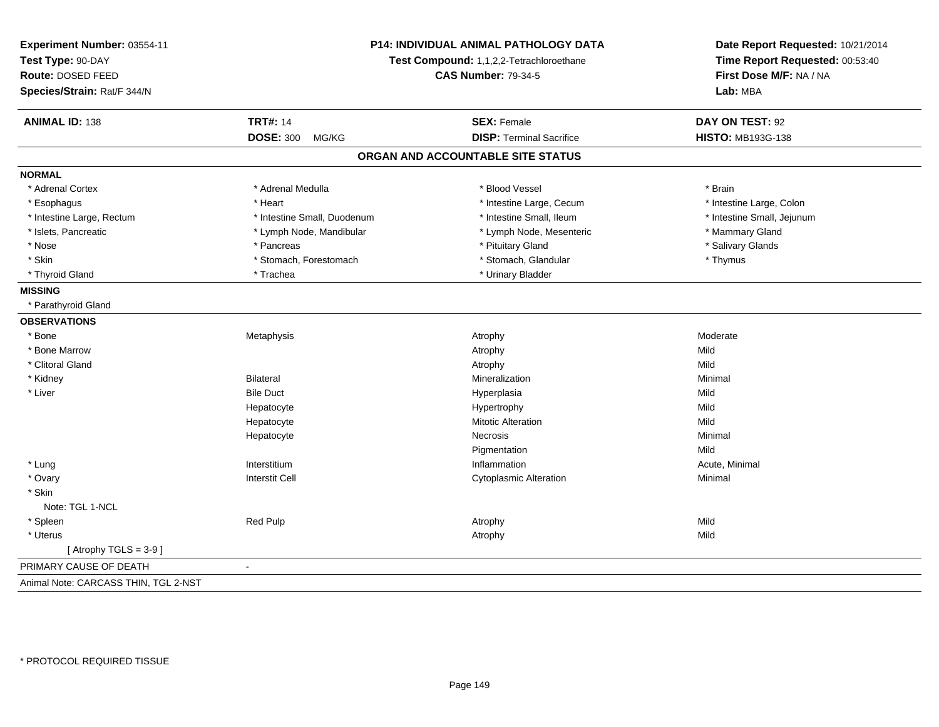| Experiment Number: 03554-11<br>Test Type: 90-DAY<br><b>Route: DOSED FEED</b><br>Species/Strain: Rat/F 344/N | P14: INDIVIDUAL ANIMAL PATHOLOGY DATA<br>Test Compound: 1,1,2,2-Tetrachloroethane<br><b>CAS Number: 79-34-5</b> |                                   | Date Report Requested: 10/21/2014<br>Time Report Requested: 00:53:40<br>First Dose M/F: NA / NA<br>Lab: MBA |
|-------------------------------------------------------------------------------------------------------------|-----------------------------------------------------------------------------------------------------------------|-----------------------------------|-------------------------------------------------------------------------------------------------------------|
| <b>ANIMAL ID: 138</b>                                                                                       | <b>TRT#: 14</b>                                                                                                 | <b>SEX: Female</b>                | DAY ON TEST: 92                                                                                             |
|                                                                                                             | <b>DOSE: 300</b><br>MG/KG                                                                                       | <b>DISP: Terminal Sacrifice</b>   | <b>HISTO: MB193G-138</b>                                                                                    |
|                                                                                                             |                                                                                                                 | ORGAN AND ACCOUNTABLE SITE STATUS |                                                                                                             |
| <b>NORMAL</b>                                                                                               |                                                                                                                 |                                   |                                                                                                             |
| * Adrenal Cortex                                                                                            | * Adrenal Medulla                                                                                               | * Blood Vessel                    | * Brain                                                                                                     |
| * Esophagus                                                                                                 | * Heart                                                                                                         | * Intestine Large, Cecum          | * Intestine Large, Colon                                                                                    |
| * Intestine Large, Rectum                                                                                   | * Intestine Small, Duodenum                                                                                     | * Intestine Small, Ileum          | * Intestine Small, Jejunum                                                                                  |
| * Islets, Pancreatic                                                                                        | * Lymph Node, Mandibular                                                                                        | * Lymph Node, Mesenteric          | * Mammary Gland                                                                                             |
| * Nose                                                                                                      | * Pancreas                                                                                                      | * Pituitary Gland                 | * Salivary Glands                                                                                           |
| * Skin                                                                                                      | * Stomach, Forestomach                                                                                          | * Stomach, Glandular              | * Thymus                                                                                                    |
| * Thyroid Gland                                                                                             | * Trachea                                                                                                       | * Urinary Bladder                 |                                                                                                             |
| <b>MISSING</b>                                                                                              |                                                                                                                 |                                   |                                                                                                             |
| * Parathyroid Gland                                                                                         |                                                                                                                 |                                   |                                                                                                             |
| <b>OBSERVATIONS</b>                                                                                         |                                                                                                                 |                                   |                                                                                                             |
| * Bone                                                                                                      | Metaphysis                                                                                                      | Atrophy                           | Moderate                                                                                                    |
| * Bone Marrow                                                                                               |                                                                                                                 | Atrophy                           | Mild                                                                                                        |
| * Clitoral Gland                                                                                            |                                                                                                                 | Atrophy                           | Mild                                                                                                        |
| * Kidney                                                                                                    | <b>Bilateral</b>                                                                                                | Mineralization                    | Minimal                                                                                                     |
| * Liver                                                                                                     | <b>Bile Duct</b>                                                                                                | Hyperplasia                       | Mild                                                                                                        |
|                                                                                                             | Hepatocyte                                                                                                      | Hypertrophy                       | Mild                                                                                                        |
|                                                                                                             | Hepatocyte                                                                                                      | <b>Mitotic Alteration</b>         | Mild                                                                                                        |
|                                                                                                             | Hepatocyte                                                                                                      | <b>Necrosis</b>                   | Minimal                                                                                                     |
|                                                                                                             |                                                                                                                 | Pigmentation                      | Mild                                                                                                        |
| * Lung                                                                                                      | Interstitium                                                                                                    | Inflammation                      | Acute, Minimal                                                                                              |
| * Ovary                                                                                                     | <b>Interstit Cell</b>                                                                                           | <b>Cytoplasmic Alteration</b>     | Minimal                                                                                                     |
| * Skin                                                                                                      |                                                                                                                 |                                   |                                                                                                             |
| Note: TGL 1-NCL                                                                                             |                                                                                                                 |                                   |                                                                                                             |
| * Spleen                                                                                                    | Red Pulp                                                                                                        | Atrophy                           | Mild                                                                                                        |
| * Uterus                                                                                                    |                                                                                                                 | Atrophy                           | Mild                                                                                                        |
| [Atrophy TGLS = $3-9$ ]                                                                                     |                                                                                                                 |                                   |                                                                                                             |
| PRIMARY CAUSE OF DEATH                                                                                      | $\blacksquare$                                                                                                  |                                   |                                                                                                             |
| Animal Note: CARCASS THIN, TGL 2-NST                                                                        |                                                                                                                 |                                   |                                                                                                             |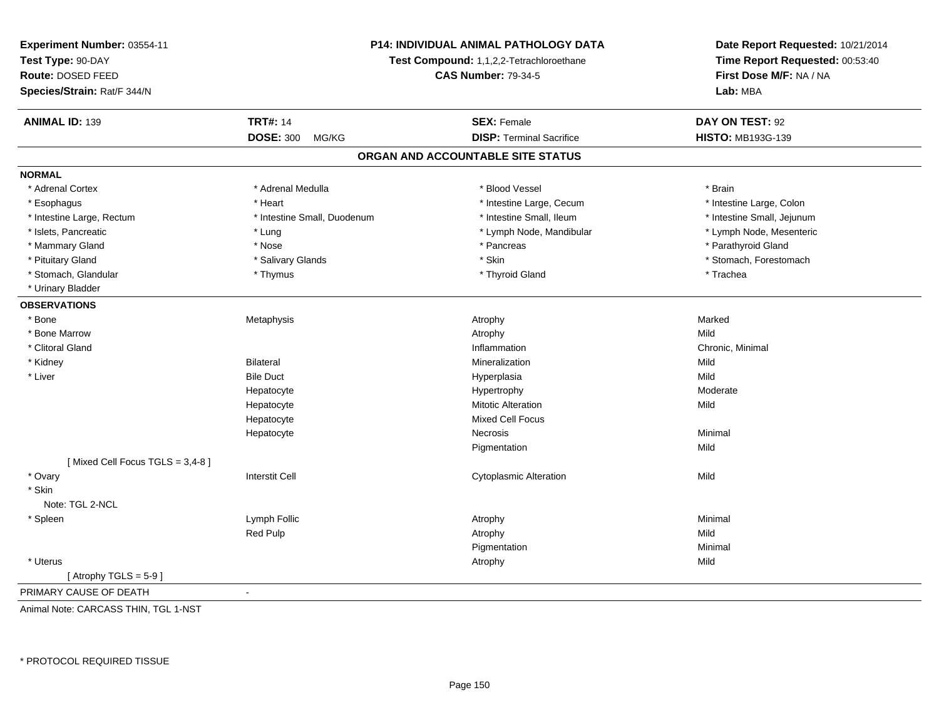| Experiment Number: 03554-11            |                                          | P14: INDIVIDUAL ANIMAL PATHOLOGY DATA | Date Report Requested: 10/21/2014                          |
|----------------------------------------|------------------------------------------|---------------------------------------|------------------------------------------------------------|
| Test Type: 90-DAY<br>Route: DOSED FEED | Test Compound: 1,1,2,2-Tetrachloroethane |                                       | Time Report Requested: 00:53:40<br>First Dose M/F: NA / NA |
| Species/Strain: Rat/F 344/N            |                                          | <b>CAS Number: 79-34-5</b>            | Lab: MBA                                                   |
|                                        |                                          |                                       |                                                            |
| <b>ANIMAL ID: 139</b>                  | <b>TRT#: 14</b>                          | <b>SEX: Female</b>                    | DAY ON TEST: 92                                            |
|                                        | <b>DOSE: 300</b><br>MG/KG                | <b>DISP: Terminal Sacrifice</b>       | HISTO: MB193G-139                                          |
|                                        |                                          | ORGAN AND ACCOUNTABLE SITE STATUS     |                                                            |
| <b>NORMAL</b>                          |                                          |                                       |                                                            |
| * Adrenal Cortex                       | * Adrenal Medulla                        | * Blood Vessel                        | * Brain                                                    |
| * Esophagus                            | * Heart                                  | * Intestine Large, Cecum              | * Intestine Large, Colon                                   |
| * Intestine Large, Rectum              | * Intestine Small, Duodenum              | * Intestine Small, Ileum              | * Intestine Small, Jejunum                                 |
| * Islets, Pancreatic                   | * Lung                                   | * Lymph Node, Mandibular              | * Lymph Node, Mesenteric                                   |
| * Mammary Gland                        | * Nose                                   | * Pancreas                            | * Parathyroid Gland                                        |
| * Pituitary Gland                      | * Salivary Glands                        | * Skin                                | * Stomach, Forestomach                                     |
| * Stomach, Glandular                   | * Thymus                                 | * Thyroid Gland                       | * Trachea                                                  |
| * Urinary Bladder                      |                                          |                                       |                                                            |
| <b>OBSERVATIONS</b>                    |                                          |                                       |                                                            |
| * Bone                                 | Metaphysis                               | Atrophy                               | Marked                                                     |
| * Bone Marrow                          |                                          | Atrophy                               | Mild                                                       |
| * Clitoral Gland                       |                                          | Inflammation                          | Chronic, Minimal                                           |
| * Kidney                               | <b>Bilateral</b>                         | Mineralization                        | Mild                                                       |
| * Liver                                | <b>Bile Duct</b>                         | Hyperplasia                           | Mild                                                       |
|                                        | Hepatocyte                               | Hypertrophy                           | Moderate                                                   |
|                                        | Hepatocyte                               | <b>Mitotic Alteration</b>             | Mild                                                       |
|                                        | Hepatocyte                               | <b>Mixed Cell Focus</b>               |                                                            |
|                                        | Hepatocyte                               | Necrosis                              | Minimal                                                    |
|                                        |                                          | Pigmentation                          | Mild                                                       |
| [Mixed Cell Focus TGLS = 3,4-8]        |                                          |                                       |                                                            |
| * Ovary                                | <b>Interstit Cell</b>                    | <b>Cytoplasmic Alteration</b>         | Mild                                                       |
| * Skin                                 |                                          |                                       |                                                            |
| Note: TGL 2-NCL                        |                                          |                                       |                                                            |
| * Spleen                               | Lymph Follic                             | Atrophy                               | Minimal                                                    |
|                                        | <b>Red Pulp</b>                          | Atrophy                               | Mild                                                       |
|                                        |                                          | Pigmentation                          | Minimal                                                    |
| * Uterus                               |                                          | Atrophy                               | Mild                                                       |
| [Atrophy TGLS = $5-9$ ]                |                                          |                                       |                                                            |
| PRIMARY CAUSE OF DEATH                 |                                          |                                       |                                                            |

Animal Note: CARCASS THIN, TGL 1-NST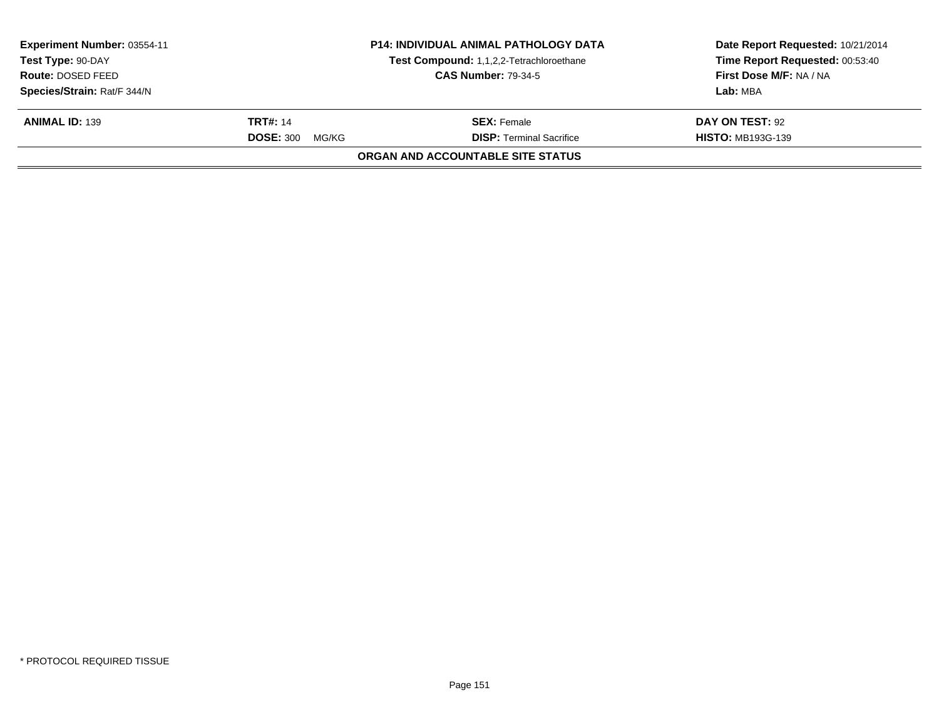| Experiment Number: 03554-11<br>Test Type: 90-DAY |                           | <b>P14: INDIVIDUAL ANIMAL PATHOLOGY DATA</b><br>Test Compound: 1,1,2,2-Tetrachloroethane | Date Report Requested: 10/21/2014<br>Time Report Requested: 00:53:40 |  |  |
|--------------------------------------------------|---------------------------|------------------------------------------------------------------------------------------|----------------------------------------------------------------------|--|--|
| Route: DOSED FEED                                |                           | <b>CAS Number: 79-34-5</b>                                                               | First Dose M/F: NA / NA                                              |  |  |
| Species/Strain: Rat/F 344/N                      |                           |                                                                                          | Lab: MBA                                                             |  |  |
| <b>ANIMAL ID: 139</b>                            | <b>TRT#: 14</b>           | <b>SEX:</b> Female                                                                       | DAY ON TEST: 92                                                      |  |  |
|                                                  | <b>DOSE: 300</b><br>MG/KG | <b>DISP: Terminal Sacrifice</b>                                                          | <b>HISTO: MB193G-139</b>                                             |  |  |
| ORGAN AND ACCOUNTABLE SITE STATUS                |                           |                                                                                          |                                                                      |  |  |
|                                                  |                           |                                                                                          |                                                                      |  |  |